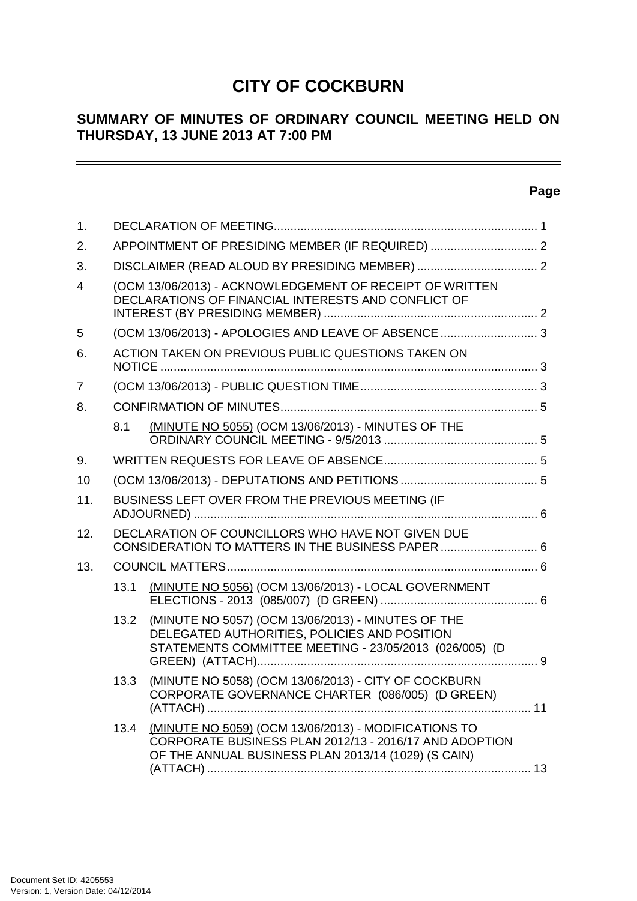# **CITY OF COCKBURN**

## **SUMMARY OF MINUTES OF ORDINARY COUNCIL MEETING HELD ON THURSDAY, 13 JUNE 2013 AT 7:00 PM**

## **Page**

| $\mathbf{1}$ . |                                                                                                                 |                                                                                                                                                                       |  |  |
|----------------|-----------------------------------------------------------------------------------------------------------------|-----------------------------------------------------------------------------------------------------------------------------------------------------------------------|--|--|
| 2.             |                                                                                                                 |                                                                                                                                                                       |  |  |
| 3.             |                                                                                                                 |                                                                                                                                                                       |  |  |
| $\overline{4}$ | (OCM 13/06/2013) - ACKNOWLEDGEMENT OF RECEIPT OF WRITTEN<br>DECLARATIONS OF FINANCIAL INTERESTS AND CONFLICT OF |                                                                                                                                                                       |  |  |
| 5              |                                                                                                                 | (OCM 13/06/2013) - APOLOGIES AND LEAVE OF ABSENCE  3                                                                                                                  |  |  |
| 6.             |                                                                                                                 | ACTION TAKEN ON PREVIOUS PUBLIC QUESTIONS TAKEN ON                                                                                                                    |  |  |
| $\overline{7}$ |                                                                                                                 |                                                                                                                                                                       |  |  |
| 8.             |                                                                                                                 |                                                                                                                                                                       |  |  |
|                | 8.1                                                                                                             | (MINUTE NO 5055) (OCM 13/06/2013) - MINUTES OF THE                                                                                                                    |  |  |
| 9.             |                                                                                                                 |                                                                                                                                                                       |  |  |
| 10             |                                                                                                                 |                                                                                                                                                                       |  |  |
| 11.            | BUSINESS LEFT OVER FROM THE PREVIOUS MEETING (IF                                                                |                                                                                                                                                                       |  |  |
| 12.            | DECLARATION OF COUNCILLORS WHO HAVE NOT GIVEN DUE<br>CONSIDERATION TO MATTERS IN THE BUSINESS PAPER  6          |                                                                                                                                                                       |  |  |
| 13.            |                                                                                                                 |                                                                                                                                                                       |  |  |
|                | 13.1                                                                                                            | (MINUTE NO 5056) (OCM 13/06/2013) - LOCAL GOVERNMENT                                                                                                                  |  |  |
|                | 13.2                                                                                                            | (MINUTE NO 5057) (OCM 13/06/2013) - MINUTES OF THE<br>DELEGATED AUTHORITIES, POLICIES AND POSITION<br>STATEMENTS COMMITTEE MEETING - 23/05/2013 (026/005) (D          |  |  |
|                | 13.3                                                                                                            | (MINUTE NO 5058) (OCM 13/06/2013) - CITY OF COCKBURN<br>CORPORATE GOVERNANCE CHARTER (086/005) (D GREEN)                                                              |  |  |
|                | 13.4                                                                                                            | (MINUTE NO 5059) (OCM 13/06/2013) - MODIFICATIONS TO<br>CORPORATE BUSINESS PLAN 2012/13 - 2016/17 AND ADOPTION<br>OF THE ANNUAL BUSINESS PLAN 2013/14 (1029) (S CAIN) |  |  |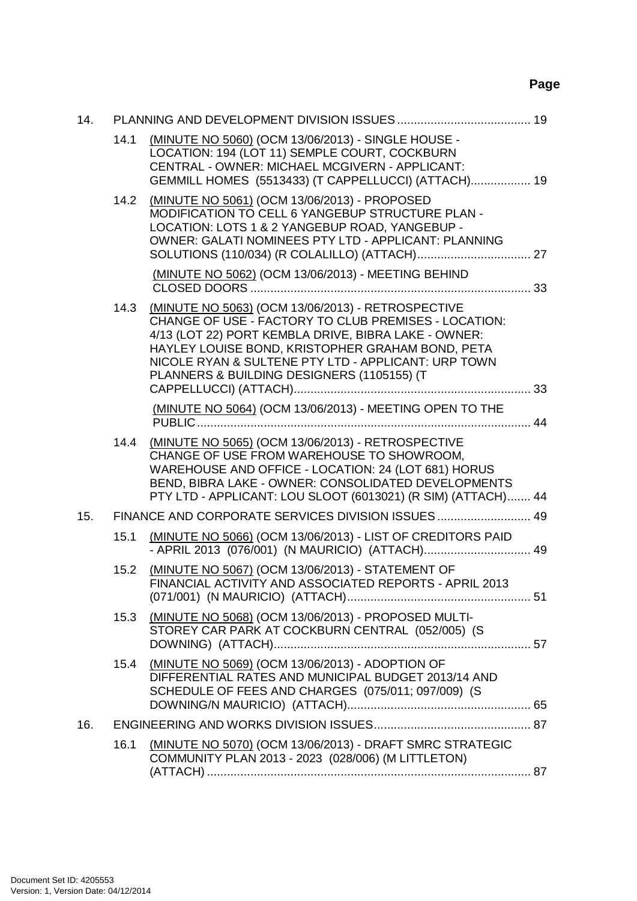# **Page**

| 14. |      |                                                                                                                                                                                                                                                                                                                            |  |
|-----|------|----------------------------------------------------------------------------------------------------------------------------------------------------------------------------------------------------------------------------------------------------------------------------------------------------------------------------|--|
|     | 14.1 | (MINUTE NO 5060) (OCM 13/06/2013) - SINGLE HOUSE -<br>LOCATION: 194 (LOT 11) SEMPLE COURT, COCKBURN<br>CENTRAL - OWNER: MICHAEL MCGIVERN - APPLICANT:<br>GEMMILL HOMES (5513433) (T CAPPELLUCCI) (ATTACH) 19                                                                                                               |  |
|     | 14.2 | (MINUTE NO 5061) (OCM 13/06/2013) - PROPOSED<br>MODIFICATION TO CELL 6 YANGEBUP STRUCTURE PLAN -<br>LOCATION: LOTS 1 & 2 YANGEBUP ROAD, YANGEBUP -<br>OWNER: GALATI NOMINEES PTY LTD - APPLICANT: PLANNING                                                                                                                 |  |
|     |      | (MINUTE NO 5062) (OCM 13/06/2013) - MEETING BEHIND                                                                                                                                                                                                                                                                         |  |
|     | 14.3 | (MINUTE NO 5063) (OCM 13/06/2013) - RETROSPECTIVE<br>CHANGE OF USE - FACTORY TO CLUB PREMISES - LOCATION:<br>4/13 (LOT 22) PORT KEMBLA DRIVE, BIBRA LAKE - OWNER:<br>HAYLEY LOUISE BOND, KRISTOPHER GRAHAM BOND, PETA<br>NICOLE RYAN & SULTENE PTY LTD - APPLICANT: URP TOWN<br>PLANNERS & BUILDING DESIGNERS (1105155) (T |  |
|     |      | (MINUTE NO 5064) (OCM 13/06/2013) - MEETING OPEN TO THE                                                                                                                                                                                                                                                                    |  |
|     | 14.4 | (MINUTE NO 5065) (OCM 13/06/2013) - RETROSPECTIVE<br>CHANGE OF USE FROM WAREHOUSE TO SHOWROOM,<br>WAREHOUSE AND OFFICE - LOCATION: 24 (LOT 681) HORUS<br>BEND, BIBRA LAKE - OWNER: CONSOLIDATED DEVELOPMENTS<br>PTY LTD - APPLICANT: LOU SLOOT (6013021) (R SIM) (ATTACH) 44                                               |  |
| 15. |      | FINANCE AND CORPORATE SERVICES DIVISION ISSUES 49                                                                                                                                                                                                                                                                          |  |
|     | 15.1 | (MINUTE NO 5066) (OCM 13/06/2013) - LIST OF CREDITORS PAID<br>- APRIL 2013 (076/001) (N MAURICIO) (ATTACH) 49                                                                                                                                                                                                              |  |
|     | 15.2 | (MINUTE NO 5067) (OCM 13/06/2013) - STATEMENT OF<br>FINANCIAL ACTIVITY AND ASSOCIATED REPORTS - APRIL 2013                                                                                                                                                                                                                 |  |
|     | 15.3 | (MINUTE NO 5068) (OCM 13/06/2013) - PROPOSED MULTI-<br>STOREY CAR PARK AT COCKBURN CENTRAL (052/005) (S                                                                                                                                                                                                                    |  |
|     | 15.4 | (MINUTE NO 5069) (OCM 13/06/2013) - ADOPTION OF<br>DIFFERENTIAL RATES AND MUNICIPAL BUDGET 2013/14 AND<br>SCHEDULE OF FEES AND CHARGES (075/011; 097/009) (S                                                                                                                                                               |  |
| 16. |      |                                                                                                                                                                                                                                                                                                                            |  |
|     | 16.1 | (MINUTE NO 5070) (OCM 13/06/2013) - DRAFT SMRC STRATEGIC<br>COMMUNITY PLAN 2013 - 2023 (028/006) (M LITTLETON)                                                                                                                                                                                                             |  |
|     |      |                                                                                                                                                                                                                                                                                                                            |  |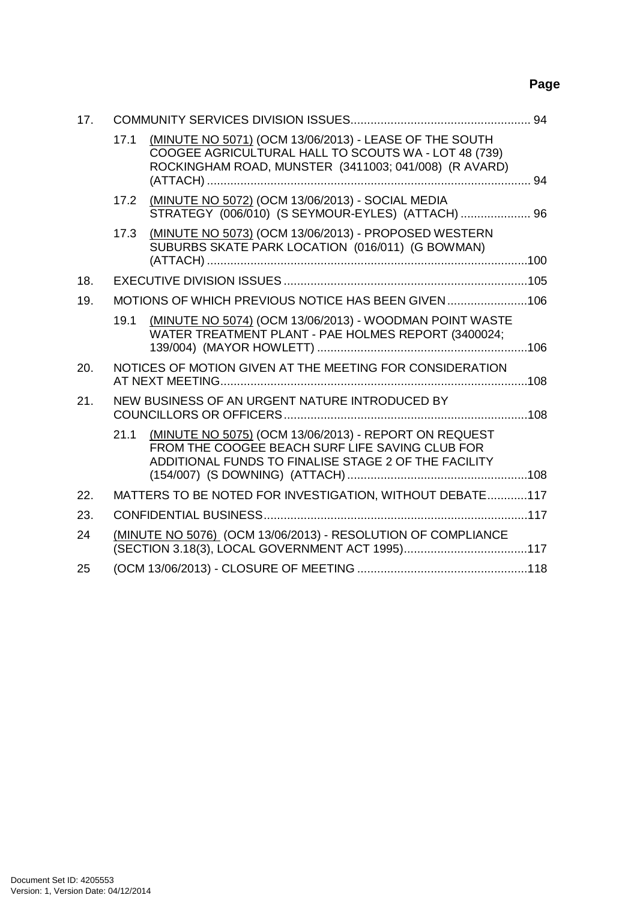# **Page**

| 17. |                                                              |                                                                                                                                                                         |  |  |
|-----|--------------------------------------------------------------|-------------------------------------------------------------------------------------------------------------------------------------------------------------------------|--|--|
|     | 17.1                                                         | (MINUTE NO 5071) (OCM 13/06/2013) - LEASE OF THE SOUTH<br>COOGEE AGRICULTURAL HALL TO SCOUTS WA - LOT 48 (739)<br>ROCKINGHAM ROAD, MUNSTER (3411003; 041/008) (R AVARD) |  |  |
|     | 17.2                                                         | (MINUTE NO 5072) (OCM 13/06/2013) - SOCIAL MEDIA<br>STRATEGY (006/010) (S SEYMOUR-EYLES) (ATTACH)  96                                                                   |  |  |
|     | 17.3                                                         | (MINUTE NO 5073) (OCM 13/06/2013) - PROPOSED WESTERN<br>SUBURBS SKATE PARK LOCATION (016/011) (G BOWMAN)                                                                |  |  |
| 18. |                                                              |                                                                                                                                                                         |  |  |
| 19. |                                                              | MOTIONS OF WHICH PREVIOUS NOTICE HAS BEEN GIVEN106                                                                                                                      |  |  |
|     | 19.1                                                         | (MINUTE NO 5074) (OCM 13/06/2013) - WOODMAN POINT WASTE<br>WATER TREATMENT PLANT - PAE HOLMES REPORT (3400024;                                                          |  |  |
| 20. |                                                              | NOTICES OF MOTION GIVEN AT THE MEETING FOR CONSIDERATION                                                                                                                |  |  |
| 21. |                                                              | NEW BUSINESS OF AN URGENT NATURE INTRODUCED BY                                                                                                                          |  |  |
|     | 21.1                                                         | (MINUTE NO 5075) (OCM 13/06/2013) - REPORT ON REQUEST<br>FROM THE COOGEE BEACH SURF LIFE SAVING CLUB FOR<br>ADDITIONAL FUNDS TO FINALISE STAGE 2 OF THE FACILITY        |  |  |
| 22. |                                                              | MATTERS TO BE NOTED FOR INVESTIGATION, WITHOUT DEBATE117                                                                                                                |  |  |
| 23. |                                                              |                                                                                                                                                                         |  |  |
| 24  | (MINUTE NO 5076) (OCM 13/06/2013) - RESOLUTION OF COMPLIANCE |                                                                                                                                                                         |  |  |
| 25  |                                                              |                                                                                                                                                                         |  |  |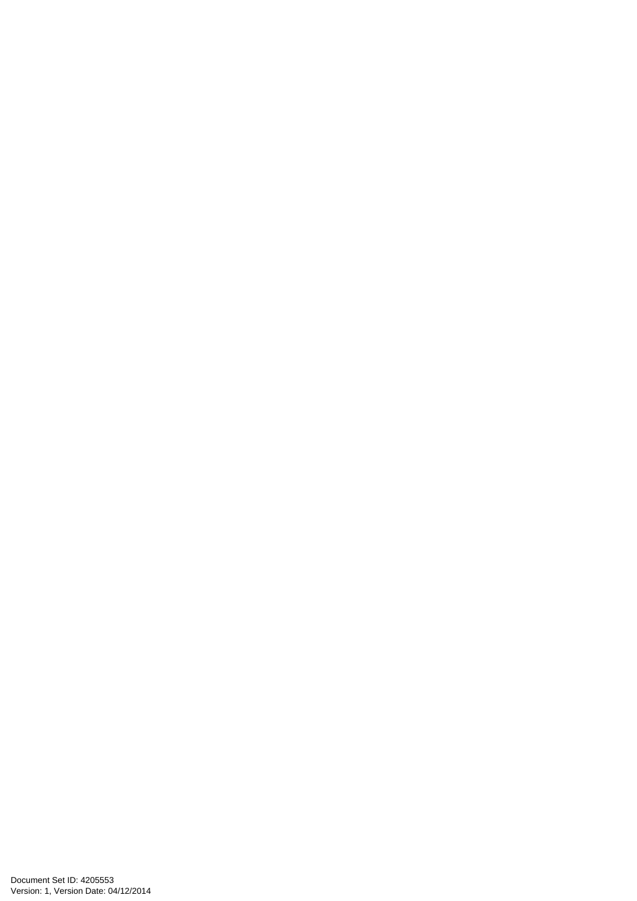Document Set ID: 4205553<br>Version: 1, Version Date: 04/12/2014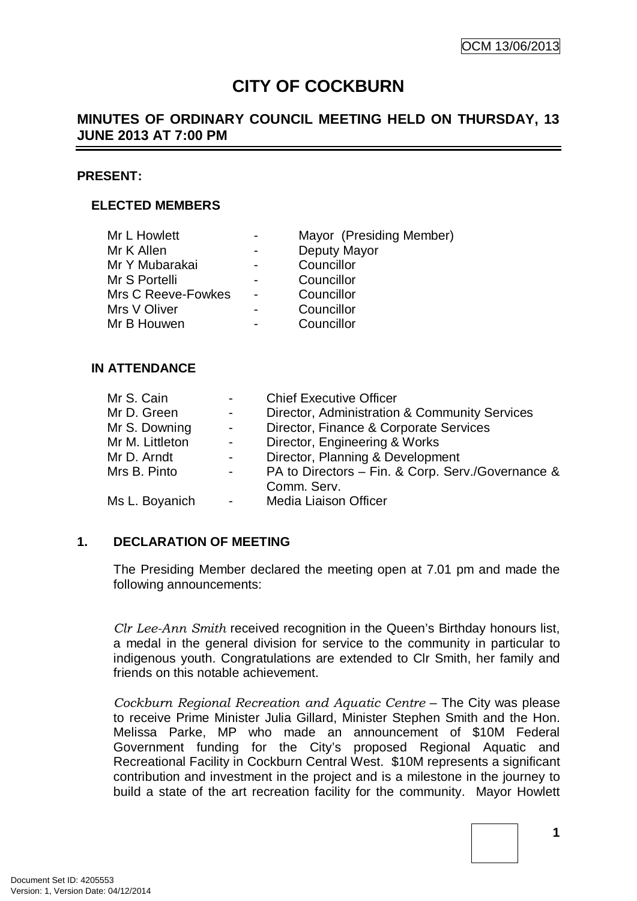# **CITY OF COCKBURN**

## **MINUTES OF ORDINARY COUNCIL MEETING HELD ON THURSDAY, 13 JUNE 2013 AT 7:00 PM**

### **PRESENT:**

### **ELECTED MEMBERS**

| Mr L Howlett       |   | Mayor (Presiding Member) |
|--------------------|---|--------------------------|
| Mr K Allen         |   | Deputy Mayor             |
| Mr Y Mubarakai     |   | Councillor               |
| Mr S Portelli      | ۰ | Councillor               |
| Mrs C Reeve-Fowkes |   | Councillor               |
| Mrs V Oliver       |   | Councillor               |
| Mr B Houwen        |   | Councillor               |
|                    |   |                          |

#### **IN ATTENDANCE**

| Mr S. Cain      | $\blacksquare$ | <b>Chief Executive Officer</b>                    |
|-----------------|----------------|---------------------------------------------------|
| Mr D. Green     | $\sim$         | Director, Administration & Community Services     |
| Mr S. Downing   | $\sim 100$     | Director, Finance & Corporate Services            |
| Mr M. Littleton | $\sim 10$      | Director, Engineering & Works                     |
| Mr D. Arndt     | $\blacksquare$ | Director, Planning & Development                  |
| Mrs B. Pinto    | $\blacksquare$ | PA to Directors - Fin. & Corp. Serv./Governance & |
|                 |                | Comm. Serv.                                       |
| Ms L. Boyanich  | $\blacksquare$ | Media Liaison Officer                             |
|                 |                |                                                   |

## **1. DECLARATION OF MEETING**

The Presiding Member declared the meeting open at 7.01 pm and made the following announcements:

*Clr Lee-Ann Smith* received recognition in the Queen's Birthday honours list, a medal in the general division for service to the community in particular to indigenous youth. Congratulations are extended to Clr Smith, her family and friends on this notable achievement.

*Cockburn Regional Recreation and Aquatic Centre* – The City was please to receive Prime Minister Julia Gillard, Minister Stephen Smith and the Hon. Melissa Parke, MP who made an announcement of \$10M Federal Government funding for the City's proposed Regional Aquatic and Recreational Facility in Cockburn Central West. \$10M represents a significant contribution and investment in the project and is a milestone in the journey to build a state of the art recreation facility for the community. Mayor Howlett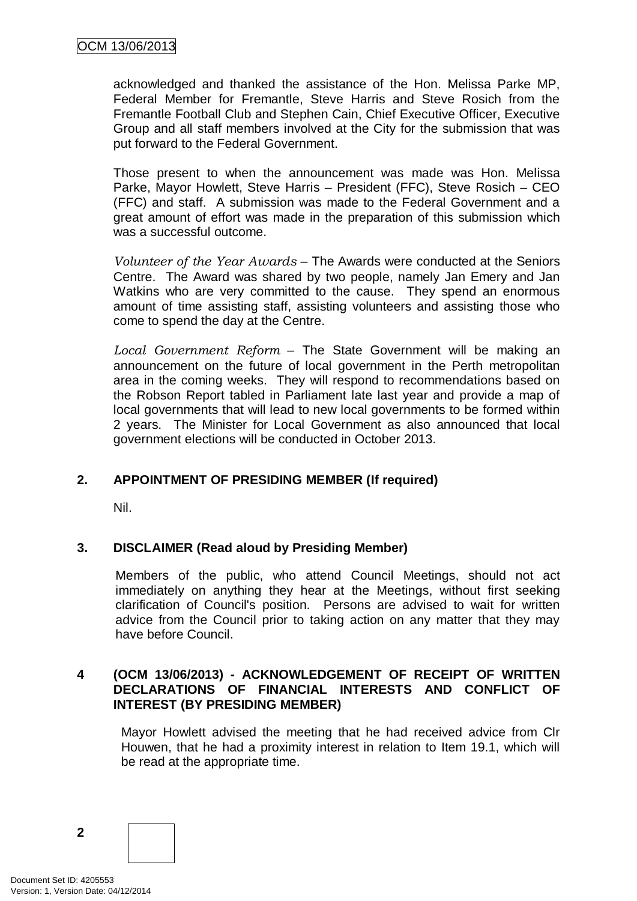acknowledged and thanked the assistance of the Hon. Melissa Parke MP, Federal Member for Fremantle, Steve Harris and Steve Rosich from the Fremantle Football Club and Stephen Cain, Chief Executive Officer, Executive Group and all staff members involved at the City for the submission that was put forward to the Federal Government.

Those present to when the announcement was made was Hon. Melissa Parke, Mayor Howlett, Steve Harris – President (FFC), Steve Rosich – CEO (FFC) and staff. A submission was made to the Federal Government and a great amount of effort was made in the preparation of this submission which was a successful outcome.

*Volunteer of the Year Awards* – The Awards were conducted at the Seniors Centre. The Award was shared by two people, namely Jan Emery and Jan Watkins who are very committed to the cause. They spend an enormous amount of time assisting staff, assisting volunteers and assisting those who come to spend the day at the Centre.

*Local Government Reform* – The State Government will be making an announcement on the future of local government in the Perth metropolitan area in the coming weeks. They will respond to recommendations based on the Robson Report tabled in Parliament late last year and provide a map of local governments that will lead to new local governments to be formed within 2 years. The Minister for Local Government as also announced that local government elections will be conducted in October 2013.

## **2. APPOINTMENT OF PRESIDING MEMBER (If required)**

Nil.

## **3. DISCLAIMER (Read aloud by Presiding Member)**

Members of the public, who attend Council Meetings, should not act immediately on anything they hear at the Meetings, without first seeking clarification of Council's position. Persons are advised to wait for written advice from the Council prior to taking action on any matter that they may have before Council.

## **4 (OCM 13/06/2013) - ACKNOWLEDGEMENT OF RECEIPT OF WRITTEN DECLARATIONS OF FINANCIAL INTERESTS AND CONFLICT OF INTEREST (BY PRESIDING MEMBER)**

Mayor Howlett advised the meeting that he had received advice from Clr Houwen, that he had a proximity interest in relation to Item 19.1, which will be read at the appropriate time.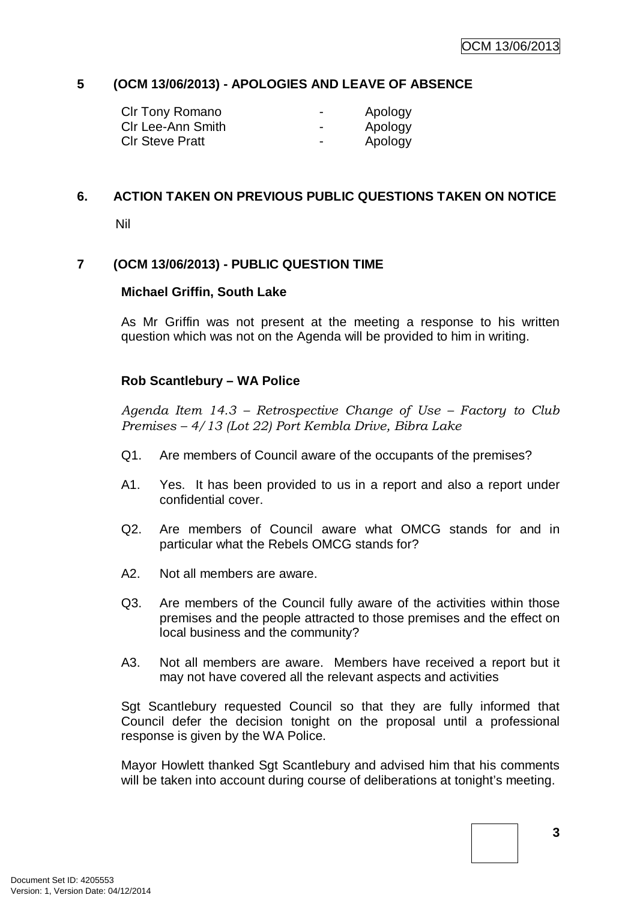## **5 (OCM 13/06/2013) - APOLOGIES AND LEAVE OF ABSENCE**

| CIr Tony Romano        | ٠                        | Apology |
|------------------------|--------------------------|---------|
| CIr Lee-Ann Smith      | $\overline{\phantom{0}}$ | Apology |
| <b>CIr Steve Pratt</b> | $\overline{\phantom{0}}$ | Apology |

#### **6. ACTION TAKEN ON PREVIOUS PUBLIC QUESTIONS TAKEN ON NOTICE**

Nil

### **7 (OCM 13/06/2013) - PUBLIC QUESTION TIME**

#### **Michael Griffin, South Lake**

As Mr Griffin was not present at the meeting a response to his written question which was not on the Agenda will be provided to him in writing.

### **Rob Scantlebury – WA Police**

*Agenda Item 14.3 – Retrospective Change of Use – Factory to Club Premises – 4/13 (Lot 22) Port Kembla Drive, Bibra Lake*

- Q1. Are members of Council aware of the occupants of the premises?
- A1. Yes. It has been provided to us in a report and also a report under confidential cover.
- Q2. Are members of Council aware what OMCG stands for and in particular what the Rebels OMCG stands for?
- A2. Not all members are aware.
- Q3. Are members of the Council fully aware of the activities within those premises and the people attracted to those premises and the effect on local business and the community?
- A3. Not all members are aware. Members have received a report but it may not have covered all the relevant aspects and activities

Sgt Scantlebury requested Council so that they are fully informed that Council defer the decision tonight on the proposal until a professional response is given by the WA Police.

Mayor Howlett thanked Sgt Scantlebury and advised him that his comments will be taken into account during course of deliberations at tonight's meeting.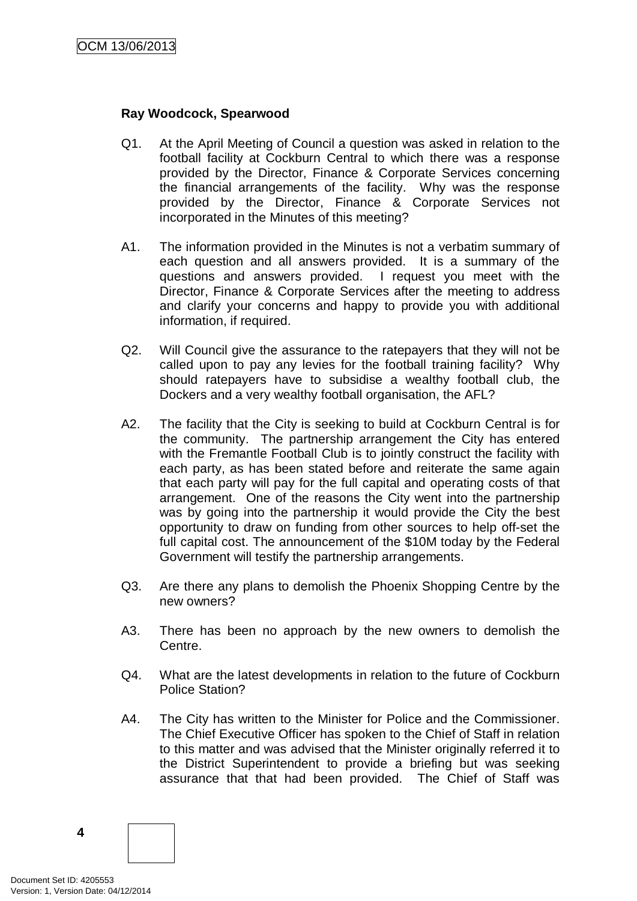### **Ray Woodcock, Spearwood**

- Q1. At the April Meeting of Council a question was asked in relation to the football facility at Cockburn Central to which there was a response provided by the Director, Finance & Corporate Services concerning the financial arrangements of the facility. Why was the response provided by the Director, Finance & Corporate Services not incorporated in the Minutes of this meeting?
- A1. The information provided in the Minutes is not a verbatim summary of each question and all answers provided. It is a summary of the questions and answers provided. I request you meet with the Director, Finance & Corporate Services after the meeting to address and clarify your concerns and happy to provide you with additional information, if required.
- Q2. Will Council give the assurance to the ratepayers that they will not be called upon to pay any levies for the football training facility? Why should ratepayers have to subsidise a wealthy football club, the Dockers and a very wealthy football organisation, the AFL?
- A2. The facility that the City is seeking to build at Cockburn Central is for the community. The partnership arrangement the City has entered with the Fremantle Football Club is to jointly construct the facility with each party, as has been stated before and reiterate the same again that each party will pay for the full capital and operating costs of that arrangement. One of the reasons the City went into the partnership was by going into the partnership it would provide the City the best opportunity to draw on funding from other sources to help off-set the full capital cost. The announcement of the \$10M today by the Federal Government will testify the partnership arrangements.
- Q3. Are there any plans to demolish the Phoenix Shopping Centre by the new owners?
- A3. There has been no approach by the new owners to demolish the Centre.
- Q4. What are the latest developments in relation to the future of Cockburn Police Station?
- A4. The City has written to the Minister for Police and the Commissioner. The Chief Executive Officer has spoken to the Chief of Staff in relation to this matter and was advised that the Minister originally referred it to the District Superintendent to provide a briefing but was seeking assurance that that had been provided. The Chief of Staff was

**4**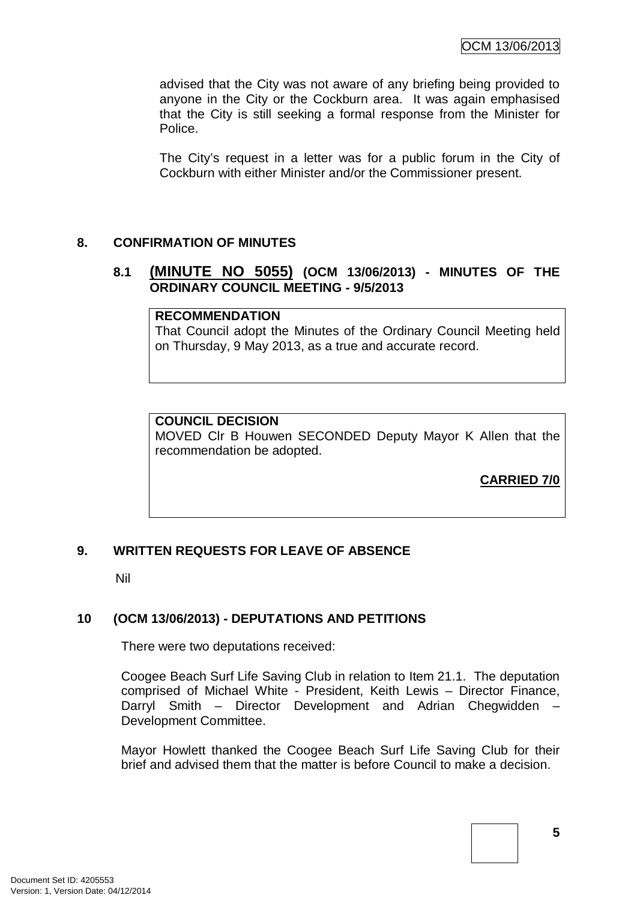advised that the City was not aware of any briefing being provided to anyone in the City or the Cockburn area. It was again emphasised that the City is still seeking a formal response from the Minister for Police.

The City's request in a letter was for a public forum in the City of Cockburn with either Minister and/or the Commissioner present.

## **8. CONFIRMATION OF MINUTES**

## **8.1 (MINUTE NO 5055) (OCM 13/06/2013) - MINUTES OF THE ORDINARY COUNCIL MEETING - 9/5/2013**

### **RECOMMENDATION**

That Council adopt the Minutes of the Ordinary Council Meeting held on Thursday, 9 May 2013, as a true and accurate record.

## **COUNCIL DECISION**

MOVED Clr B Houwen SECONDED Deputy Mayor K Allen that the recommendation be adopted.

**CARRIED 7/0**

## **9. WRITTEN REQUESTS FOR LEAVE OF ABSENCE**

Nil

## **10 (OCM 13/06/2013) - DEPUTATIONS AND PETITIONS**

There were two deputations received:

Coogee Beach Surf Life Saving Club in relation to Item 21.1. The deputation comprised of Michael White - President, Keith Lewis – Director Finance, Darryl Smith – Director Development and Adrian Chegwidden – Development Committee.

Mayor Howlett thanked the Coogee Beach Surf Life Saving Club for their brief and advised them that the matter is before Council to make a decision.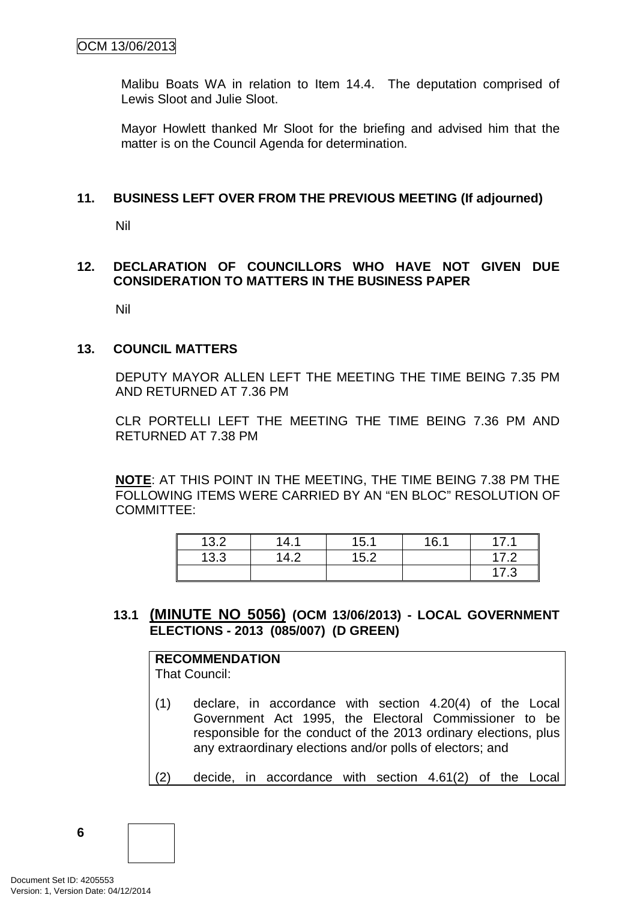Malibu Boats WA in relation to Item 14.4. The deputation comprised of Lewis Sloot and Julie Sloot.

Mayor Howlett thanked Mr Sloot for the briefing and advised him that the matter is on the Council Agenda for determination.

### **11. BUSINESS LEFT OVER FROM THE PREVIOUS MEETING (If adjourned)**

Nil

### **12. DECLARATION OF COUNCILLORS WHO HAVE NOT GIVEN DUE CONSIDERATION TO MATTERS IN THE BUSINESS PAPER**

Nil

### **13. COUNCIL MATTERS**

DEPUTY MAYOR ALLEN LEFT THE MEETING THE TIME BEING 7.35 PM AND RETURNED AT 7.36 PM

CLR PORTELLI LEFT THE MEETING THE TIME BEING 7.36 PM AND RETURNED AT 7.38 PM

**NOTE**: AT THIS POINT IN THE MEETING, THE TIME BEING 7.38 PM THE FOLLOWING ITEMS WERE CARRIED BY AN "EN BLOC" RESOLUTION OF COMMITTEE:

| 13.2 | 14.1 | 15.1 | 16.1 | $\rightarrow$   |
|------|------|------|------|-----------------|
| 13.3 | 14.2 | 15.2 |      | 17 <sub>2</sub> |
|      |      |      |      | 47 <sub>2</sub> |

## **13.1 (MINUTE NO 5056) (OCM 13/06/2013) - LOCAL GOVERNMENT ELECTIONS - 2013 (085/007) (D GREEN)**

**RECOMMENDATION** That Council:

- (1) declare, in accordance with section 4.20(4) of the Local Government Act 1995, the Electoral Commissioner to be responsible for the conduct of the 2013 ordinary elections, plus any extraordinary elections and/or polls of electors; and
- (2) decide, in accordance with section 4.61(2) of the Local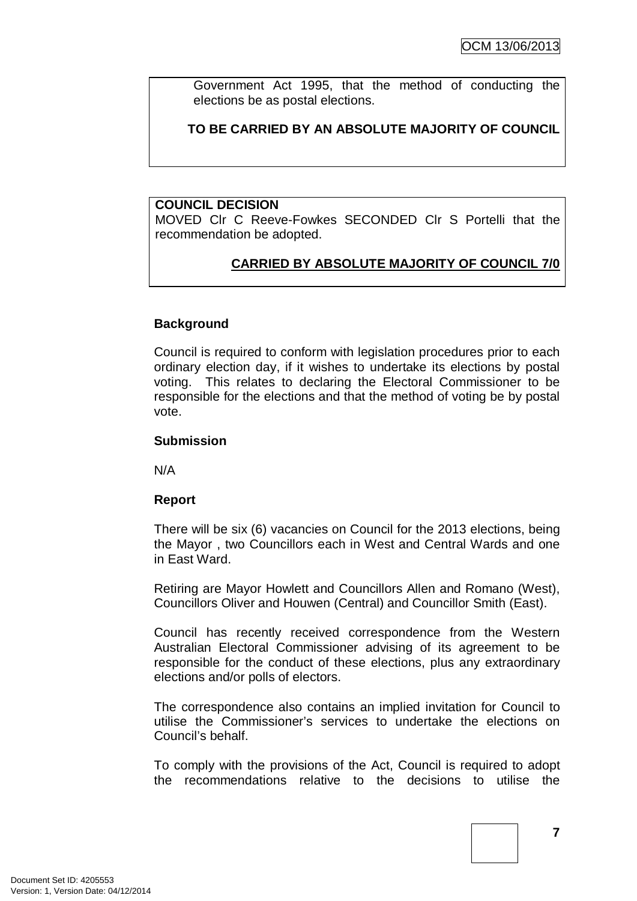Government Act 1995, that the method of conducting the elections be as postal elections.

## **TO BE CARRIED BY AN ABSOLUTE MAJORITY OF COUNCIL**

## **COUNCIL DECISION**

MOVED Clr C Reeve-Fowkes SECONDED Clr S Portelli that the recommendation be adopted.

## **CARRIED BY ABSOLUTE MAJORITY OF COUNCIL 7/0**

## **Background**

Council is required to conform with legislation procedures prior to each ordinary election day, if it wishes to undertake its elections by postal voting. This relates to declaring the Electoral Commissioner to be responsible for the elections and that the method of voting be by postal vote.

## **Submission**

N/A

## **Report**

There will be six (6) vacancies on Council for the 2013 elections, being the Mayor , two Councillors each in West and Central Wards and one in East Ward.

Retiring are Mayor Howlett and Councillors Allen and Romano (West), Councillors Oliver and Houwen (Central) and Councillor Smith (East).

Council has recently received correspondence from the Western Australian Electoral Commissioner advising of its agreement to be responsible for the conduct of these elections, plus any extraordinary elections and/or polls of electors.

The correspondence also contains an implied invitation for Council to utilise the Commissioner's services to undertake the elections on Council's behalf.

To comply with the provisions of the Act, Council is required to adopt the recommendations relative to the decisions to utilise the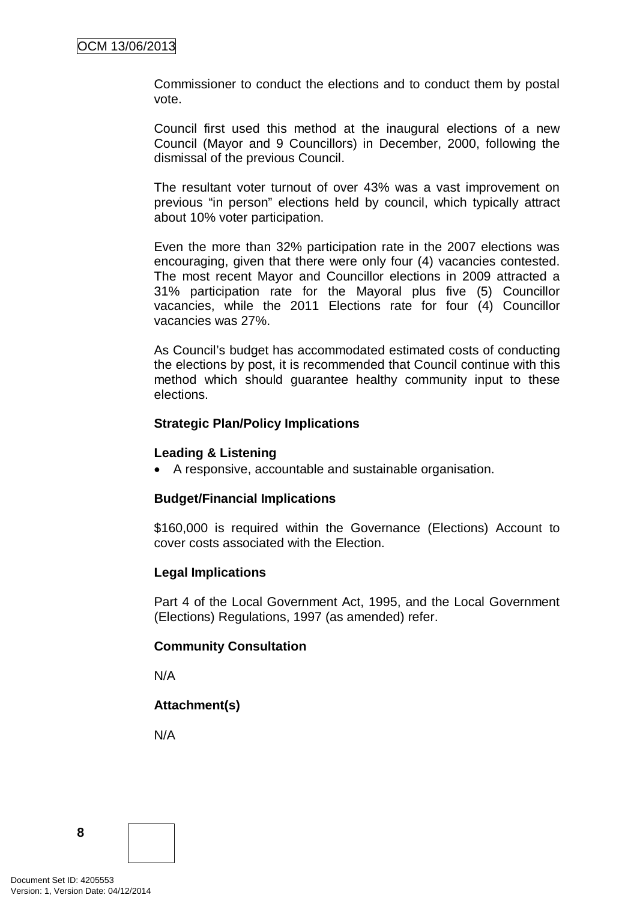Commissioner to conduct the elections and to conduct them by postal vote.

Council first used this method at the inaugural elections of a new Council (Mayor and 9 Councillors) in December, 2000, following the dismissal of the previous Council.

The resultant voter turnout of over 43% was a vast improvement on previous "in person" elections held by council, which typically attract about 10% voter participation.

Even the more than 32% participation rate in the 2007 elections was encouraging, given that there were only four (4) vacancies contested. The most recent Mayor and Councillor elections in 2009 attracted a 31% participation rate for the Mayoral plus five (5) Councillor vacancies, while the 2011 Elections rate for four (4) Councillor vacancies was 27%.

As Council's budget has accommodated estimated costs of conducting the elections by post, it is recommended that Council continue with this method which should guarantee healthy community input to these elections.

### **Strategic Plan/Policy Implications**

#### **Leading & Listening**

• A responsive, accountable and sustainable organisation.

## **Budget/Financial Implications**

\$160,000 is required within the Governance (Elections) Account to cover costs associated with the Election.

## **Legal Implications**

Part 4 of the Local Government Act, 1995, and the Local Government (Elections) Regulations, 1997 (as amended) refer.

## **Community Consultation**

N/A

## **Attachment(s)**

N/A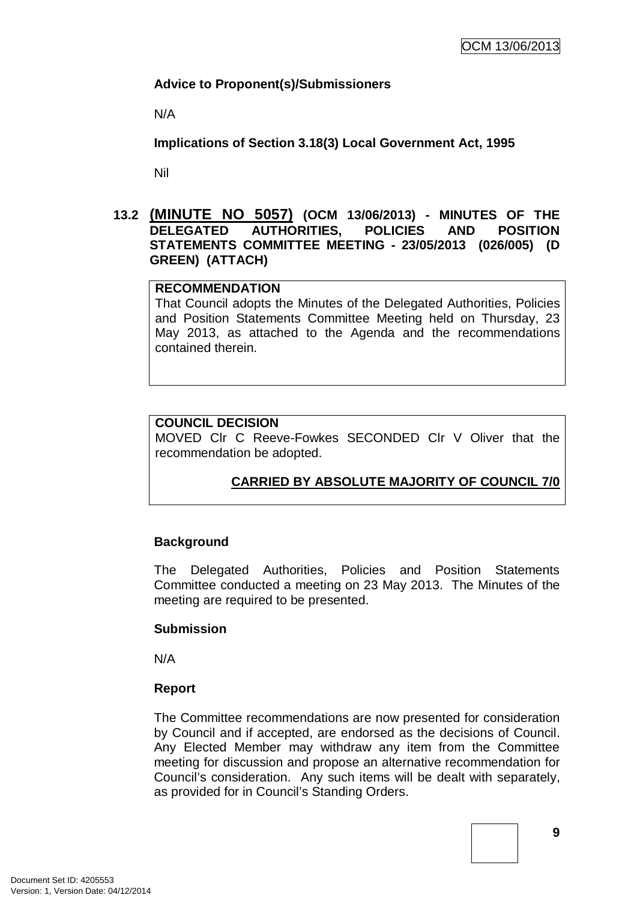## **Advice to Proponent(s)/Submissioners**

N/A

**Implications of Section 3.18(3) Local Government Act, 1995**

Nil

## **13.2 (MINUTE NO 5057) (OCM 13/06/2013) - MINUTES OF THE DELEGATED AUTHORITIES, POLICIES AND POSITION STATEMENTS COMMITTEE MEETING - 23/05/2013 (026/005) (D GREEN) (ATTACH)**

## **RECOMMENDATION**

That Council adopts the Minutes of the Delegated Authorities, Policies and Position Statements Committee Meeting held on Thursday, 23 May 2013, as attached to the Agenda and the recommendations contained therein.

## **COUNCIL DECISION**

MOVED Clr C Reeve-Fowkes SECONDED Clr V Oliver that the recommendation be adopted.

## **CARRIED BY ABSOLUTE MAJORITY OF COUNCIL 7/0**

## **Background**

The Delegated Authorities, Policies and Position Statements Committee conducted a meeting on 23 May 2013. The Minutes of the meeting are required to be presented.

## **Submission**

N/A

## **Report**

The Committee recommendations are now presented for consideration by Council and if accepted, are endorsed as the decisions of Council. Any Elected Member may withdraw any item from the Committee meeting for discussion and propose an alternative recommendation for Council's consideration. Any such items will be dealt with separately, as provided for in Council's Standing Orders.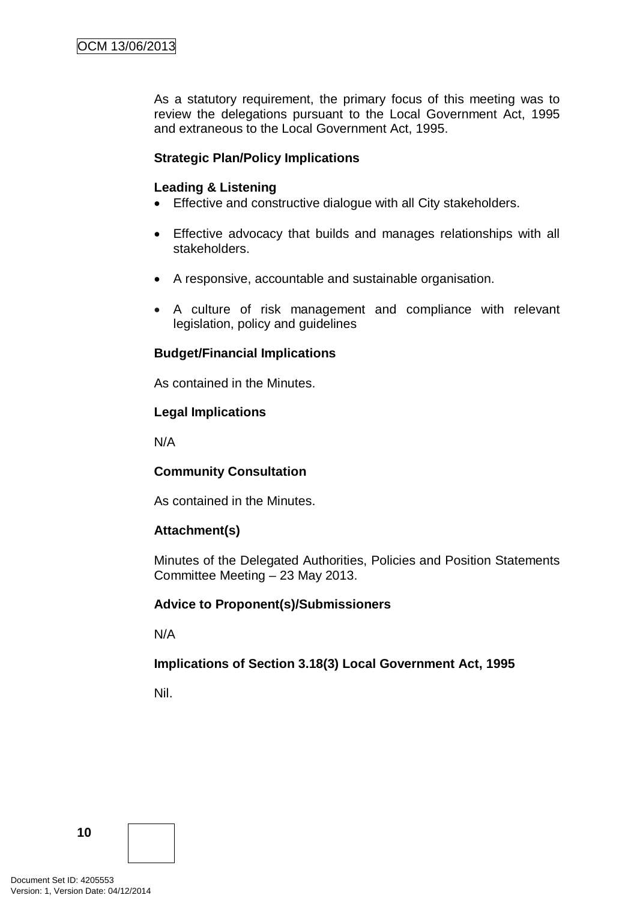As a statutory requirement, the primary focus of this meeting was to review the delegations pursuant to the Local Government Act, 1995 and extraneous to the Local Government Act, 1995.

## **Strategic Plan/Policy Implications**

### **Leading & Listening**

- Effective and constructive dialogue with all City stakeholders.
- Effective advocacy that builds and manages relationships with all stakeholders.
- A responsive, accountable and sustainable organisation.
- A culture of risk management and compliance with relevant legislation, policy and guidelines

## **Budget/Financial Implications**

As contained in the Minutes.

### **Legal Implications**

N/A

## **Community Consultation**

As contained in the Minutes.

## **Attachment(s)**

Minutes of the Delegated Authorities, Policies and Position Statements Committee Meeting – 23 May 2013.

## **Advice to Proponent(s)/Submissioners**

N/A

## **Implications of Section 3.18(3) Local Government Act, 1995**

Nil.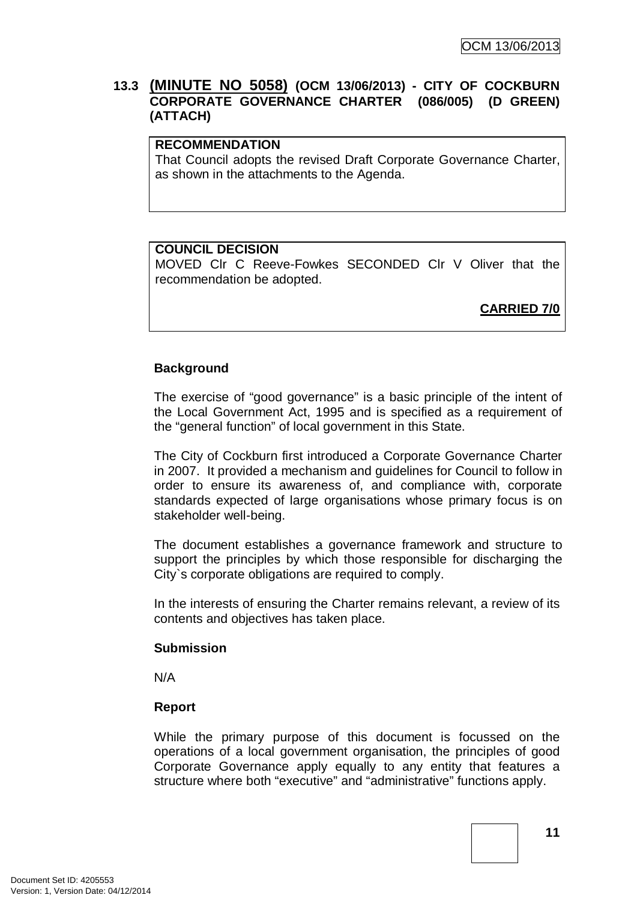## **13.3 (MINUTE NO 5058) (OCM 13/06/2013) - CITY OF COCKBURN CORPORATE GOVERNANCE CHARTER (086/005) (D GREEN) (ATTACH)**

## **RECOMMENDATION**

That Council adopts the revised Draft Corporate Governance Charter, as shown in the attachments to the Agenda.

## **COUNCIL DECISION**

MOVED Clr C Reeve-Fowkes SECONDED Clr V Oliver that the recommendation be adopted.

**CARRIED 7/0**

## **Background**

The exercise of "good governance" is a basic principle of the intent of the Local Government Act, 1995 and is specified as a requirement of the "general function" of local government in this State.

The City of Cockburn first introduced a Corporate Governance Charter in 2007. It provided a mechanism and guidelines for Council to follow in order to ensure its awareness of, and compliance with, corporate standards expected of large organisations whose primary focus is on stakeholder well-being.

The document establishes a governance framework and structure to support the principles by which those responsible for discharging the City`s corporate obligations are required to comply.

In the interests of ensuring the Charter remains relevant, a review of its contents and objectives has taken place.

#### **Submission**

N/A

#### **Report**

While the primary purpose of this document is focussed on the operations of a local government organisation, the principles of good Corporate Governance apply equally to any entity that features a structure where both "executive" and "administrative" functions apply.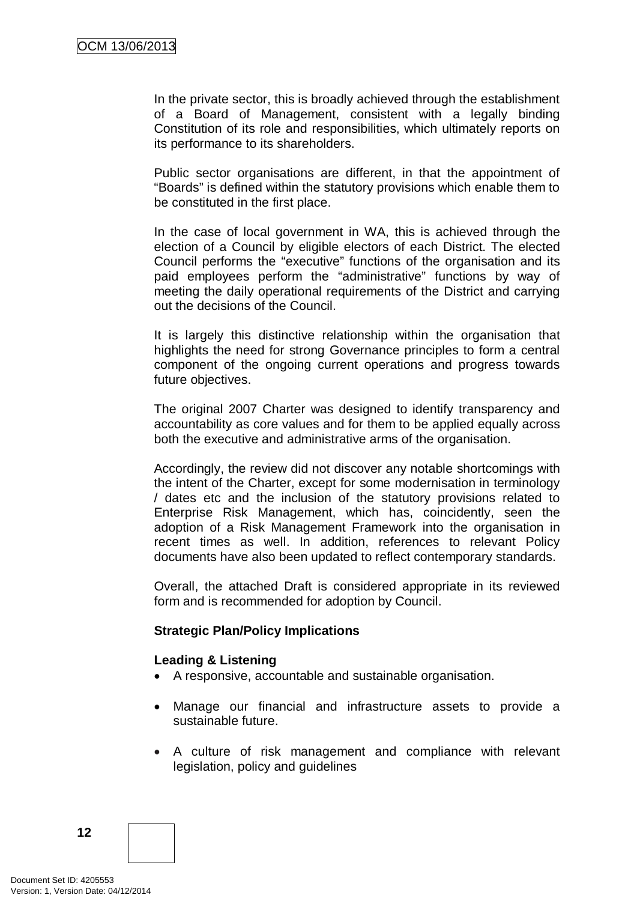In the private sector, this is broadly achieved through the establishment of a Board of Management, consistent with a legally binding Constitution of its role and responsibilities, which ultimately reports on its performance to its shareholders.

Public sector organisations are different, in that the appointment of "Boards" is defined within the statutory provisions which enable them to be constituted in the first place.

In the case of local government in WA, this is achieved through the election of a Council by eligible electors of each District. The elected Council performs the "executive" functions of the organisation and its paid employees perform the "administrative" functions by way of meeting the daily operational requirements of the District and carrying out the decisions of the Council.

It is largely this distinctive relationship within the organisation that highlights the need for strong Governance principles to form a central component of the ongoing current operations and progress towards future objectives.

The original 2007 Charter was designed to identify transparency and accountability as core values and for them to be applied equally across both the executive and administrative arms of the organisation.

Accordingly, the review did not discover any notable shortcomings with the intent of the Charter, except for some modernisation in terminology / dates etc and the inclusion of the statutory provisions related to Enterprise Risk Management, which has, coincidently, seen the adoption of a Risk Management Framework into the organisation in recent times as well. In addition, references to relevant Policy documents have also been updated to reflect contemporary standards.

Overall, the attached Draft is considered appropriate in its reviewed form and is recommended for adoption by Council.

## **Strategic Plan/Policy Implications**

#### **Leading & Listening**

- A responsive, accountable and sustainable organisation.
- Manage our financial and infrastructure assets to provide a sustainable future.
- A culture of risk management and compliance with relevant legislation, policy and guidelines

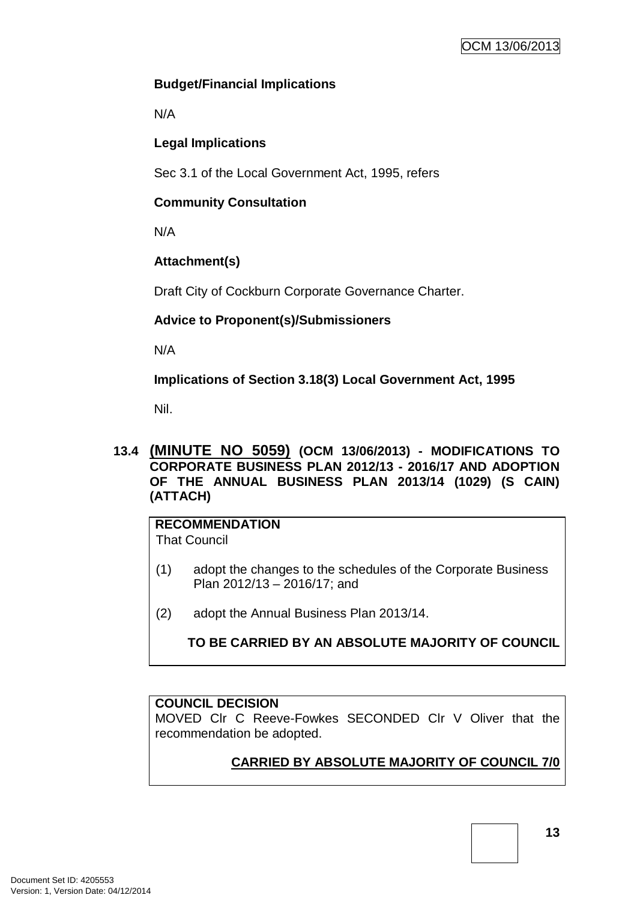## **Budget/Financial Implications**

N/A

## **Legal Implications**

Sec 3.1 of the Local Government Act, 1995, refers

## **Community Consultation**

N/A

## **Attachment(s)**

Draft City of Cockburn Corporate Governance Charter.

## **Advice to Proponent(s)/Submissioners**

N/A

**Implications of Section 3.18(3) Local Government Act, 1995**

Nil.

## **13.4 (MINUTE NO 5059) (OCM 13/06/2013) - MODIFICATIONS TO CORPORATE BUSINESS PLAN 2012/13 - 2016/17 AND ADOPTION OF THE ANNUAL BUSINESS PLAN 2013/14 (1029) (S CAIN) (ATTACH)**

#### **RECOMMENDATION** That Council

- (1) adopt the changes to the schedules of the Corporate Business Plan 2012/13 – 2016/17; and
- (2) adopt the Annual Business Plan 2013/14.

## **TO BE CARRIED BY AN ABSOLUTE MAJORITY OF COUNCIL**

## **COUNCIL DECISION**

MOVED Clr C Reeve-Fowkes SECONDED Clr V Oliver that the recommendation be adopted.

## **CARRIED BY ABSOLUTE MAJORITY OF COUNCIL 7/0**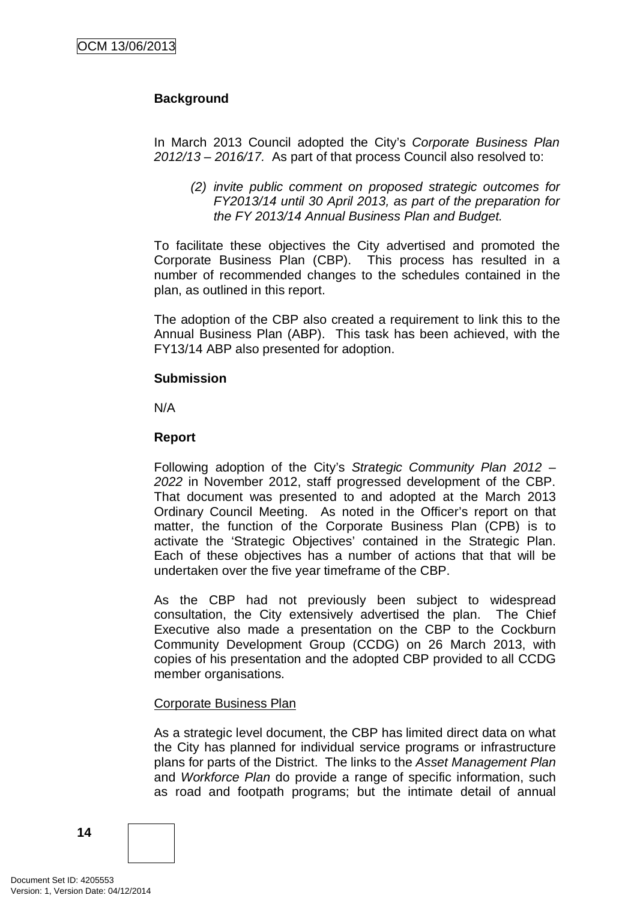## **Background**

In March 2013 Council adopted the City's *Corporate Business Plan 2012/13 – 2016/17.* As part of that process Council also resolved to:

*(2) invite public comment on proposed strategic outcomes for FY2013/14 until 30 April 2013, as part of the preparation for the FY 2013/14 Annual Business Plan and Budget.*

To facilitate these objectives the City advertised and promoted the Corporate Business Plan (CBP). This process has resulted in a number of recommended changes to the schedules contained in the plan, as outlined in this report.

The adoption of the CBP also created a requirement to link this to the Annual Business Plan (ABP). This task has been achieved, with the FY13/14 ABP also presented for adoption.

#### **Submission**

N/A

### **Report**

Following adoption of the City's *Strategic Community Plan 2012 – 2022* in November 2012, staff progressed development of the CBP. That document was presented to and adopted at the March 2013 Ordinary Council Meeting. As noted in the Officer's report on that matter, the function of the Corporate Business Plan (CPB) is to activate the 'Strategic Objectives' contained in the Strategic Plan. Each of these objectives has a number of actions that that will be undertaken over the five year timeframe of the CBP.

As the CBP had not previously been subject to widespread consultation, the City extensively advertised the plan. The Chief Executive also made a presentation on the CBP to the Cockburn Community Development Group (CCDG) on 26 March 2013, with copies of his presentation and the adopted CBP provided to all CCDG member organisations.

#### Corporate Business Plan

As a strategic level document, the CBP has limited direct data on what the City has planned for individual service programs or infrastructure plans for parts of the District. The links to the *Asset Management Plan*  and *Workforce Plan* do provide a range of specific information, such as road and footpath programs; but the intimate detail of annual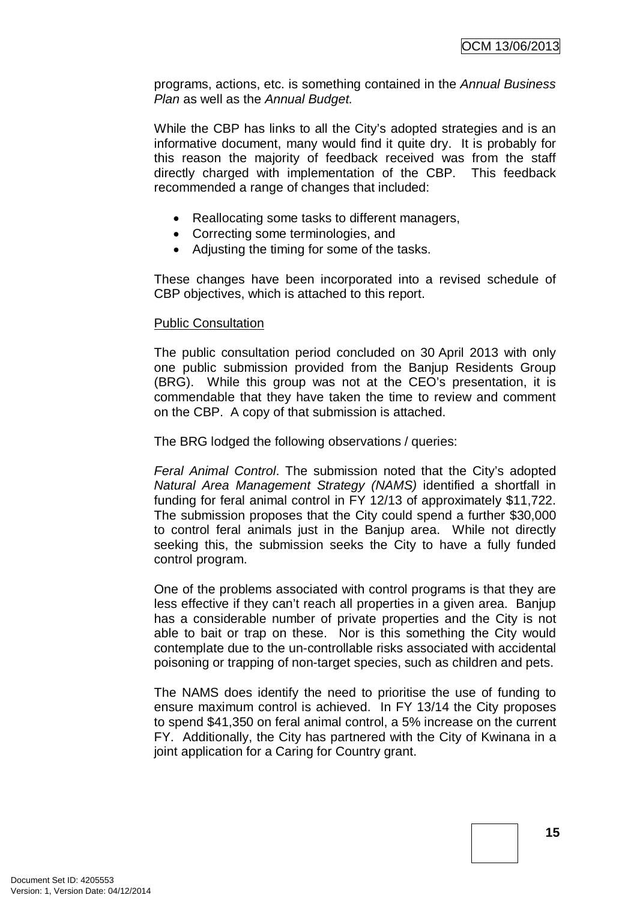programs, actions, etc. is something contained in the *Annual Business Plan* as well as the *Annual Budget.*

While the CBP has links to all the City's adopted strategies and is an informative document, many would find it quite dry. It is probably for this reason the majority of feedback received was from the staff directly charged with implementation of the CBP. This feedback recommended a range of changes that included:

- Reallocating some tasks to different managers,
- Correcting some terminologies, and
- Adjusting the timing for some of the tasks.

These changes have been incorporated into a revised schedule of CBP objectives, which is attached to this report.

#### Public Consultation

The public consultation period concluded on 30 April 2013 with only one public submission provided from the Banjup Residents Group (BRG). While this group was not at the CEO's presentation, it is commendable that they have taken the time to review and comment on the CBP. A copy of that submission is attached.

The BRG lodged the following observations / queries:

*Feral Animal Control*. The submission noted that the City's adopted *Natural Area Management Strategy (NAMS)* identified a shortfall in funding for feral animal control in FY 12/13 of approximately \$11,722. The submission proposes that the City could spend a further \$30,000 to control feral animals just in the Banjup area. While not directly seeking this, the submission seeks the City to have a fully funded control program.

One of the problems associated with control programs is that they are less effective if they can't reach all properties in a given area. Banjup has a considerable number of private properties and the City is not able to bait or trap on these. Nor is this something the City would contemplate due to the un-controllable risks associated with accidental poisoning or trapping of non-target species, such as children and pets.

The NAMS does identify the need to prioritise the use of funding to ensure maximum control is achieved. In FY 13/14 the City proposes to spend \$41,350 on feral animal control, a 5% increase on the current FY. Additionally, the City has partnered with the City of Kwinana in a joint application for a Caring for Country grant.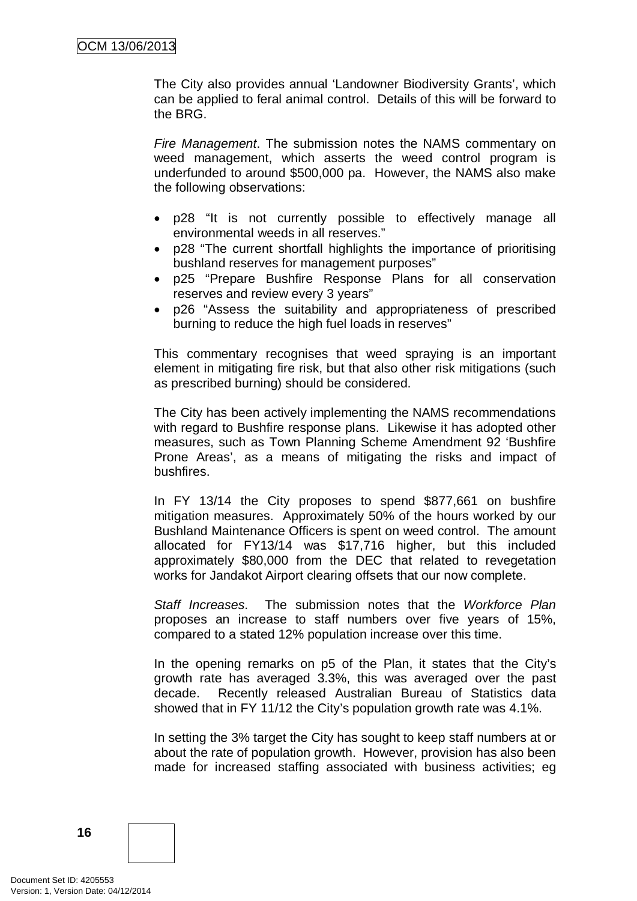The City also provides annual 'Landowner Biodiversity Grants', which can be applied to feral animal control. Details of this will be forward to the BRG.

*Fire Management*. The submission notes the NAMS commentary on weed management, which asserts the weed control program is underfunded to around \$500,000 pa. However, the NAMS also make the following observations:

- p28 "It is not currently possible to effectively manage all environmental weeds in all reserves."
- p28 "The current shortfall highlights the importance of prioritising bushland reserves for management purposes"
- p25 "Prepare Bushfire Response Plans for all conservation reserves and review every 3 years"
- p26 "Assess the suitability and appropriateness of prescribed burning to reduce the high fuel loads in reserves"

This commentary recognises that weed spraying is an important element in mitigating fire risk, but that also other risk mitigations (such as prescribed burning) should be considered.

The City has been actively implementing the NAMS recommendations with regard to Bushfire response plans. Likewise it has adopted other measures, such as Town Planning Scheme Amendment 92 'Bushfire Prone Areas', as a means of mitigating the risks and impact of bushfires.

In FY 13/14 the City proposes to spend \$877,661 on bushfire mitigation measures. Approximately 50% of the hours worked by our Bushland Maintenance Officers is spent on weed control. The amount allocated for FY13/14 was \$17,716 higher, but this included approximately \$80,000 from the DEC that related to revegetation works for Jandakot Airport clearing offsets that our now complete.

*Staff Increases*. The submission notes that the *Workforce Plan*  proposes an increase to staff numbers over five years of 15%, compared to a stated 12% population increase over this time.

In the opening remarks on p5 of the Plan, it states that the City's growth rate has averaged 3.3%, this was averaged over the past decade. Recently released Australian Bureau of Statistics data showed that in FY 11/12 the City's population growth rate was 4.1%.

In setting the 3% target the City has sought to keep staff numbers at or about the rate of population growth. However, provision has also been made for increased staffing associated with business activities; eg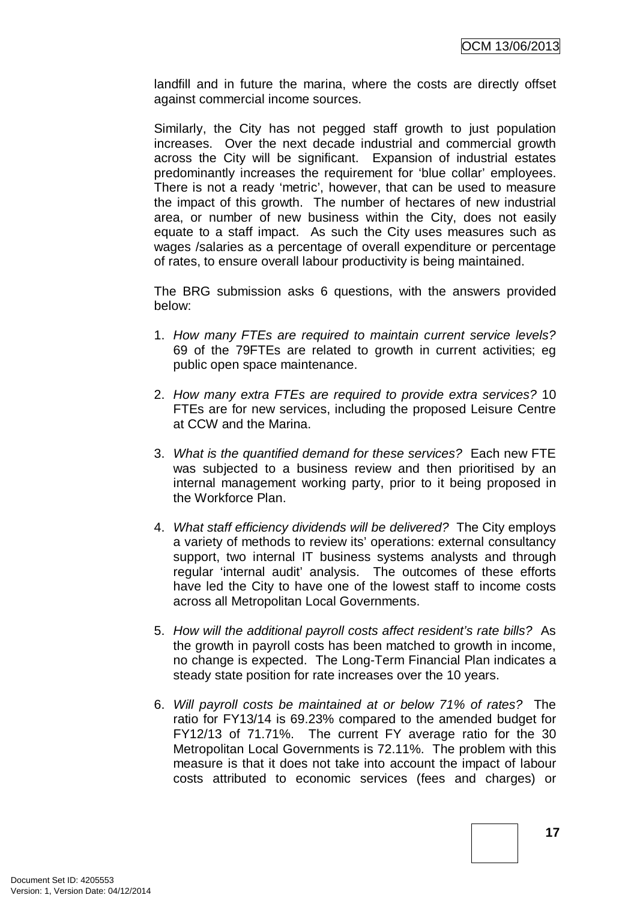landfill and in future the marina, where the costs are directly offset against commercial income sources.

Similarly, the City has not pegged staff growth to just population increases. Over the next decade industrial and commercial growth across the City will be significant. Expansion of industrial estates predominantly increases the requirement for 'blue collar' employees. There is not a ready 'metric', however, that can be used to measure the impact of this growth. The number of hectares of new industrial area, or number of new business within the City, does not easily equate to a staff impact. As such the City uses measures such as wages /salaries as a percentage of overall expenditure or percentage of rates, to ensure overall labour productivity is being maintained.

The BRG submission asks 6 questions, with the answers provided below:

- 1. *How many FTEs are required to maintain current service levels?* 69 of the 79FTEs are related to growth in current activities; eg public open space maintenance.
- 2. *How many extra FTEs are required to provide extra services?* 10 FTEs are for new services, including the proposed Leisure Centre at CCW and the Marina.
- 3. *What is the quantified demand for these services?* Each new FTE was subjected to a business review and then prioritised by an internal management working party, prior to it being proposed in the Workforce Plan.
- 4. *What staff efficiency dividends will be delivered?* The City employs a variety of methods to review its' operations: external consultancy support, two internal IT business systems analysts and through regular 'internal audit' analysis. The outcomes of these efforts have led the City to have one of the lowest staff to income costs across all Metropolitan Local Governments.
- 5. *How will the additional payroll costs affect resident's rate bills?* As the growth in payroll costs has been matched to growth in income, no change is expected. The Long-Term Financial Plan indicates a steady state position for rate increases over the 10 years.
- 6. *Will payroll costs be maintained at or below 71% of rates?* The ratio for FY13/14 is 69.23% compared to the amended budget for FY12/13 of 71.71%. The current FY average ratio for the 30 Metropolitan Local Governments is 72.11%. The problem with this measure is that it does not take into account the impact of labour costs attributed to economic services (fees and charges) or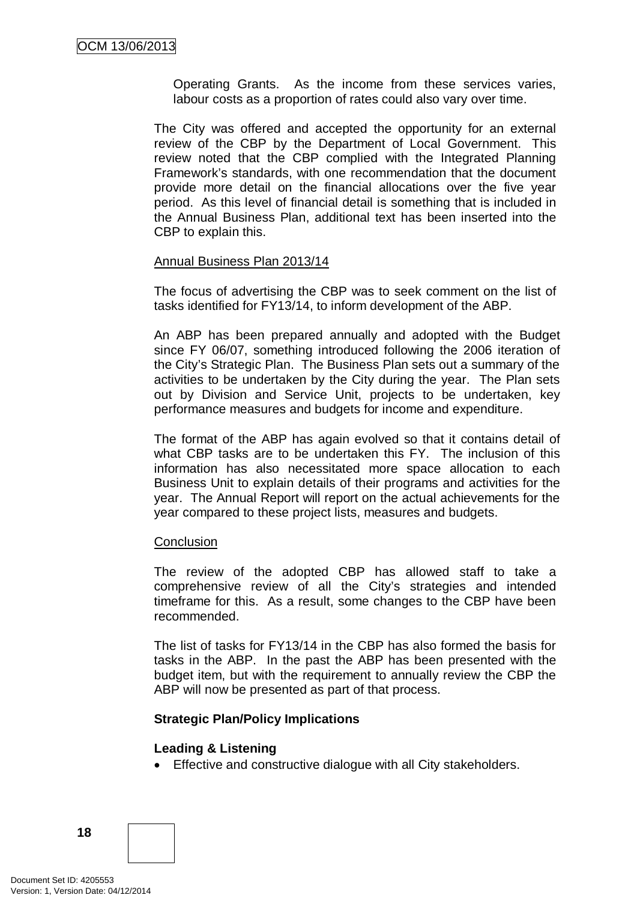Operating Grants. As the income from these services varies, labour costs as a proportion of rates could also vary over time.

The City was offered and accepted the opportunity for an external review of the CBP by the Department of Local Government. This review noted that the CBP complied with the Integrated Planning Framework's standards, with one recommendation that the document provide more detail on the financial allocations over the five year period. As this level of financial detail is something that is included in the Annual Business Plan, additional text has been inserted into the CBP to explain this.

#### Annual Business Plan 2013/14

The focus of advertising the CBP was to seek comment on the list of tasks identified for FY13/14, to inform development of the ABP.

An ABP has been prepared annually and adopted with the Budget since FY 06/07, something introduced following the 2006 iteration of the City's Strategic Plan. The Business Plan sets out a summary of the activities to be undertaken by the City during the year. The Plan sets out by Division and Service Unit, projects to be undertaken, key performance measures and budgets for income and expenditure.

The format of the ABP has again evolved so that it contains detail of what CBP tasks are to be undertaken this FY. The inclusion of this information has also necessitated more space allocation to each Business Unit to explain details of their programs and activities for the year. The Annual Report will report on the actual achievements for the year compared to these project lists, measures and budgets.

#### **Conclusion**

The review of the adopted CBP has allowed staff to take a comprehensive review of all the City's strategies and intended timeframe for this. As a result, some changes to the CBP have been recommended.

The list of tasks for FY13/14 in the CBP has also formed the basis for tasks in the ABP. In the past the ABP has been presented with the budget item, but with the requirement to annually review the CBP the ABP will now be presented as part of that process.

#### **Strategic Plan/Policy Implications**

#### **Leading & Listening**

• Effective and constructive dialogue with all City stakeholders.

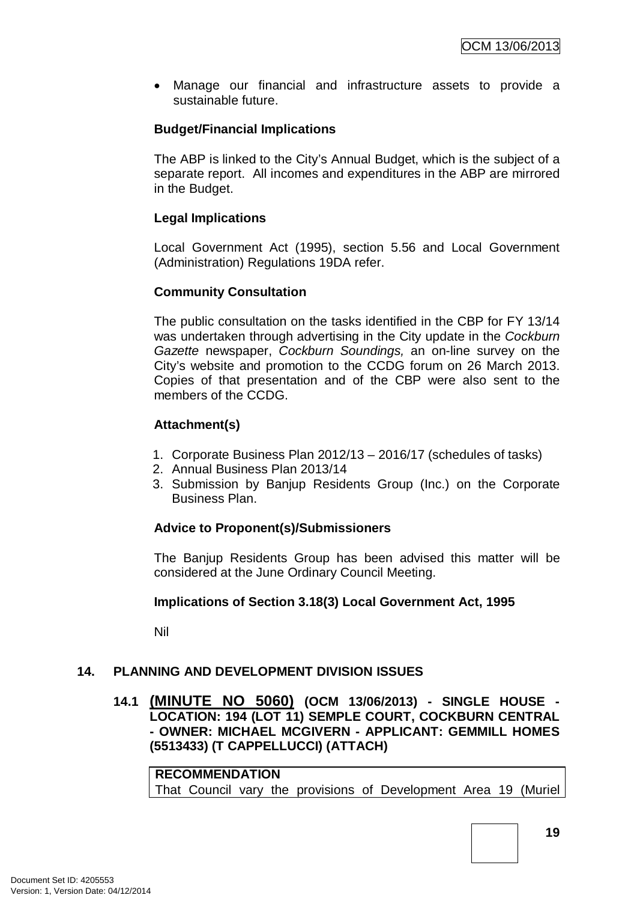• Manage our financial and infrastructure assets to provide a sustainable future.

## **Budget/Financial Implications**

The ABP is linked to the City's Annual Budget, which is the subject of a separate report. All incomes and expenditures in the ABP are mirrored in the Budget.

## **Legal Implications**

Local Government Act (1995), section 5.56 and Local Government (Administration) Regulations 19DA refer.

## **Community Consultation**

The public consultation on the tasks identified in the CBP for FY 13/14 was undertaken through advertising in the City update in the *Cockburn Gazette* newspaper, *Cockburn Soundings,* an on-line survey on the City's website and promotion to the CCDG forum on 26 March 2013. Copies of that presentation and of the CBP were also sent to the members of the CCDG.

## **Attachment(s)**

- 1. Corporate Business Plan 2012/13 2016/17 (schedules of tasks)
- 2. Annual Business Plan 2013/14
- 3. Submission by Banjup Residents Group (Inc.) on the Corporate Business Plan.

## **Advice to Proponent(s)/Submissioners**

The Banjup Residents Group has been advised this matter will be considered at the June Ordinary Council Meeting.

## **Implications of Section 3.18(3) Local Government Act, 1995**

Nil

## **14. PLANNING AND DEVELOPMENT DIVISION ISSUES**

**14.1 (MINUTE NO 5060) (OCM 13/06/2013) - SINGLE HOUSE - LOCATION: 194 (LOT 11) SEMPLE COURT, COCKBURN CENTRAL - OWNER: MICHAEL MCGIVERN - APPLICANT: GEMMILL HOMES (5513433) (T CAPPELLUCCI) (ATTACH)**

**RECOMMENDATION** That Council vary the provisions of Development Area 19 (Muriel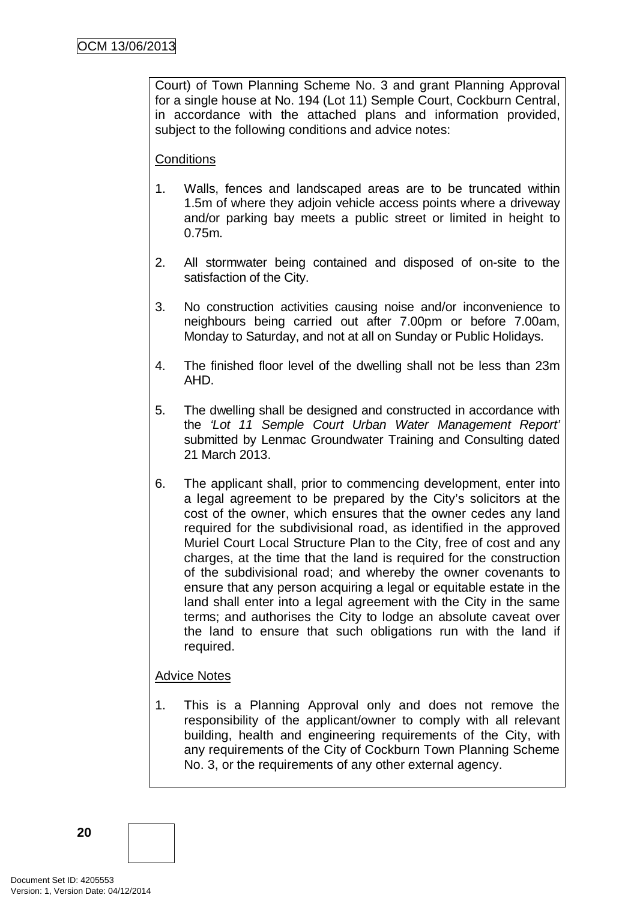Court) of Town Planning Scheme No. 3 and grant Planning Approval for a single house at No. 194 (Lot 11) Semple Court, Cockburn Central, in accordance with the attached plans and information provided, subject to the following conditions and advice notes:

## **Conditions**

- 1. Walls, fences and landscaped areas are to be truncated within 1.5m of where they adjoin vehicle access points where a driveway and/or parking bay meets a public street or limited in height to 0.75m.
- 2. All stormwater being contained and disposed of on-site to the satisfaction of the City.
- 3. No construction activities causing noise and/or inconvenience to neighbours being carried out after 7.00pm or before 7.00am, Monday to Saturday, and not at all on Sunday or Public Holidays.
- 4. The finished floor level of the dwelling shall not be less than 23m AHD.
- 5. The dwelling shall be designed and constructed in accordance with the *'Lot 11 Semple Court Urban Water Management Report'* submitted by Lenmac Groundwater Training and Consulting dated 21 March 2013.
- 6. The applicant shall, prior to commencing development, enter into a legal agreement to be prepared by the City's solicitors at the cost of the owner, which ensures that the owner cedes any land required for the subdivisional road, as identified in the approved Muriel Court Local Structure Plan to the City, free of cost and any charges, at the time that the land is required for the construction of the subdivisional road; and whereby the owner covenants to ensure that any person acquiring a legal or equitable estate in the land shall enter into a legal agreement with the City in the same terms; and authorises the City to lodge an absolute caveat over the land to ensure that such obligations run with the land if required.

## Advice Notes

1. This is a Planning Approval only and does not remove the responsibility of the applicant/owner to comply with all relevant building, health and engineering requirements of the City, with any requirements of the City of Cockburn Town Planning Scheme No. 3, or the requirements of any other external agency.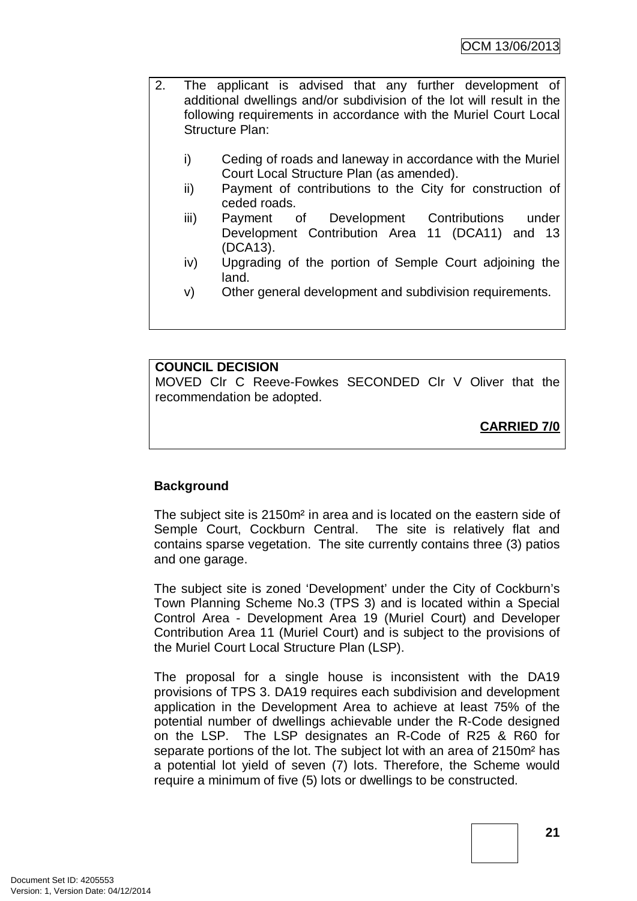- 2. The applicant is advised that any further development of additional dwellings and/or subdivision of the lot will result in the following requirements in accordance with the Muriel Court Local Structure Plan:
	- i) Ceding of roads and laneway in accordance with the Muriel Court Local Structure Plan (as amended).
	- ii) Payment of contributions to the City for construction of ceded roads.
	- iii) Payment of Development Contributions under Development Contribution Area 11 (DCA11) and 13 (DCA13).
	- iv) Upgrading of the portion of Semple Court adjoining the land.
	- v) Other general development and subdivision requirements.

## **COUNCIL DECISION**

MOVED Clr C Reeve-Fowkes SECONDED Clr V Oliver that the recommendation be adopted.

**CARRIED 7/0**

## **Background**

The subject site is 2150m² in area and is located on the eastern side of Semple Court, Cockburn Central. The site is relatively flat and contains sparse vegetation. The site currently contains three (3) patios and one garage.

The subject site is zoned 'Development' under the City of Cockburn's Town Planning Scheme No.3 (TPS 3) and is located within a Special Control Area - Development Area 19 (Muriel Court) and Developer Contribution Area 11 (Muriel Court) and is subject to the provisions of the Muriel Court Local Structure Plan (LSP).

The proposal for a single house is inconsistent with the DA19 provisions of TPS 3. DA19 requires each subdivision and development application in the Development Area to achieve at least 75% of the potential number of dwellings achievable under the R-Code designed on the LSP. The LSP designates an R-Code of R25 & R60 for separate portions of the lot. The subject lot with an area of 2150m<sup>2</sup> has a potential lot yield of seven (7) lots. Therefore, the Scheme would require a minimum of five (5) lots or dwellings to be constructed.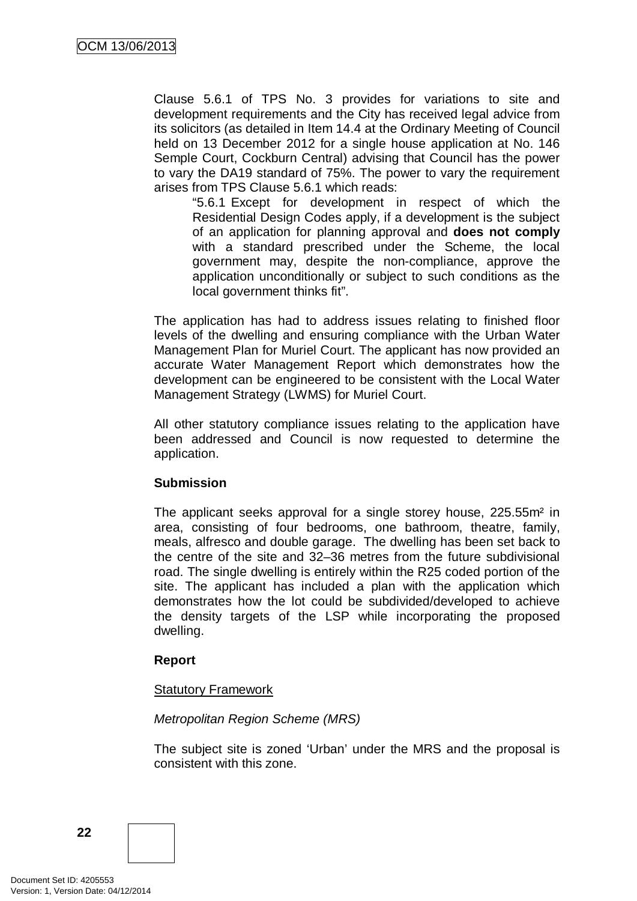Clause 5.6.1 of TPS No. 3 provides for variations to site and development requirements and the City has received legal advice from its solicitors (as detailed in Item 14.4 at the Ordinary Meeting of Council held on 13 December 2012 for a single house application at No. 146 Semple Court, Cockburn Central) advising that Council has the power to vary the DA19 standard of 75%. The power to vary the requirement arises from TPS Clause 5.6.1 which reads:

"5.6.1 Except for development in respect of which the Residential Design Codes apply, if a development is the subject of an application for planning approval and **does not comply** with a standard prescribed under the Scheme, the local government may, despite the non-compliance, approve the application unconditionally or subject to such conditions as the local government thinks fit".

The application has had to address issues relating to finished floor levels of the dwelling and ensuring compliance with the Urban Water Management Plan for Muriel Court. The applicant has now provided an accurate Water Management Report which demonstrates how the development can be engineered to be consistent with the Local Water Management Strategy (LWMS) for Muriel Court.

All other statutory compliance issues relating to the application have been addressed and Council is now requested to determine the application.

## **Submission**

The applicant seeks approval for a single storey house, 225.55m² in area, consisting of four bedrooms, one bathroom, theatre, family, meals, alfresco and double garage. The dwelling has been set back to the centre of the site and 32–36 metres from the future subdivisional road. The single dwelling is entirely within the R25 coded portion of the site. The applicant has included a plan with the application which demonstrates how the lot could be subdivided/developed to achieve the density targets of the LSP while incorporating the proposed dwelling.

## **Report**

## Statutory Framework

## *Metropolitan Region Scheme (MRS)*

The subject site is zoned 'Urban' under the MRS and the proposal is consistent with this zone.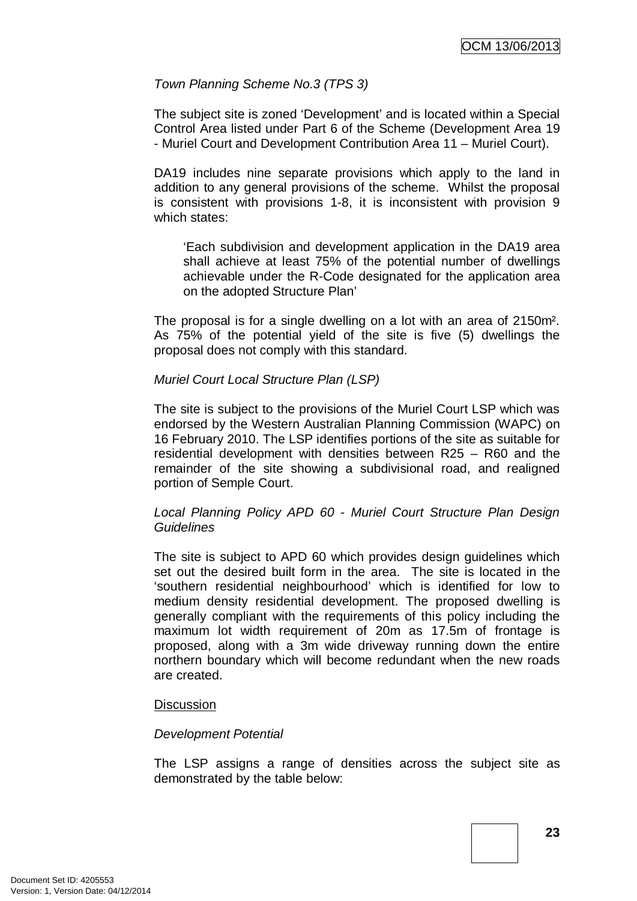### *Town Planning Scheme No.3 (TPS 3)*

The subject site is zoned 'Development' and is located within a Special Control Area listed under Part 6 of the Scheme (Development Area 19 - Muriel Court and Development Contribution Area 11 – Muriel Court).

DA19 includes nine separate provisions which apply to the land in addition to any general provisions of the scheme. Whilst the proposal is consistent with provisions 1-8, it is inconsistent with provision 9 which states:

'Each subdivision and development application in the DA19 area shall achieve at least 75% of the potential number of dwellings achievable under the R-Code designated for the application area on the adopted Structure Plan'

The proposal is for a single dwelling on a lot with an area of 2150m². As 75% of the potential yield of the site is five (5) dwellings the proposal does not comply with this standard.

### *Muriel Court Local Structure Plan (LSP)*

The site is subject to the provisions of the Muriel Court LSP which was endorsed by the Western Australian Planning Commission (WAPC) on 16 February 2010. The LSP identifies portions of the site as suitable for residential development with densities between R25 – R60 and the remainder of the site showing a subdivisional road, and realigned portion of Semple Court.

### *Local Planning Policy APD 60 - Muriel Court Structure Plan Design Guidelines*

The site is subject to APD 60 which provides design guidelines which set out the desired built form in the area. The site is located in the 'southern residential neighbourhood' which is identified for low to medium density residential development. The proposed dwelling is generally compliant with the requirements of this policy including the maximum lot width requirement of 20m as 17.5m of frontage is proposed, along with a 3m wide driveway running down the entire northern boundary which will become redundant when the new roads are created.

#### **Discussion**

#### *Development Potential*

The LSP assigns a range of densities across the subject site as demonstrated by the table below: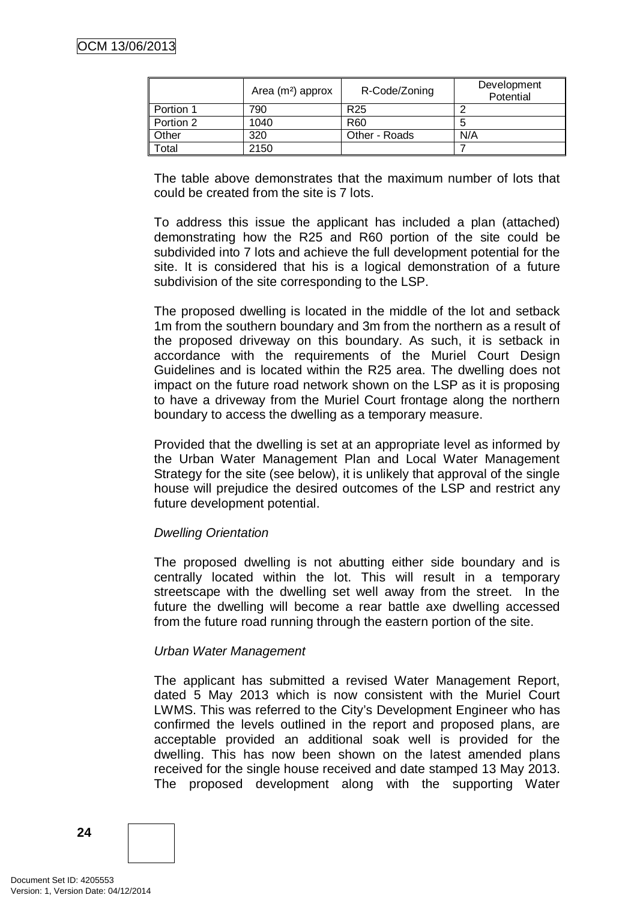|           | Area (m <sup>2</sup> ) approx | R-Code/Zoning   | Development<br>Potential |
|-----------|-------------------------------|-----------------|--------------------------|
| Portion 1 | 790.                          | R <sub>25</sub> |                          |
| Portion 2 | 1040                          | R <sub>60</sub> |                          |
| Other     | 320                           | Other - Roads   | N/A                      |
| Total     | 2150                          |                 |                          |

The table above demonstrates that the maximum number of lots that could be created from the site is 7 lots.

To address this issue the applicant has included a plan (attached) demonstrating how the R25 and R60 portion of the site could be subdivided into 7 lots and achieve the full development potential for the site. It is considered that his is a logical demonstration of a future subdivision of the site corresponding to the LSP.

The proposed dwelling is located in the middle of the lot and setback 1m from the southern boundary and 3m from the northern as a result of the proposed driveway on this boundary. As such, it is setback in accordance with the requirements of the Muriel Court Design Guidelines and is located within the R25 area. The dwelling does not impact on the future road network shown on the LSP as it is proposing to have a driveway from the Muriel Court frontage along the northern boundary to access the dwelling as a temporary measure.

Provided that the dwelling is set at an appropriate level as informed by the Urban Water Management Plan and Local Water Management Strategy for the site (see below), it is unlikely that approval of the single house will prejudice the desired outcomes of the LSP and restrict any future development potential.

## *Dwelling Orientation*

The proposed dwelling is not abutting either side boundary and is centrally located within the lot. This will result in a temporary streetscape with the dwelling set well away from the street. In the future the dwelling will become a rear battle axe dwelling accessed from the future road running through the eastern portion of the site.

#### *Urban Water Management*

The applicant has submitted a revised Water Management Report, dated 5 May 2013 which is now consistent with the Muriel Court LWMS. This was referred to the City's Development Engineer who has confirmed the levels outlined in the report and proposed plans, are acceptable provided an additional soak well is provided for the dwelling. This has now been shown on the latest amended plans received for the single house received and date stamped 13 May 2013. The proposed development along with the supporting Water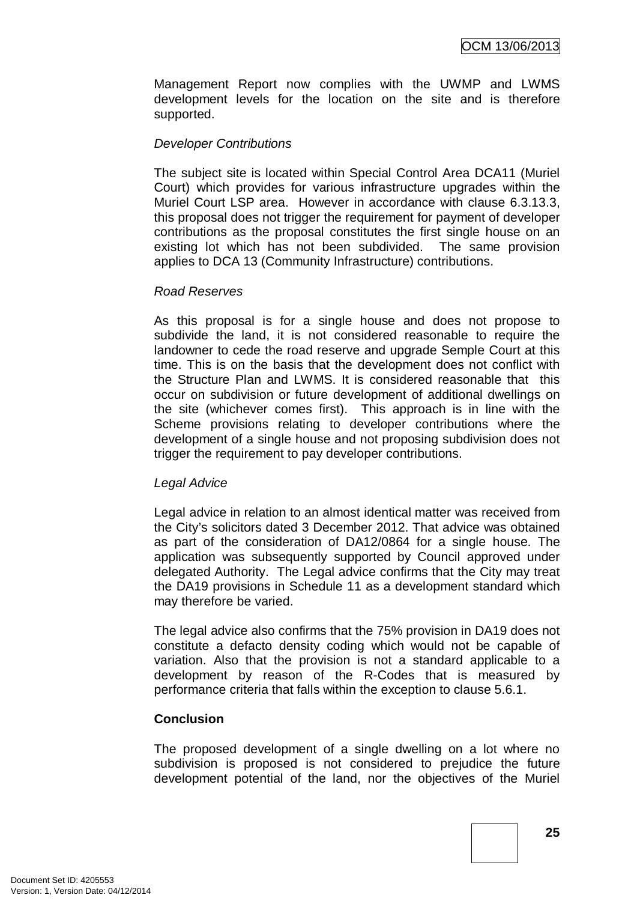Management Report now complies with the UWMP and LWMS development levels for the location on the site and is therefore supported.

## *Developer Contributions*

The subject site is located within Special Control Area DCA11 (Muriel Court) which provides for various infrastructure upgrades within the Muriel Court LSP area. However in accordance with clause 6.3.13.3, this proposal does not trigger the requirement for payment of developer contributions as the proposal constitutes the first single house on an existing lot which has not been subdivided. The same provision applies to DCA 13 (Community Infrastructure) contributions.

#### *Road Reserves*

As this proposal is for a single house and does not propose to subdivide the land, it is not considered reasonable to require the landowner to cede the road reserve and upgrade Semple Court at this time. This is on the basis that the development does not conflict with the Structure Plan and LWMS. It is considered reasonable that this occur on subdivision or future development of additional dwellings on the site (whichever comes first). This approach is in line with the Scheme provisions relating to developer contributions where the development of a single house and not proposing subdivision does not trigger the requirement to pay developer contributions.

#### *Legal Advice*

Legal advice in relation to an almost identical matter was received from the City's solicitors dated 3 December 2012. That advice was obtained as part of the consideration of DA12/0864 for a single house. The application was subsequently supported by Council approved under delegated Authority. The Legal advice confirms that the City may treat the DA19 provisions in Schedule 11 as a development standard which may therefore be varied.

The legal advice also confirms that the 75% provision in DA19 does not constitute a defacto density coding which would not be capable of variation. Also that the provision is not a standard applicable to a development by reason of the R-Codes that is measured by performance criteria that falls within the exception to clause 5.6.1.

## **Conclusion**

The proposed development of a single dwelling on a lot where no subdivision is proposed is not considered to prejudice the future development potential of the land, nor the objectives of the Muriel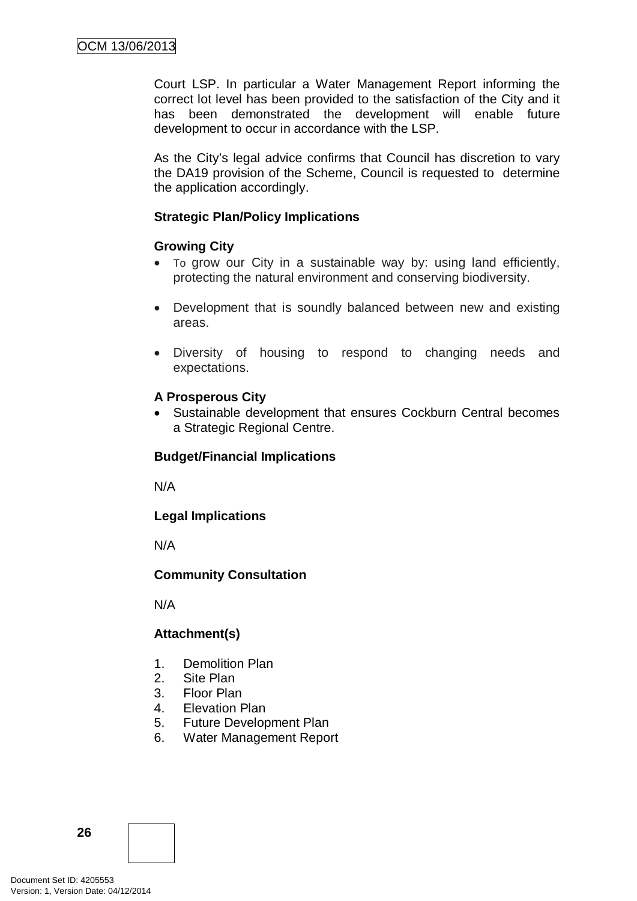Court LSP. In particular a Water Management Report informing the correct lot level has been provided to the satisfaction of the City and it has been demonstrated the development will enable future development to occur in accordance with the LSP.

As the City's legal advice confirms that Council has discretion to vary the DA19 provision of the Scheme, Council is requested to determine the application accordingly.

### **Strategic Plan/Policy Implications**

#### **Growing City**

- To grow our City in a sustainable way by: using land efficiently, protecting the natural environment and conserving biodiversity.
- Development that is soundly balanced between new and existing areas.
- Diversity of housing to respond to changing needs and expectations.

### **A Prosperous City**

• Sustainable development that ensures Cockburn Central becomes a Strategic Regional Centre.

#### **Budget/Financial Implications**

N/A

**Legal Implications**

N/A

## **Community Consultation**

N/A

## **Attachment(s)**

- 1. Demolition Plan
- 2. Site Plan
- 3. Floor Plan
- 4. Elevation Plan
- 5. Future Development Plan
- 6. Water Management Report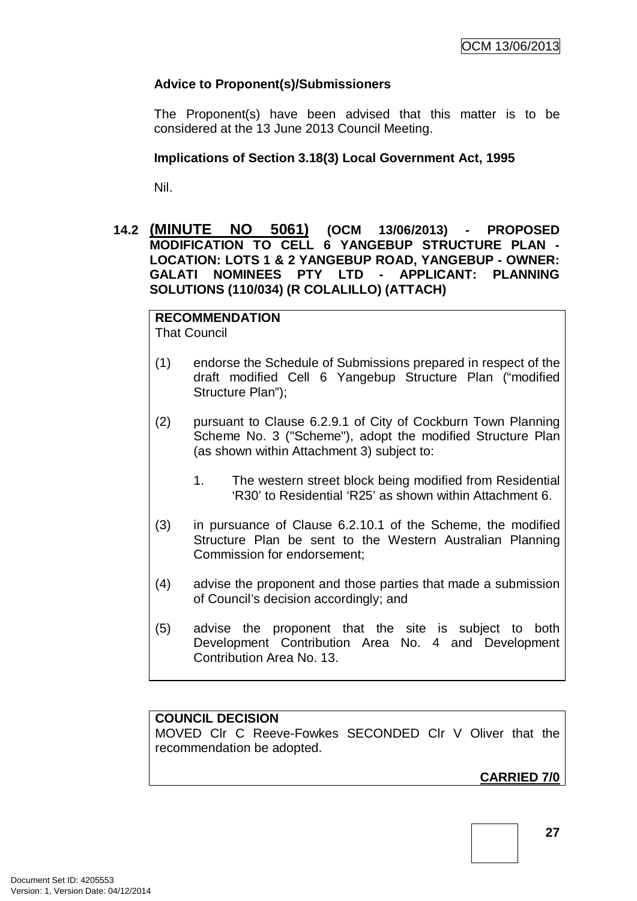## **Advice to Proponent(s)/Submissioners**

The Proponent(s) have been advised that this matter is to be considered at the 13 June 2013 Council Meeting.

### **Implications of Section 3.18(3) Local Government Act, 1995**

Nil.

**14.2 (MINUTE NO 5061) (OCM 13/06/2013) - PROPOSED MODIFICATION TO CELL 6 YANGEBUP STRUCTURE PLAN - LOCATION: LOTS 1 & 2 YANGEBUP ROAD, YANGEBUP - OWNER: GALATI NOMINEES PTY LTD - APPLICANT: PLANNING SOLUTIONS (110/034) (R COLALILLO) (ATTACH)**

# **RECOMMENDATION**

- That Council
- (1) endorse the Schedule of Submissions prepared in respect of the draft modified Cell 6 Yangebup Structure Plan ("modified Structure Plan");
- (2) pursuant to Clause 6.2.9.1 of City of Cockburn Town Planning Scheme No. 3 ("Scheme"), adopt the modified Structure Plan (as shown within Attachment 3) subject to:
	- 1. The western street block being modified from Residential 'R30' to Residential 'R25' as shown within Attachment 6.
- (3) in pursuance of Clause 6.2.10.1 of the Scheme, the modified Structure Plan be sent to the Western Australian Planning Commission for endorsement;
- (4) advise the proponent and those parties that made a submission of Council's decision accordingly; and
- (5) advise the proponent that the site is subject to both Development Contribution Area No. 4 and Development Contribution Area No. 13.

## **COUNCIL DECISION**

MOVED Clr C Reeve-Fowkes SECONDED Clr V Oliver that the recommendation be adopted.

## **CARRIED 7/0**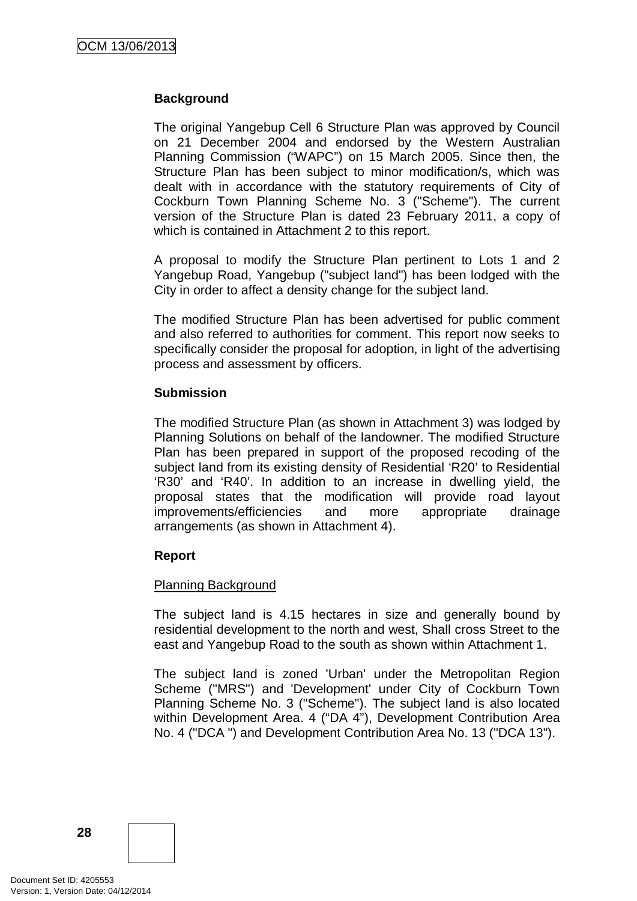## **Background**

The original Yangebup Cell 6 Structure Plan was approved by Council on 21 December 2004 and endorsed by the Western Australian Planning Commission ("WAPC") on 15 March 2005. Since then, the Structure Plan has been subject to minor modification/s, which was dealt with in accordance with the statutory requirements of City of Cockburn Town Planning Scheme No. 3 ("Scheme"). The current version of the Structure Plan is dated 23 February 2011, a copy of which is contained in Attachment 2 to this report.

A proposal to modify the Structure Plan pertinent to Lots 1 and 2 Yangebup Road, Yangebup ("subject land") has been lodged with the City in order to affect a density change for the subject land.

The modified Structure Plan has been advertised for public comment and also referred to authorities for comment. This report now seeks to specifically consider the proposal for adoption, in light of the advertising process and assessment by officers.

### **Submission**

The modified Structure Plan (as shown in Attachment 3) was lodged by Planning Solutions on behalf of the landowner. The modified Structure Plan has been prepared in support of the proposed recoding of the subject land from its existing density of Residential 'R20' to Residential 'R30' and 'R40'. In addition to an increase in dwelling yield, the proposal states that the modification will provide road layout improvements/efficiencies and more appropriate drainage arrangements (as shown in Attachment 4).

## **Report**

## **Planning Background**

The subject land is 4.15 hectares in size and generally bound by residential development to the north and west, Shall cross Street to the east and Yangebup Road to the south as shown within Attachment 1.

The subject land is zoned 'Urban' under the Metropolitan Region Scheme ("MRS") and 'Development' under City of Cockburn Town Planning Scheme No. 3 ("Scheme"). The subject land is also located within Development Area. 4 ("DA 4"), Development Contribution Area No. 4 ("DCA ") and Development Contribution Area No. 13 ("DCA 13").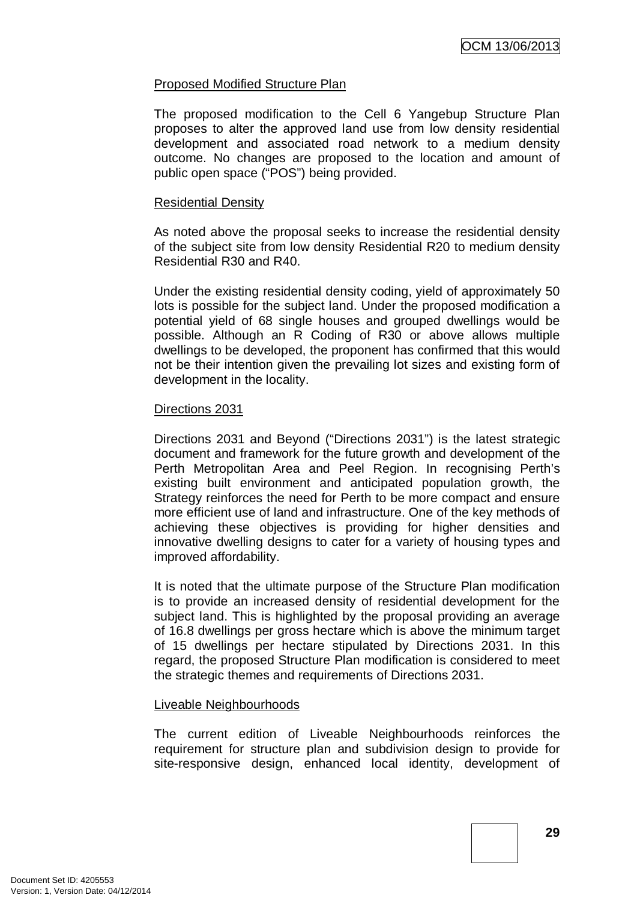## Proposed Modified Structure Plan

The proposed modification to the Cell 6 Yangebup Structure Plan proposes to alter the approved land use from low density residential development and associated road network to a medium density outcome. No changes are proposed to the location and amount of public open space ("POS") being provided.

#### Residential Density

As noted above the proposal seeks to increase the residential density of the subject site from low density Residential R20 to medium density Residential R30 and R40.

Under the existing residential density coding, yield of approximately 50 lots is possible for the subject land. Under the proposed modification a potential yield of 68 single houses and grouped dwellings would be possible. Although an R Coding of R30 or above allows multiple dwellings to be developed, the proponent has confirmed that this would not be their intention given the prevailing lot sizes and existing form of development in the locality.

#### Directions 2031

Directions 2031 and Beyond ("Directions 2031") is the latest strategic document and framework for the future growth and development of the Perth Metropolitan Area and Peel Region. In recognising Perth's existing built environment and anticipated population growth, the Strategy reinforces the need for Perth to be more compact and ensure more efficient use of land and infrastructure. One of the key methods of achieving these objectives is providing for higher densities and innovative dwelling designs to cater for a variety of housing types and improved affordability.

It is noted that the ultimate purpose of the Structure Plan modification is to provide an increased density of residential development for the subject land. This is highlighted by the proposal providing an average of 16.8 dwellings per gross hectare which is above the minimum target of 15 dwellings per hectare stipulated by Directions 2031. In this regard, the proposed Structure Plan modification is considered to meet the strategic themes and requirements of Directions 2031.

#### Liveable Neighbourhoods

The current edition of Liveable Neighbourhoods reinforces the requirement for structure plan and subdivision design to provide for site-responsive design, enhanced local identity, development of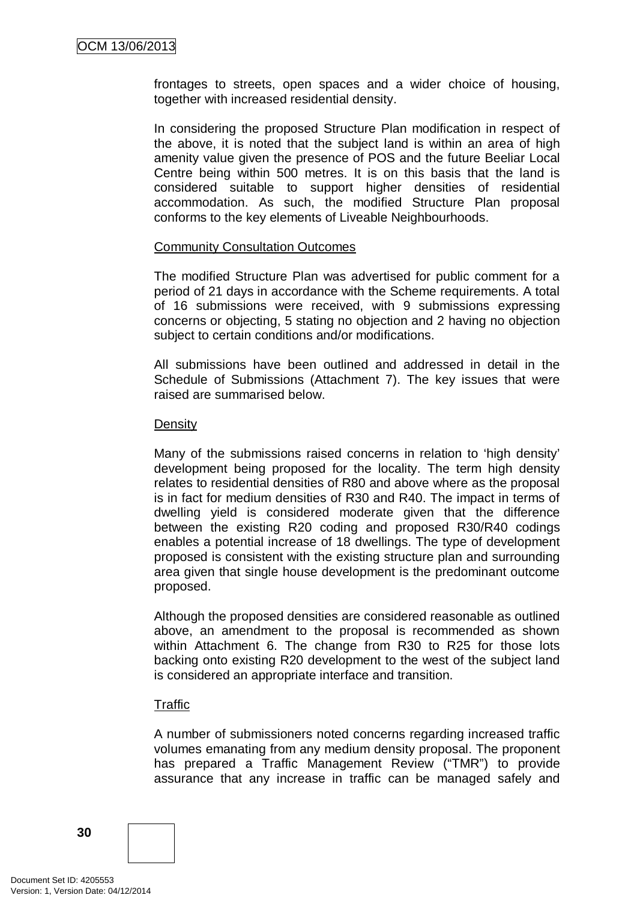frontages to streets, open spaces and a wider choice of housing, together with increased residential density.

In considering the proposed Structure Plan modification in respect of the above, it is noted that the subject land is within an area of high amenity value given the presence of POS and the future Beeliar Local Centre being within 500 metres. It is on this basis that the land is considered suitable to support higher densities of residential accommodation. As such, the modified Structure Plan proposal conforms to the key elements of Liveable Neighbourhoods.

#### Community Consultation Outcomes

The modified Structure Plan was advertised for public comment for a period of 21 days in accordance with the Scheme requirements. A total of 16 submissions were received, with 9 submissions expressing concerns or objecting, 5 stating no objection and 2 having no objection subject to certain conditions and/or modifications.

All submissions have been outlined and addressed in detail in the Schedule of Submissions (Attachment 7). The key issues that were raised are summarised below.

### **Density**

Many of the submissions raised concerns in relation to 'high density' development being proposed for the locality. The term high density relates to residential densities of R80 and above where as the proposal is in fact for medium densities of R30 and R40. The impact in terms of dwelling yield is considered moderate given that the difference between the existing R20 coding and proposed R30/R40 codings enables a potential increase of 18 dwellings. The type of development proposed is consistent with the existing structure plan and surrounding area given that single house development is the predominant outcome proposed.

Although the proposed densities are considered reasonable as outlined above, an amendment to the proposal is recommended as shown within Attachment 6. The change from R30 to R25 for those lots backing onto existing R20 development to the west of the subject land is considered an appropriate interface and transition.

## Traffic

A number of submissioners noted concerns regarding increased traffic volumes emanating from any medium density proposal. The proponent has prepared a Traffic Management Review ("TMR") to provide assurance that any increase in traffic can be managed safely and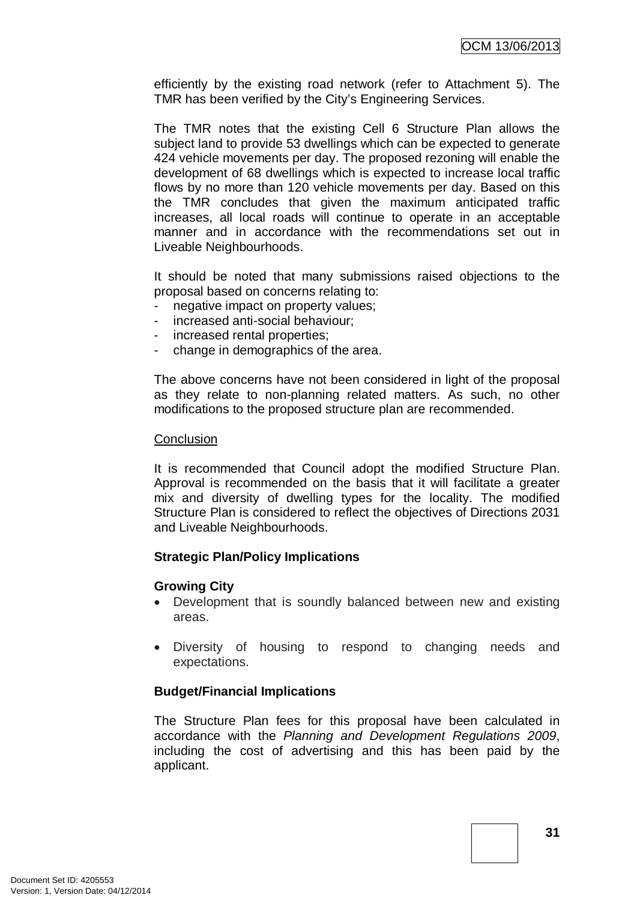efficiently by the existing road network (refer to Attachment 5). The TMR has been verified by the City's Engineering Services.

The TMR notes that the existing Cell 6 Structure Plan allows the subject land to provide 53 dwellings which can be expected to generate 424 vehicle movements per day. The proposed rezoning will enable the development of 68 dwellings which is expected to increase local traffic flows by no more than 120 vehicle movements per day. Based on this the TMR concludes that given the maximum anticipated traffic increases, all local roads will continue to operate in an acceptable manner and in accordance with the recommendations set out in Liveable Neighbourhoods.

It should be noted that many submissions raised objections to the proposal based on concerns relating to:

- negative impact on property values;
- increased anti-social behaviour;
- increased rental properties:
- change in demographics of the area.

The above concerns have not been considered in light of the proposal as they relate to non-planning related matters. As such, no other modifications to the proposed structure plan are recommended.

#### **Conclusion**

It is recommended that Council adopt the modified Structure Plan. Approval is recommended on the basis that it will facilitate a greater mix and diversity of dwelling types for the locality. The modified Structure Plan is considered to reflect the objectives of Directions 2031 and Liveable Neighbourhoods.

#### **Strategic Plan/Policy Implications**

#### **Growing City**

- Development that is soundly balanced between new and existing areas.
- Diversity of housing to respond to changing needs and expectations.

## **Budget/Financial Implications**

The Structure Plan fees for this proposal have been calculated in accordance with the *Planning and Development Regulations 2009*, including the cost of advertising and this has been paid by the applicant.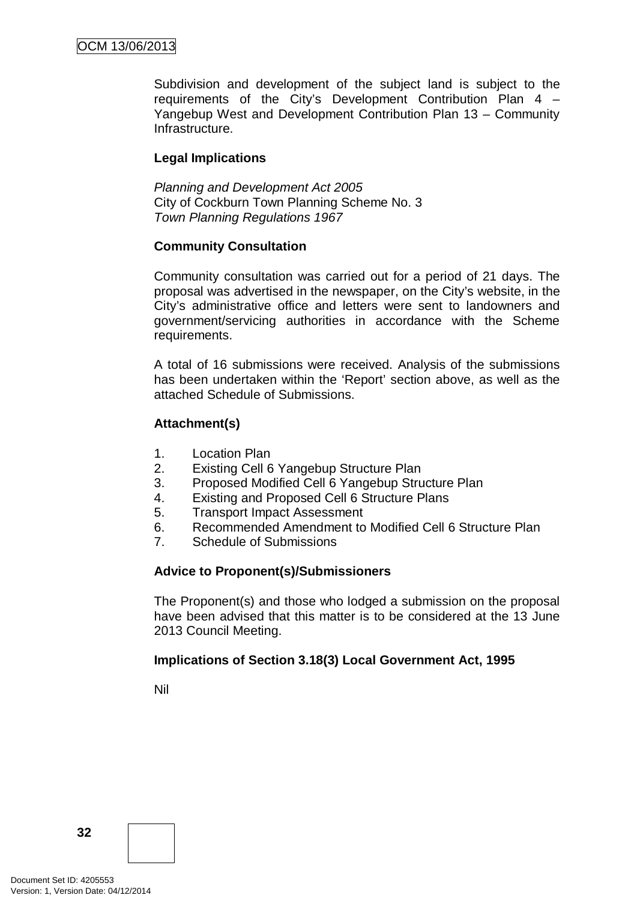Subdivision and development of the subject land is subject to the requirements of the City's Development Contribution Plan 4 – Yangebup West and Development Contribution Plan 13 – Community Infrastructure.

## **Legal Implications**

*Planning and Development Act 2005* City of Cockburn Town Planning Scheme No. 3 *Town Planning Regulations 1967*

## **Community Consultation**

Community consultation was carried out for a period of 21 days. The proposal was advertised in the newspaper, on the City's website, in the City's administrative office and letters were sent to landowners and government/servicing authorities in accordance with the Scheme requirements.

A total of 16 submissions were received. Analysis of the submissions has been undertaken within the 'Report' section above, as well as the attached Schedule of Submissions.

## **Attachment(s)**

- 1. Location Plan
- 2. Existing Cell 6 Yangebup Structure Plan
- 3. Proposed Modified Cell 6 Yangebup Structure Plan
- 4. Existing and Proposed Cell 6 Structure Plans
- 5. Transport Impact Assessment
- 6. Recommended Amendment to Modified Cell 6 Structure Plan
- 7. Schedule of Submissions

## **Advice to Proponent(s)/Submissioners**

The Proponent(s) and those who lodged a submission on the proposal have been advised that this matter is to be considered at the 13 June 2013 Council Meeting.

## **Implications of Section 3.18(3) Local Government Act, 1995**

Nil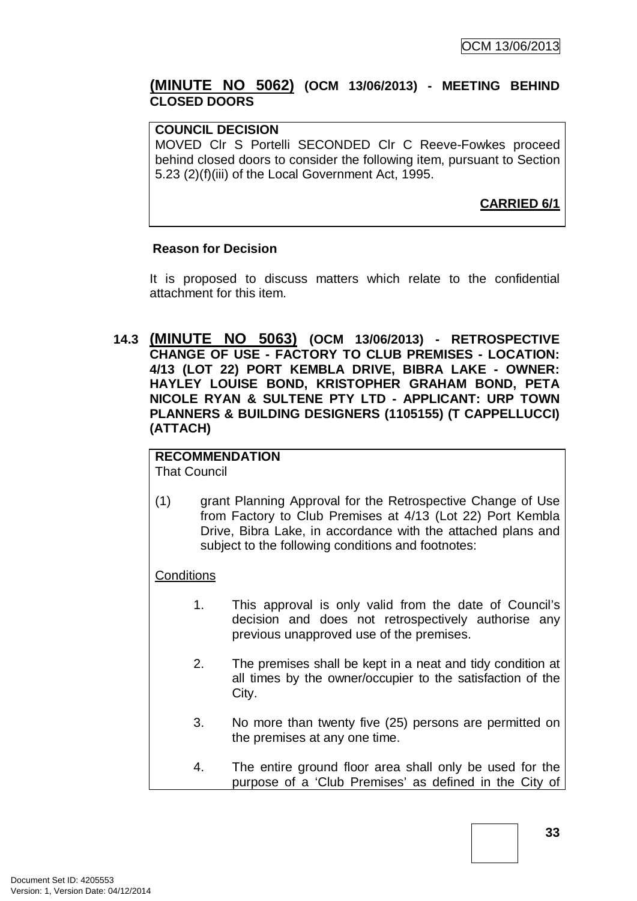# **(MINUTE NO 5062) (OCM 13/06/2013) - MEETING BEHIND CLOSED DOORS**

## **COUNCIL DECISION**

MOVED Clr S Portelli SECONDED Clr C Reeve-Fowkes proceed behind closed doors to consider the following item, pursuant to Section 5.23 (2)(f)(iii) of the Local Government Act, 1995.

**CARRIED 6/1**

### **Reason for Decision**

It is proposed to discuss matters which relate to the confidential attachment for this item.

**14.3 (MINUTE NO 5063) (OCM 13/06/2013) - RETROSPECTIVE CHANGE OF USE - FACTORY TO CLUB PREMISES - LOCATION: 4/13 (LOT 22) PORT KEMBLA DRIVE, BIBRA LAKE - OWNER: HAYLEY LOUISE BOND, KRISTOPHER GRAHAM BOND, PETA NICOLE RYAN & SULTENE PTY LTD - APPLICANT: URP TOWN PLANNERS & BUILDING DESIGNERS (1105155) (T CAPPELLUCCI) (ATTACH)**

## **RECOMMENDATION**

That Council

(1) grant Planning Approval for the Retrospective Change of Use from Factory to Club Premises at 4/13 (Lot 22) Port Kembla Drive, Bibra Lake, in accordance with the attached plans and subject to the following conditions and footnotes:

### **Conditions**

- 1. This approval is only valid from the date of Council's decision and does not retrospectively authorise any previous unapproved use of the premises.
- 2. The premises shall be kept in a neat and tidy condition at all times by the owner/occupier to the satisfaction of the City.
- 3. No more than twenty five (25) persons are permitted on the premises at any one time.
- 4. The entire ground floor area shall only be used for the purpose of a 'Club Premises' as defined in the City of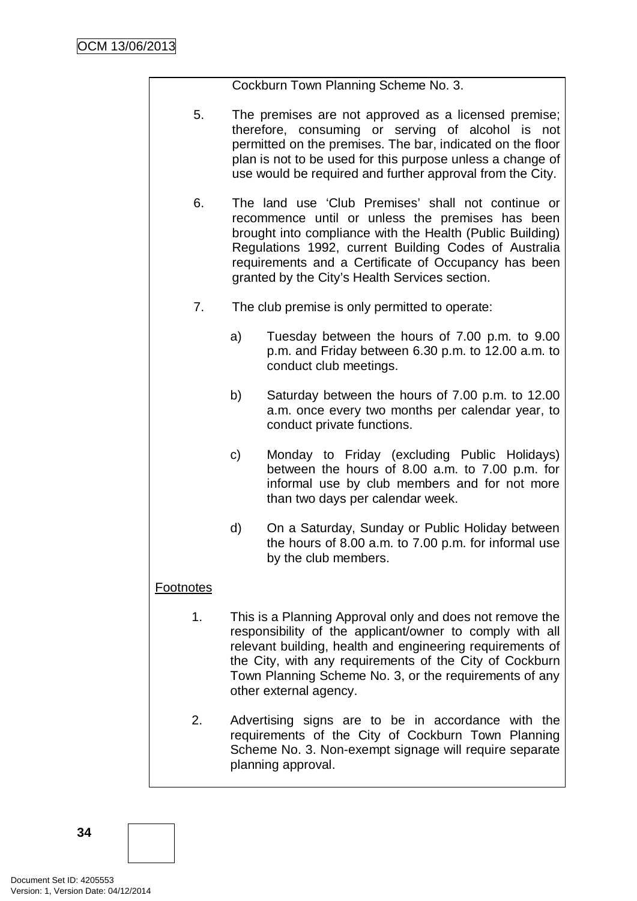Cockburn Town Planning Scheme No. 3.

- 5. The premises are not approved as a licensed premise; therefore, consuming or serving of alcohol is not permitted on the premises. The bar, indicated on the floor plan is not to be used for this purpose unless a change of use would be required and further approval from the City.
- 6. The land use 'Club Premises' shall not continue or recommence until or unless the premises has been brought into compliance with the Health (Public Building) Regulations 1992, current Building Codes of Australia requirements and a Certificate of Occupancy has been granted by the City's Health Services section.
- 7. The club premise is only permitted to operate:
	- a) Tuesday between the hours of 7.00 p.m. to 9.00 p.m. and Friday between 6.30 p.m. to 12.00 a.m. to conduct club meetings.
	- b) Saturday between the hours of 7.00 p.m. to 12.00 a.m. once every two months per calendar year, to conduct private functions.
	- c) Monday to Friday (excluding Public Holidays) between the hours of 8.00 a.m. to 7.00 p.m. for informal use by club members and for not more than two days per calendar week.
	- d) On a Saturday, Sunday or Public Holiday between the hours of 8.00 a.m. to 7.00 p.m. for informal use by the club members.

# Footnotes

- 1. This is a Planning Approval only and does not remove the responsibility of the applicant/owner to comply with all relevant building, health and engineering requirements of the City, with any requirements of the City of Cockburn Town Planning Scheme No. 3, or the requirements of any other external agency.
- 2. Advertising signs are to be in accordance with the requirements of the City of Cockburn Town Planning Scheme No. 3. Non-exempt signage will require separate planning approval.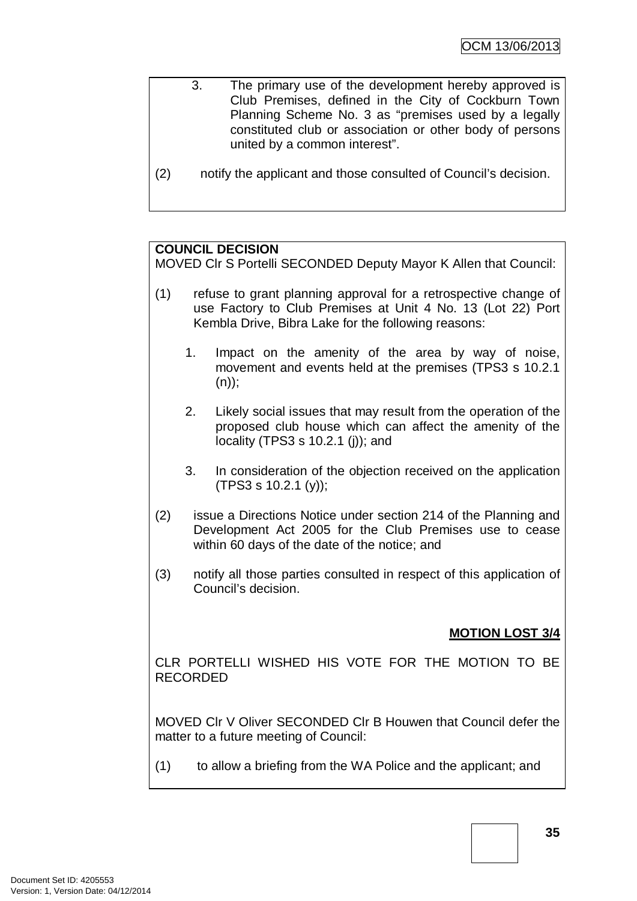- 3. The primary use of the development hereby approved is Club Premises, defined in the City of Cockburn Town Planning Scheme No. 3 as "premises used by a legally constituted club or association or other body of persons united by a common interest".
- (2) notify the applicant and those consulted of Council's decision.

## **COUNCIL DECISION**

MOVED Clr S Portelli SECONDED Deputy Mayor K Allen that Council:

- (1) refuse to grant planning approval for a retrospective change of use Factory to Club Premises at Unit 4 No. 13 (Lot 22) Port Kembla Drive, Bibra Lake for the following reasons:
	- 1. Impact on the amenity of the area by way of noise, movement and events held at the premises (TPS3 s 10.2.1  $(n)$ :
	- 2. Likely social issues that may result from the operation of the proposed club house which can affect the amenity of the locality (TPS3 s 10.2.1 (i)); and
	- 3. In consideration of the objection received on the application (TPS3 s 10.2.1 (y));
- (2) issue a Directions Notice under section 214 of the Planning and Development Act 2005 for the Club Premises use to cease within 60 days of the date of the notice; and
- (3) notify all those parties consulted in respect of this application of Council's decision.

# **MOTION LOST 3/4**

CLR PORTELLI WISHED HIS VOTE FOR THE MOTION TO BE RECORDED

MOVED Clr V Oliver SECONDED Clr B Houwen that Council defer the matter to a future meeting of Council:

(1) to allow a briefing from the WA Police and the applicant; and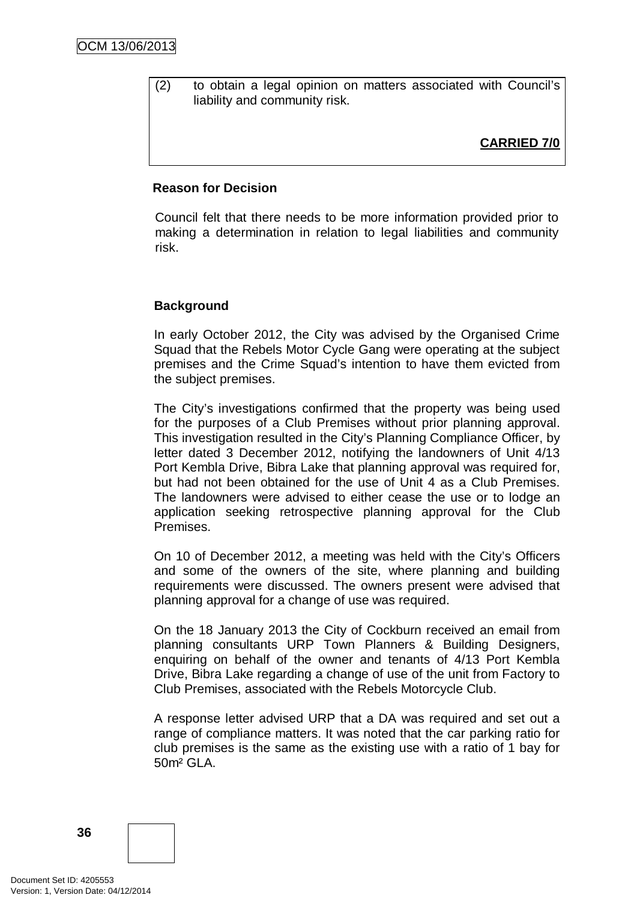(2) to obtain a legal opinion on matters associated with Council's liability and community risk.

**CARRIED 7/0**

### **Reason for Decision**

Council felt that there needs to be more information provided prior to making a determination in relation to legal liabilities and community risk.

# **Background**

In early October 2012, the City was advised by the Organised Crime Squad that the Rebels Motor Cycle Gang were operating at the subject premises and the Crime Squad's intention to have them evicted from the subject premises.

The City's investigations confirmed that the property was being used for the purposes of a Club Premises without prior planning approval. This investigation resulted in the City's Planning Compliance Officer, by letter dated 3 December 2012, notifying the landowners of Unit 4/13 Port Kembla Drive, Bibra Lake that planning approval was required for, but had not been obtained for the use of Unit 4 as a Club Premises. The landowners were advised to either cease the use or to lodge an application seeking retrospective planning approval for the Club Premises.

On 10 of December 2012, a meeting was held with the City's Officers and some of the owners of the site, where planning and building requirements were discussed. The owners present were advised that planning approval for a change of use was required.

On the 18 January 2013 the City of Cockburn received an email from planning consultants URP Town Planners & Building Designers, enquiring on behalf of the owner and tenants of 4/13 Port Kembla Drive, Bibra Lake regarding a change of use of the unit from Factory to Club Premises, associated with the Rebels Motorcycle Club.

A response letter advised URP that a DA was required and set out a range of compliance matters. It was noted that the car parking ratio for club premises is the same as the existing use with a ratio of 1 bay for 50m² GLA.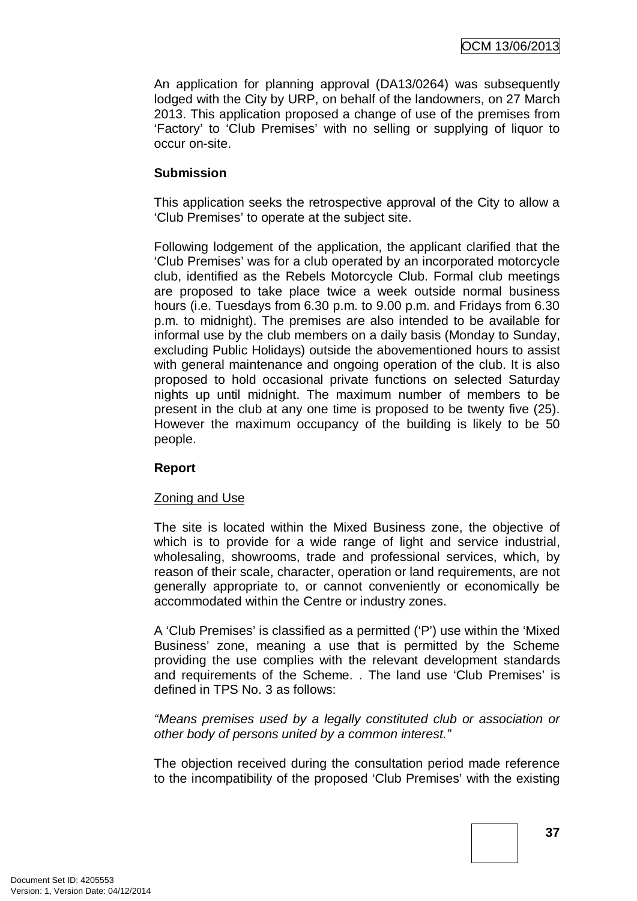An application for planning approval (DA13/0264) was subsequently lodged with the City by URP, on behalf of the landowners, on 27 March 2013. This application proposed a change of use of the premises from 'Factory' to 'Club Premises' with no selling or supplying of liquor to occur on-site.

### **Submission**

This application seeks the retrospective approval of the City to allow a 'Club Premises' to operate at the subject site.

Following lodgement of the application, the applicant clarified that the 'Club Premises' was for a club operated by an incorporated motorcycle club, identified as the Rebels Motorcycle Club. Formal club meetings are proposed to take place twice a week outside normal business hours (i.e. Tuesdays from 6.30 p.m. to 9.00 p.m. and Fridays from 6.30 p.m. to midnight). The premises are also intended to be available for informal use by the club members on a daily basis (Monday to Sunday, excluding Public Holidays) outside the abovementioned hours to assist with general maintenance and ongoing operation of the club. It is also proposed to hold occasional private functions on selected Saturday nights up until midnight. The maximum number of members to be present in the club at any one time is proposed to be twenty five (25). However the maximum occupancy of the building is likely to be 50 people.

### **Report**

### **Zoning and Use**

The site is located within the Mixed Business zone, the objective of which is to provide for a wide range of light and service industrial, wholesaling, showrooms, trade and professional services, which, by reason of their scale, character, operation or land requirements, are not generally appropriate to, or cannot conveniently or economically be accommodated within the Centre or industry zones.

A 'Club Premises' is classified as a permitted ('P') use within the 'Mixed Business' zone, meaning a use that is permitted by the Scheme providing the use complies with the relevant development standards and requirements of the Scheme. . The land use 'Club Premises' is defined in TPS No. 3 as follows:

*"Means premises used by a legally constituted club or association or other body of persons united by a common interest."*

The objection received during the consultation period made reference to the incompatibility of the proposed 'Club Premises' with the existing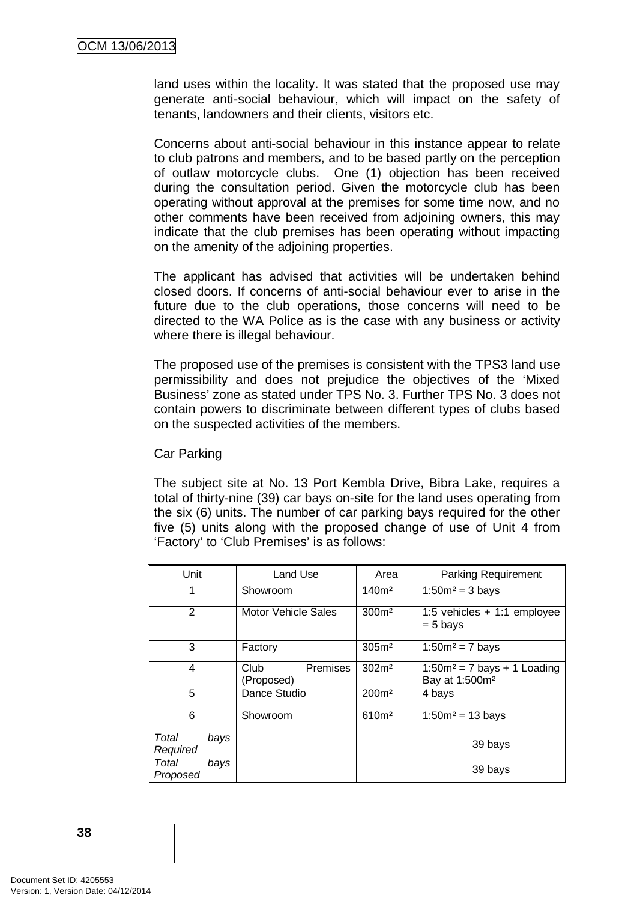land uses within the locality. It was stated that the proposed use may generate anti-social behaviour, which will impact on the safety of tenants, landowners and their clients, visitors etc.

Concerns about anti-social behaviour in this instance appear to relate to club patrons and members, and to be based partly on the perception of outlaw motorcycle clubs. One (1) objection has been received during the consultation period. Given the motorcycle club has been operating without approval at the premises for some time now, and no other comments have been received from adjoining owners, this may indicate that the club premises has been operating without impacting on the amenity of the adjoining properties.

The applicant has advised that activities will be undertaken behind closed doors. If concerns of anti-social behaviour ever to arise in the future due to the club operations, those concerns will need to be directed to the WA Police as is the case with any business or activity where there is illegal behaviour.

The proposed use of the premises is consistent with the TPS3 land use permissibility and does not prejudice the objectives of the 'Mixed Business' zone as stated under TPS No. 3. Further TPS No. 3 does not contain powers to discriminate between different types of clubs based on the suspected activities of the members.

#### Car Parking

The subject site at No. 13 Port Kembla Drive, Bibra Lake, requires a total of thirty-nine (39) car bays on-site for the land uses operating from the six (6) units. The number of car parking bays required for the other five (5) units along with the proposed change of use of Unit 4 from 'Factory' to 'Club Premises' is as follows:

| Unit                      | Land Use                              | Area              | <b>Parking Requirement</b>                                   |
|---------------------------|---------------------------------------|-------------------|--------------------------------------------------------------|
| 1                         | Showroom                              | 140m <sup>2</sup> | $1:50m^2 = 3$ bays                                           |
| $\overline{2}$            | <b>Motor Vehicle Sales</b>            | 300 <sup>m²</sup> | 1:5 vehicles $+$ 1:1 employee<br>$= 5 \text{ bays}$          |
| 3                         | Factory                               | 305 <sup>m²</sup> | $1:50m^2 = 7$ bays                                           |
| 4                         | <b>Premises</b><br>Club<br>(Proposed) | 302m <sup>2</sup> | $1:50m^2 = 7$ bays + 1 Loading<br>Bay at 1:500m <sup>2</sup> |
| 5                         | Dance Studio                          | 200 <sup>m²</sup> | 4 bays                                                       |
| 6                         | Showroom                              | 610m <sup>2</sup> | $1:50m^2 = 13$ bays                                          |
| Total<br>bays<br>Required |                                       |                   | 39 bays                                                      |
| Total<br>bays<br>Proposed |                                       |                   | 39 bays                                                      |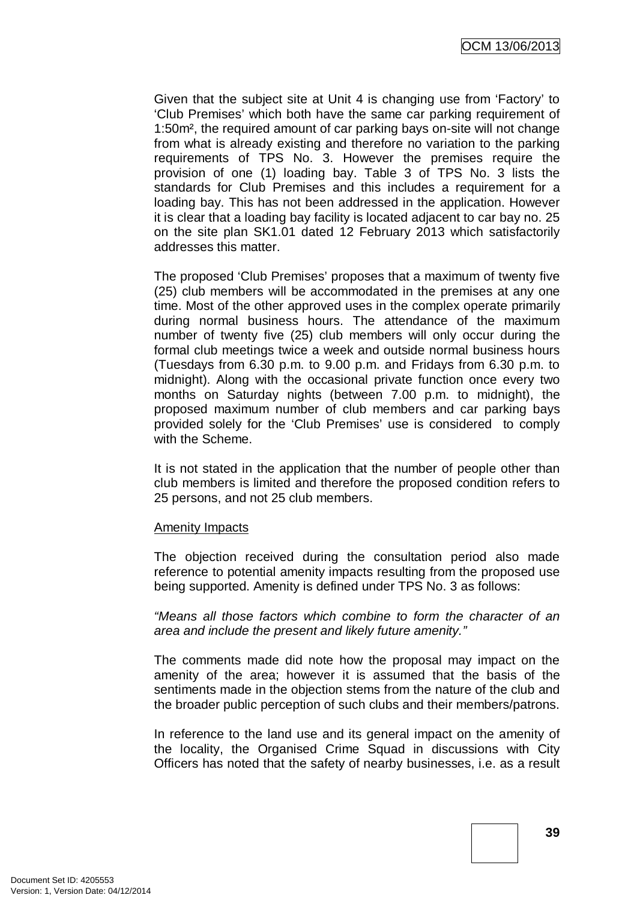Given that the subject site at Unit 4 is changing use from 'Factory' to 'Club Premises' which both have the same car parking requirement of 1:50m², the required amount of car parking bays on-site will not change from what is already existing and therefore no variation to the parking requirements of TPS No. 3. However the premises require the provision of one (1) loading bay. Table 3 of TPS No. 3 lists the standards for Club Premises and this includes a requirement for a loading bay. This has not been addressed in the application. However it is clear that a loading bay facility is located adjacent to car bay no. 25 on the site plan SK1.01 dated 12 February 2013 which satisfactorily addresses this matter.

The proposed 'Club Premises' proposes that a maximum of twenty five (25) club members will be accommodated in the premises at any one time. Most of the other approved uses in the complex operate primarily during normal business hours. The attendance of the maximum number of twenty five (25) club members will only occur during the formal club meetings twice a week and outside normal business hours (Tuesdays from 6.30 p.m. to 9.00 p.m. and Fridays from 6.30 p.m. to midnight). Along with the occasional private function once every two months on Saturday nights (between 7.00 p.m. to midnight), the proposed maximum number of club members and car parking bays provided solely for the 'Club Premises' use is considered to comply with the Scheme.

It is not stated in the application that the number of people other than club members is limited and therefore the proposed condition refers to 25 persons, and not 25 club members.

#### Amenity Impacts

The objection received during the consultation period also made reference to potential amenity impacts resulting from the proposed use being supported. Amenity is defined under TPS No. 3 as follows:

*"Means all those factors which combine to form the character of an area and include the present and likely future amenity."*

The comments made did note how the proposal may impact on the amenity of the area; however it is assumed that the basis of the sentiments made in the objection stems from the nature of the club and the broader public perception of such clubs and their members/patrons.

In reference to the land use and its general impact on the amenity of the locality, the Organised Crime Squad in discussions with City Officers has noted that the safety of nearby businesses, i.e. as a result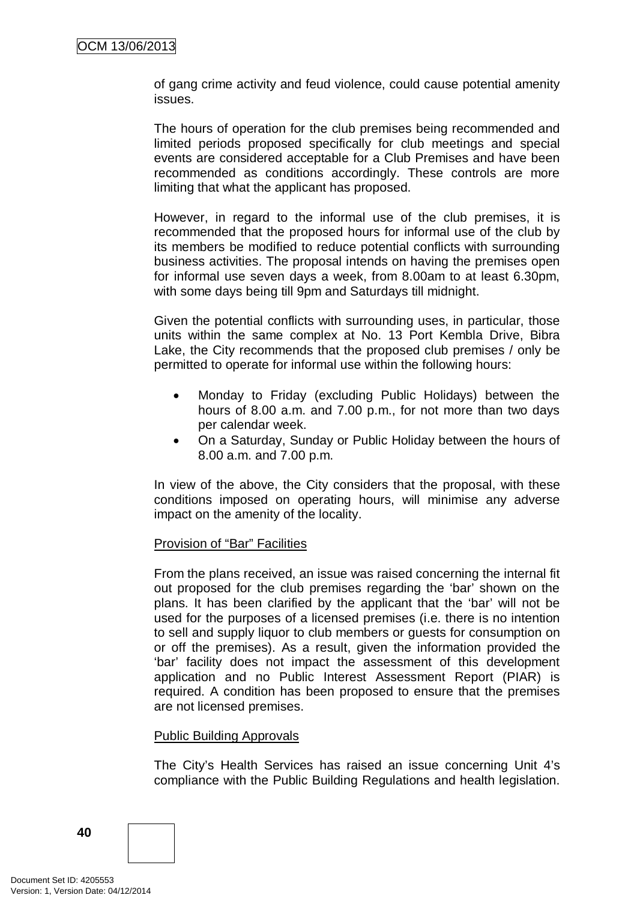of gang crime activity and feud violence, could cause potential amenity issues.

The hours of operation for the club premises being recommended and limited periods proposed specifically for club meetings and special events are considered acceptable for a Club Premises and have been recommended as conditions accordingly. These controls are more limiting that what the applicant has proposed.

However, in regard to the informal use of the club premises, it is recommended that the proposed hours for informal use of the club by its members be modified to reduce potential conflicts with surrounding business activities. The proposal intends on having the premises open for informal use seven days a week, from 8.00am to at least 6.30pm, with some days being till 9pm and Saturdays till midnight.

Given the potential conflicts with surrounding uses, in particular, those units within the same complex at No. 13 Port Kembla Drive, Bibra Lake, the City recommends that the proposed club premises / only be permitted to operate for informal use within the following hours:

- Monday to Friday (excluding Public Holidays) between the hours of 8.00 a.m. and 7.00 p.m., for not more than two days per calendar week.
- On a Saturday, Sunday or Public Holiday between the hours of 8.00 a.m. and 7.00 p.m.

In view of the above, the City considers that the proposal, with these conditions imposed on operating hours, will minimise any adverse impact on the amenity of the locality.

### Provision of "Bar" Facilities

From the plans received, an issue was raised concerning the internal fit out proposed for the club premises regarding the 'bar' shown on the plans. It has been clarified by the applicant that the 'bar' will not be used for the purposes of a licensed premises (i.e. there is no intention to sell and supply liquor to club members or guests for consumption on or off the premises). As a result, given the information provided the 'bar' facility does not impact the assessment of this development application and no Public Interest Assessment Report (PIAR) is required. A condition has been proposed to ensure that the premises are not licensed premises.

#### Public Building Approvals

The City's Health Services has raised an issue concerning Unit 4's compliance with the Public Building Regulations and health legislation.

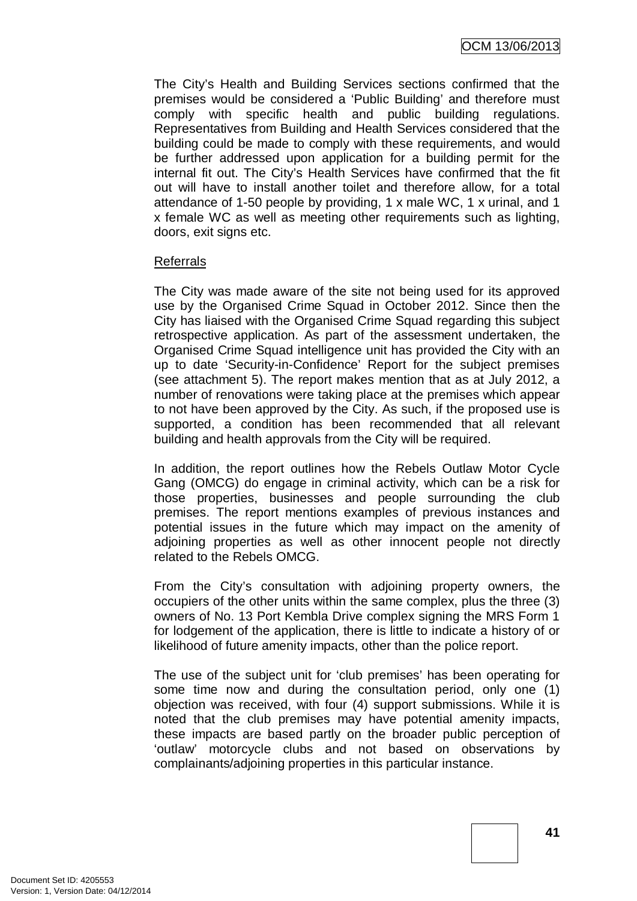The City's Health and Building Services sections confirmed that the premises would be considered a 'Public Building' and therefore must comply with specific health and public building regulations. Representatives from Building and Health Services considered that the building could be made to comply with these requirements, and would be further addressed upon application for a building permit for the internal fit out. The City's Health Services have confirmed that the fit out will have to install another toilet and therefore allow, for a total attendance of 1-50 people by providing, 1 x male WC, 1 x urinal, and 1 x female WC as well as meeting other requirements such as lighting, doors, exit signs etc.

#### **Referrals**

The City was made aware of the site not being used for its approved use by the Organised Crime Squad in October 2012. Since then the City has liaised with the Organised Crime Squad regarding this subject retrospective application. As part of the assessment undertaken, the Organised Crime Squad intelligence unit has provided the City with an up to date 'Security-in-Confidence' Report for the subject premises (see attachment 5). The report makes mention that as at July 2012, a number of renovations were taking place at the premises which appear to not have been approved by the City. As such, if the proposed use is supported, a condition has been recommended that all relevant building and health approvals from the City will be required.

In addition, the report outlines how the Rebels Outlaw Motor Cycle Gang (OMCG) do engage in criminal activity, which can be a risk for those properties, businesses and people surrounding the club premises. The report mentions examples of previous instances and potential issues in the future which may impact on the amenity of adjoining properties as well as other innocent people not directly related to the Rebels OMCG.

From the City's consultation with adjoining property owners, the occupiers of the other units within the same complex, plus the three (3) owners of No. 13 Port Kembla Drive complex signing the MRS Form 1 for lodgement of the application, there is little to indicate a history of or likelihood of future amenity impacts, other than the police report.

The use of the subject unit for 'club premises' has been operating for some time now and during the consultation period, only one (1) objection was received, with four (4) support submissions. While it is noted that the club premises may have potential amenity impacts, these impacts are based partly on the broader public perception of 'outlaw' motorcycle clubs and not based on observations by complainants/adjoining properties in this particular instance.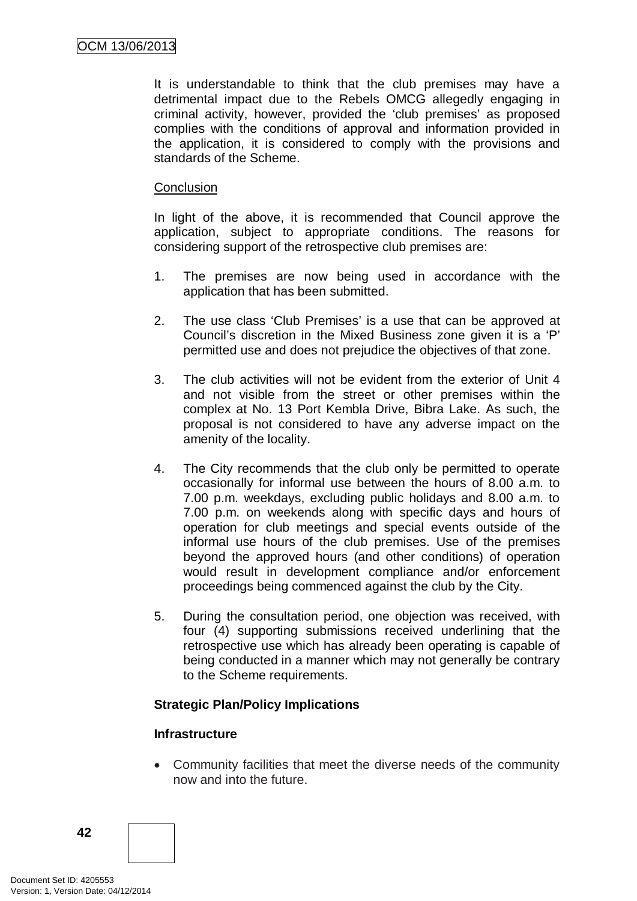It is understandable to think that the club premises may have a detrimental impact due to the Rebels OMCG allegedly engaging in criminal activity, however, provided the 'club premises' as proposed complies with the conditions of approval and information provided in the application, it is considered to comply with the provisions and standards of the Scheme.

### **Conclusion**

In light of the above, it is recommended that Council approve the application, subject to appropriate conditions. The reasons for considering support of the retrospective club premises are:

- 1. The premises are now being used in accordance with the application that has been submitted.
- 2. The use class 'Club Premises' is a use that can be approved at Council's discretion in the Mixed Business zone given it is a 'P' permitted use and does not prejudice the objectives of that zone.
- 3. The club activities will not be evident from the exterior of Unit 4 and not visible from the street or other premises within the complex at No. 13 Port Kembla Drive, Bibra Lake. As such, the proposal is not considered to have any adverse impact on the amenity of the locality.
- 4. The City recommends that the club only be permitted to operate occasionally for informal use between the hours of 8.00 a.m. to 7.00 p.m. weekdays, excluding public holidays and 8.00 a.m. to 7.00 p.m. on weekends along with specific days and hours of operation for club meetings and special events outside of the informal use hours of the club premises. Use of the premises beyond the approved hours (and other conditions) of operation would result in development compliance and/or enforcement proceedings being commenced against the club by the City.
- 5. During the consultation period, one objection was received, with four (4) supporting submissions received underlining that the retrospective use which has already been operating is capable of being conducted in a manner which may not generally be contrary to the Scheme requirements.

### **Strategic Plan/Policy Implications**

#### **Infrastructure**

• Community facilities that meet the diverse needs of the community now and into the future.

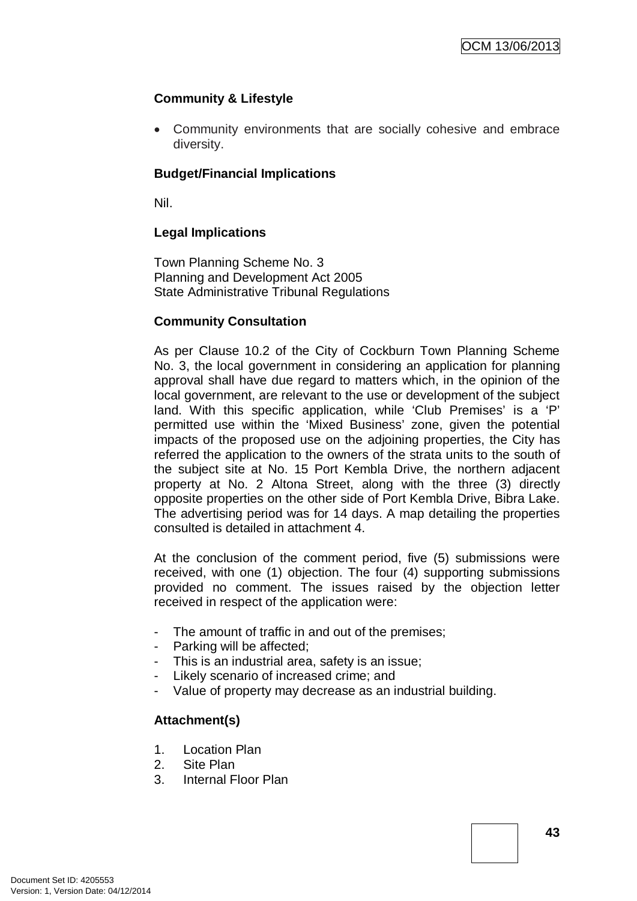# **Community & Lifestyle**

• Community environments that are socially cohesive and embrace diversity.

### **Budget/Financial Implications**

Nil.

### **Legal Implications**

Town Planning Scheme No. 3 Planning and Development Act 2005 State Administrative Tribunal Regulations

#### **Community Consultation**

As per Clause 10.2 of the City of Cockburn Town Planning Scheme No. 3, the local government in considering an application for planning approval shall have due regard to matters which, in the opinion of the local government, are relevant to the use or development of the subject land. With this specific application, while 'Club Premises' is a 'P' permitted use within the 'Mixed Business' zone, given the potential impacts of the proposed use on the adjoining properties, the City has referred the application to the owners of the strata units to the south of the subject site at No. 15 Port Kembla Drive, the northern adjacent property at No. 2 Altona Street, along with the three (3) directly opposite properties on the other side of Port Kembla Drive, Bibra Lake. The advertising period was for 14 days. A map detailing the properties consulted is detailed in attachment 4.

At the conclusion of the comment period, five (5) submissions were received, with one (1) objection. The four (4) supporting submissions provided no comment. The issues raised by the objection letter received in respect of the application were:

- The amount of traffic in and out of the premises;
- Parking will be affected;
- This is an industrial area, safety is an issue;
- Likely scenario of increased crime; and
- Value of property may decrease as an industrial building.

### **Attachment(s)**

- 1. Location Plan
- 2. Site Plan
- 3. Internal Floor Plan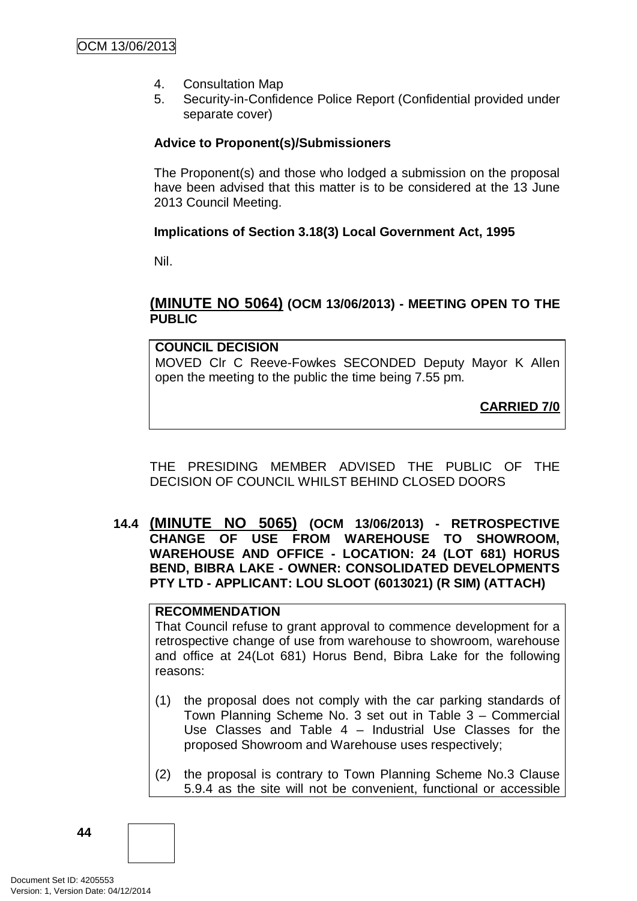- 4. Consultation Map
- 5. Security-in-Confidence Police Report (Confidential provided under separate cover)

### **Advice to Proponent(s)/Submissioners**

The Proponent(s) and those who lodged a submission on the proposal have been advised that this matter is to be considered at the 13 June 2013 Council Meeting.

### **Implications of Section 3.18(3) Local Government Act, 1995**

Nil.

## **(MINUTE NO 5064) (OCM 13/06/2013) - MEETING OPEN TO THE PUBLIC**

#### **COUNCIL DECISION**

MOVED Clr C Reeve-Fowkes SECONDED Deputy Mayor K Allen open the meeting to the public the time being 7.55 pm.

**CARRIED 7/0**

THE PRESIDING MEMBER ADVISED THE PUBLIC OF THE DECISION OF COUNCIL WHILST BEHIND CLOSED DOORS

**14.4 (MINUTE NO 5065) (OCM 13/06/2013) - RETROSPECTIVE CHANGE OF USE FROM WAREHOUSE TO SHOWROOM, WAREHOUSE AND OFFICE - LOCATION: 24 (LOT 681) HORUS BEND, BIBRA LAKE - OWNER: CONSOLIDATED DEVELOPMENTS PTY LTD - APPLICANT: LOU SLOOT (6013021) (R SIM) (ATTACH)**

#### **RECOMMENDATION**

That Council refuse to grant approval to commence development for a retrospective change of use from warehouse to showroom, warehouse and office at 24(Lot 681) Horus Bend, Bibra Lake for the following reasons:

- (1) the proposal does not comply with the car parking standards of Town Planning Scheme No. 3 set out in Table 3 – Commercial Use Classes and Table 4 – Industrial Use Classes for the proposed Showroom and Warehouse uses respectively;
- (2) the proposal is contrary to Town Planning Scheme No.3 Clause 5.9.4 as the site will not be convenient, functional or accessible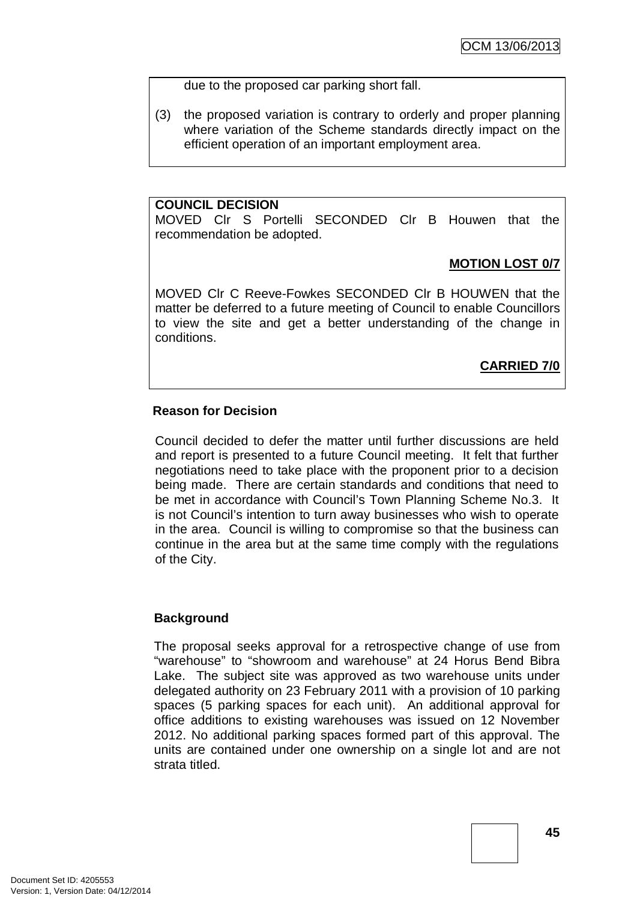due to the proposed car parking short fall.

(3) the proposed variation is contrary to orderly and proper planning where variation of the Scheme standards directly impact on the efficient operation of an important employment area.

#### **COUNCIL DECISION**

MOVED Clr S Portelli SECONDED Clr B Houwen that the recommendation be adopted.

### **MOTION LOST 0/7**

MOVED Clr C Reeve-Fowkes SECONDED Clr B HOUWEN that the matter be deferred to a future meeting of Council to enable Councillors to view the site and get a better understanding of the change in conditions.

**CARRIED 7/0**

#### **Reason for Decision**

Council decided to defer the matter until further discussions are held and report is presented to a future Council meeting. It felt that further negotiations need to take place with the proponent prior to a decision being made. There are certain standards and conditions that need to be met in accordance with Council's Town Planning Scheme No.3. It is not Council's intention to turn away businesses who wish to operate in the area. Council is willing to compromise so that the business can continue in the area but at the same time comply with the regulations of the City.

### **Background**

The proposal seeks approval for a retrospective change of use from "warehouse" to "showroom and warehouse" at 24 Horus Bend Bibra Lake. The subject site was approved as two warehouse units under delegated authority on 23 February 2011 with a provision of 10 parking spaces (5 parking spaces for each unit). An additional approval for office additions to existing warehouses was issued on 12 November 2012. No additional parking spaces formed part of this approval. The units are contained under one ownership on a single lot and are not strata titled.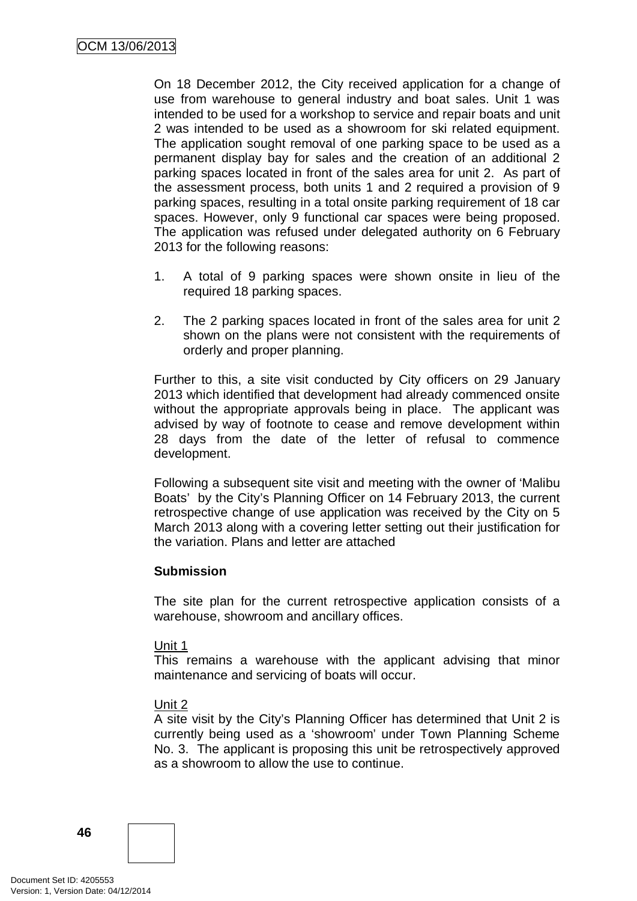On 18 December 2012, the City received application for a change of use from warehouse to general industry and boat sales. Unit 1 was intended to be used for a workshop to service and repair boats and unit 2 was intended to be used as a showroom for ski related equipment. The application sought removal of one parking space to be used as a permanent display bay for sales and the creation of an additional 2 parking spaces located in front of the sales area for unit 2. As part of the assessment process, both units 1 and 2 required a provision of 9 parking spaces, resulting in a total onsite parking requirement of 18 car spaces. However, only 9 functional car spaces were being proposed. The application was refused under delegated authority on 6 February 2013 for the following reasons:

- 1. A total of 9 parking spaces were shown onsite in lieu of the required 18 parking spaces.
- 2. The 2 parking spaces located in front of the sales area for unit 2 shown on the plans were not consistent with the requirements of orderly and proper planning.

Further to this, a site visit conducted by City officers on 29 January 2013 which identified that development had already commenced onsite without the appropriate approvals being in place. The applicant was advised by way of footnote to cease and remove development within 28 days from the date of the letter of refusal to commence development.

Following a subsequent site visit and meeting with the owner of 'Malibu Boats' by the City's Planning Officer on 14 February 2013, the current retrospective change of use application was received by the City on 5 March 2013 along with a covering letter setting out their justification for the variation. Plans and letter are attached

### **Submission**

The site plan for the current retrospective application consists of a warehouse, showroom and ancillary offices.

### Unit 1

This remains a warehouse with the applicant advising that minor maintenance and servicing of boats will occur.

### Unit 2

A site visit by the City's Planning Officer has determined that Unit 2 is currently being used as a 'showroom' under Town Planning Scheme No. 3. The applicant is proposing this unit be retrospectively approved as a showroom to allow the use to continue.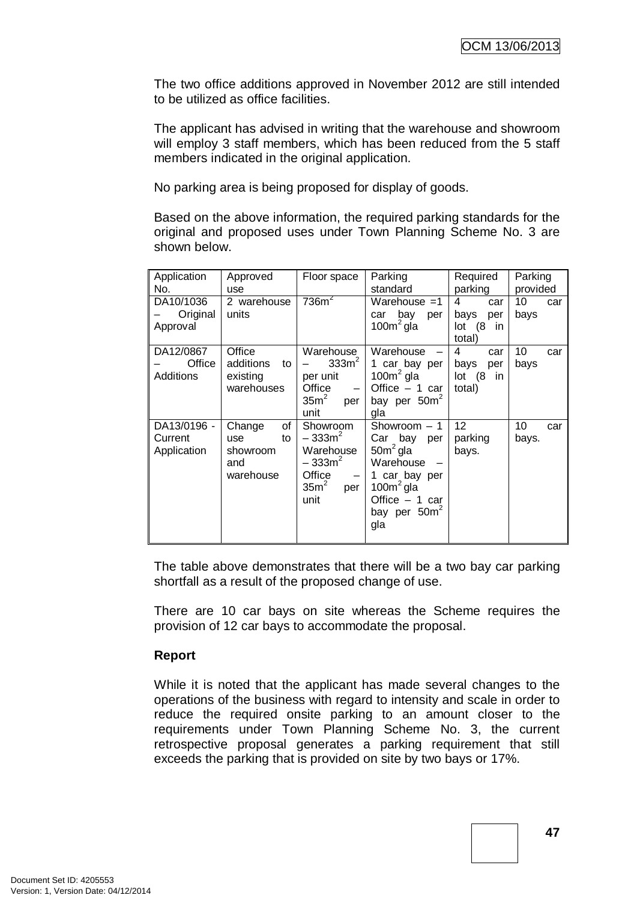The two office additions approved in November 2012 are still intended to be utilized as office facilities.

The applicant has advised in writing that the warehouse and showroom will employ 3 staff members, which has been reduced from the 5 staff members indicated in the original application.

No parking area is being proposed for display of goods.

Based on the above information, the required parking standards for the original and proposed uses under Town Planning Scheme No. 3 are shown below.

| Application | Approved        | Floor space                 | Parking                  | Required          | Parking   |
|-------------|-----------------|-----------------------------|--------------------------|-------------------|-----------|
| No.         | use             |                             | standard                 | parking           | provided  |
| DA10/1036   | 2 warehouse     | $736m^2$                    | Warehouse $=1$           | 4<br>car          | 10<br>car |
| Original    | units           |                             | bay<br>car<br>per        | bays<br>per       | bays      |
| Approval    |                 |                             | $100m2$ gla              | lot (8<br>- in    |           |
|             |                 |                             |                          | total)            |           |
| DA12/0867   | Office          | Warehouse                   | Warehouse                | 4<br>car          | 10<br>car |
| Office      | additions<br>to | 333m <sup>2</sup>           | 1 car bay per            | bays<br>per       | bays      |
| Additions   | existing        | per unit                    | 100 $m2$ gla             | $lot$ $(8)$<br>in |           |
|             | warehouses      | Office<br>$\qquad \qquad -$ | Office $-1$ car          | total)            |           |
|             |                 | 35 <sup>2</sup><br>per      | bay per 50m <sup>2</sup> |                   |           |
|             |                 | unit                        | gla                      |                   |           |
| DA13/0196 - | of<br>Change    | Showroom                    | Showroom $-1$            | 12                | 10<br>car |
| Current     | to<br>use       | $-333m2$                    | Car bay<br>per           | parking           | bays.     |
| Application | showroom        | Warehouse                   | $502$ gla                | bays.             |           |
|             | and             | $-333m^2$                   | Warehouse                |                   |           |
|             | warehouse       | Office                      | 1 car bay per            |                   |           |
|             |                 | 35m <sup>2</sup><br>per     | 100 $m2$ gla             |                   |           |
|             |                 | unit                        | Office $-1$ car          |                   |           |
|             |                 |                             | bay per 50m <sup>2</sup> |                   |           |
|             |                 |                             | gla                      |                   |           |
|             |                 |                             |                          |                   |           |

The table above demonstrates that there will be a two bay car parking shortfall as a result of the proposed change of use.

There are 10 car bays on site whereas the Scheme requires the provision of 12 car bays to accommodate the proposal.

### **Report**

While it is noted that the applicant has made several changes to the operations of the business with regard to intensity and scale in order to reduce the required onsite parking to an amount closer to the requirements under Town Planning Scheme No. 3, the current retrospective proposal generates a parking requirement that still exceeds the parking that is provided on site by two bays or 17%.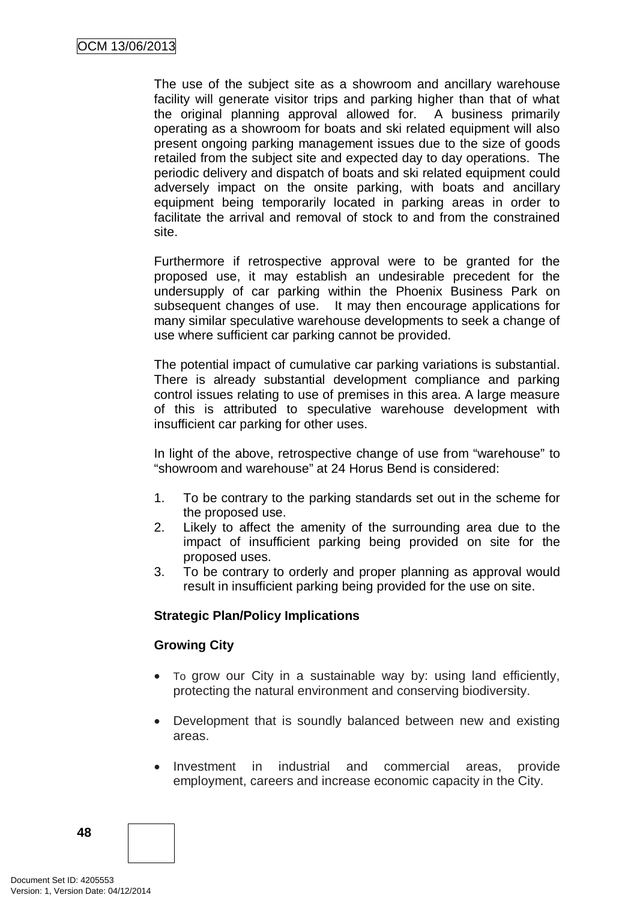The use of the subject site as a showroom and ancillary warehouse facility will generate visitor trips and parking higher than that of what the original planning approval allowed for. A business primarily operating as a showroom for boats and ski related equipment will also present ongoing parking management issues due to the size of goods retailed from the subject site and expected day to day operations. The periodic delivery and dispatch of boats and ski related equipment could adversely impact on the onsite parking, with boats and ancillary equipment being temporarily located in parking areas in order to facilitate the arrival and removal of stock to and from the constrained site.

Furthermore if retrospective approval were to be granted for the proposed use, it may establish an undesirable precedent for the undersupply of car parking within the Phoenix Business Park on subsequent changes of use. It may then encourage applications for many similar speculative warehouse developments to seek a change of use where sufficient car parking cannot be provided.

The potential impact of cumulative car parking variations is substantial. There is already substantial development compliance and parking control issues relating to use of premises in this area. A large measure of this is attributed to speculative warehouse development with insufficient car parking for other uses.

In light of the above, retrospective change of use from "warehouse" to "showroom and warehouse" at 24 Horus Bend is considered:

- 1. To be contrary to the parking standards set out in the scheme for the proposed use.
- 2. Likely to affect the amenity of the surrounding area due to the impact of insufficient parking being provided on site for the proposed uses.
- 3. To be contrary to orderly and proper planning as approval would result in insufficient parking being provided for the use on site.

### **Strategic Plan/Policy Implications**

### **Growing City**

- To grow our City in a sustainable way by: using land efficiently, protecting the natural environment and conserving biodiversity.
- Development that is soundly balanced between new and existing areas.
- Investment in industrial and commercial areas, provide employment, careers and increase economic capacity in the City.

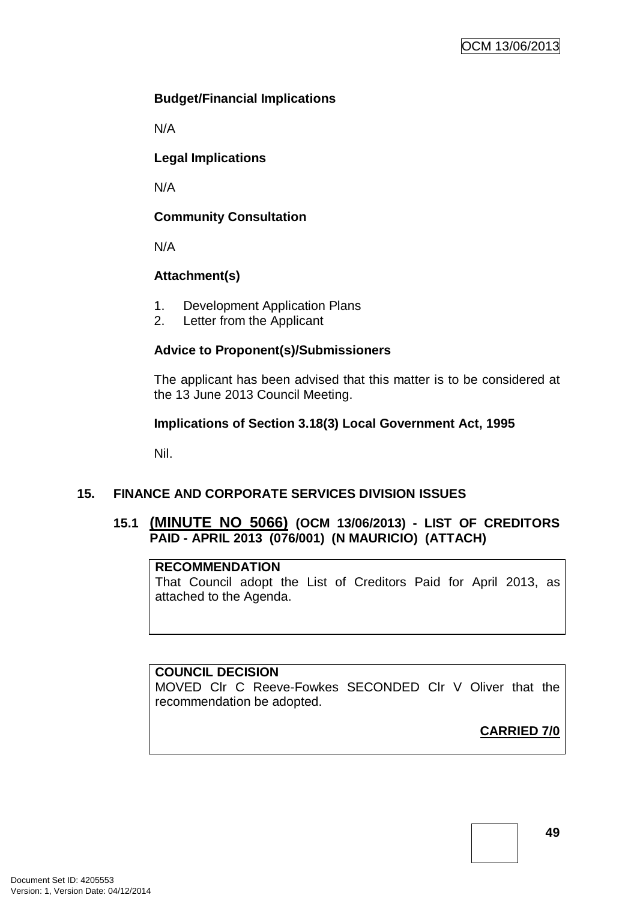## **Budget/Financial Implications**

N/A

**Legal Implications**

N/A

# **Community Consultation**

N/A

# **Attachment(s)**

- 1. Development Application Plans
- 2. Letter from the Applicant

## **Advice to Proponent(s)/Submissioners**

The applicant has been advised that this matter is to be considered at the 13 June 2013 Council Meeting.

## **Implications of Section 3.18(3) Local Government Act, 1995**

Nil.

# **15. FINANCE AND CORPORATE SERVICES DIVISION ISSUES**

## **15.1 (MINUTE NO 5066) (OCM 13/06/2013) - LIST OF CREDITORS PAID - APRIL 2013 (076/001) (N MAURICIO) (ATTACH)**

### **RECOMMENDATION**

That Council adopt the List of Creditors Paid for April 2013, as attached to the Agenda.

#### **COUNCIL DECISION**

MOVED Clr C Reeve-Fowkes SECONDED Clr V Oliver that the recommendation be adopted.

**CARRIED 7/0**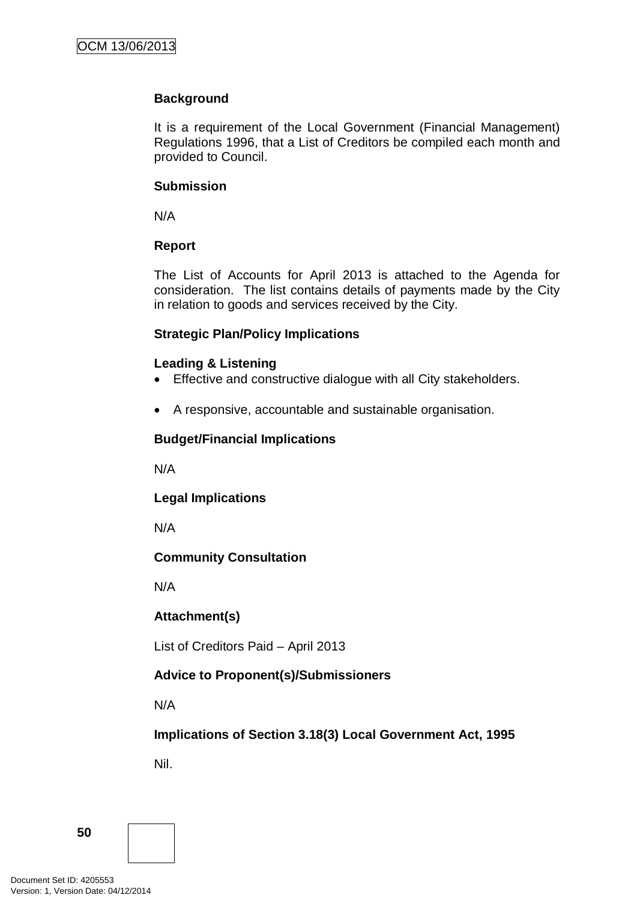## **Background**

It is a requirement of the Local Government (Financial Management) Regulations 1996, that a List of Creditors be compiled each month and provided to Council.

### **Submission**

N/A

### **Report**

The List of Accounts for April 2013 is attached to the Agenda for consideration. The list contains details of payments made by the City in relation to goods and services received by the City.

### **Strategic Plan/Policy Implications**

#### **Leading & Listening**

- Effective and constructive dialogue with all City stakeholders.
- A responsive, accountable and sustainable organisation.

#### **Budget/Financial Implications**

N/A

**Legal Implications**

N/A

### **Community Consultation**

N/A

### **Attachment(s)**

List of Creditors Paid – April 2013

### **Advice to Proponent(s)/Submissioners**

N/A

**Implications of Section 3.18(3) Local Government Act, 1995**

Nil.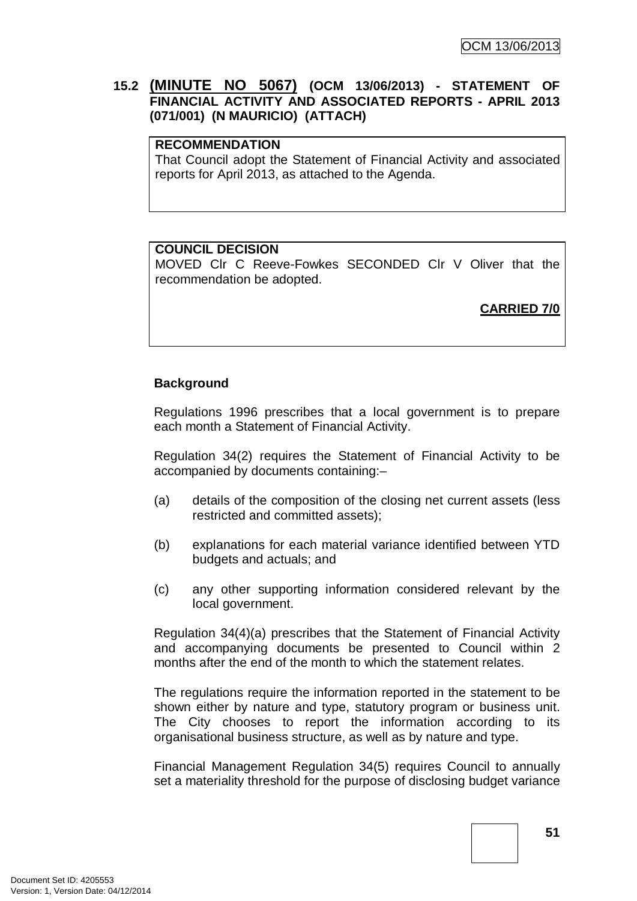## **15.2 (MINUTE NO 5067) (OCM 13/06/2013) - STATEMENT OF FINANCIAL ACTIVITY AND ASSOCIATED REPORTS - APRIL 2013 (071/001) (N MAURICIO) (ATTACH)**

#### **RECOMMENDATION**

That Council adopt the Statement of Financial Activity and associated reports for April 2013, as attached to the Agenda.

### **COUNCIL DECISION**

MOVED Clr C Reeve-Fowkes SECONDED Clr V Oliver that the recommendation be adopted.

**CARRIED 7/0**

### **Background**

Regulations 1996 prescribes that a local government is to prepare each month a Statement of Financial Activity.

Regulation 34(2) requires the Statement of Financial Activity to be accompanied by documents containing:–

- (a) details of the composition of the closing net current assets (less restricted and committed assets);
- (b) explanations for each material variance identified between YTD budgets and actuals; and
- (c) any other supporting information considered relevant by the local government.

Regulation 34(4)(a) prescribes that the Statement of Financial Activity and accompanying documents be presented to Council within 2 months after the end of the month to which the statement relates.

The regulations require the information reported in the statement to be shown either by nature and type, statutory program or business unit. The City chooses to report the information according to its organisational business structure, as well as by nature and type.

Financial Management Regulation 34(5) requires Council to annually set a materiality threshold for the purpose of disclosing budget variance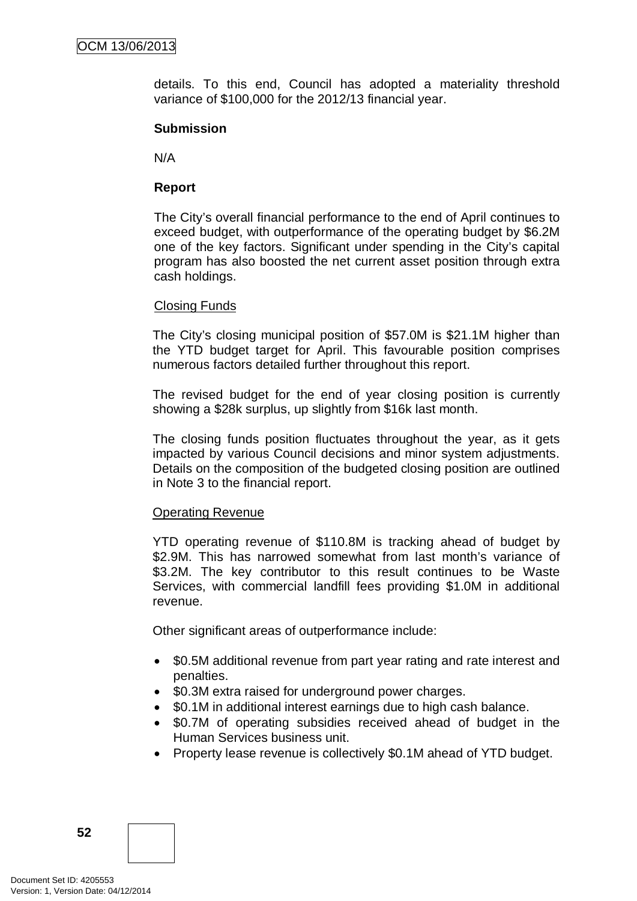details. To this end, Council has adopted a materiality threshold variance of \$100,000 for the 2012/13 financial year.

#### **Submission**

N/A

#### **Report**

The City's overall financial performance to the end of April continues to exceed budget, with outperformance of the operating budget by \$6.2M one of the key factors. Significant under spending in the City's capital program has also boosted the net current asset position through extra cash holdings.

#### Closing Funds

The City's closing municipal position of \$57.0M is \$21.1M higher than the YTD budget target for April. This favourable position comprises numerous factors detailed further throughout this report.

The revised budget for the end of year closing position is currently showing a \$28k surplus, up slightly from \$16k last month.

The closing funds position fluctuates throughout the year, as it gets impacted by various Council decisions and minor system adjustments. Details on the composition of the budgeted closing position are outlined in Note 3 to the financial report.

#### Operating Revenue

YTD operating revenue of \$110.8M is tracking ahead of budget by \$2.9M. This has narrowed somewhat from last month's variance of \$3.2M. The key contributor to this result continues to be Waste Services, with commercial landfill fees providing \$1.0M in additional revenue.

Other significant areas of outperformance include:

- \$0.5M additional revenue from part year rating and rate interest and penalties.
- \$0.3M extra raised for underground power charges.
- \$0.1M in additional interest earnings due to high cash balance.
- \$0.7M of operating subsidies received ahead of budget in the Human Services business unit.
- Property lease revenue is collectively \$0.1M ahead of YTD budget.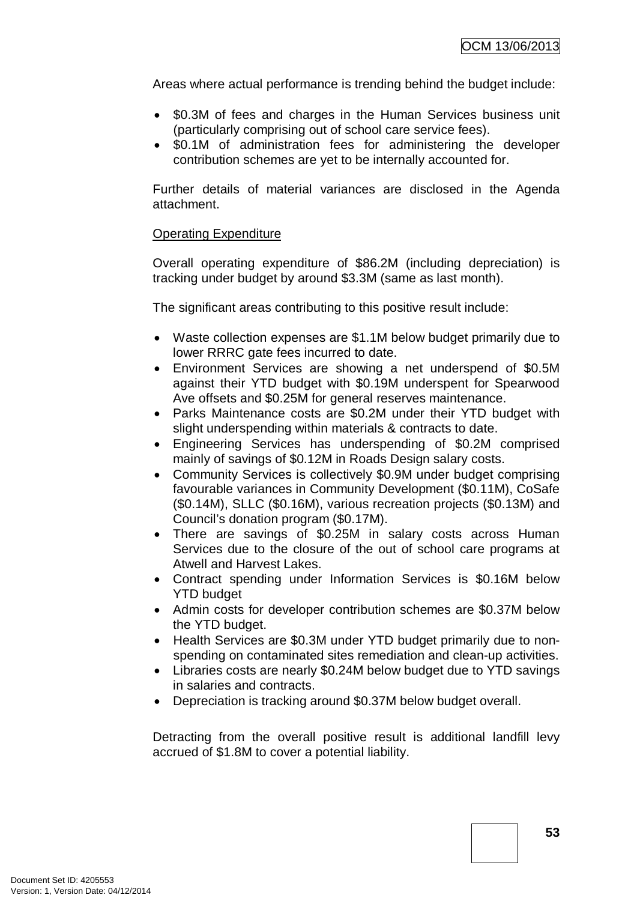Areas where actual performance is trending behind the budget include:

- \$0.3M of fees and charges in the Human Services business unit (particularly comprising out of school care service fees).
- \$0.1M of administration fees for administering the developer contribution schemes are yet to be internally accounted for.

Further details of material variances are disclosed in the Agenda attachment.

### Operating Expenditure

Overall operating expenditure of \$86.2M (including depreciation) is tracking under budget by around \$3.3M (same as last month).

The significant areas contributing to this positive result include:

- Waste collection expenses are \$1.1M below budget primarily due to lower RRRC gate fees incurred to date.
- Environment Services are showing a net underspend of \$0.5M against their YTD budget with \$0.19M underspent for Spearwood Ave offsets and \$0.25M for general reserves maintenance.
- Parks Maintenance costs are \$0.2M under their YTD budget with slight underspending within materials & contracts to date.
- Engineering Services has underspending of \$0.2M comprised mainly of savings of \$0.12M in Roads Design salary costs.
- Community Services is collectively \$0.9M under budget comprising favourable variances in Community Development (\$0.11M), CoSafe (\$0.14M), SLLC (\$0.16M), various recreation projects (\$0.13M) and Council's donation program (\$0.17M).
- There are savings of \$0.25M in salary costs across Human Services due to the closure of the out of school care programs at Atwell and Harvest Lakes.
- Contract spending under Information Services is \$0.16M below YTD budget
- Admin costs for developer contribution schemes are \$0.37M below the YTD budget.
- Health Services are \$0.3M under YTD budget primarily due to nonspending on contaminated sites remediation and clean-up activities.
- Libraries costs are nearly \$0.24M below budget due to YTD savings in salaries and contracts.
- Depreciation is tracking around \$0.37M below budget overall.

Detracting from the overall positive result is additional landfill levy accrued of \$1.8M to cover a potential liability.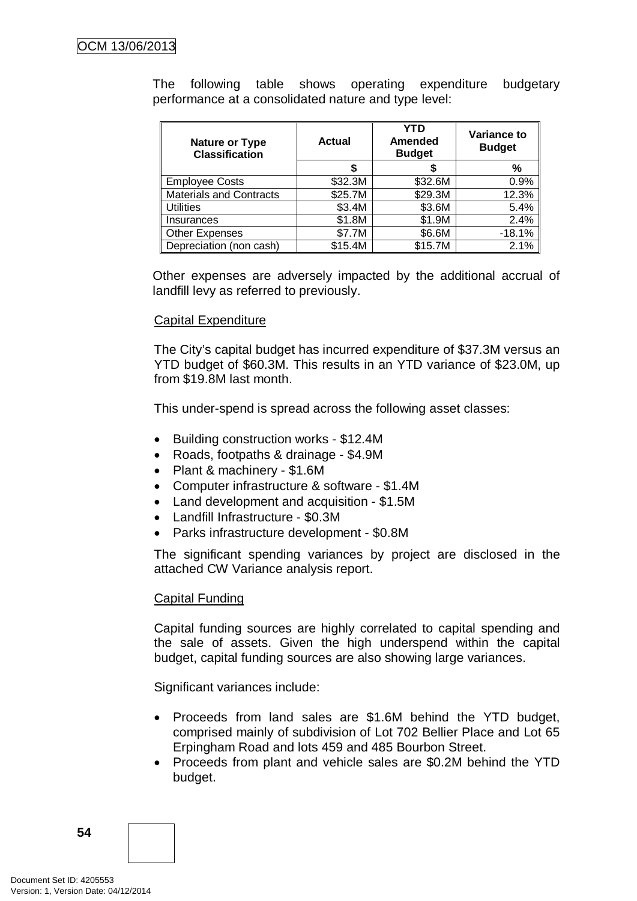The following table shows operating expenditure budgetary performance at a consolidated nature and type level:

| <b>Nature or Type</b><br><b>Classification</b> | <b>Actual</b> | YTD<br>Amended<br><b>Budget</b> | <b>Variance to</b><br><b>Budget</b> |
|------------------------------------------------|---------------|---------------------------------|-------------------------------------|
|                                                |               |                                 | %                                   |
| <b>Employee Costs</b>                          | \$32.3M       | \$32.6M                         | 0.9%                                |
| <b>Materials and Contracts</b>                 | \$25.7M       | \$29.3M                         | 12.3%                               |
| <b>Utilities</b>                               | \$3.4M        | \$3.6M                          | 5.4%                                |
| Insurances                                     | \$1.8M        | \$1.9M                          | 2.4%                                |
| <b>Other Expenses</b>                          | \$7.7M        | \$6.6M                          | $-18.1%$                            |
| Depreciation (non cash)                        | \$15.4M       | \$15.7M                         | 2.1%                                |

Other expenses are adversely impacted by the additional accrual of landfill levy as referred to previously.

#### Capital Expenditure

The City's capital budget has incurred expenditure of \$37.3M versus an YTD budget of \$60.3M. This results in an YTD variance of \$23.0M, up from \$19.8M last month.

This under-spend is spread across the following asset classes:

- Building construction works \$12.4M
- Roads, footpaths & drainage \$4.9M
- Plant & machinery \$1.6M
- Computer infrastructure & software \$1.4M
- Land development and acquisition \$1.5M
- Landfill Infrastructure \$0.3M
- Parks infrastructure development \$0.8M

The significant spending variances by project are disclosed in the attached CW Variance analysis report.

#### Capital Funding

Capital funding sources are highly correlated to capital spending and the sale of assets. Given the high underspend within the capital budget, capital funding sources are also showing large variances.

Significant variances include:

- Proceeds from land sales are \$1.6M behind the YTD budget, comprised mainly of subdivision of Lot 702 Bellier Place and Lot 65 Erpingham Road and lots 459 and 485 Bourbon Street.
- Proceeds from plant and vehicle sales are \$0.2M behind the YTD budget.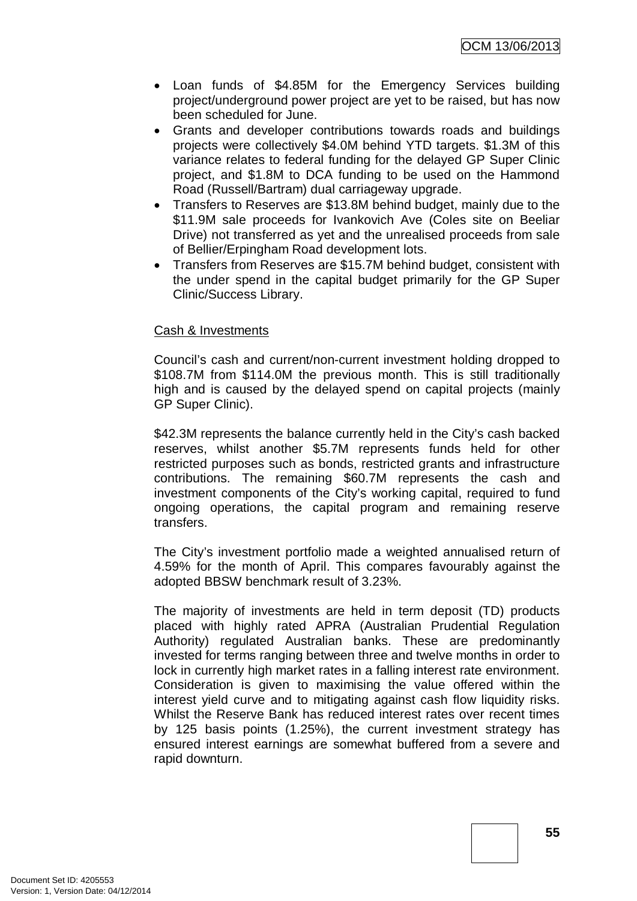- Loan funds of \$4.85M for the Emergency Services building project/underground power project are yet to be raised, but has now been scheduled for June.
- Grants and developer contributions towards roads and buildings projects were collectively \$4.0M behind YTD targets. \$1.3M of this variance relates to federal funding for the delayed GP Super Clinic project, and \$1.8M to DCA funding to be used on the Hammond Road (Russell/Bartram) dual carriageway upgrade.
- Transfers to Reserves are \$13.8M behind budget, mainly due to the \$11.9M sale proceeds for Ivankovich Ave (Coles site on Beeliar Drive) not transferred as yet and the unrealised proceeds from sale of Bellier/Erpingham Road development lots.
- Transfers from Reserves are \$15.7M behind budget, consistent with the under spend in the capital budget primarily for the GP Super Clinic/Success Library.

#### Cash & Investments

Council's cash and current/non-current investment holding dropped to \$108.7M from \$114.0M the previous month. This is still traditionally high and is caused by the delayed spend on capital projects (mainly GP Super Clinic).

\$42.3M represents the balance currently held in the City's cash backed reserves, whilst another \$5.7M represents funds held for other restricted purposes such as bonds, restricted grants and infrastructure contributions. The remaining \$60.7M represents the cash and investment components of the City's working capital, required to fund ongoing operations, the capital program and remaining reserve transfers.

The City's investment portfolio made a weighted annualised return of 4.59% for the month of April. This compares favourably against the adopted BBSW benchmark result of 3.23%.

The majority of investments are held in term deposit (TD) products placed with highly rated APRA (Australian Prudential Regulation Authority) regulated Australian banks. These are predominantly invested for terms ranging between three and twelve months in order to lock in currently high market rates in a falling interest rate environment. Consideration is given to maximising the value offered within the interest yield curve and to mitigating against cash flow liquidity risks. Whilst the Reserve Bank has reduced interest rates over recent times by 125 basis points (1.25%), the current investment strategy has ensured interest earnings are somewhat buffered from a severe and rapid downturn.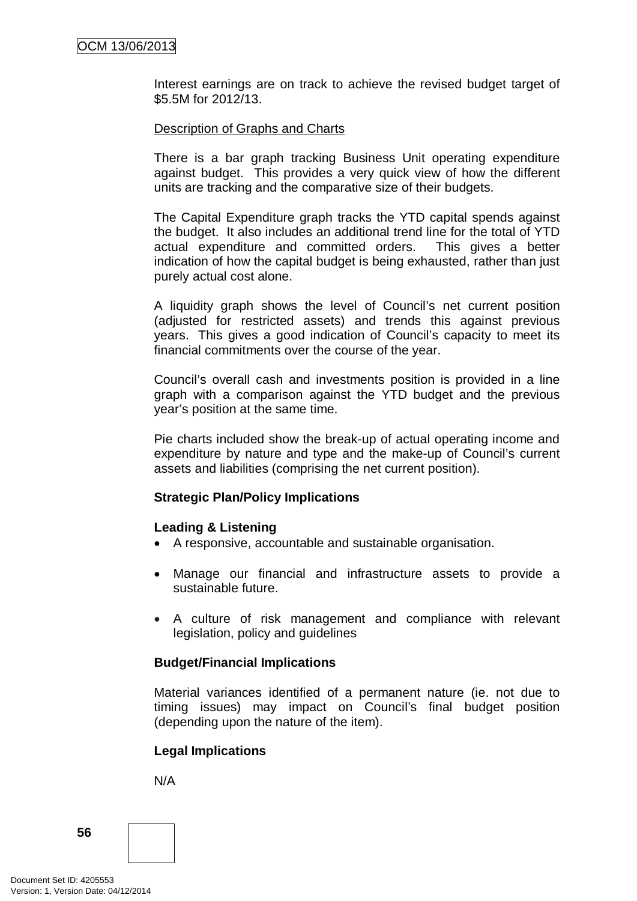Interest earnings are on track to achieve the revised budget target of \$5.5M for 2012/13.

#### Description of Graphs and Charts

There is a bar graph tracking Business Unit operating expenditure against budget. This provides a very quick view of how the different units are tracking and the comparative size of their budgets.

The Capital Expenditure graph tracks the YTD capital spends against the budget. It also includes an additional trend line for the total of YTD actual expenditure and committed orders. This gives a better indication of how the capital budget is being exhausted, rather than just purely actual cost alone.

A liquidity graph shows the level of Council's net current position (adjusted for restricted assets) and trends this against previous years. This gives a good indication of Council's capacity to meet its financial commitments over the course of the year.

Council's overall cash and investments position is provided in a line graph with a comparison against the YTD budget and the previous year's position at the same time.

Pie charts included show the break-up of actual operating income and expenditure by nature and type and the make-up of Council's current assets and liabilities (comprising the net current position).

#### **Strategic Plan/Policy Implications**

#### **Leading & Listening**

- A responsive, accountable and sustainable organisation.
- Manage our financial and infrastructure assets to provide a sustainable future.
- A culture of risk management and compliance with relevant legislation, policy and guidelines

#### **Budget/Financial Implications**

Material variances identified of a permanent nature (ie. not due to timing issues) may impact on Council's final budget position (depending upon the nature of the item).

#### **Legal Implications**

N/A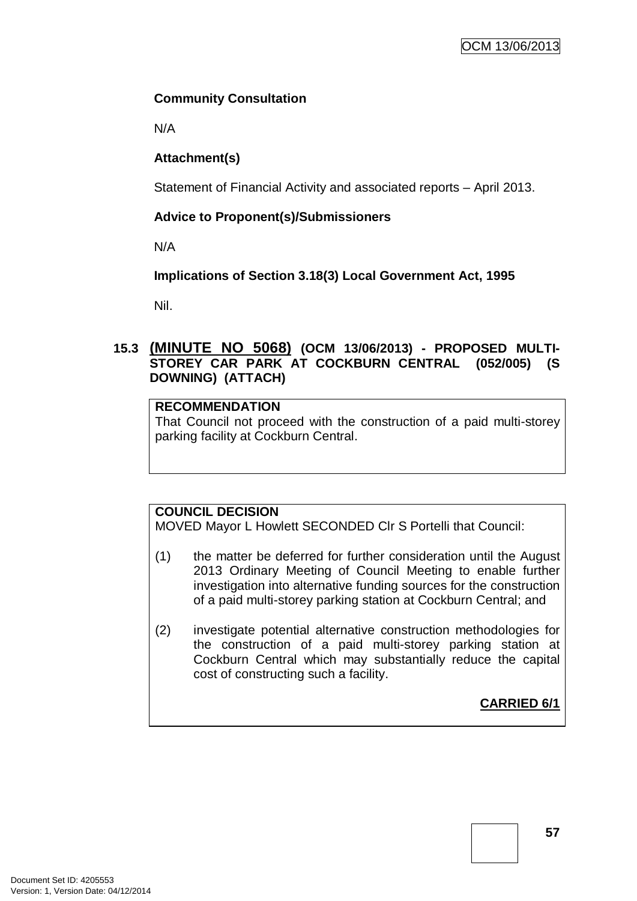## **Community Consultation**

N/A

# **Attachment(s)**

Statement of Financial Activity and associated reports – April 2013.

# **Advice to Proponent(s)/Submissioners**

N/A

**Implications of Section 3.18(3) Local Government Act, 1995**

Nil.

## **15.3 (MINUTE NO 5068) (OCM 13/06/2013) - PROPOSED MULTI-STOREY CAR PARK AT COCKBURN CENTRAL (052/005) (S DOWNING) (ATTACH)**

## **RECOMMENDATION**

That Council not proceed with the construction of a paid multi-storey parking facility at Cockburn Central.

# **COUNCIL DECISION**

MOVED Mayor L Howlett SECONDED Clr S Portelli that Council:

- (1) the matter be deferred for further consideration until the August 2013 Ordinary Meeting of Council Meeting to enable further investigation into alternative funding sources for the construction of a paid multi-storey parking station at Cockburn Central; and
- (2) investigate potential alternative construction methodologies for the construction of a paid multi-storey parking station at Cockburn Central which may substantially reduce the capital cost of constructing such a facility.

**CARRIED 6/1**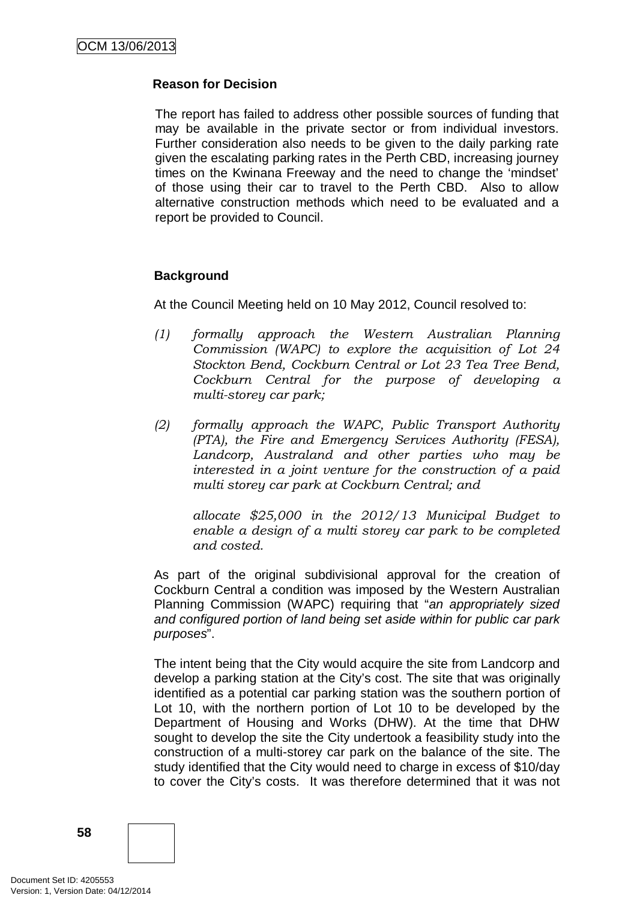#### **Reason for Decision**

The report has failed to address other possible sources of funding that may be available in the private sector or from individual investors. Further consideration also needs to be given to the daily parking rate given the escalating parking rates in the Perth CBD, increasing journey times on the Kwinana Freeway and the need to change the 'mindset' of those using their car to travel to the Perth CBD. Also to allow alternative construction methods which need to be evaluated and a report be provided to Council.

## **Background**

At the Council Meeting held on 10 May 2012, Council resolved to:

- *(1) formally approach the Western Australian Planning Commission (WAPC) to explore the acquisition of Lot 24 Stockton Bend, Cockburn Central or Lot 23 Tea Tree Bend, Cockburn Central for the purpose of developing a multi-storey car park;*
- *(2) formally approach the WAPC, Public Transport Authority (PTA), the Fire and Emergency Services Authority (FESA), Landcorp, Australand and other parties who may be interested in a joint venture for the construction of a paid multi storey car park at Cockburn Central; and*

*allocate \$25,000 in the 2012/13 Municipal Budget to enable a design of a multi storey car park to be completed and costed.*

As part of the original subdivisional approval for the creation of Cockburn Central a condition was imposed by the Western Australian Planning Commission (WAPC) requiring that "*an appropriately sized and configured portion of land being set aside within for public car park purposes*".

The intent being that the City would acquire the site from Landcorp and develop a parking station at the City's cost. The site that was originally identified as a potential car parking station was the southern portion of Lot 10, with the northern portion of Lot 10 to be developed by the Department of Housing and Works (DHW). At the time that DHW sought to develop the site the City undertook a feasibility study into the construction of a multi-storey car park on the balance of the site. The study identified that the City would need to charge in excess of \$10/day to cover the City's costs. It was therefore determined that it was not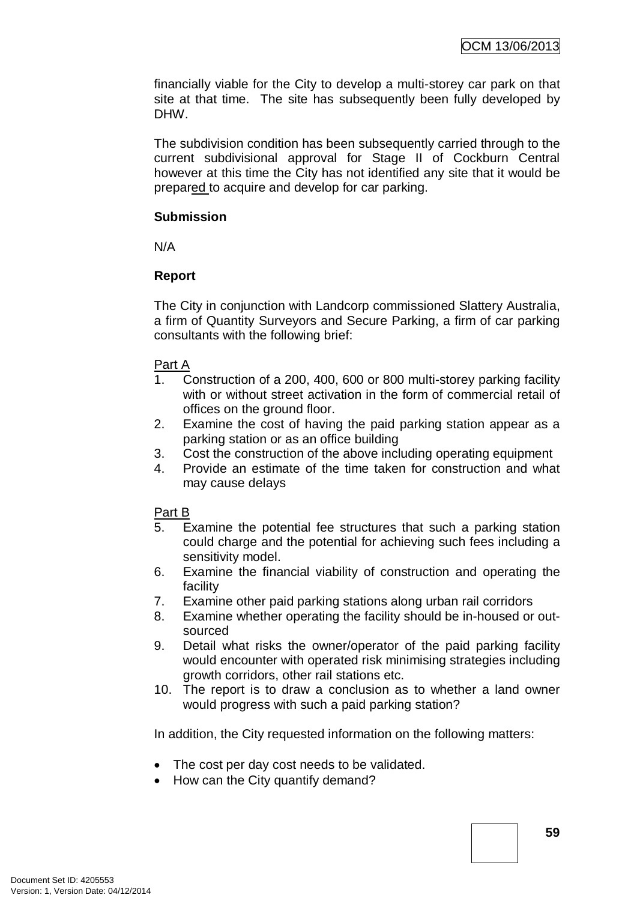financially viable for the City to develop a multi-storey car park on that site at that time. The site has subsequently been fully developed by DHW.

The subdivision condition has been subsequently carried through to the current subdivisional approval for Stage II of Cockburn Central however at this time the City has not identified any site that it would be prepared to acquire and develop for car parking.

## **Submission**

N/A

# **Report**

The City in conjunction with Landcorp commissioned Slattery Australia, a firm of Quantity Surveyors and Secure Parking, a firm of car parking consultants with the following brief:

## Part A

- 1. Construction of a 200, 400, 600 or 800 multi-storey parking facility with or without street activation in the form of commercial retail of offices on the ground floor.
- 2. Examine the cost of having the paid parking station appear as a parking station or as an office building
- 3. Cost the construction of the above including operating equipment
- 4. Provide an estimate of the time taken for construction and what may cause delays

### Part B

- 5. Examine the potential fee structures that such a parking station could charge and the potential for achieving such fees including a sensitivity model.
- 6. Examine the financial viability of construction and operating the facility
- 7. Examine other paid parking stations along urban rail corridors
- 8. Examine whether operating the facility should be in-housed or outsourced
- 9. Detail what risks the owner/operator of the paid parking facility would encounter with operated risk minimising strategies including growth corridors, other rail stations etc.
- 10. The report is to draw a conclusion as to whether a land owner would progress with such a paid parking station?

In addition, the City requested information on the following matters:

- The cost per day cost needs to be validated.
- How can the City quantify demand?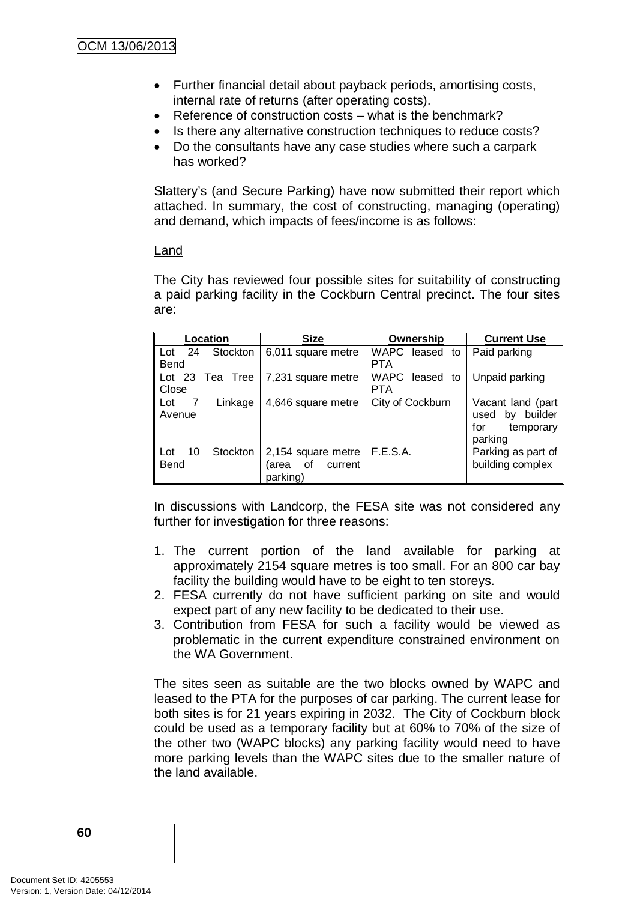- Further financial detail about payback periods, amortising costs, internal rate of returns (after operating costs).
- Reference of construction costs what is the benchmark?
- Is there any alternative construction techniques to reduce costs?
- Do the consultants have any case studies where such a carpark has worked?

Slattery's (and Secure Parking) have now submitted their report which attached. In summary, the cost of constructing, managing (operating) and demand, which impacts of fees/income is as follows:

#### Land

The City has reviewed four possible sites for suitability of constructing a paid parking facility in the Cockburn Central precinct. The four sites are:

| Location              | <b>Size</b>            | Ownership                   | <b>Current Use</b>    |
|-----------------------|------------------------|-----------------------------|-----------------------|
| Stockton<br>24<br>Lot | 6,011 square metre     | <b>WAPC</b><br>leased to    | Paid parking          |
| Bend                  |                        | <b>PTA</b>                  |                       |
| Lot 23 Tea Tree       | 7,231 square metre     | <b>WAPC</b><br>leased<br>to | Unpaid parking        |
| Close                 |                        | <b>PTA</b>                  |                       |
| Linkage<br>Lot        | 4,646 square metre     | City of Cockburn            | Vacant land (part     |
| Avenue                |                        |                             | builder<br>by<br>used |
|                       |                        |                             | for<br>temporary      |
|                       |                        |                             | parking               |
| Stockton<br>10<br>Lot | 2,154 square metre     | <b>F.E.S.A.</b>             | Parking as part of    |
| Bend                  | οf<br>current<br>area) |                             | building complex      |
|                       | parking)               |                             |                       |

In discussions with Landcorp, the FESA site was not considered any further for investigation for three reasons:

- 1. The current portion of the land available for parking at approximately 2154 square metres is too small. For an 800 car bay facility the building would have to be eight to ten storeys.
- 2. FESA currently do not have sufficient parking on site and would expect part of any new facility to be dedicated to their use.
- 3. Contribution from FESA for such a facility would be viewed as problematic in the current expenditure constrained environment on the WA Government.

The sites seen as suitable are the two blocks owned by WAPC and leased to the PTA for the purposes of car parking. The current lease for both sites is for 21 years expiring in 2032. The City of Cockburn block could be used as a temporary facility but at 60% to 70% of the size of the other two (WAPC blocks) any parking facility would need to have more parking levels than the WAPC sites due to the smaller nature of the land available.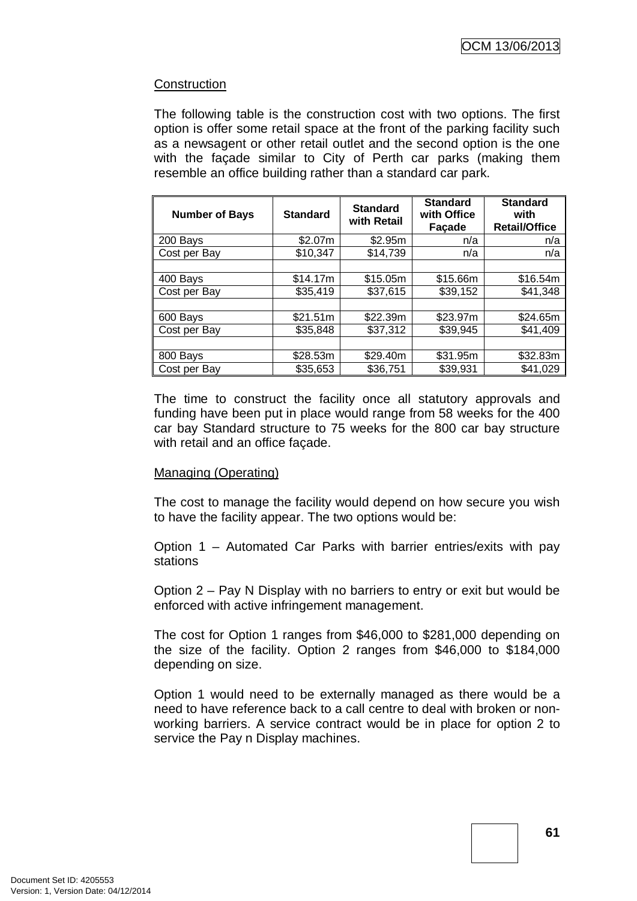### **Construction**

The following table is the construction cost with two options. The first option is offer some retail space at the front of the parking facility such as a newsagent or other retail outlet and the second option is the one with the façade similar to City of Perth car parks (making them resemble an office building rather than a standard car park.

| <b>Number of Bays</b> | <b>Standard</b> | <b>Standard</b><br>with Retail | <b>Standard</b><br>with Office<br>Façade | <b>Standard</b><br>with<br><b>Retail/Office</b> |
|-----------------------|-----------------|--------------------------------|------------------------------------------|-------------------------------------------------|
| 200 Bays              | \$2.07m         | \$2.95m                        | n/a                                      | n/a                                             |
| Cost per Bay          | \$10,347        | \$14,739                       | n/a                                      | n/a                                             |
|                       |                 |                                |                                          |                                                 |
| 400 Bays              | \$14.17m        | \$15.05m                       | \$15.66m                                 | \$16.54m                                        |
| Cost per Bay          | \$35,419        | \$37,615                       | \$39,152                                 | \$41,348                                        |
|                       |                 |                                |                                          |                                                 |
| 600 Bays              | \$21.51m        | \$22.39m                       | \$23.97m                                 | \$24.65m                                        |
| Cost per Bay          | \$35,848        | \$37,312                       | \$39,945                                 | \$41,409                                        |
|                       |                 |                                |                                          |                                                 |
| 800 Bays              | \$28.53m        | \$29.40m                       | \$31.95m                                 | \$32.83m                                        |
| Cost per Bay          | \$35,653        | \$36,751                       | \$39,931                                 | \$41,029                                        |

The time to construct the facility once all statutory approvals and funding have been put in place would range from 58 weeks for the 400 car bay Standard structure to 75 weeks for the 800 car bay structure with retail and an office façade.

### Managing (Operating)

The cost to manage the facility would depend on how secure you wish to have the facility appear. The two options would be:

Option 1 – Automated Car Parks with barrier entries/exits with pay stations

Option 2 – Pay N Display with no barriers to entry or exit but would be enforced with active infringement management.

The cost for Option 1 ranges from \$46,000 to \$281,000 depending on the size of the facility. Option 2 ranges from \$46,000 to \$184,000 depending on size.

Option 1 would need to be externally managed as there would be a need to have reference back to a call centre to deal with broken or nonworking barriers. A service contract would be in place for option 2 to service the Pay n Display machines.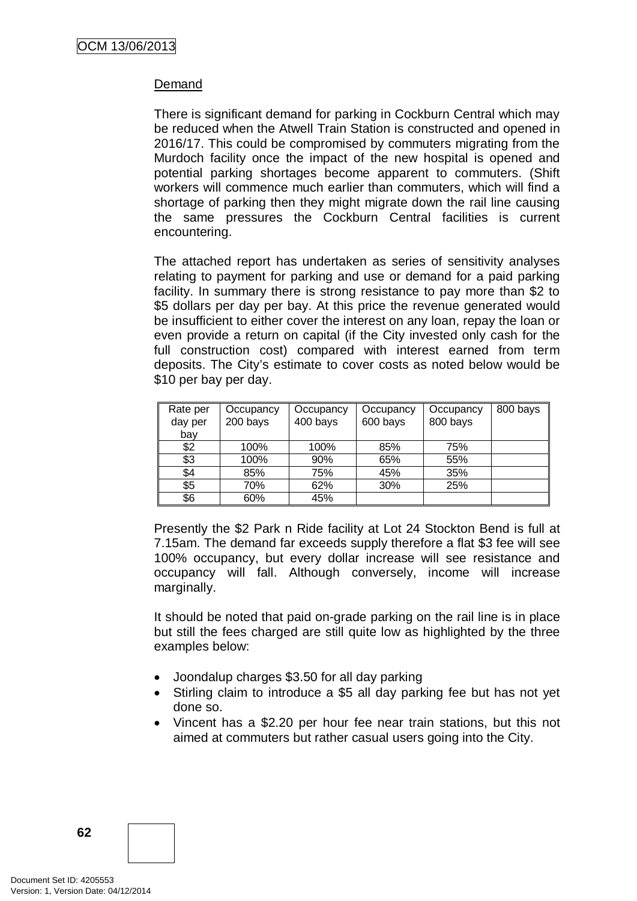#### Demand

There is significant demand for parking in Cockburn Central which may be reduced when the Atwell Train Station is constructed and opened in 2016/17. This could be compromised by commuters migrating from the Murdoch facility once the impact of the new hospital is opened and potential parking shortages become apparent to commuters. (Shift workers will commence much earlier than commuters, which will find a shortage of parking then they might migrate down the rail line causing the same pressures the Cockburn Central facilities is current encountering.

The attached report has undertaken as series of sensitivity analyses relating to payment for parking and use or demand for a paid parking facility. In summary there is strong resistance to pay more than \$2 to \$5 dollars per day per bay. At this price the revenue generated would be insufficient to either cover the interest on any loan, repay the loan or even provide a return on capital (if the City invested only cash for the full construction cost) compared with interest earned from term deposits. The City's estimate to cover costs as noted below would be \$10 per bay per day.

| Rate per<br>day per | Occupancy<br>200 bays | Occupancy<br>400 bays | Occupancy<br>600 bays | Occupancy<br>800 bays | 800 bays |
|---------------------|-----------------------|-----------------------|-----------------------|-----------------------|----------|
| bay                 |                       |                       |                       |                       |          |
| \$2                 | 100%                  | 100%                  | 85%                   | 75%                   |          |
| \$3                 | 100%                  | 90%                   | 65%                   | 55%                   |          |
| \$4                 | 85%                   | 75%                   | 45%                   | 35%                   |          |
| \$5                 | 70%                   | 62%                   | 30%                   | 25%                   |          |
| \$6                 | 60%                   | 45%                   |                       |                       |          |

Presently the \$2 Park n Ride facility at Lot 24 Stockton Bend is full at 7.15am. The demand far exceeds supply therefore a flat \$3 fee will see 100% occupancy, but every dollar increase will see resistance and occupancy will fall. Although conversely, income will increase marginally.

It should be noted that paid on-grade parking on the rail line is in place but still the fees charged are still quite low as highlighted by the three examples below:

- Joondalup charges \$3.50 for all day parking
- Stirling claim to introduce a \$5 all day parking fee but has not yet done so.
- Vincent has a \$2.20 per hour fee near train stations, but this not aimed at commuters but rather casual users going into the City.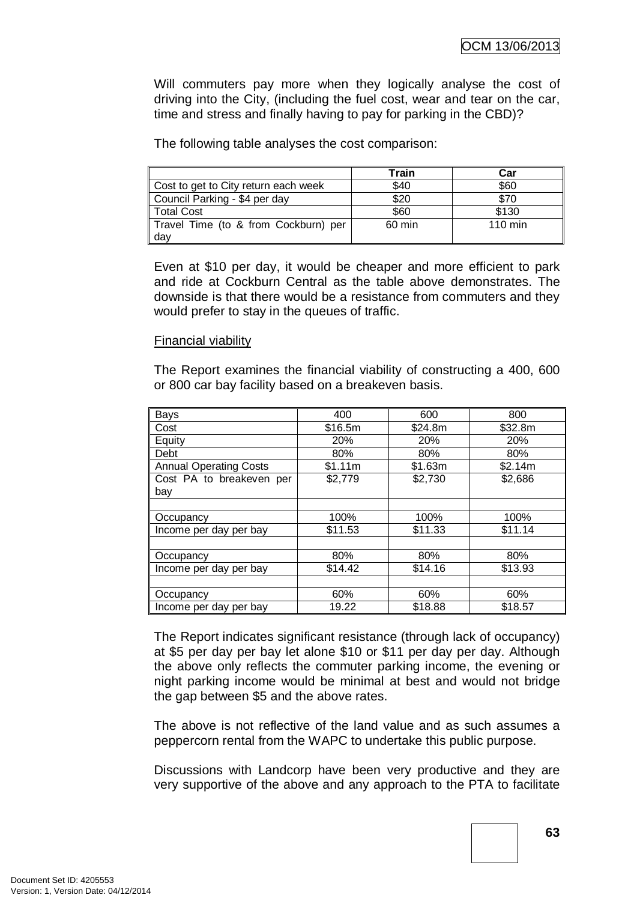Will commuters pay more when they logically analyse the cost of driving into the City, (including the fuel cost, wear and tear on the car, time and stress and finally having to pay for parking in the CBD)?

The following table analyses the cost comparison:

|                                      | Train  | Car               |
|--------------------------------------|--------|-------------------|
| Cost to get to City return each week | \$40   | \$60              |
| Council Parking - \$4 per day        | \$20   | \$70              |
| <b>Total Cost</b>                    | \$60   | \$130             |
| Travel Time (to & from Cockburn) per | 60 min | $110 \text{ min}$ |
| day                                  |        |                   |

Even at \$10 per day, it would be cheaper and more efficient to park and ride at Cockburn Central as the table above demonstrates. The downside is that there would be a resistance from commuters and they would prefer to stay in the queues of traffic.

#### Financial viability

The Report examines the financial viability of constructing a 400, 600 or 800 car bay facility based on a breakeven basis.

| <b>Bays</b>                   | 400     | 600     | 800     |
|-------------------------------|---------|---------|---------|
| Cost                          | \$16.5m | \$24.8m | \$32.8m |
| Equity                        | 20%     | 20%     | 20%     |
| Debt                          | 80%     | 80%     | 80%     |
| <b>Annual Operating Costs</b> | \$1.11m | \$1.63m | \$2.14m |
| Cost PA to breakeven per      | \$2,779 | \$2,730 | \$2,686 |
| bay                           |         |         |         |
|                               |         |         |         |
| Occupancy                     | 100%    | 100%    | 100%    |
| Income per day per bay        | \$11.53 | \$11.33 | \$11.14 |
|                               |         |         |         |
| Occupancy                     | 80%     | 80%     | 80%     |
| Income per day per bay        | \$14.42 | \$14.16 | \$13.93 |
|                               |         |         |         |
| Occupancy                     | 60%     | 60%     | 60%     |
| Income per day per bay        | 19.22   | \$18.88 | \$18.57 |

The Report indicates significant resistance (through lack of occupancy) at \$5 per day per bay let alone \$10 or \$11 per day per day. Although the above only reflects the commuter parking income, the evening or night parking income would be minimal at best and would not bridge the gap between \$5 and the above rates.

The above is not reflective of the land value and as such assumes a peppercorn rental from the WAPC to undertake this public purpose.

Discussions with Landcorp have been very productive and they are very supportive of the above and any approach to the PTA to facilitate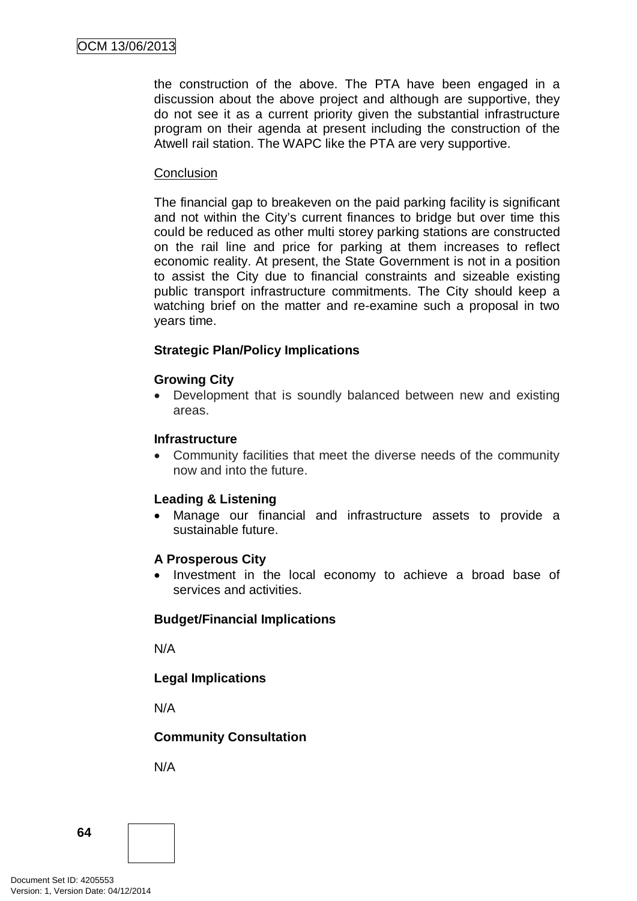the construction of the above. The PTA have been engaged in a discussion about the above project and although are supportive, they do not see it as a current priority given the substantial infrastructure program on their agenda at present including the construction of the Atwell rail station. The WAPC like the PTA are very supportive.

#### **Conclusion**

The financial gap to breakeven on the paid parking facility is significant and not within the City's current finances to bridge but over time this could be reduced as other multi storey parking stations are constructed on the rail line and price for parking at them increases to reflect economic reality. At present, the State Government is not in a position to assist the City due to financial constraints and sizeable existing public transport infrastructure commitments. The City should keep a watching brief on the matter and re-examine such a proposal in two years time.

## **Strategic Plan/Policy Implications**

### **Growing City**

• Development that is soundly balanced between new and existing areas.

#### **Infrastructure**

• Community facilities that meet the diverse needs of the community now and into the future.

### **Leading & Listening**

• Manage our financial and infrastructure assets to provide a sustainable future.

### **A Prosperous City**

• Investment in the local economy to achieve a broad base of services and activities.

### **Budget/Financial Implications**

N/A

### **Legal Implications**

N/A

### **Community Consultation**

N/A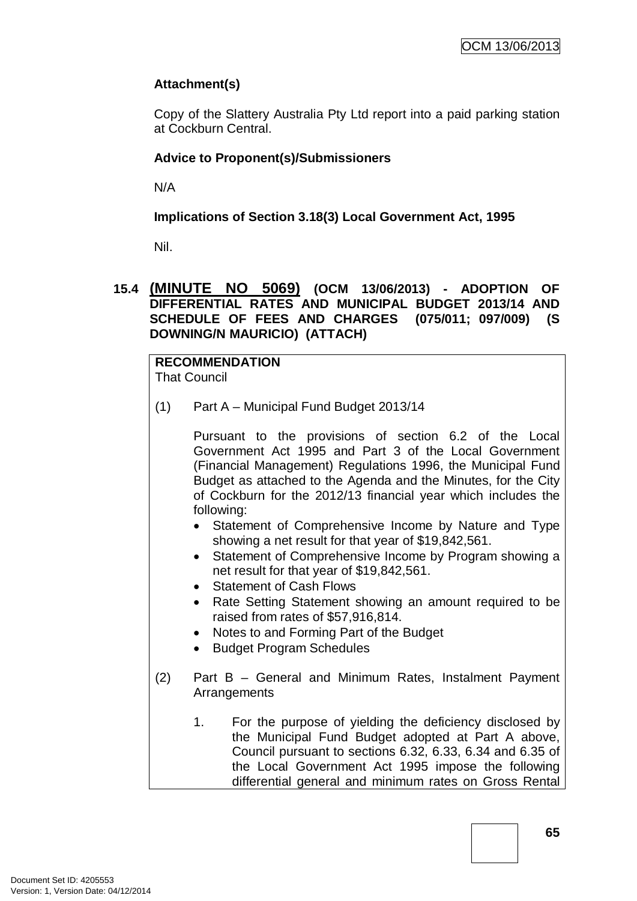# **Attachment(s)**

Copy of the Slattery Australia Pty Ltd report into a paid parking station at Cockburn Central.

# **Advice to Proponent(s)/Submissioners**

N/A

# **Implications of Section 3.18(3) Local Government Act, 1995**

Nil.

**15.4 (MINUTE NO 5069) (OCM 13/06/2013) - ADOPTION OF DIFFERENTIAL RATES AND MUNICIPAL BUDGET 2013/14 AND SCHEDULE OF FEES AND CHARGES (075/011; 097/009) (S DOWNING/N MAURICIO) (ATTACH)**

#### **RECOMMENDATION** That Council

(1) Part A – Municipal Fund Budget 2013/14

Pursuant to the provisions of section 6.2 of the Local Government Act 1995 and Part 3 of the Local Government (Financial Management) Regulations 1996, the Municipal Fund Budget as attached to the Agenda and the Minutes, for the City of Cockburn for the 2012/13 financial year which includes the following:

- Statement of Comprehensive Income by Nature and Type showing a net result for that year of \$19,842,561.
- Statement of Comprehensive Income by Program showing a net result for that year of \$19,842,561.
- Statement of Cash Flows
- Rate Setting Statement showing an amount required to be raised from rates of \$57,916,814.
- Notes to and Forming Part of the Budget
- Budget Program Schedules
- (2) Part B General and Minimum Rates, Instalment Payment **Arrangements** 
	- 1. For the purpose of yielding the deficiency disclosed by the Municipal Fund Budget adopted at Part A above, Council pursuant to sections 6.32, 6.33, 6.34 and 6.35 of the Local Government Act 1995 impose the following differential general and minimum rates on Gross Rental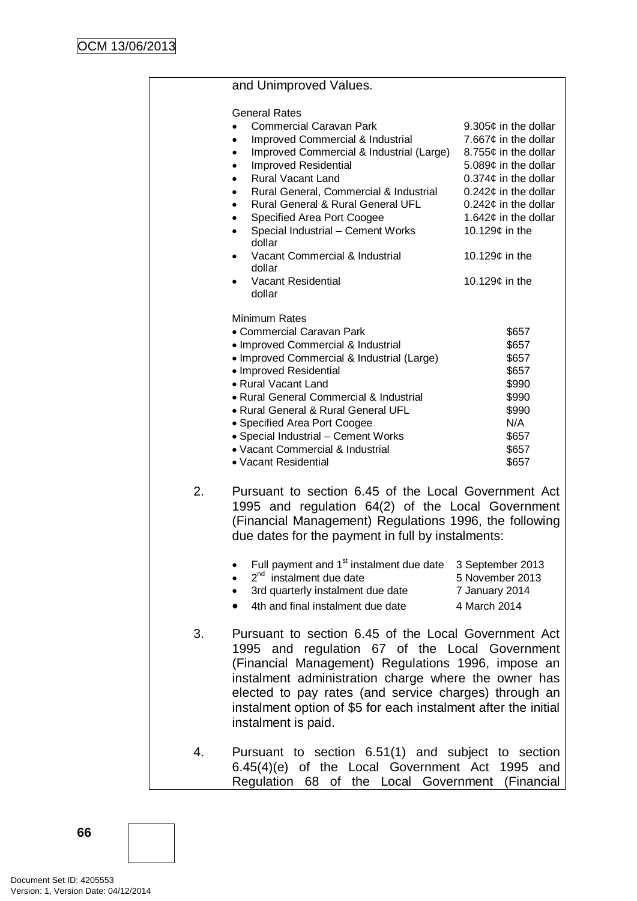|    | and Unimproved Values.                                                                                                                                                                                                                                                                                                                                                                                                                                                                                                                   |                                                                                                                                                                                                                                                                                                     |
|----|------------------------------------------------------------------------------------------------------------------------------------------------------------------------------------------------------------------------------------------------------------------------------------------------------------------------------------------------------------------------------------------------------------------------------------------------------------------------------------------------------------------------------------------|-----------------------------------------------------------------------------------------------------------------------------------------------------------------------------------------------------------------------------------------------------------------------------------------------------|
|    | <b>General Rates</b><br><b>Commercial Caravan Park</b><br>$\bullet$<br>Improved Commercial & Industrial<br>$\bullet$<br>Improved Commercial & Industrial (Large)<br>$\bullet$<br>Improved Residential<br>$\bullet$<br>Rural Vacant Land<br>$\bullet$<br>Rural General, Commercial & Industrial<br>٠<br>Rural General & Rural General UFL<br>$\bullet$<br>Specified Area Port Coogee<br>$\bullet$<br>Special Industrial - Cement Works<br>$\bullet$<br>dollar<br>Vacant Commercial & Industrial<br>dollar<br>Vacant Residential<br>dollar | 9.305 $\phi$ in the dollar<br>7.667 $¢$ in the dollar<br>8.755 $\phi$ in the dollar<br>5.089 $\phi$ in the dollar<br>$0.374¢$ in the dollar<br>0.242 $\phi$ in the dollar<br>$0.242¢$ in the dollar<br>1.642 $\phi$ in the dollar<br>10.129¢ in the<br>10.129 $\phi$ in the<br>10.129 $\phi$ in the |
|    | Minimum Rates<br>• Commercial Caravan Park<br>• Improved Commercial & Industrial<br>• Improved Commercial & Industrial (Large)<br>· Improved Residential<br>• Rural Vacant Land<br>• Rural General Commercial & Industrial<br>• Rural General & Rural General UFL<br>• Specified Area Port Coogee<br>• Special Industrial - Cement Works<br>• Vacant Commercial & Industrial<br>• Vacant Residential                                                                                                                                     | \$657<br>\$657<br>\$657<br>\$657<br>\$990<br>\$990<br>\$990<br>N/A<br>\$657<br>\$657<br>\$657                                                                                                                                                                                                       |
| 2. | Pursuant to section 6.45 of the Local Government Act<br>1995 and regulation 64(2) of the Local Government<br>(Financial Management) Regulations 1996, the following<br>due dates for the payment in full by instalments:                                                                                                                                                                                                                                                                                                                 |                                                                                                                                                                                                                                                                                                     |
|    | Full payment and 1 <sup>st</sup> instalment due date<br>$2nd$ instalment due date<br>3rd quarterly instalment due date<br>4th and final instalment due date                                                                                                                                                                                                                                                                                                                                                                              | 3 September 2013<br>5 November 2013<br>7 January 2014<br>4 March 2014                                                                                                                                                                                                                               |
| 3. | Pursuant to section 6.45 of the Local Government Act<br>1995 and regulation 67 of the Local Government<br>(Financial Management) Regulations 1996, impose an<br>instalment administration charge where the owner has<br>elected to pay rates (and service charges) through an<br>instalment option of \$5 for each instalment after the initial<br>instalment is paid.                                                                                                                                                                   |                                                                                                                                                                                                                                                                                                     |

4. Pursuant to section 6.51(1) and subject to section 6.45(4)(e) of the Local Government Act 1995 and Regulation 68 of the Local Government (Financial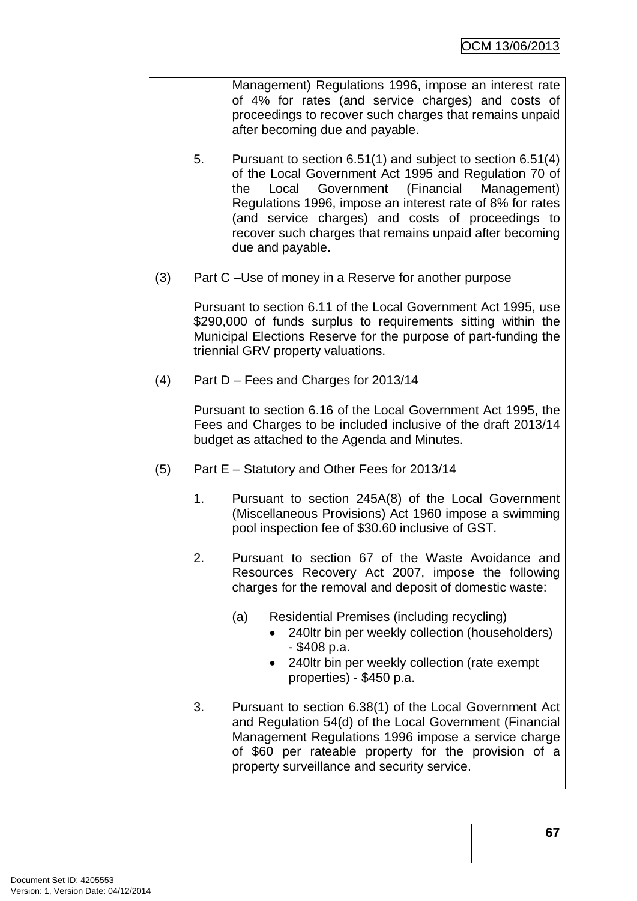Management) Regulations 1996, impose an interest rate of 4% for rates (and service charges) and costs of proceedings to recover such charges that remains unpaid after becoming due and payable.

- 5. Pursuant to section 6.51(1) and subject to section 6.51(4) of the Local Government Act 1995 and Regulation 70 of the Local Government (Financial Management) Regulations 1996, impose an interest rate of 8% for rates (and service charges) and costs of proceedings to recover such charges that remains unpaid after becoming due and payable.
- (3) Part C –Use of money in a Reserve for another purpose

Pursuant to section 6.11 of the Local Government Act 1995, use \$290,000 of funds surplus to requirements sitting within the Municipal Elections Reserve for the purpose of part-funding the triennial GRV property valuations.

(4) Part D – Fees and Charges for 2013/14

Pursuant to section 6.16 of the Local Government Act 1995, the Fees and Charges to be included inclusive of the draft 2013/14 budget as attached to the Agenda and Minutes.

- (5) Part E Statutory and Other Fees for 2013/14
	- 1. Pursuant to section 245A(8) of the Local Government (Miscellaneous Provisions) Act 1960 impose a swimming pool inspection fee of \$30.60 inclusive of GST.
	- 2. Pursuant to section 67 of the Waste Avoidance and Resources Recovery Act 2007, impose the following charges for the removal and deposit of domestic waste:
		- (a) Residential Premises (including recycling)
			- 240ltr bin per weekly collection (householders) - \$408 p.a.
			- 240ltr bin per weekly collection (rate exempt properties) - \$450 p.a.
	- 3. Pursuant to section 6.38(1) of the Local Government Act and Regulation 54(d) of the Local Government (Financial Management Regulations 1996 impose a service charge of \$60 per rateable property for the provision of a property surveillance and security service.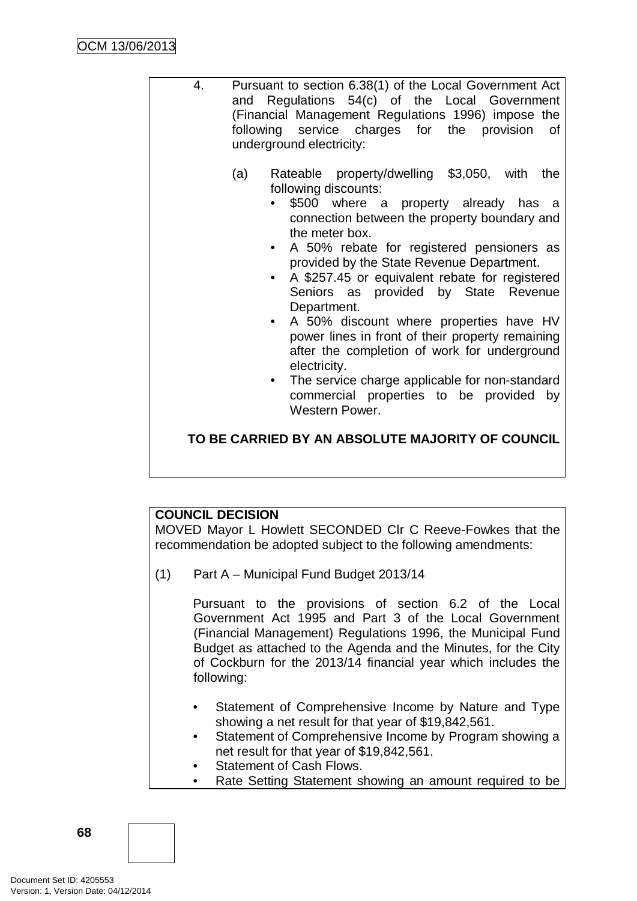- 4. Pursuant to section 6.38(1) of the Local Government Act and Regulations 54(c) of the Local Government (Financial Management Regulations 1996) impose the following service charges for the provision of underground electricity:
	- (a) Rateable property/dwelling \$3,050, with the following discounts:
		- \$500 where a property already has a connection between the property boundary and the meter box.
		- A 50% rebate for registered pensioners as provided by the State Revenue Department.
		- A \$257.45 or equivalent rebate for registered Seniors as provided by State Revenue Department.
		- A 50% discount where properties have HV power lines in front of their property remaining after the completion of work for underground electricity.
		- The service charge applicable for non-standard commercial properties to be provided by Western Power.

# **TO BE CARRIED BY AN ABSOLUTE MAJORITY OF COUNCIL**

# **COUNCIL DECISION**

MOVED Mayor L Howlett SECONDED Clr C Reeve-Fowkes that the recommendation be adopted subject to the following amendments:

(1) Part A – Municipal Fund Budget 2013/14

Pursuant to the provisions of section 6.2 of the Local Government Act 1995 and Part 3 of the Local Government (Financial Management) Regulations 1996, the Municipal Fund Budget as attached to the Agenda and the Minutes, for the City of Cockburn for the 2013/14 financial year which includes the following:

- Statement of Comprehensive Income by Nature and Type showing a net result for that year of \$19,842,561.
- Statement of Comprehensive Income by Program showing a net result for that year of \$19,842,561.
- Statement of Cash Flows.
- Rate Setting Statement showing an amount required to be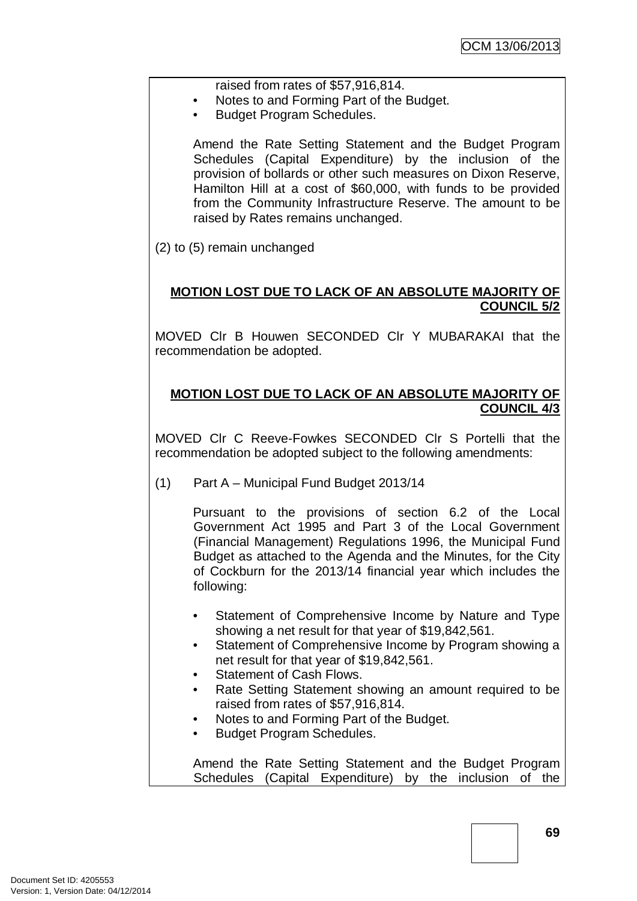raised from rates of \$57,916,814.

- Notes to and Forming Part of the Budget.
- Budget Program Schedules.

Amend the Rate Setting Statement and the Budget Program Schedules (Capital Expenditure) by the inclusion of the provision of bollards or other such measures on Dixon Reserve, Hamilton Hill at a cost of \$60,000, with funds to be provided from the Community Infrastructure Reserve. The amount to be raised by Rates remains unchanged.

(2) to (5) remain unchanged

# **MOTION LOST DUE TO LACK OF AN ABSOLUTE MAJORITY OF COUNCIL 5/2**

MOVED Clr B Houwen SECONDED Clr Y MUBARAKAI that the recommendation be adopted.

# **MOTION LOST DUE TO LACK OF AN ABSOLUTE MAJORITY OF COUNCIL 4/3**

MOVED Clr C Reeve-Fowkes SECONDED Clr S Portelli that the recommendation be adopted subject to the following amendments:

(1) Part A – Municipal Fund Budget 2013/14

Pursuant to the provisions of section 6.2 of the Local Government Act 1995 and Part 3 of the Local Government (Financial Management) Regulations 1996, the Municipal Fund Budget as attached to the Agenda and the Minutes, for the City of Cockburn for the 2013/14 financial year which includes the following:

- Statement of Comprehensive Income by Nature and Type showing a net result for that year of \$19,842,561.
- Statement of Comprehensive Income by Program showing a net result for that year of \$19,842,561.
- Statement of Cash Flows.
- Rate Setting Statement showing an amount required to be raised from rates of \$57,916,814.
- Notes to and Forming Part of the Budget.
- Budget Program Schedules.

Amend the Rate Setting Statement and the Budget Program Schedules (Capital Expenditure) by the inclusion of the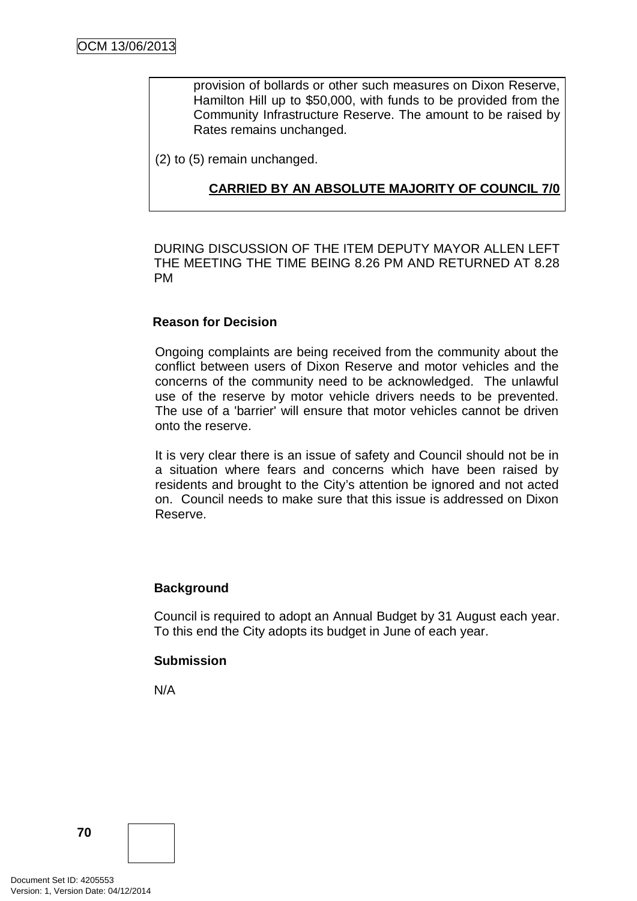provision of bollards or other such measures on Dixon Reserve, Hamilton Hill up to \$50,000, with funds to be provided from the Community Infrastructure Reserve. The amount to be raised by Rates remains unchanged.

(2) to (5) remain unchanged.

## **CARRIED BY AN ABSOLUTE MAJORITY OF COUNCIL 7/0**

DURING DISCUSSION OF THE ITEM DEPUTY MAYOR ALLEN LEFT THE MEETING THE TIME BEING 8.26 PM AND RETURNED AT 8.28 PM

#### **Reason for Decision**

Ongoing complaints are being received from the community about the conflict between users of Dixon Reserve and motor vehicles and the concerns of the community need to be acknowledged. The unlawful use of the reserve by motor vehicle drivers needs to be prevented. The use of a 'barrier' will ensure that motor vehicles cannot be driven onto the reserve.

It is very clear there is an issue of safety and Council should not be in a situation where fears and concerns which have been raised by residents and brought to the City's attention be ignored and not acted on. Council needs to make sure that this issue is addressed on Dixon Reserve.

#### **Background**

Council is required to adopt an Annual Budget by 31 August each year. To this end the City adopts its budget in June of each year.

#### **Submission**

N/A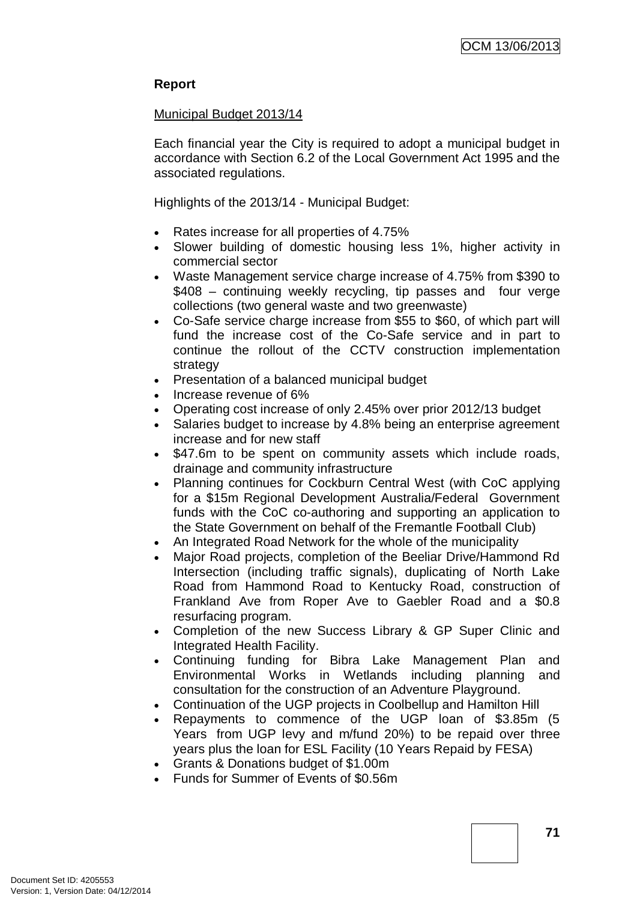# **Report**

#### Municipal Budget 2013/14

Each financial year the City is required to adopt a municipal budget in accordance with Section 6.2 of the Local Government Act 1995 and the associated regulations.

Highlights of the 2013/14 - Municipal Budget:

- Rates increase for all properties of 4.75%
- Slower building of domestic housing less 1%, higher activity in commercial sector
- Waste Management service charge increase of 4.75% from \$390 to \$408 – continuing weekly recycling, tip passes and four verge collections (two general waste and two greenwaste)
- Co-Safe service charge increase from \$55 to \$60, of which part will fund the increase cost of the Co-Safe service and in part to continue the rollout of the CCTV construction implementation strategy
- Presentation of a balanced municipal budget
- Increase revenue of 6%
- Operating cost increase of only 2.45% over prior 2012/13 budget
- Salaries budget to increase by 4.8% being an enterprise agreement increase and for new staff
- \$47.6m to be spent on community assets which include roads, drainage and community infrastructure
- Planning continues for Cockburn Central West (with CoC applying for a \$15m Regional Development Australia/Federal Government funds with the CoC co-authoring and supporting an application to the State Government on behalf of the Fremantle Football Club)
- An Integrated Road Network for the whole of the municipality
- Major Road projects, completion of the Beeliar Drive/Hammond Rd Intersection (including traffic signals), duplicating of North Lake Road from Hammond Road to Kentucky Road, construction of Frankland Ave from Roper Ave to Gaebler Road and a \$0.8 resurfacing program.
- Completion of the new Success Library & GP Super Clinic and Integrated Health Facility.
- Continuing funding for Bibra Lake Management Plan and Environmental Works in Wetlands including planning and consultation for the construction of an Adventure Playground.
- Continuation of the UGP projects in Coolbellup and Hamilton Hill
- Repayments to commence of the UGP loan of \$3.85m (5 Years from UGP levy and m/fund 20%) to be repaid over three years plus the loan for ESL Facility (10 Years Repaid by FESA)
- Grants & Donations budget of \$1.00m
- Funds for Summer of Events of \$0.56m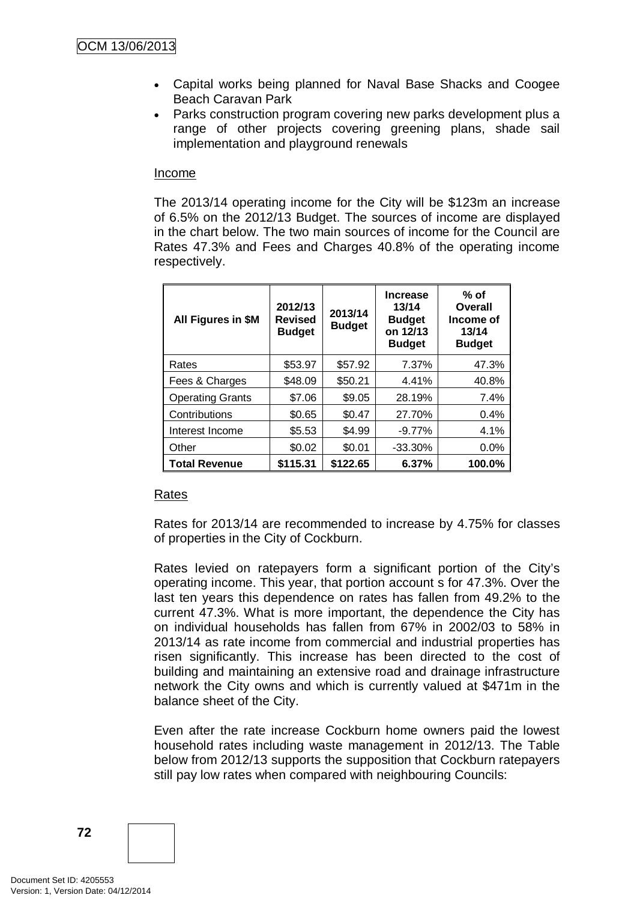- Capital works being planned for Naval Base Shacks and Coogee Beach Caravan Park
- Parks construction program covering new parks development plus a range of other projects covering greening plans, shade sail implementation and playground renewals

#### Income

The 2013/14 operating income for the City will be \$123m an increase of 6.5% on the 2012/13 Budget. The sources of income are displayed in the chart below. The two main sources of income for the Council are Rates 47.3% and Fees and Charges 40.8% of the operating income respectively.

| All Figures in \$M      | 2012/13<br><b>Revised</b><br><b>Budget</b> | 2013/14<br><b>Budget</b> | <b>Increase</b><br>13/14<br><b>Budget</b><br>on 12/13<br><b>Budget</b> | % of<br>Overall<br>Income of<br>13/14<br><b>Budget</b> |
|-------------------------|--------------------------------------------|--------------------------|------------------------------------------------------------------------|--------------------------------------------------------|
| Rates                   | \$53.97                                    | \$57.92                  | 7.37%                                                                  | 47.3%                                                  |
| Fees & Charges          | \$48.09                                    | \$50.21                  | 4.41%                                                                  | 40.8%                                                  |
| <b>Operating Grants</b> | \$7.06                                     | \$9.05                   | 28.19%                                                                 | 7.4%                                                   |
| Contributions           | \$0.65                                     | \$0.47                   | 27.70%                                                                 | 0.4%                                                   |
| Interest Income         | \$5.53                                     | \$4.99                   | $-9.77%$                                                               | 4.1%                                                   |
| Other                   | \$0.02                                     | \$0.01                   | $-33.30%$                                                              | 0.0%                                                   |
| <b>Total Revenue</b>    | \$115.31                                   | \$122.65                 | 6.37%                                                                  | 100.0%                                                 |

## Rates

Rates for 2013/14 are recommended to increase by 4.75% for classes of properties in the City of Cockburn.

Rates levied on ratepayers form a significant portion of the City's operating income. This year, that portion account s for 47.3%. Over the last ten years this dependence on rates has fallen from 49.2% to the current 47.3%. What is more important, the dependence the City has on individual households has fallen from 67% in 2002/03 to 58% in 2013/14 as rate income from commercial and industrial properties has risen significantly. This increase has been directed to the cost of building and maintaining an extensive road and drainage infrastructure network the City owns and which is currently valued at \$471m in the balance sheet of the City.

Even after the rate increase Cockburn home owners paid the lowest household rates including waste management in 2012/13. The Table below from 2012/13 supports the supposition that Cockburn ratepayers still pay low rates when compared with neighbouring Councils: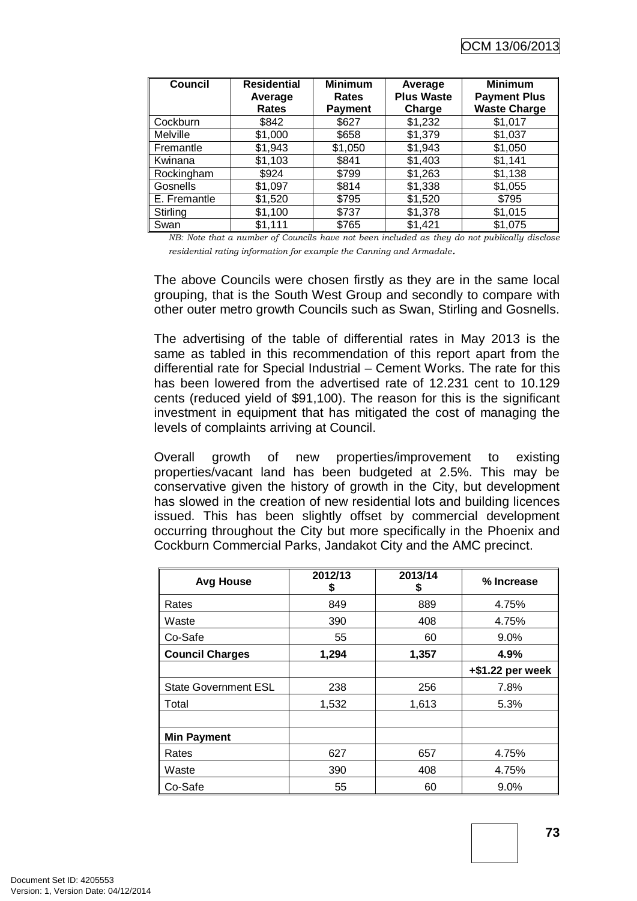| <b>Council</b>  | <b>Residential</b><br>Average | <b>Minimum</b><br><b>Rates</b> | Average<br><b>Plus Waste</b> | <b>Minimum</b><br><b>Payment Plus</b> |
|-----------------|-------------------------------|--------------------------------|------------------------------|---------------------------------------|
|                 | <b>Rates</b>                  | <b>Payment</b>                 | Charge                       | <b>Waste Charge</b>                   |
| Cockburn        | \$842                         | \$627                          | \$1,232                      | \$1,017                               |
| <b>Melville</b> | \$1,000                       | \$658                          | \$1,379                      | \$1,037                               |
| Fremantle       | \$1,943                       | \$1,050                        | \$1,943                      | \$1,050                               |
| Kwinana         | \$1,103                       | \$841                          | \$1,403                      | \$1,141                               |
| Rockingham      | \$924                         | \$799                          | \$1,263                      | \$1,138                               |
| Gosnells        | \$1,097                       | \$814                          | \$1,338                      | \$1,055                               |
| E. Fremantle    | \$1,520                       | \$795                          | \$1,520                      | \$795                                 |
| Stirling        | \$1,100                       | \$737                          | \$1,378                      | \$1,015                               |
| Swan            | \$1,111                       | \$765                          | \$1,421                      | \$1,075                               |

*NB: Note that a number of Councils have not been included as they do not publically disclose residential rating information for example the Canning and Armadale.*

The above Councils were chosen firstly as they are in the same local grouping, that is the South West Group and secondly to compare with other outer metro growth Councils such as Swan, Stirling and Gosnells.

The advertising of the table of differential rates in May 2013 is the same as tabled in this recommendation of this report apart from the differential rate for Special Industrial – Cement Works. The rate for this has been lowered from the advertised rate of 12.231 cent to 10.129 cents (reduced yield of \$91,100). The reason for this is the significant investment in equipment that has mitigated the cost of managing the levels of complaints arriving at Council.

Overall growth of new properties/improvement to existing properties/vacant land has been budgeted at 2.5%. This may be conservative given the history of growth in the City, but development has slowed in the creation of new residential lots and building licences issued. This has been slightly offset by commercial development occurring throughout the City but more specifically in the Phoenix and Cockburn Commercial Parks, Jandakot City and the AMC precinct.

| <b>Avg House</b>            | 2012/13<br>\$ | 2013/14<br>S | % Increase       |
|-----------------------------|---------------|--------------|------------------|
| Rates                       | 849           | 889          | 4.75%            |
| Waste                       | 390           | 408          | 4.75%            |
| Co-Safe                     | 55            | 60           | $9.0\%$          |
| <b>Council Charges</b>      | 1,294         | 1,357        | 4.9%             |
|                             |               |              | +\$1.22 per week |
| <b>State Government ESL</b> | 238           | 256          | 7.8%             |
| Total                       | 1,532         | 1,613        | 5.3%             |
|                             |               |              |                  |
| <b>Min Payment</b>          |               |              |                  |
| Rates                       | 627           | 657          | 4.75%            |
| Waste                       | 390           | 408          | 4.75%            |
| Co-Safe                     | 55            | 60           | 9.0%             |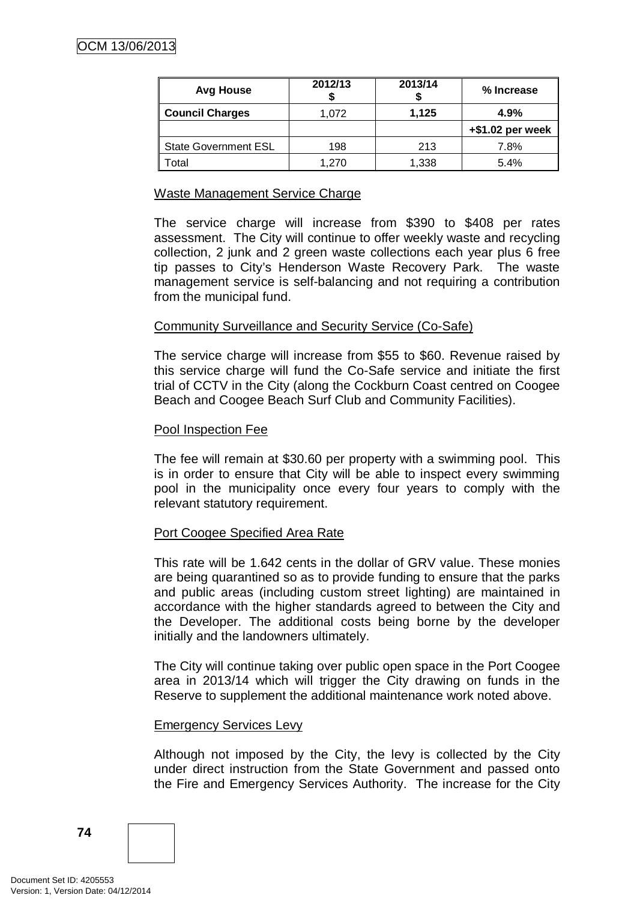| <b>Avg House</b>            | 2012/13 | 2013/14 | % Increase         |
|-----------------------------|---------|---------|--------------------|
| <b>Council Charges</b>      | 1,072   | 1,125   | 4.9%               |
|                             |         |         | $+ $1.02$ per week |
| <b>State Government ESL</b> | 198     | 213     | 7.8%               |
| otal                        | 1.270   | 1,338   | 5.4%               |

# Waste Management Service Charge

The service charge will increase from \$390 to \$408 per rates assessment. The City will continue to offer weekly waste and recycling collection, 2 junk and 2 green waste collections each year plus 6 free tip passes to City's Henderson Waste Recovery Park. The waste management service is self-balancing and not requiring a contribution from the municipal fund.

# Community Surveillance and Security Service (Co-Safe)

The service charge will increase from \$55 to \$60. Revenue raised by this service charge will fund the Co-Safe service and initiate the first trial of CCTV in the City (along the Cockburn Coast centred on Coogee Beach and Coogee Beach Surf Club and Community Facilities).

## Pool Inspection Fee

The fee will remain at \$30.60 per property with a swimming pool. This is in order to ensure that City will be able to inspect every swimming pool in the municipality once every four years to comply with the relevant statutory requirement.

## Port Coogee Specified Area Rate

This rate will be 1.642 cents in the dollar of GRV value. These monies are being quarantined so as to provide funding to ensure that the parks and public areas (including custom street lighting) are maintained in accordance with the higher standards agreed to between the City and the Developer. The additional costs being borne by the developer initially and the landowners ultimately.

The City will continue taking over public open space in the Port Coogee area in 2013/14 which will trigger the City drawing on funds in the Reserve to supplement the additional maintenance work noted above.

## Emergency Services Levy

Although not imposed by the City, the levy is collected by the City under direct instruction from the State Government and passed onto the Fire and Emergency Services Authority. The increase for the City

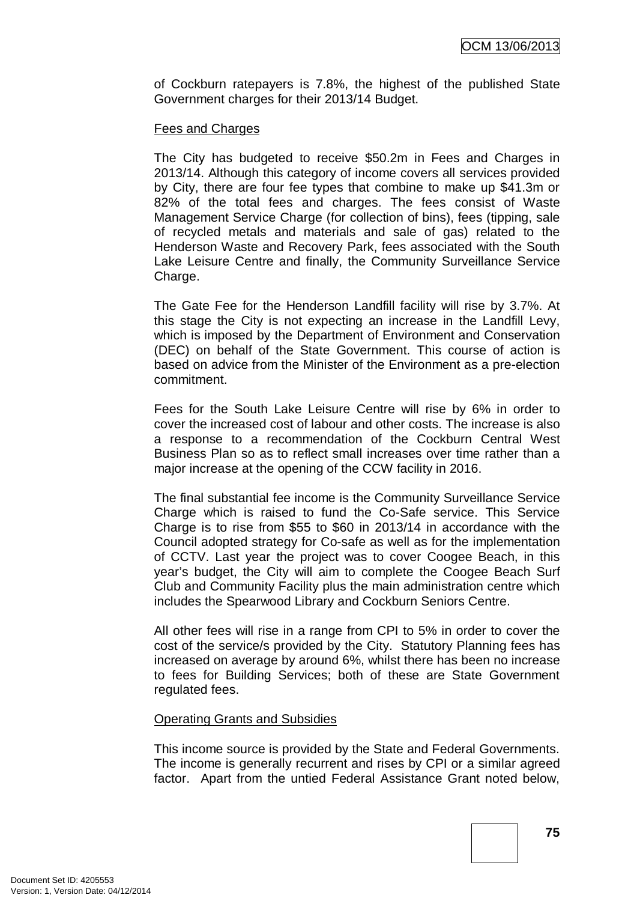of Cockburn ratepayers is 7.8%, the highest of the published State Government charges for their 2013/14 Budget.

#### Fees and Charges

The City has budgeted to receive \$50.2m in Fees and Charges in 2013/14. Although this category of income covers all services provided by City, there are four fee types that combine to make up \$41.3m or 82% of the total fees and charges. The fees consist of Waste Management Service Charge (for collection of bins), fees (tipping, sale of recycled metals and materials and sale of gas) related to the Henderson Waste and Recovery Park, fees associated with the South Lake Leisure Centre and finally, the Community Surveillance Service Charge.

The Gate Fee for the Henderson Landfill facility will rise by 3.7%. At this stage the City is not expecting an increase in the Landfill Levy, which is imposed by the Department of Environment and Conservation (DEC) on behalf of the State Government. This course of action is based on advice from the Minister of the Environment as a pre-election commitment.

Fees for the South Lake Leisure Centre will rise by 6% in order to cover the increased cost of labour and other costs. The increase is also a response to a recommendation of the Cockburn Central West Business Plan so as to reflect small increases over time rather than a major increase at the opening of the CCW facility in 2016.

The final substantial fee income is the Community Surveillance Service Charge which is raised to fund the Co-Safe service. This Service Charge is to rise from \$55 to \$60 in 2013/14 in accordance with the Council adopted strategy for Co-safe as well as for the implementation of CCTV. Last year the project was to cover Coogee Beach, in this year's budget, the City will aim to complete the Coogee Beach Surf Club and Community Facility plus the main administration centre which includes the Spearwood Library and Cockburn Seniors Centre.

All other fees will rise in a range from CPI to 5% in order to cover the cost of the service/s provided by the City. Statutory Planning fees has increased on average by around 6%, whilst there has been no increase to fees for Building Services; both of these are State Government regulated fees.

#### Operating Grants and Subsidies

This income source is provided by the State and Federal Governments. The income is generally recurrent and rises by CPI or a similar agreed factor. Apart from the untied Federal Assistance Grant noted below,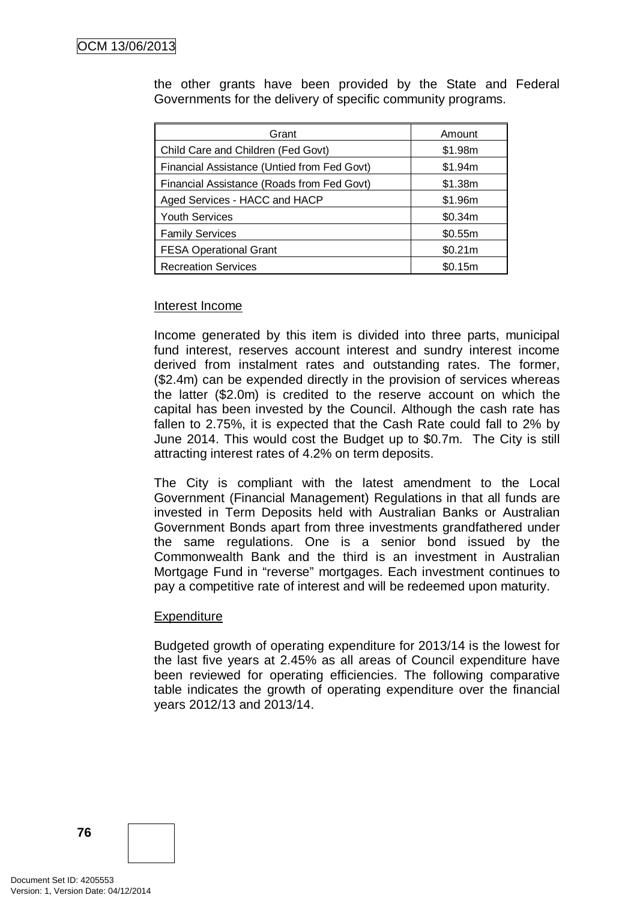the other grants have been provided by the State and Federal Governments for the delivery of specific community programs.

| Grant                                       | Amount  |
|---------------------------------------------|---------|
| Child Care and Children (Fed Govt)          | \$1.98m |
| Financial Assistance (Untied from Fed Govt) | \$1.94m |
| Financial Assistance (Roads from Fed Govt)  | \$1.38m |
| Aged Services - HACC and HACP               | \$1.96m |
| <b>Youth Services</b>                       | \$0.34m |
| <b>Family Services</b>                      | \$0.55m |
| <b>FESA Operational Grant</b>               | \$0.21m |
| <b>Recreation Services</b>                  | \$0.15m |

## Interest Income

Income generated by this item is divided into three parts, municipal fund interest, reserves account interest and sundry interest income derived from instalment rates and outstanding rates. The former, (\$2.4m) can be expended directly in the provision of services whereas the latter (\$2.0m) is credited to the reserve account on which the capital has been invested by the Council. Although the cash rate has fallen to 2.75%, it is expected that the Cash Rate could fall to 2% by June 2014. This would cost the Budget up to \$0.7m. The City is still attracting interest rates of 4.2% on term deposits.

The City is compliant with the latest amendment to the Local Government (Financial Management) Regulations in that all funds are invested in Term Deposits held with Australian Banks or Australian Government Bonds apart from three investments grandfathered under the same regulations. One is a senior bond issued by the Commonwealth Bank and the third is an investment in Australian Mortgage Fund in "reverse" mortgages. Each investment continues to pay a competitive rate of interest and will be redeemed upon maturity.

## **Expenditure**

Budgeted growth of operating expenditure for 2013/14 is the lowest for the last five years at 2.45% as all areas of Council expenditure have been reviewed for operating efficiencies. The following comparative table indicates the growth of operating expenditure over the financial years 2012/13 and 2013/14.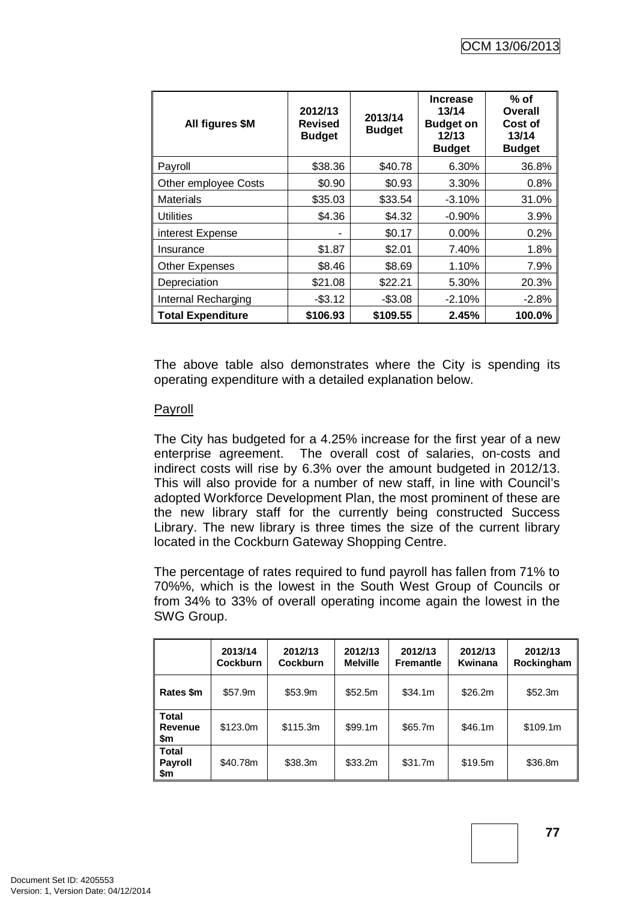| All figures \$M          | 2012/13<br><b>Revised</b><br><b>Budget</b> | 2013/14<br><b>Budget</b> | <b>Increase</b><br>13/14<br><b>Budget on</b><br>12/13<br><b>Budget</b> | $%$ of<br>Overall<br>Cost of<br>13/14<br><b>Budget</b> |
|--------------------------|--------------------------------------------|--------------------------|------------------------------------------------------------------------|--------------------------------------------------------|
| Payroll                  | \$38.36                                    | \$40.78                  | 6.30%                                                                  | 36.8%                                                  |
| Other employee Costs     | \$0.90                                     | \$0.93                   | 3.30%                                                                  | 0.8%                                                   |
| Materials                | \$35.03                                    | \$33.54                  | $-3.10%$                                                               | 31.0%                                                  |
| <b>Utilities</b>         | \$4.36                                     | \$4.32                   | $-0.90%$                                                               | 3.9%                                                   |
| interest Expense         |                                            | \$0.17                   | $0.00\%$                                                               | 0.2%                                                   |
| Insurance                | \$1.87                                     | \$2.01                   | 7.40%                                                                  | 1.8%                                                   |
| <b>Other Expenses</b>    | \$8.46                                     | \$8.69                   | 1.10%                                                                  | 7.9%                                                   |
| Depreciation             | \$21.08                                    | \$22.21                  | 5.30%                                                                  | 20.3%                                                  |
| Internal Recharging      | $-$ \$3.12                                 | $-$3.08$                 | $-2.10%$                                                               | $-2.8%$                                                |
| <b>Total Expenditure</b> | \$106.93                                   | \$109.55                 | 2.45%                                                                  | 100.0%                                                 |

The above table also demonstrates where the City is spending its operating expenditure with a detailed explanation below.

# **Payroll**

The City has budgeted for a 4.25% increase for the first year of a new enterprise agreement. The overall cost of salaries, on-costs and indirect costs will rise by 6.3% over the amount budgeted in 2012/13. This will also provide for a number of new staff, in line with Council's adopted Workforce Development Plan, the most prominent of these are the new library staff for the currently being constructed Success Library. The new library is three times the size of the current library located in the Cockburn Gateway Shopping Centre.

The percentage of rates required to fund payroll has fallen from 71% to 70%%, which is the lowest in the South West Group of Councils or from 34% to 33% of overall operating income again the lowest in the SWG Group.

|                                       | 2013/14<br><b>Cockburn</b> | 2012/13<br><b>Cockburn</b> | 2012/13<br><b>Melville</b> | 2012/13<br><b>Fremantle</b> | 2012/13<br>Kwinana | 2012/13<br>Rockingham |
|---------------------------------------|----------------------------|----------------------------|----------------------------|-----------------------------|--------------------|-----------------------|
| Rates \$m                             | \$57.9m                    | \$53.9m                    | \$52.5m                    | \$34.1m                     | \$26.2m            | \$52.3m               |
| <b>Total</b><br>Revenue<br>\$m        | \$123.0m                   | \$115.3m                   | \$99.1m                    | \$65.7m                     | \$46.1m            | \$109.1m              |
| <b>Total</b><br><b>Payroll</b><br>\$m | \$40.78m                   | \$38.3m                    | \$33.2m                    | \$31.7m                     | \$19.5m            | \$36.8m               |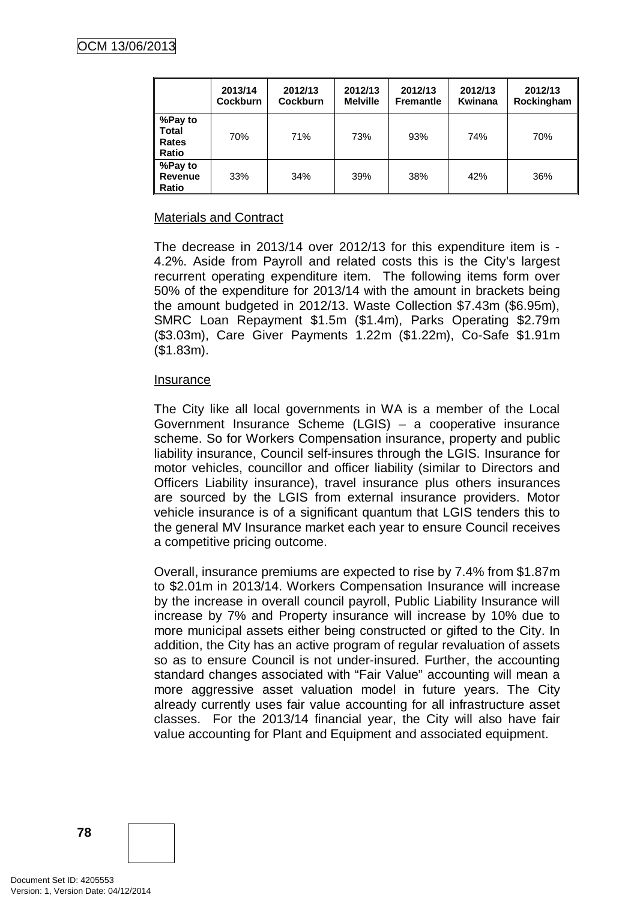|                                                  | 2013/14<br>Cockburn | 2012/13<br><b>Cockburn</b> | 2012/13<br><b>Melville</b> | 2012/13<br><b>Fremantle</b> | 2012/13<br>Kwinana | 2012/13<br>Rockingham |
|--------------------------------------------------|---------------------|----------------------------|----------------------------|-----------------------------|--------------------|-----------------------|
| %Pay to<br><b>Total</b><br><b>Rates</b><br>Ratio | 70%                 | 71%                        | 73%                        | 93%                         | 74%                | 70%                   |
| %Pay to<br>Revenue<br>Ratio                      | 33%                 | 34%                        | 39%                        | 38%                         | 42%                | 36%                   |

# Materials and Contract

The decrease in 2013/14 over 2012/13 for this expenditure item is - 4.2%. Aside from Payroll and related costs this is the City's largest recurrent operating expenditure item. The following items form over 50% of the expenditure for 2013/14 with the amount in brackets being the amount budgeted in 2012/13. Waste Collection \$7.43m (\$6.95m), SMRC Loan Repayment \$1.5m (\$1.4m), Parks Operating \$2.79m (\$3.03m), Care Giver Payments 1.22m (\$1.22m), Co-Safe \$1.91m (\$1.83m).

#### **Insurance**

The City like all local governments in WA is a member of the Local Government Insurance Scheme (LGIS) – a cooperative insurance scheme. So for Workers Compensation insurance, property and public liability insurance, Council self-insures through the LGIS. Insurance for motor vehicles, councillor and officer liability (similar to Directors and Officers Liability insurance), travel insurance plus others insurances are sourced by the LGIS from external insurance providers. Motor vehicle insurance is of a significant quantum that LGIS tenders this to the general MV Insurance market each year to ensure Council receives a competitive pricing outcome.

Overall, insurance premiums are expected to rise by 7.4% from \$1.87m to \$2.01m in 2013/14. Workers Compensation Insurance will increase by the increase in overall council payroll, Public Liability Insurance will increase by 7% and Property insurance will increase by 10% due to more municipal assets either being constructed or gifted to the City. In addition, the City has an active program of regular revaluation of assets so as to ensure Council is not under-insured. Further, the accounting standard changes associated with "Fair Value" accounting will mean a more aggressive asset valuation model in future years. The City already currently uses fair value accounting for all infrastructure asset classes. For the 2013/14 financial year, the City will also have fair value accounting for Plant and Equipment and associated equipment.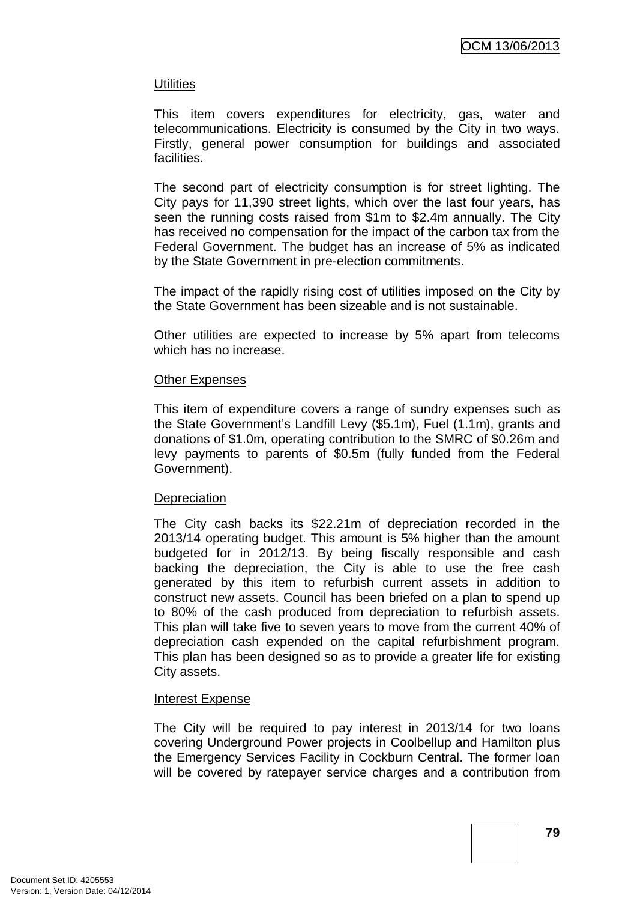#### **Utilities**

This item covers expenditures for electricity, gas, water and telecommunications. Electricity is consumed by the City in two ways. Firstly, general power consumption for buildings and associated facilities.

The second part of electricity consumption is for street lighting. The City pays for 11,390 street lights, which over the last four years, has seen the running costs raised from \$1m to \$2.4m annually. The City has received no compensation for the impact of the carbon tax from the Federal Government. The budget has an increase of 5% as indicated by the State Government in pre-election commitments.

The impact of the rapidly rising cost of utilities imposed on the City by the State Government has been sizeable and is not sustainable.

Other utilities are expected to increase by 5% apart from telecoms which has no increase.

#### Other Expenses

This item of expenditure covers a range of sundry expenses such as the State Government's Landfill Levy (\$5.1m), Fuel (1.1m), grants and donations of \$1.0m, operating contribution to the SMRC of \$0.26m and levy payments to parents of \$0.5m (fully funded from the Federal Government).

#### **Depreciation**

The City cash backs its \$22.21m of depreciation recorded in the 2013/14 operating budget. This amount is 5% higher than the amount budgeted for in 2012/13. By being fiscally responsible and cash backing the depreciation, the City is able to use the free cash generated by this item to refurbish current assets in addition to construct new assets. Council has been briefed on a plan to spend up to 80% of the cash produced from depreciation to refurbish assets. This plan will take five to seven years to move from the current 40% of depreciation cash expended on the capital refurbishment program. This plan has been designed so as to provide a greater life for existing City assets.

## Interest Expense

The City will be required to pay interest in 2013/14 for two loans covering Underground Power projects in Coolbellup and Hamilton plus the Emergency Services Facility in Cockburn Central. The former loan will be covered by ratepayer service charges and a contribution from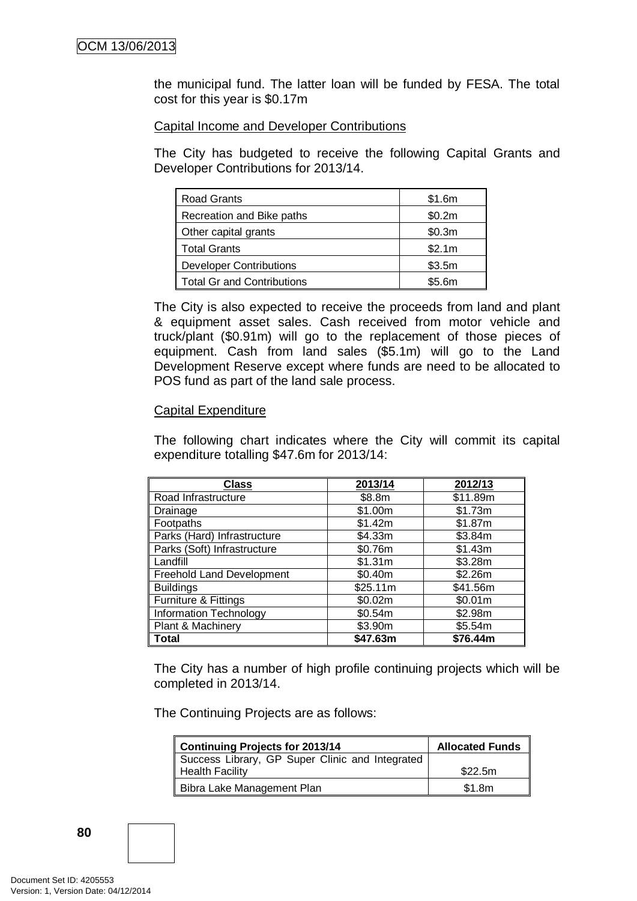the municipal fund. The latter loan will be funded by FESA. The total cost for this year is \$0.17m

#### Capital Income and Developer Contributions

The City has budgeted to receive the following Capital Grants and Developer Contributions for 2013/14.

| <b>Road Grants</b>                | \$1.6m |
|-----------------------------------|--------|
| Recreation and Bike paths         | \$0.2m |
| Other capital grants              | \$0.3m |
| <b>Total Grants</b>               | \$2.1m |
| <b>Developer Contributions</b>    | \$3.5m |
| <b>Total Gr and Contributions</b> | \$5.6m |

The City is also expected to receive the proceeds from land and plant & equipment asset sales. Cash received from motor vehicle and truck/plant (\$0.91m) will go to the replacement of those pieces of equipment. Cash from land sales (\$5.1m) will go to the Land Development Reserve except where funds are need to be allocated to POS fund as part of the land sale process.

#### Capital Expenditure

The following chart indicates where the City will commit its capital expenditure totalling \$47.6m for 2013/14:

| <b>Class</b>                | 2013/14  | 2012/13  |
|-----------------------------|----------|----------|
| Road Infrastructure         | \$8.8m   | \$11.89m |
| Drainage                    | \$1.00m  | \$1.73m  |
| Footpaths                   | \$1.42m  | \$1.87m  |
| Parks (Hard) Infrastructure | \$4.33m  | \$3.84m  |
| Parks (Soft) Infrastructure | \$0.76m  | \$1.43m  |
| Landfill                    | \$1.31m  | \$3.28m  |
| Freehold Land Development   | \$0.40m  | \$2.26m  |
| <b>Buildings</b>            | \$25.11m | \$41.56m |
| Furniture & Fittings        | \$0.02m  | \$0.01m  |
| Information Technology      | \$0.54m  | \$2.98m  |
| Plant & Machinery           | \$3.90m  | \$5.54m  |
| <b>Total</b>                | \$47.63m | \$76.44m |

The City has a number of high profile continuing projects which will be completed in 2013/14.

The Continuing Projects are as follows:

| Continuing Projects for 2013/14                 | <b>Allocated Funds</b> |
|-------------------------------------------------|------------------------|
| Success Library, GP Super Clinic and Integrated |                        |
| Health Facility                                 | \$22.5m                |
| Bibra Lake Management Plan                      | \$1.8m                 |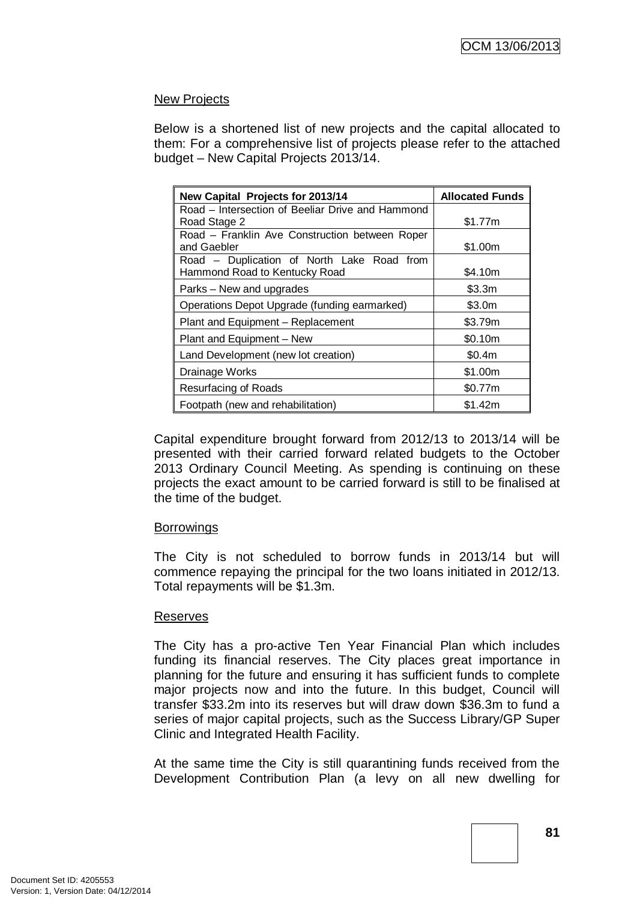#### **New Projects**

Below is a shortened list of new projects and the capital allocated to them: For a comprehensive list of projects please refer to the attached budget – New Capital Projects 2013/14.

| New Capital Projects for 2013/14                 | <b>Allocated Funds</b> |
|--------------------------------------------------|------------------------|
| Road - Intersection of Beeliar Drive and Hammond |                        |
| Road Stage 2                                     | \$1.77m                |
| Road - Franklin Ave Construction between Roper   |                        |
| and Gaebler                                      | \$1.00m                |
| Road - Duplication of North Lake Road from       |                        |
| Hammond Road to Kentucky Road                    | \$4.10m                |
| Parks - New and upgrades                         | \$3.3m                 |
| Operations Depot Upgrade (funding earmarked)     | \$3.0m                 |
| Plant and Equipment - Replacement                | \$3.79m                |
| Plant and Equipment - New                        | \$0.10m                |
| Land Development (new lot creation)              | \$0.4m                 |
| Drainage Works                                   | \$1.00m                |
| Resurfacing of Roads                             | \$0.77m                |
| Footpath (new and rehabilitation)                | \$1.42m                |

Capital expenditure brought forward from 2012/13 to 2013/14 will be presented with their carried forward related budgets to the October 2013 Ordinary Council Meeting. As spending is continuing on these projects the exact amount to be carried forward is still to be finalised at the time of the budget.

#### **Borrowings**

The City is not scheduled to borrow funds in 2013/14 but will commence repaying the principal for the two loans initiated in 2012/13. Total repayments will be \$1.3m.

## Reserves

The City has a pro-active Ten Year Financial Plan which includes funding its financial reserves. The City places great importance in planning for the future and ensuring it has sufficient funds to complete major projects now and into the future. In this budget, Council will transfer \$33.2m into its reserves but will draw down \$36.3m to fund a series of major capital projects, such as the Success Library/GP Super Clinic and Integrated Health Facility.

At the same time the City is still quarantining funds received from the Development Contribution Plan (a levy on all new dwelling for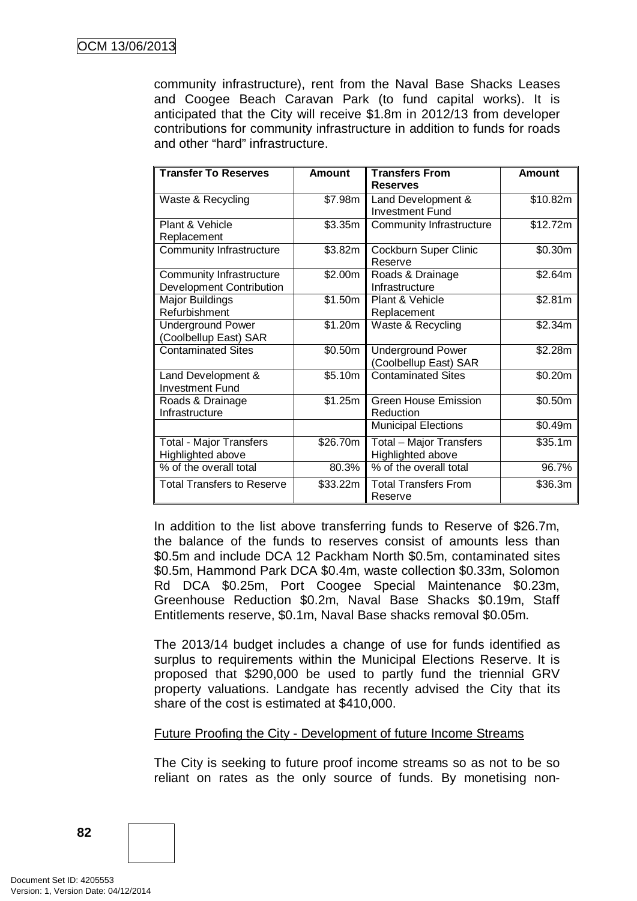community infrastructure), rent from the Naval Base Shacks Leases and Coogee Beach Caravan Park (to fund capital works). It is anticipated that the City will receive \$1.8m in 2012/13 from developer contributions for community infrastructure in addition to funds for roads and other "hard" infrastructure.

| <b>Transfer To Reserves</b>                          | <b>Amount</b> | <b>Transfers From</b><br><b>Reserves</b>          | <b>Amount</b> |
|------------------------------------------------------|---------------|---------------------------------------------------|---------------|
| Waste & Recycling                                    | \$7.98m       | Land Development &<br><b>Investment Fund</b>      | \$10.82m      |
| Plant & Vehicle<br>Replacement                       | \$3.35m       | Community Infrastructure                          | \$12.72m      |
| Community Infrastructure                             | \$3.82m       | Cockburn Super Clinic<br>Reserve                  | \$0.30m       |
| Community Infrastructure<br>Development Contribution | \$2.00m       | Roads & Drainage<br>Infrastructure                | \$2.64m       |
| <b>Major Buildings</b><br>Refurbishment              | \$1.50m       | Plant & Vehicle<br>Replacement                    | \$2.81m       |
| <b>Underground Power</b><br>(Coolbellup East) SAR    | \$1.20m       | Waste & Recycling                                 | \$2.34m       |
| <b>Contaminated Sites</b>                            | \$0.50m       | <b>Underground Power</b><br>(Coolbellup East) SAR | \$2.28m       |
| Land Development &<br><b>Investment Fund</b>         | \$5.10m       | <b>Contaminated Sites</b>                         | \$0.20m       |
| Roads & Drainage<br>Infrastructure                   | \$1.25m       | <b>Green House Emission</b><br>Reduction          | \$0.50m       |
|                                                      |               | <b>Municipal Elections</b>                        | \$0.49m       |
| <b>Total - Major Transfers</b><br>Highlighted above  | \$26.70m      | Total - Major Transfers<br>Highlighted above      | \$35.1m       |
| % of the overall total                               | 80.3%         | % of the overall total                            | 96.7%         |
| <b>Total Transfers to Reserve</b>                    | \$33.22m      | <b>Total Transfers From</b><br>Reserve            | \$36.3m       |

In addition to the list above transferring funds to Reserve of \$26.7m, the balance of the funds to reserves consist of amounts less than \$0.5m and include DCA 12 Packham North \$0.5m, contaminated sites \$0.5m, Hammond Park DCA \$0.4m, waste collection \$0.33m, Solomon Rd DCA \$0.25m, Port Coogee Special Maintenance \$0.23m, Greenhouse Reduction \$0.2m, Naval Base Shacks \$0.19m, Staff Entitlements reserve, \$0.1m, Naval Base shacks removal \$0.05m.

The 2013/14 budget includes a change of use for funds identified as surplus to requirements within the Municipal Elections Reserve. It is proposed that \$290,000 be used to partly fund the triennial GRV property valuations. Landgate has recently advised the City that its share of the cost is estimated at \$410,000.

## Future Proofing the City - Development of future Income Streams

The City is seeking to future proof income streams so as not to be so reliant on rates as the only source of funds. By monetising non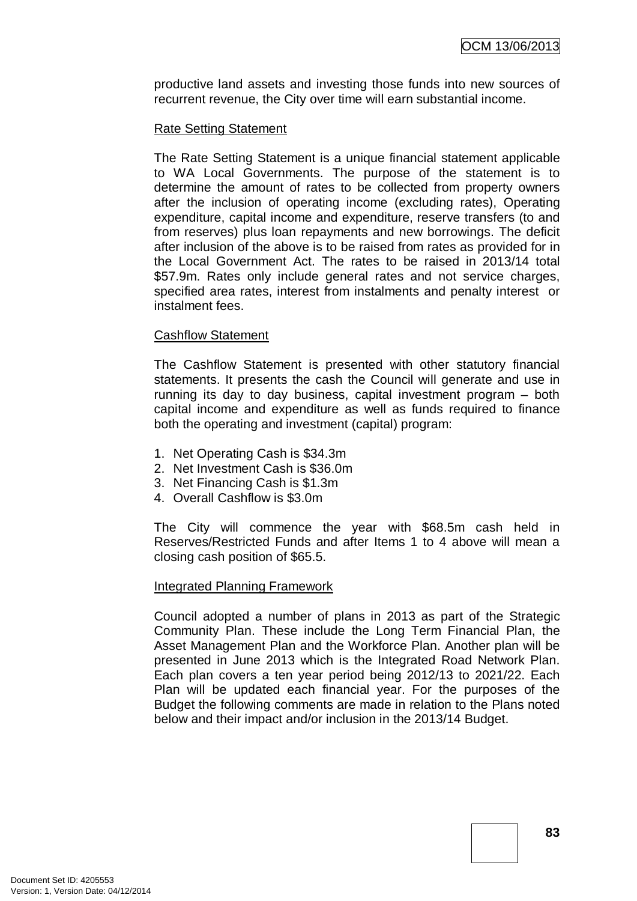productive land assets and investing those funds into new sources of recurrent revenue, the City over time will earn substantial income.

#### Rate Setting Statement

The Rate Setting Statement is a unique financial statement applicable to WA Local Governments. The purpose of the statement is to determine the amount of rates to be collected from property owners after the inclusion of operating income (excluding rates), Operating expenditure, capital income and expenditure, reserve transfers (to and from reserves) plus loan repayments and new borrowings. The deficit after inclusion of the above is to be raised from rates as provided for in the Local Government Act. The rates to be raised in 2013/14 total \$57.9m. Rates only include general rates and not service charges, specified area rates, interest from instalments and penalty interest or instalment fees.

#### Cashflow Statement

The Cashflow Statement is presented with other statutory financial statements. It presents the cash the Council will generate and use in running its day to day business, capital investment program – both capital income and expenditure as well as funds required to finance both the operating and investment (capital) program:

- 1. Net Operating Cash is \$34.3m
- 2. Net Investment Cash is \$36.0m
- 3. Net Financing Cash is \$1.3m
- 4. Overall Cashflow is \$3.0m

The City will commence the year with \$68.5m cash held in Reserves/Restricted Funds and after Items 1 to 4 above will mean a closing cash position of \$65.5.

#### Integrated Planning Framework

Council adopted a number of plans in 2013 as part of the Strategic Community Plan. These include the Long Term Financial Plan, the Asset Management Plan and the Workforce Plan. Another plan will be presented in June 2013 which is the Integrated Road Network Plan. Each plan covers a ten year period being 2012/13 to 2021/22. Each Plan will be updated each financial year. For the purposes of the Budget the following comments are made in relation to the Plans noted below and their impact and/or inclusion in the 2013/14 Budget.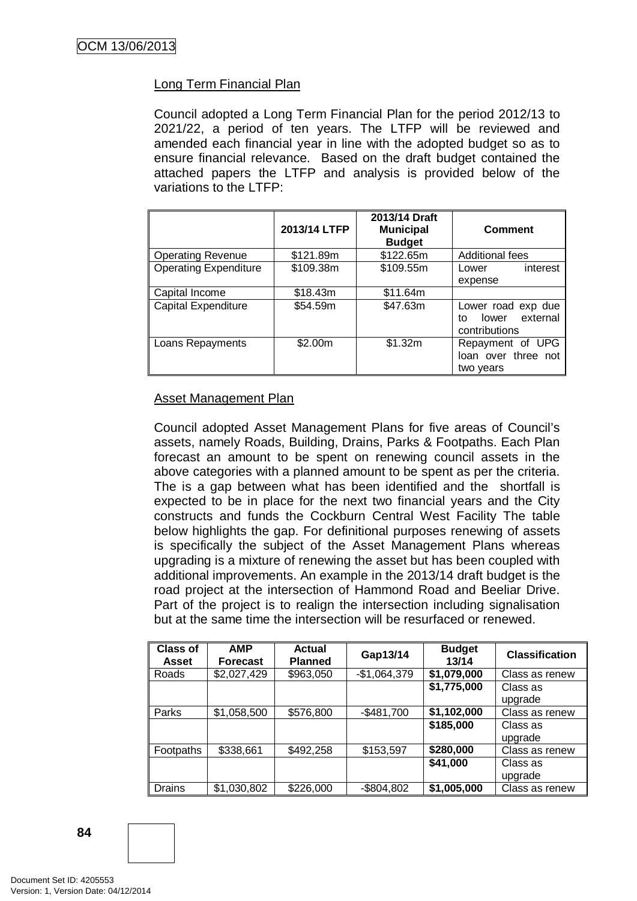# Long Term Financial Plan

Council adopted a Long Term Financial Plan for the period 2012/13 to 2021/22, a period of ten years. The LTFP will be reviewed and amended each financial year in line with the adopted budget so as to ensure financial relevance. Based on the draft budget contained the attached papers the LTFP and analysis is provided below of the variations to the LTFP:

|                              | 2013/14 LTFP | 2013/14 Draft<br><b>Municipal</b><br><b>Budget</b> | <b>Comment</b>                                                 |
|------------------------------|--------------|----------------------------------------------------|----------------------------------------------------------------|
| <b>Operating Revenue</b>     | \$121.89m    | \$122.65m                                          | <b>Additional fees</b>                                         |
| <b>Operating Expenditure</b> | \$109.38m    | \$109.55m                                          | interest<br>Lower<br>expense                                   |
| Capital Income               | \$18.43m     | \$11.64m                                           |                                                                |
| <b>Capital Expenditure</b>   | \$54.59m     | \$47.63m                                           | Lower road exp due<br>external<br>lower<br>t٥<br>contributions |
| Loans Repayments             | \$2.00m      | \$1.32m                                            | Repayment of UPG<br>loan over three not<br>two years           |

# Asset Management Plan

Council adopted Asset Management Plans for five areas of Council's assets, namely Roads, Building, Drains, Parks & Footpaths. Each Plan forecast an amount to be spent on renewing council assets in the above categories with a planned amount to be spent as per the criteria. The is a gap between what has been identified and the shortfall is expected to be in place for the next two financial years and the City constructs and funds the Cockburn Central West Facility The table below highlights the gap. For definitional purposes renewing of assets is specifically the subject of the Asset Management Plans whereas upgrading is a mixture of renewing the asset but has been coupled with additional improvements. An example in the 2013/14 draft budget is the road project at the intersection of Hammond Road and Beeliar Drive. Part of the project is to realign the intersection including signalisation but at the same time the intersection will be resurfaced or renewed.

| <b>Class of</b><br>Asset | <b>AMP</b><br><b>Forecast</b> | <b>Actual</b><br><b>Planned</b> | Gap13/14      | <b>Budget</b><br>13/14 | <b>Classification</b> |
|--------------------------|-------------------------------|---------------------------------|---------------|------------------------|-----------------------|
| Roads                    | \$2,027,429                   | \$963,050                       | $-$1,064,379$ | \$1,079,000            | Class as renew        |
|                          |                               |                                 |               | \$1,775,000            | Class as              |
|                          |                               |                                 |               |                        | upgrade               |
| Parks                    | \$1,058,500                   | \$576,800                       | $-$481,700$   | \$1,102,000            | Class as renew        |
|                          |                               |                                 |               | \$185,000              | Class as              |
|                          |                               |                                 |               |                        | upgrade               |
| Footpaths                | \$338,661                     | \$492,258                       | \$153,597     | \$280,000              | Class as renew        |
|                          |                               |                                 |               | \$41,000               | Class as              |
|                          |                               |                                 |               |                        | upgrade               |
| Drains                   | \$1,030,802                   | \$226,000                       | $-$ \$804,802 | \$1,005,000            | Class as renew        |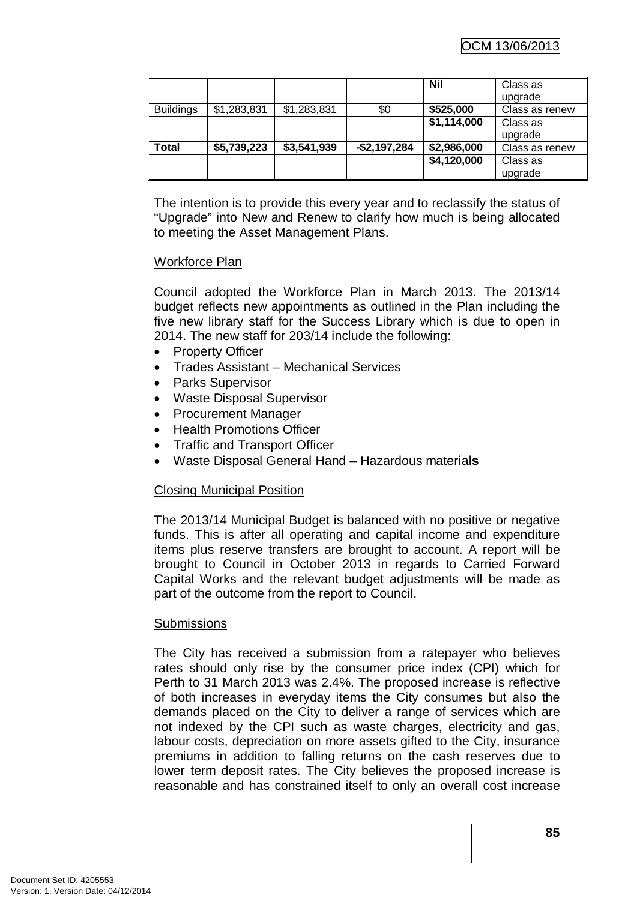|                  |             |             |               | <b>Nil</b>  | Class as       |
|------------------|-------------|-------------|---------------|-------------|----------------|
|                  |             |             |               |             | upgrade        |
| <b>Buildings</b> | \$1,283,831 | \$1,283,831 | \$0           | \$525,000   | Class as renew |
|                  |             |             |               | \$1,114,000 | Class as       |
|                  |             |             |               |             | upgrade        |
| <b>Total</b>     | \$5,739,223 | \$3,541,939 | $-$2,197,284$ | \$2,986,000 | Class as renew |
|                  |             |             |               | \$4,120,000 | Class as       |
|                  |             |             |               |             | upgrade        |

The intention is to provide this every year and to reclassify the status of "Upgrade" into New and Renew to clarify how much is being allocated to meeting the Asset Management Plans.

## Workforce Plan

Council adopted the Workforce Plan in March 2013. The 2013/14 budget reflects new appointments as outlined in the Plan including the five new library staff for the Success Library which is due to open in 2014. The new staff for 203/14 include the following:

- Property Officer
- Trades Assistant Mechanical Services
- Parks Supervisor
- Waste Disposal Supervisor
- Procurement Manager
- Health Promotions Officer
- Traffic and Transport Officer
- Waste Disposal General Hand Hazardous material**s**

#### Closing Municipal Position

The 2013/14 Municipal Budget is balanced with no positive or negative funds. This is after all operating and capital income and expenditure items plus reserve transfers are brought to account. A report will be brought to Council in October 2013 in regards to Carried Forward Capital Works and the relevant budget adjustments will be made as part of the outcome from the report to Council.

#### **Submissions**

The City has received a submission from a ratepayer who believes rates should only rise by the consumer price index (CPI) which for Perth to 31 March 2013 was 2.4%. The proposed increase is reflective of both increases in everyday items the City consumes but also the demands placed on the City to deliver a range of services which are not indexed by the CPI such as waste charges, electricity and gas, labour costs, depreciation on more assets gifted to the City, insurance premiums in addition to falling returns on the cash reserves due to lower term deposit rates. The City believes the proposed increase is reasonable and has constrained itself to only an overall cost increase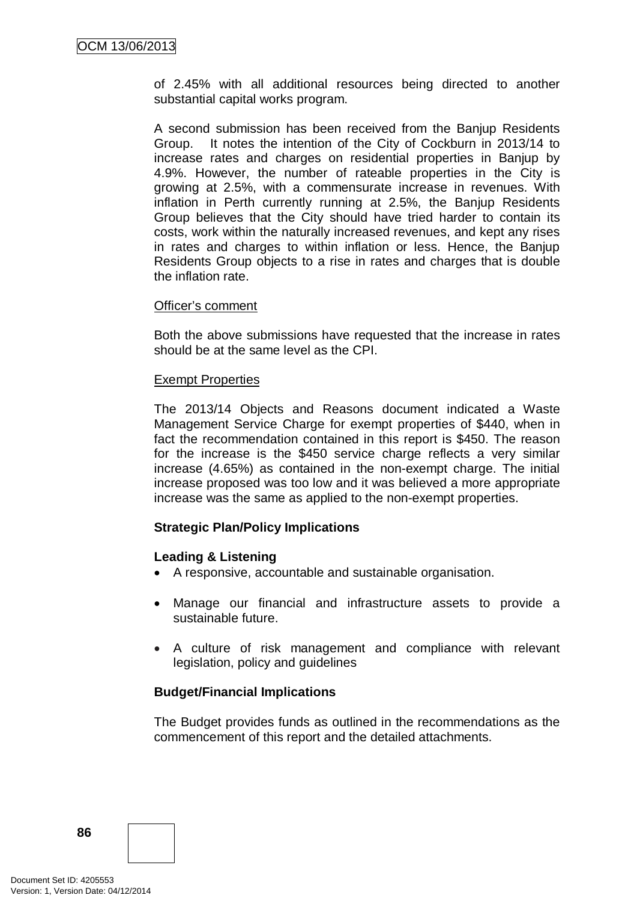of 2.45% with all additional resources being directed to another substantial capital works program.

A second submission has been received from the Banjup Residents Group. It notes the intention of the City of Cockburn in 2013/14 to increase rates and charges on residential properties in Banjup by 4.9%. However, the number of rateable properties in the City is growing at 2.5%, with a commensurate increase in revenues. With inflation in Perth currently running at 2.5%, the Banjup Residents Group believes that the City should have tried harder to contain its costs, work within the naturally increased revenues, and kept any rises in rates and charges to within inflation or less. Hence, the Banjup Residents Group objects to a rise in rates and charges that is double the inflation rate.

#### Officer's comment

Both the above submissions have requested that the increase in rates should be at the same level as the CPI.

#### Exempt Properties

The 2013/14 Objects and Reasons document indicated a Waste Management Service Charge for exempt properties of \$440, when in fact the recommendation contained in this report is \$450. The reason for the increase is the \$450 service charge reflects a very similar increase (4.65%) as contained in the non-exempt charge. The initial increase proposed was too low and it was believed a more appropriate increase was the same as applied to the non-exempt properties.

## **Strategic Plan/Policy Implications**

#### **Leading & Listening**

- A responsive, accountable and sustainable organisation.
- Manage our financial and infrastructure assets to provide a sustainable future.
- A culture of risk management and compliance with relevant legislation, policy and guidelines

## **Budget/Financial Implications**

The Budget provides funds as outlined in the recommendations as the commencement of this report and the detailed attachments.

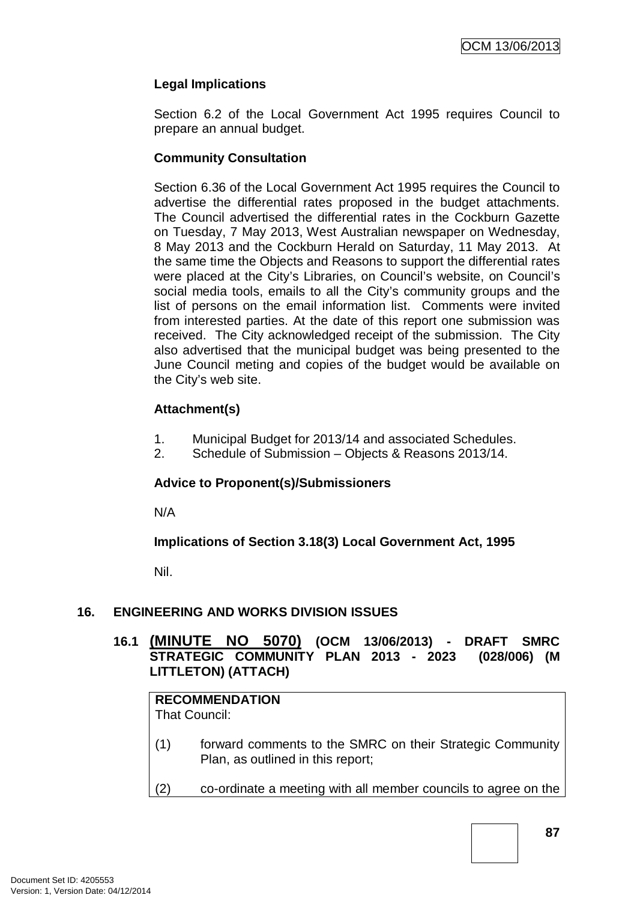# **Legal Implications**

Section 6.2 of the Local Government Act 1995 requires Council to prepare an annual budget.

## **Community Consultation**

Section 6.36 of the Local Government Act 1995 requires the Council to advertise the differential rates proposed in the budget attachments. The Council advertised the differential rates in the Cockburn Gazette on Tuesday, 7 May 2013, West Australian newspaper on Wednesday, 8 May 2013 and the Cockburn Herald on Saturday, 11 May 2013. At the same time the Objects and Reasons to support the differential rates were placed at the City's Libraries, on Council's website, on Council's social media tools, emails to all the City's community groups and the list of persons on the email information list. Comments were invited from interested parties. At the date of this report one submission was received. The City acknowledged receipt of the submission. The City also advertised that the municipal budget was being presented to the June Council meting and copies of the budget would be available on the City's web site.

# **Attachment(s)**

- 1. Municipal Budget for 2013/14 and associated Schedules.
- 2. Schedule of Submission Objects & Reasons 2013/14.

# **Advice to Proponent(s)/Submissioners**

N/A

**Implications of Section 3.18(3) Local Government Act, 1995**

Nil.

## **16. ENGINEERING AND WORKS DIVISION ISSUES**

**16.1 (MINUTE NO 5070) (OCM 13/06/2013) - DRAFT SMRC STRATEGIC COMMUNITY PLAN 2013 - 2023 (028/006) (M LITTLETON) (ATTACH)**

# **RECOMMENDATION**

That Council:

- (1) forward comments to the SMRC on their Strategic Community Plan, as outlined in this report;
- (2) co-ordinate a meeting with all member councils to agree on the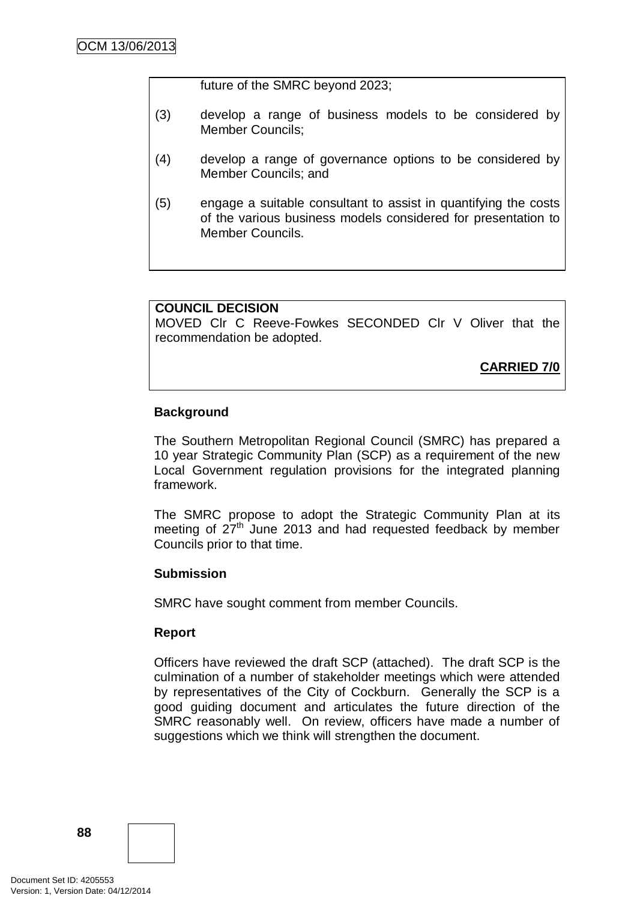future of the SMRC beyond 2023;

- (3) develop a range of business models to be considered by Member Councils;
- (4) develop a range of governance options to be considered by Member Councils; and
- (5) engage a suitable consultant to assist in quantifying the costs of the various business models considered for presentation to Member Councils.

#### **COUNCIL DECISION**

MOVED Clr C Reeve-Fowkes SECONDED Clr V Oliver that the recommendation be adopted.

**CARRIED 7/0**

#### **Background**

The Southern Metropolitan Regional Council (SMRC) has prepared a 10 year Strategic Community Plan (SCP) as a requirement of the new Local Government regulation provisions for the integrated planning framework.

The SMRC propose to adopt the Strategic Community Plan at its meeting of  $27<sup>th</sup>$  June 2013 and had requested feedback by member Councils prior to that time.

#### **Submission**

SMRC have sought comment from member Councils.

#### **Report**

Officers have reviewed the draft SCP (attached). The draft SCP is the culmination of a number of stakeholder meetings which were attended by representatives of the City of Cockburn. Generally the SCP is a good guiding document and articulates the future direction of the SMRC reasonably well. On review, officers have made a number of suggestions which we think will strengthen the document.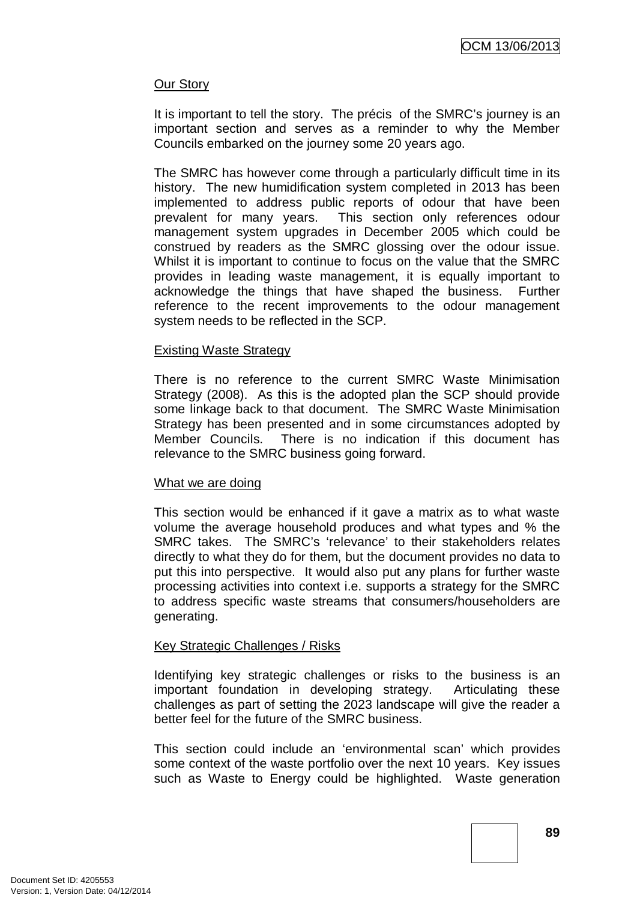#### Our Story

It is important to tell the story. The précis of the SMRC's journey is an important section and serves as a reminder to why the Member Councils embarked on the journey some 20 years ago.

The SMRC has however come through a particularly difficult time in its history. The new humidification system completed in 2013 has been implemented to address public reports of odour that have been prevalent for many years. This section only references odour management system upgrades in December 2005 which could be construed by readers as the SMRC glossing over the odour issue. Whilst it is important to continue to focus on the value that the SMRC provides in leading waste management, it is equally important to acknowledge the things that have shaped the business. Further reference to the recent improvements to the odour management system needs to be reflected in the SCP.

#### Existing Waste Strategy

There is no reference to the current SMRC Waste Minimisation Strategy (2008). As this is the adopted plan the SCP should provide some linkage back to that document. The SMRC Waste Minimisation Strategy has been presented and in some circumstances adopted by Member Councils. There is no indication if this document has relevance to the SMRC business going forward.

#### What we are doing

This section would be enhanced if it gave a matrix as to what waste volume the average household produces and what types and % the SMRC takes. The SMRC's 'relevance' to their stakeholders relates directly to what they do for them, but the document provides no data to put this into perspective. It would also put any plans for further waste processing activities into context i.e. supports a strategy for the SMRC to address specific waste streams that consumers/householders are generating.

## Key Strategic Challenges / Risks

Identifying key strategic challenges or risks to the business is an important foundation in developing strategy. Articulating these challenges as part of setting the 2023 landscape will give the reader a better feel for the future of the SMRC business.

This section could include an 'environmental scan' which provides some context of the waste portfolio over the next 10 years. Key issues such as Waste to Energy could be highlighted. Waste generation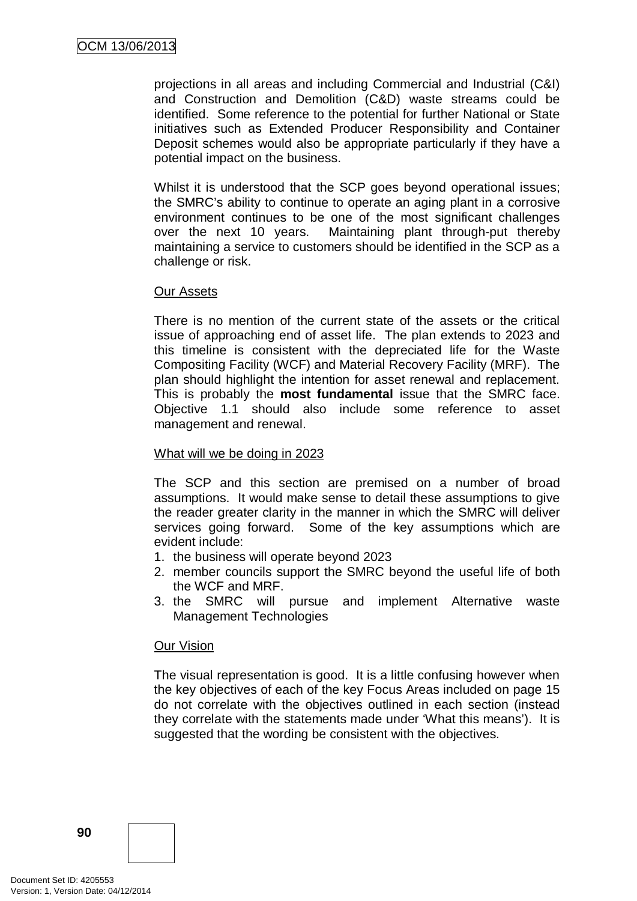projections in all areas and including Commercial and Industrial (C&I) and Construction and Demolition (C&D) waste streams could be identified. Some reference to the potential for further National or State initiatives such as Extended Producer Responsibility and Container Deposit schemes would also be appropriate particularly if they have a potential impact on the business.

Whilst it is understood that the SCP goes beyond operational issues; the SMRC's ability to continue to operate an aging plant in a corrosive environment continues to be one of the most significant challenges over the next 10 years. Maintaining plant through-put thereby maintaining a service to customers should be identified in the SCP as a challenge or risk.

## Our Assets

There is no mention of the current state of the assets or the critical issue of approaching end of asset life. The plan extends to 2023 and this timeline is consistent with the depreciated life for the Waste Compositing Facility (WCF) and Material Recovery Facility (MRF). The plan should highlight the intention for asset renewal and replacement. This is probably the **most fundamental** issue that the SMRC face. Objective 1.1 should also include some reference to asset management and renewal.

#### What will we be doing in 2023

The SCP and this section are premised on a number of broad assumptions. It would make sense to detail these assumptions to give the reader greater clarity in the manner in which the SMRC will deliver services going forward. Some of the key assumptions which are evident include:

- 1. the business will operate beyond 2023
- 2. member councils support the SMRC beyond the useful life of both the WCF and MRF.
- 3. the SMRC will pursue and implement Alternative waste Management Technologies

#### Our Vision

The visual representation is good. It is a little confusing however when the key objectives of each of the key Focus Areas included on page 15 do not correlate with the objectives outlined in each section (instead they correlate with the statements made under 'What this means'). It is suggested that the wording be consistent with the objectives.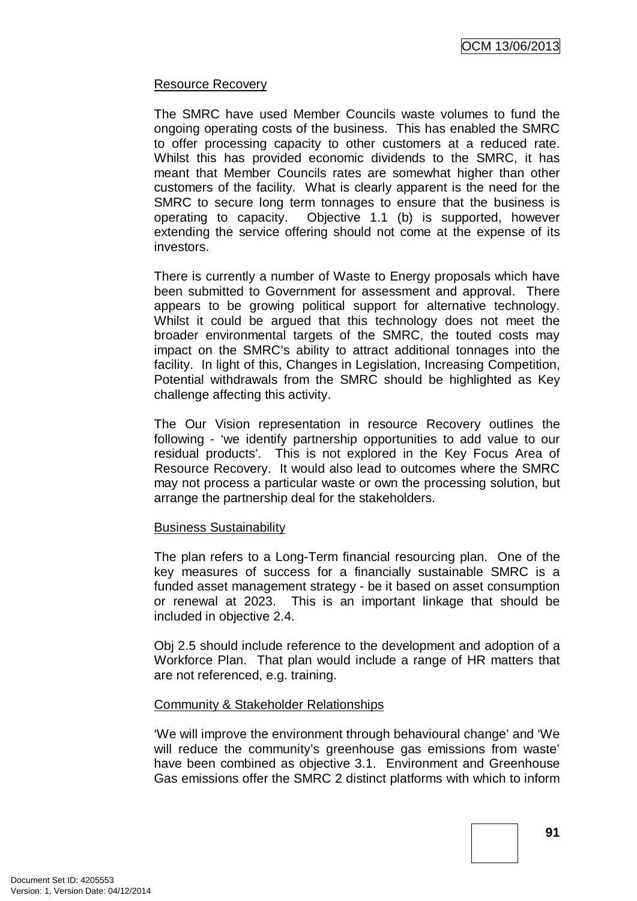#### Resource Recovery

The SMRC have used Member Councils waste volumes to fund the ongoing operating costs of the business. This has enabled the SMRC to offer processing capacity to other customers at a reduced rate. Whilst this has provided economic dividends to the SMRC, it has meant that Member Councils rates are somewhat higher than other customers of the facility. What is clearly apparent is the need for the SMRC to secure long term tonnages to ensure that the business is operating to capacity. Objective 1.1 (b) is supported, however extending the service offering should not come at the expense of its investors.

There is currently a number of Waste to Energy proposals which have been submitted to Government for assessment and approval. There appears to be growing political support for alternative technology. Whilst it could be argued that this technology does not meet the broader environmental targets of the SMRC, the touted costs may impact on the SMRC's ability to attract additional tonnages into the facility. In light of this, Changes in Legislation, Increasing Competition, Potential withdrawals from the SMRC should be highlighted as Key challenge affecting this activity.

The Our Vision representation in resource Recovery outlines the following - 'we identify partnership opportunities to add value to our residual products'. This is not explored in the Key Focus Area of Resource Recovery. It would also lead to outcomes where the SMRC may not process a particular waste or own the processing solution, but arrange the partnership deal for the stakeholders.

#### Business Sustainability

The plan refers to a Long-Term financial resourcing plan. One of the key measures of success for a financially sustainable SMRC is a funded asset management strategy - be it based on asset consumption or renewal at 2023. This is an important linkage that should be included in objective 2.4.

Obj 2.5 should include reference to the development and adoption of a Workforce Plan. That plan would include a range of HR matters that are not referenced, e.g. training.

#### Community & Stakeholder Relationships

'We will improve the environment through behavioural change' and 'We will reduce the community's greenhouse gas emissions from waste' have been combined as objective 3.1. Environment and Greenhouse Gas emissions offer the SMRC 2 distinct platforms with which to inform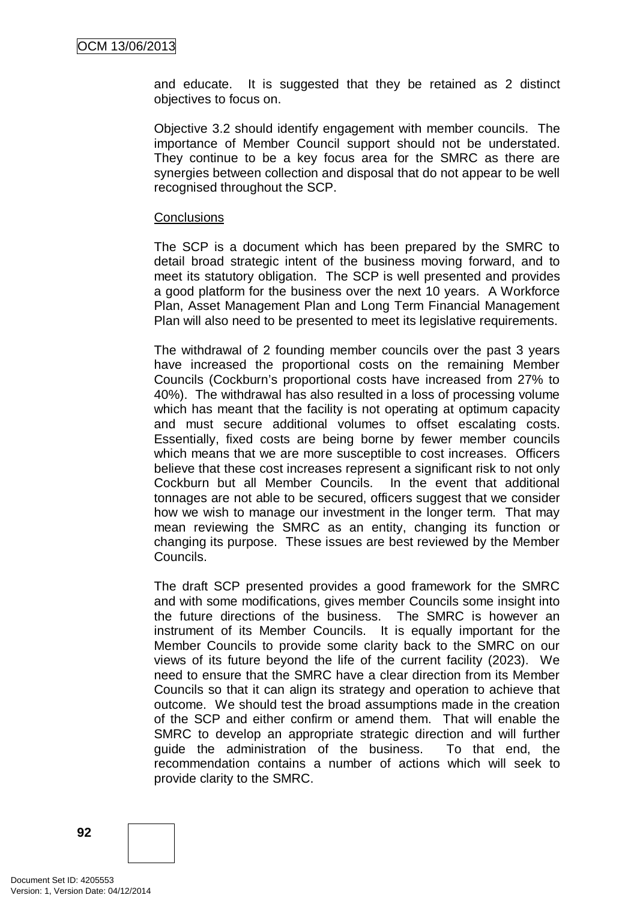and educate. It is suggested that they be retained as 2 distinct objectives to focus on.

Objective 3.2 should identify engagement with member councils. The importance of Member Council support should not be understated. They continue to be a key focus area for the SMRC as there are synergies between collection and disposal that do not appear to be well recognised throughout the SCP.

#### **Conclusions**

The SCP is a document which has been prepared by the SMRC to detail broad strategic intent of the business moving forward, and to meet its statutory obligation. The SCP is well presented and provides a good platform for the business over the next 10 years. A Workforce Plan, Asset Management Plan and Long Term Financial Management Plan will also need to be presented to meet its legislative requirements.

The withdrawal of 2 founding member councils over the past 3 years have increased the proportional costs on the remaining Member Councils (Cockburn's proportional costs have increased from 27% to 40%). The withdrawal has also resulted in a loss of processing volume which has meant that the facility is not operating at optimum capacity and must secure additional volumes to offset escalating costs. Essentially, fixed costs are being borne by fewer member councils which means that we are more susceptible to cost increases. Officers believe that these cost increases represent a significant risk to not only Cockburn but all Member Councils. In the event that additional tonnages are not able to be secured, officers suggest that we consider how we wish to manage our investment in the longer term. That may mean reviewing the SMRC as an entity, changing its function or changing its purpose. These issues are best reviewed by the Member Councils.

The draft SCP presented provides a good framework for the SMRC and with some modifications, gives member Councils some insight into the future directions of the business. The SMRC is however an instrument of its Member Councils. It is equally important for the Member Councils to provide some clarity back to the SMRC on our views of its future beyond the life of the current facility (2023). We need to ensure that the SMRC have a clear direction from its Member Councils so that it can align its strategy and operation to achieve that outcome. We should test the broad assumptions made in the creation of the SCP and either confirm or amend them. That will enable the SMRC to develop an appropriate strategic direction and will further guide the administration of the business. To that end, the recommendation contains a number of actions which will seek to provide clarity to the SMRC.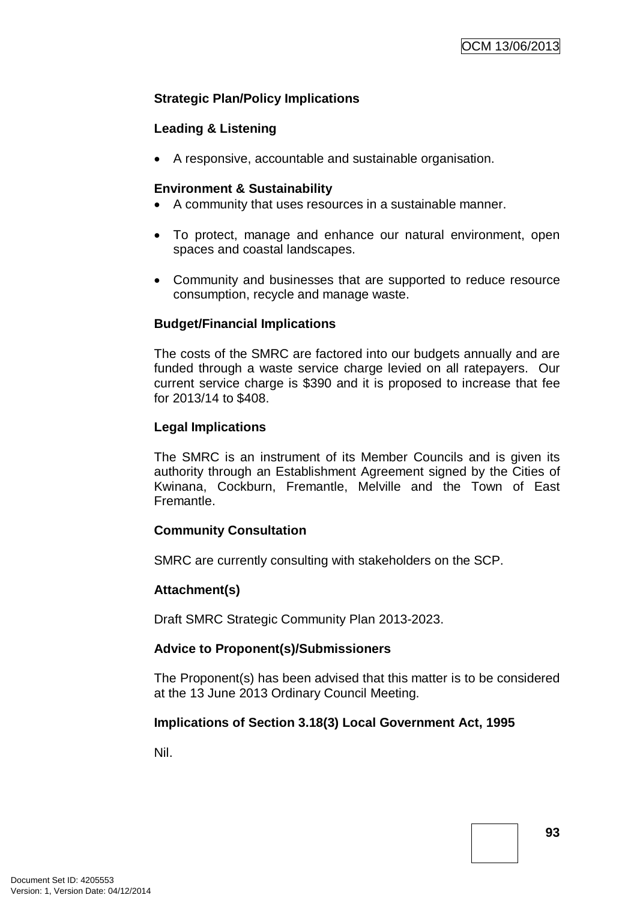# **Strategic Plan/Policy Implications**

## **Leading & Listening**

• A responsive, accountable and sustainable organisation.

#### **Environment & Sustainability**

- A community that uses resources in a sustainable manner.
- To protect, manage and enhance our natural environment, open spaces and coastal landscapes.
- Community and businesses that are supported to reduce resource consumption, recycle and manage waste.

## **Budget/Financial Implications**

The costs of the SMRC are factored into our budgets annually and are funded through a waste service charge levied on all ratepayers. Our current service charge is \$390 and it is proposed to increase that fee for 2013/14 to \$408.

## **Legal Implications**

The SMRC is an instrument of its Member Councils and is given its authority through an Establishment Agreement signed by the Cities of Kwinana, Cockburn, Fremantle, Melville and the Town of East Fremantle.

## **Community Consultation**

SMRC are currently consulting with stakeholders on the SCP.

## **Attachment(s)**

Draft SMRC Strategic Community Plan 2013-2023.

## **Advice to Proponent(s)/Submissioners**

The Proponent(s) has been advised that this matter is to be considered at the 13 June 2013 Ordinary Council Meeting.

## **Implications of Section 3.18(3) Local Government Act, 1995**

Nil.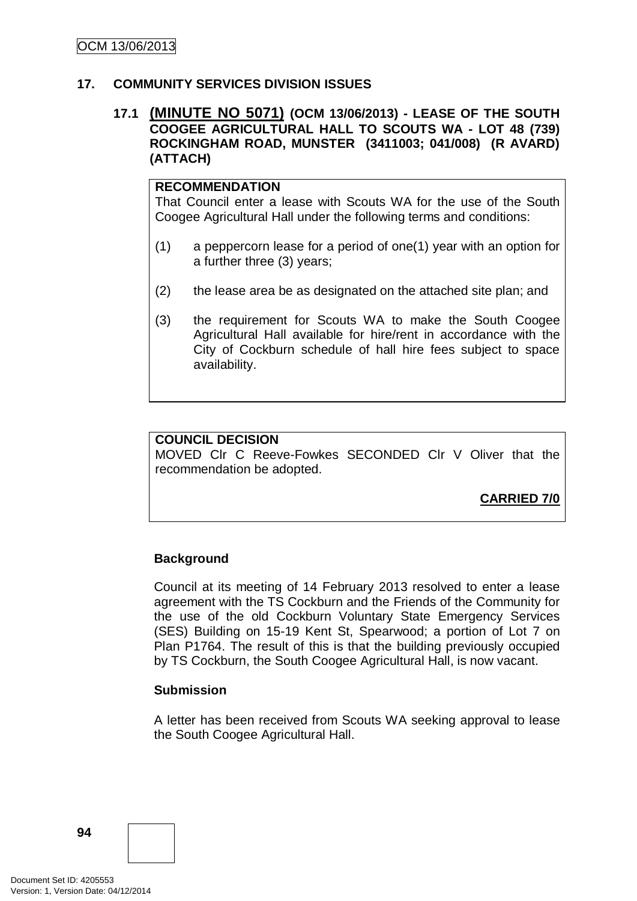# **17. COMMUNITY SERVICES DIVISION ISSUES**

## **17.1 (MINUTE NO 5071) (OCM 13/06/2013) - LEASE OF THE SOUTH COOGEE AGRICULTURAL HALL TO SCOUTS WA - LOT 48 (739) ROCKINGHAM ROAD, MUNSTER (3411003; 041/008) (R AVARD) (ATTACH)**

#### **RECOMMENDATION**

That Council enter a lease with Scouts WA for the use of the South Coogee Agricultural Hall under the following terms and conditions:

- (1) a peppercorn lease for a period of one(1) year with an option for a further three (3) years;
- (2) the lease area be as designated on the attached site plan; and
- (3) the requirement for Scouts WA to make the South Coogee Agricultural Hall available for hire/rent in accordance with the City of Cockburn schedule of hall hire fees subject to space availability.

## **COUNCIL DECISION**

MOVED Clr C Reeve-Fowkes SECONDED Clr V Oliver that the recommendation be adopted.

# **CARRIED 7/0**

## **Background**

Council at its meeting of 14 February 2013 resolved to enter a lease agreement with the TS Cockburn and the Friends of the Community for the use of the old Cockburn Voluntary State Emergency Services (SES) Building on 15-19 Kent St, Spearwood; a portion of Lot 7 on Plan P1764. The result of this is that the building previously occupied by TS Cockburn, the South Coogee Agricultural Hall, is now vacant.

#### **Submission**

A letter has been received from Scouts WA seeking approval to lease the South Coogee Agricultural Hall.

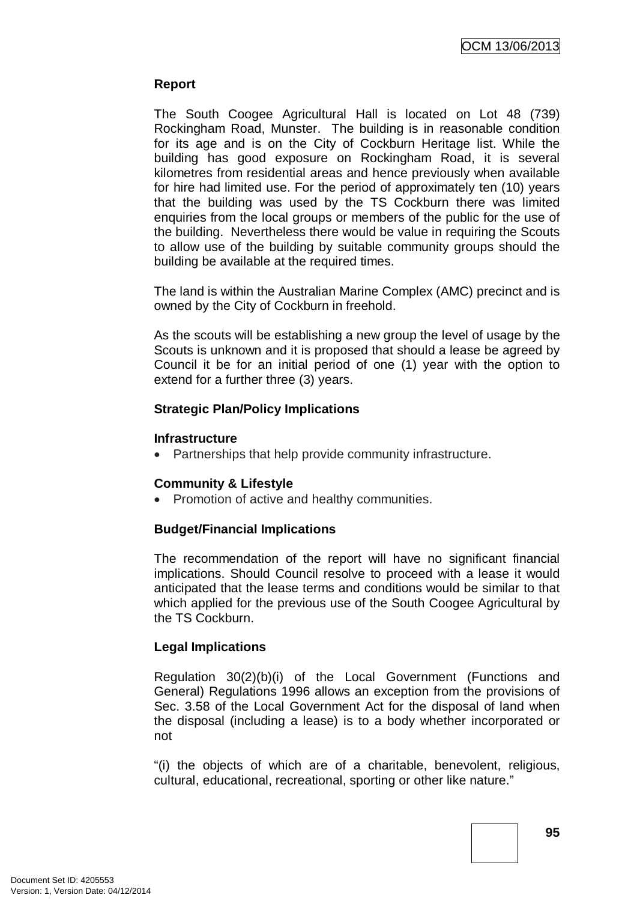## **Report**

The South Coogee Agricultural Hall is located on Lot 48 (739) Rockingham Road, Munster. The building is in reasonable condition for its age and is on the City of Cockburn Heritage list. While the building has good exposure on Rockingham Road, it is several kilometres from residential areas and hence previously when available for hire had limited use. For the period of approximately ten (10) years that the building was used by the TS Cockburn there was limited enquiries from the local groups or members of the public for the use of the building. Nevertheless there would be value in requiring the Scouts to allow use of the building by suitable community groups should the building be available at the required times.

The land is within the Australian Marine Complex (AMC) precinct and is owned by the City of Cockburn in freehold.

As the scouts will be establishing a new group the level of usage by the Scouts is unknown and it is proposed that should a lease be agreed by Council it be for an initial period of one (1) year with the option to extend for a further three (3) years.

## **Strategic Plan/Policy Implications**

## **Infrastructure**

• Partnerships that help provide community infrastructure.

## **Community & Lifestyle**

• Promotion of active and healthy communities.

## **Budget/Financial Implications**

The recommendation of the report will have no significant financial implications. Should Council resolve to proceed with a lease it would anticipated that the lease terms and conditions would be similar to that which applied for the previous use of the South Coogee Agricultural by the TS Cockburn.

## **Legal Implications**

Regulation 30(2)(b)(i) of the Local Government (Functions and General) Regulations 1996 allows an exception from the provisions of Sec. 3.58 of the Local Government Act for the disposal of land when the disposal (including a lease) is to a body whether incorporated or not

"(i) the objects of which are of a charitable, benevolent, religious, cultural, educational, recreational, sporting or other like nature."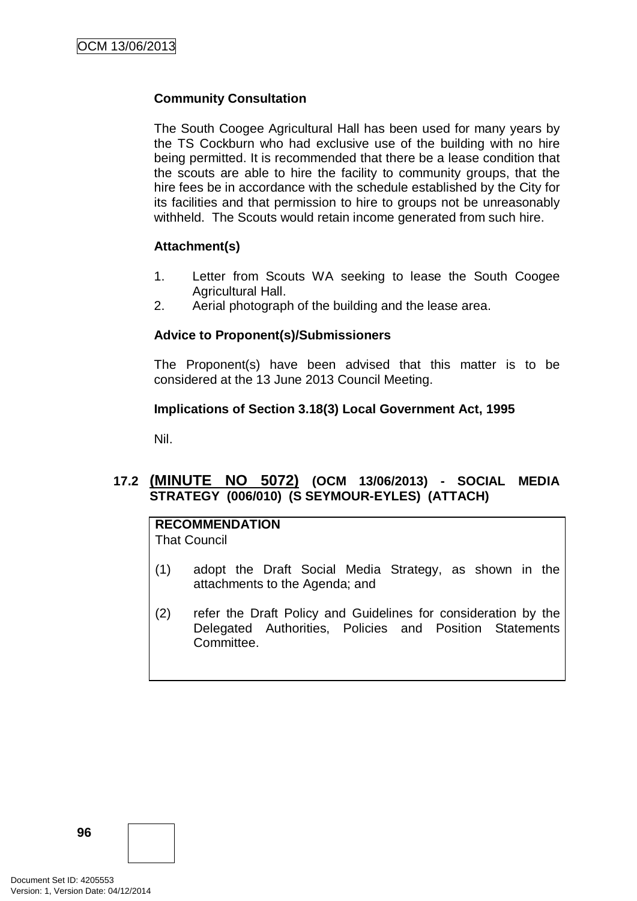## **Community Consultation**

The South Coogee Agricultural Hall has been used for many years by the TS Cockburn who had exclusive use of the building with no hire being permitted. It is recommended that there be a lease condition that the scouts are able to hire the facility to community groups, that the hire fees be in accordance with the schedule established by the City for its facilities and that permission to hire to groups not be unreasonably withheld. The Scouts would retain income generated from such hire.

#### **Attachment(s)**

- 1. Letter from Scouts WA seeking to lease the South Coogee Agricultural Hall.
- 2. Aerial photograph of the building and the lease area.

#### **Advice to Proponent(s)/Submissioners**

The Proponent(s) have been advised that this matter is to be considered at the 13 June 2013 Council Meeting.

#### **Implications of Section 3.18(3) Local Government Act, 1995**

Nil.

# **17.2 (MINUTE NO 5072) (OCM 13/06/2013) - SOCIAL MEDIA STRATEGY (006/010) (S SEYMOUR-EYLES) (ATTACH)**

# **RECOMMENDATION**

That Council

- (1) adopt the Draft Social Media Strategy, as shown in the attachments to the Agenda; and
- (2) refer the Draft Policy and Guidelines for consideration by the Delegated Authorities, Policies and Position Statements Committee.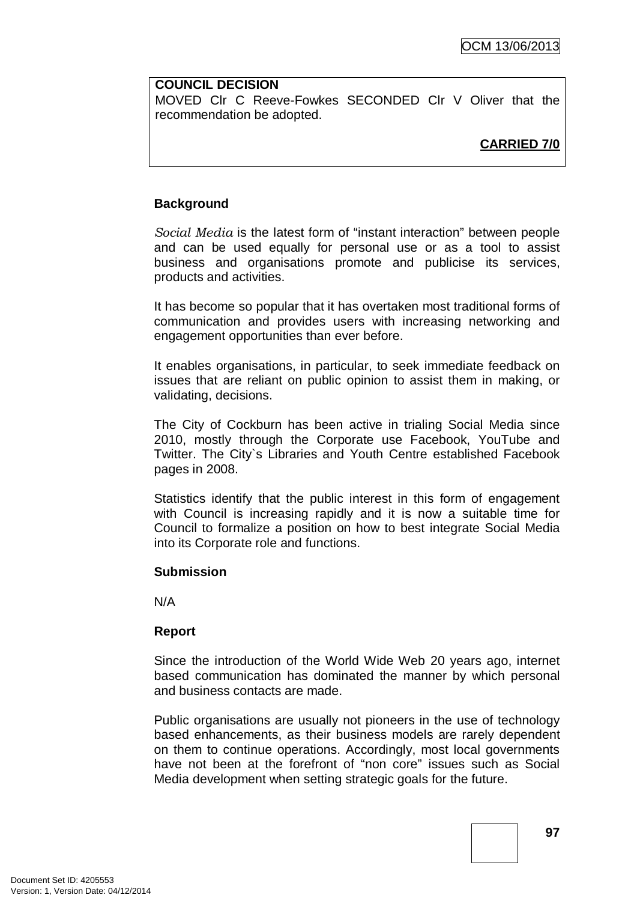#### **COUNCIL DECISION**

MOVED Clr C Reeve-Fowkes SECONDED Clr V Oliver that the recommendation be adopted.

# **CARRIED 7/0**

## **Background**

*Social Media* is the latest form of "instant interaction" between people and can be used equally for personal use or as a tool to assist business and organisations promote and publicise its services, products and activities.

It has become so popular that it has overtaken most traditional forms of communication and provides users with increasing networking and engagement opportunities than ever before.

It enables organisations, in particular, to seek immediate feedback on issues that are reliant on public opinion to assist them in making, or validating, decisions.

The City of Cockburn has been active in trialing Social Media since 2010, mostly through the Corporate use Facebook, YouTube and Twitter. The City`s Libraries and Youth Centre established Facebook pages in 2008.

Statistics identify that the public interest in this form of engagement with Council is increasing rapidly and it is now a suitable time for Council to formalize a position on how to best integrate Social Media into its Corporate role and functions.

## **Submission**

N/A

## **Report**

Since the introduction of the World Wide Web 20 years ago, internet based communication has dominated the manner by which personal and business contacts are made.

Public organisations are usually not pioneers in the use of technology based enhancements, as their business models are rarely dependent on them to continue operations. Accordingly, most local governments have not been at the forefront of "non core" issues such as Social Media development when setting strategic goals for the future.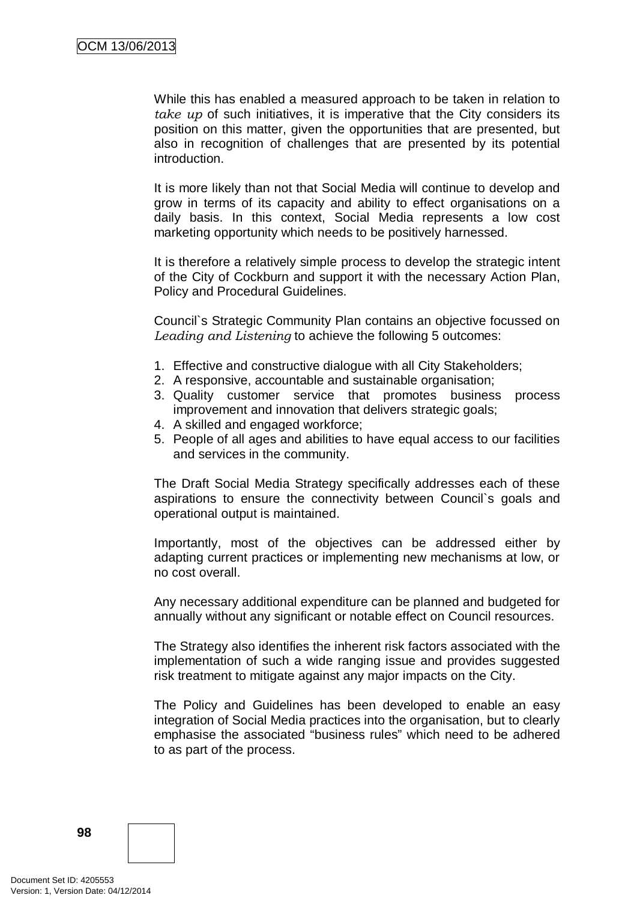While this has enabled a measured approach to be taken in relation to *take up* of such initiatives, it is imperative that the City considers its position on this matter, given the opportunities that are presented, but also in recognition of challenges that are presented by its potential introduction.

It is more likely than not that Social Media will continue to develop and grow in terms of its capacity and ability to effect organisations on a daily basis. In this context, Social Media represents a low cost marketing opportunity which needs to be positively harnessed.

It is therefore a relatively simple process to develop the strategic intent of the City of Cockburn and support it with the necessary Action Plan, Policy and Procedural Guidelines.

Council`s Strategic Community Plan contains an objective focussed on *Leading and Listening* to achieve the following 5 outcomes:

- 1. Effective and constructive dialogue with all City Stakeholders;
- 2. A responsive, accountable and sustainable organisation;
- 3. Quality customer service that promotes business process improvement and innovation that delivers strategic goals;
- 4. A skilled and engaged workforce;
- 5. People of all ages and abilities to have equal access to our facilities and services in the community.

The Draft Social Media Strategy specifically addresses each of these aspirations to ensure the connectivity between Council`s goals and operational output is maintained.

Importantly, most of the objectives can be addressed either by adapting current practices or implementing new mechanisms at low, or no cost overall.

Any necessary additional expenditure can be planned and budgeted for annually without any significant or notable effect on Council resources.

The Strategy also identifies the inherent risk factors associated with the implementation of such a wide ranging issue and provides suggested risk treatment to mitigate against any major impacts on the City.

The Policy and Guidelines has been developed to enable an easy integration of Social Media practices into the organisation, but to clearly emphasise the associated "business rules" which need to be adhered to as part of the process.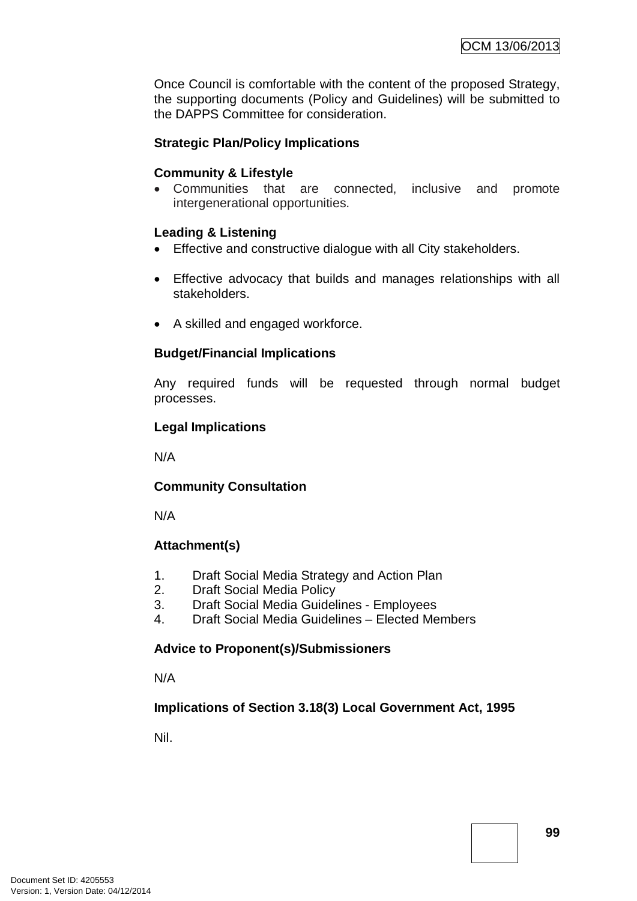Once Council is comfortable with the content of the proposed Strategy, the supporting documents (Policy and Guidelines) will be submitted to the DAPPS Committee for consideration.

# **Strategic Plan/Policy Implications**

#### **Community & Lifestyle**

• Communities that are connected, inclusive and promote intergenerational opportunities.

## **Leading & Listening**

- Effective and constructive dialogue with all City stakeholders.
- Effective advocacy that builds and manages relationships with all stakeholders.
- A skilled and engaged workforce.

# **Budget/Financial Implications**

Any required funds will be requested through normal budget processes.

# **Legal Implications**

N/A

# **Community Consultation**

N/A

# **Attachment(s)**

- 1. Draft Social Media Strategy and Action Plan
- 2. Draft Social Media Policy
- 3. Draft Social Media Guidelines Employees
- 4. Draft Social Media Guidelines Elected Members

## **Advice to Proponent(s)/Submissioners**

N/A

## **Implications of Section 3.18(3) Local Government Act, 1995**

Nil.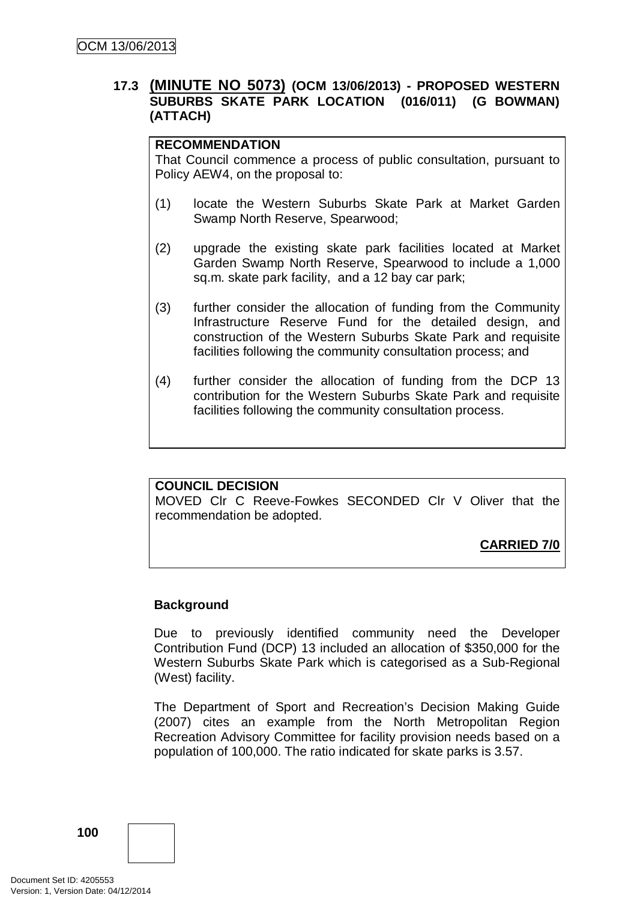# **17.3 (MINUTE NO 5073) (OCM 13/06/2013) - PROPOSED WESTERN SUBURBS SKATE PARK LOCATION (016/011) (G BOWMAN) (ATTACH)**

## **RECOMMENDATION**

That Council commence a process of public consultation, pursuant to Policy AEW4, on the proposal to:

- (1) locate the Western Suburbs Skate Park at Market Garden Swamp North Reserve, Spearwood;
- (2) upgrade the existing skate park facilities located at Market Garden Swamp North Reserve, Spearwood to include a 1,000 sq.m. skate park facility, and a 12 bay car park;
- (3) further consider the allocation of funding from the Community Infrastructure Reserve Fund for the detailed design, and construction of the Western Suburbs Skate Park and requisite facilities following the community consultation process; and
- (4) further consider the allocation of funding from the DCP 13 contribution for the Western Suburbs Skate Park and requisite facilities following the community consultation process.

## **COUNCIL DECISION**

MOVED Clr C Reeve-Fowkes SECONDED Clr V Oliver that the recommendation be adopted.

## **CARRIED 7/0**

#### **Background**

Due to previously identified community need the Developer Contribution Fund (DCP) 13 included an allocation of \$350,000 for the Western Suburbs Skate Park which is categorised as a Sub-Regional (West) facility.

The Department of Sport and Recreation's Decision Making Guide (2007) cites an example from the North Metropolitan Region Recreation Advisory Committee for facility provision needs based on a population of 100,000. The ratio indicated for skate parks is 3.57.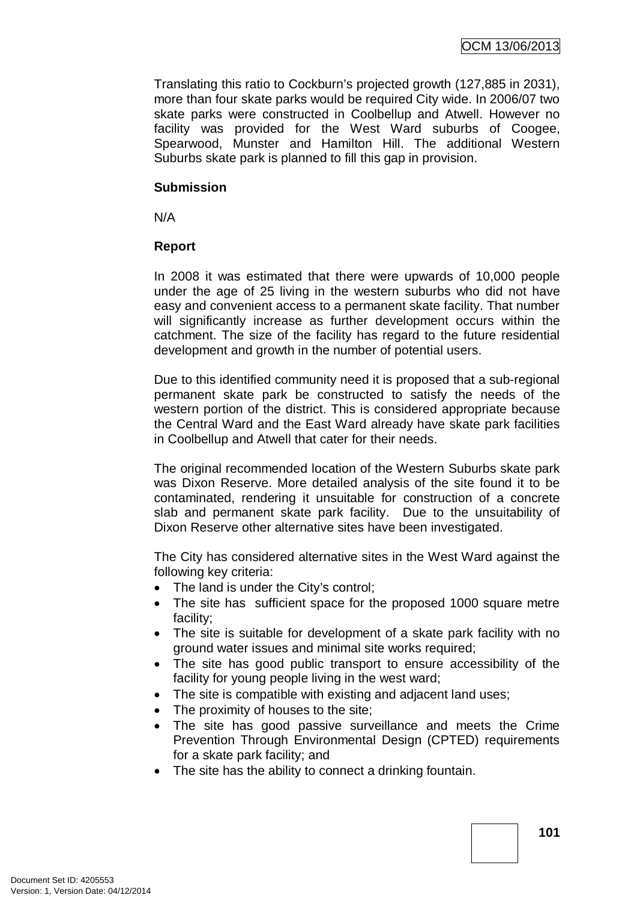Translating this ratio to Cockburn's projected growth (127,885 in 2031), more than four skate parks would be required City wide. In 2006/07 two skate parks were constructed in Coolbellup and Atwell. However no facility was provided for the West Ward suburbs of Coogee, Spearwood, Munster and Hamilton Hill. The additional Western Suburbs skate park is planned to fill this gap in provision.

## **Submission**

N/A

# **Report**

In 2008 it was estimated that there were upwards of 10,000 people under the age of 25 living in the western suburbs who did not have easy and convenient access to a permanent skate facility. That number will significantly increase as further development occurs within the catchment. The size of the facility has regard to the future residential development and growth in the number of potential users.

Due to this identified community need it is proposed that a sub-regional permanent skate park be constructed to satisfy the needs of the western portion of the district. This is considered appropriate because the Central Ward and the East Ward already have skate park facilities in Coolbellup and Atwell that cater for their needs.

The original recommended location of the Western Suburbs skate park was Dixon Reserve. More detailed analysis of the site found it to be contaminated, rendering it unsuitable for construction of a concrete slab and permanent skate park facility. Due to the unsuitability of Dixon Reserve other alternative sites have been investigated.

The City has considered alternative sites in the West Ward against the following key criteria:

- The land is under the City's control;
- The site has sufficient space for the proposed 1000 square metre facility;
- The site is suitable for development of a skate park facility with no ground water issues and minimal site works required;
- The site has good public transport to ensure accessibility of the facility for young people living in the west ward;
- The site is compatible with existing and adjacent land uses;
- The proximity of houses to the site;
- The site has good passive surveillance and meets the Crime Prevention Through Environmental Design (CPTED) requirements for a skate park facility; and
- The site has the ability to connect a drinking fountain.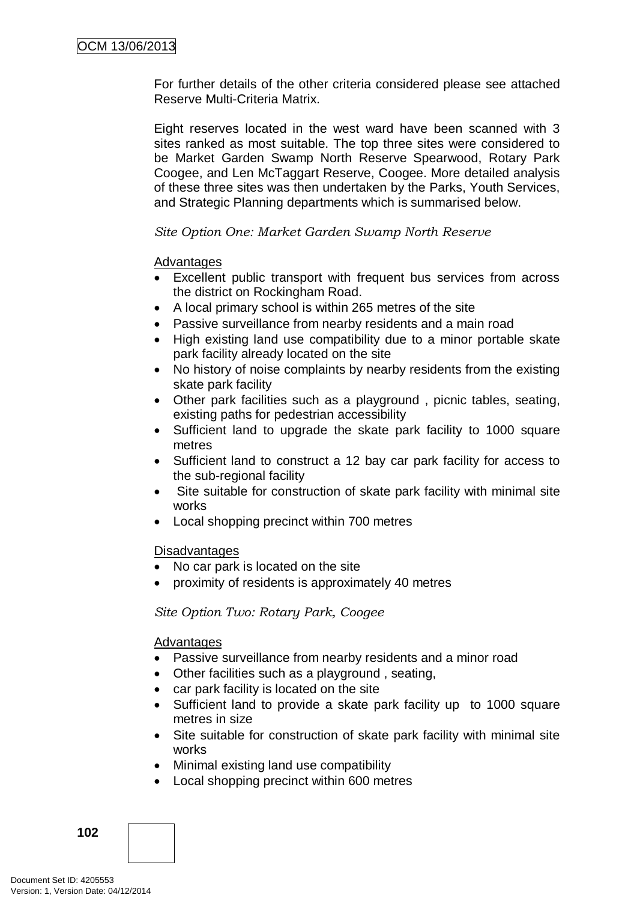For further details of the other criteria considered please see attached Reserve Multi-Criteria Matrix.

Eight reserves located in the west ward have been scanned with 3 sites ranked as most suitable. The top three sites were considered to be Market Garden Swamp North Reserve Spearwood, Rotary Park Coogee, and Len McTaggart Reserve, Coogee. More detailed analysis of these three sites was then undertaken by the Parks, Youth Services, and Strategic Planning departments which is summarised below.

#### *Site Option One: Market Garden Swamp North Reserve*

#### **Advantages**

- Excellent public transport with frequent bus services from across the district on Rockingham Road.
- A local primary school is within 265 metres of the site
- Passive surveillance from nearby residents and a main road
- High existing land use compatibility due to a minor portable skate park facility already located on the site
- No history of noise complaints by nearby residents from the existing skate park facility
- Other park facilities such as a playground , picnic tables, seating, existing paths for pedestrian accessibility
- Sufficient land to upgrade the skate park facility to 1000 square metres
- Sufficient land to construct a 12 bay car park facility for access to the sub-regional facility
- Site suitable for construction of skate park facility with minimal site works
- Local shopping precinct within 700 metres

#### **Disadvantages**

- No car park is located on the site
- proximity of residents is approximately 40 metres

*Site Option Two: Rotary Park, Coogee*

#### Advantages

- Passive surveillance from nearby residents and a minor road
- Other facilities such as a playground , seating,
- car park facility is located on the site
- Sufficient land to provide a skate park facility up to 1000 square metres in size
- Site suitable for construction of skate park facility with minimal site works
- Minimal existing land use compatibility
- Local shopping precinct within 600 metres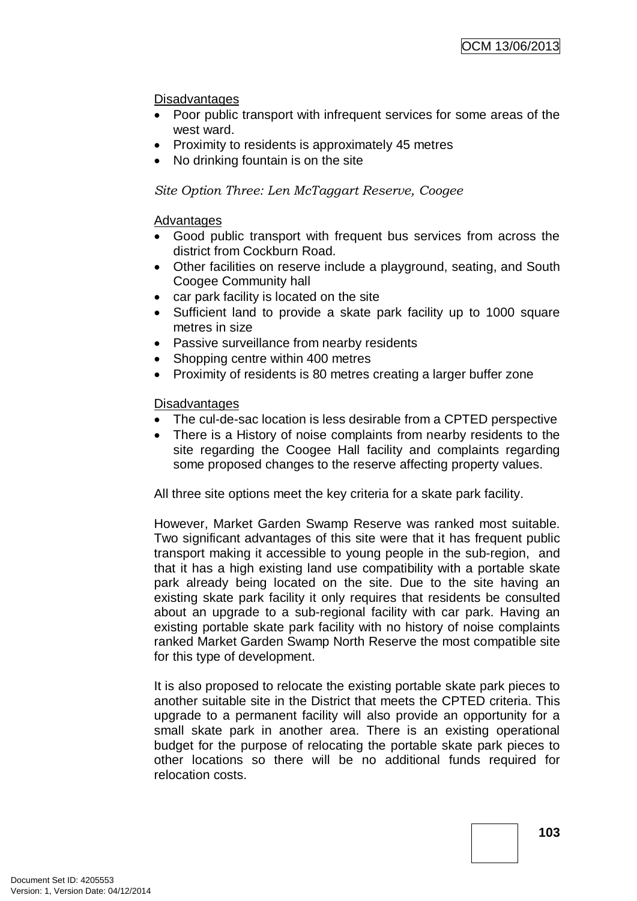## **Disadvantages**

- Poor public transport with infrequent services for some areas of the west ward.
- Proximity to residents is approximately 45 metres
- No drinking fountain is on the site

# *Site Option Three: Len McTaggart Reserve, Coogee*

# Advantages

- Good public transport with frequent bus services from across the district from Cockburn Road.
- Other facilities on reserve include a playground, seating, and South Coogee Community hall
- car park facility is located on the site
- Sufficient land to provide a skate park facility up to 1000 square metres in size
- Passive surveillance from nearby residents
- Shopping centre within 400 metres
- Proximity of residents is 80 metres creating a larger buffer zone

# **Disadvantages**

- The cul-de-sac location is less desirable from a CPTED perspective
- There is a History of noise complaints from nearby residents to the site regarding the Coogee Hall facility and complaints regarding some proposed changes to the reserve affecting property values.

All three site options meet the key criteria for a skate park facility.

However, Market Garden Swamp Reserve was ranked most suitable. Two significant advantages of this site were that it has frequent public transport making it accessible to young people in the sub-region, and that it has a high existing land use compatibility with a portable skate park already being located on the site. Due to the site having an existing skate park facility it only requires that residents be consulted about an upgrade to a sub-regional facility with car park. Having an existing portable skate park facility with no history of noise complaints ranked Market Garden Swamp North Reserve the most compatible site for this type of development.

It is also proposed to relocate the existing portable skate park pieces to another suitable site in the District that meets the CPTED criteria. This upgrade to a permanent facility will also provide an opportunity for a small skate park in another area. There is an existing operational budget for the purpose of relocating the portable skate park pieces to other locations so there will be no additional funds required for relocation costs.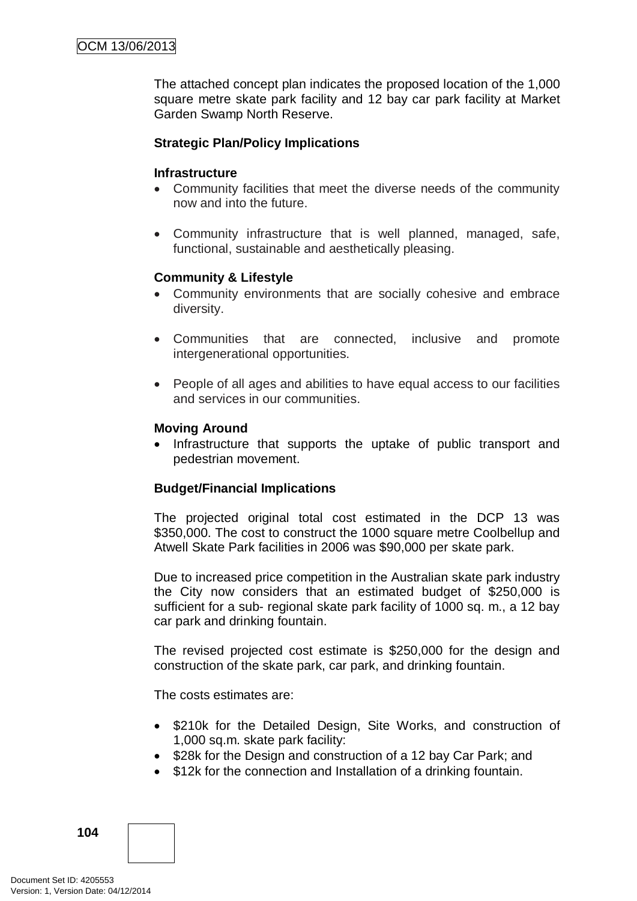The attached concept plan indicates the proposed location of the 1,000 square metre skate park facility and 12 bay car park facility at Market Garden Swamp North Reserve.

#### **Strategic Plan/Policy Implications**

#### **Infrastructure**

- Community facilities that meet the diverse needs of the community now and into the future.
- Community infrastructure that is well planned, managed, safe, functional, sustainable and aesthetically pleasing.

## **Community & Lifestyle**

- Community environments that are socially cohesive and embrace diversity.
- Communities that are connected, inclusive and promote intergenerational opportunities.
- People of all ages and abilities to have equal access to our facilities and services in our communities.

#### **Moving Around**

• Infrastructure that supports the uptake of public transport and pedestrian movement.

#### **Budget/Financial Implications**

The projected original total cost estimated in the DCP 13 was \$350,000. The cost to construct the 1000 square metre Coolbellup and Atwell Skate Park facilities in 2006 was \$90,000 per skate park.

Due to increased price competition in the Australian skate park industry the City now considers that an estimated budget of \$250,000 is sufficient for a sub- regional skate park facility of 1000 sq. m., a 12 bay car park and drinking fountain.

The revised projected cost estimate is \$250,000 for the design and construction of the skate park, car park, and drinking fountain.

The costs estimates are:

- \$210k for the Detailed Design, Site Works, and construction of 1,000 sq.m. skate park facility:
- \$28k for the Design and construction of a 12 bay Car Park; and
- \$12k for the connection and Installation of a drinking fountain.

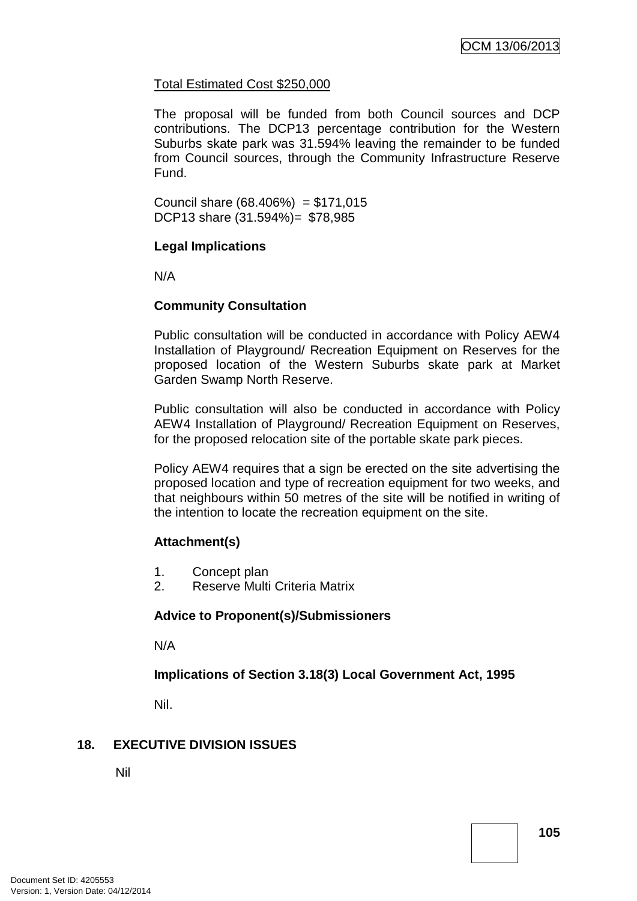## Total Estimated Cost \$250,000

The proposal will be funded from both Council sources and DCP contributions. The DCP13 percentage contribution for the Western Suburbs skate park was 31.594% leaving the remainder to be funded from Council sources, through the Community Infrastructure Reserve Fund.

Council share (68.406%) = \$171,015 DCP13 share (31.594%)= \$78,985

## **Legal Implications**

N/A

### **Community Consultation**

Public consultation will be conducted in accordance with Policy AEW4 Installation of Playground/ Recreation Equipment on Reserves for the proposed location of the Western Suburbs skate park at Market Garden Swamp North Reserve.

Public consultation will also be conducted in accordance with Policy AEW4 Installation of Playground/ Recreation Equipment on Reserves, for the proposed relocation site of the portable skate park pieces.

Policy AEW4 requires that a sign be erected on the site advertising the proposed location and type of recreation equipment for two weeks, and that neighbours within 50 metres of the site will be notified in writing of the intention to locate the recreation equipment on the site.

## **Attachment(s)**

- 1. Concept plan
- 2. Reserve Multi Criteria Matrix

## **Advice to Proponent(s)/Submissioners**

N/A

## **Implications of Section 3.18(3) Local Government Act, 1995**

Nil.

## **18. EXECUTIVE DIVISION ISSUES**

Nil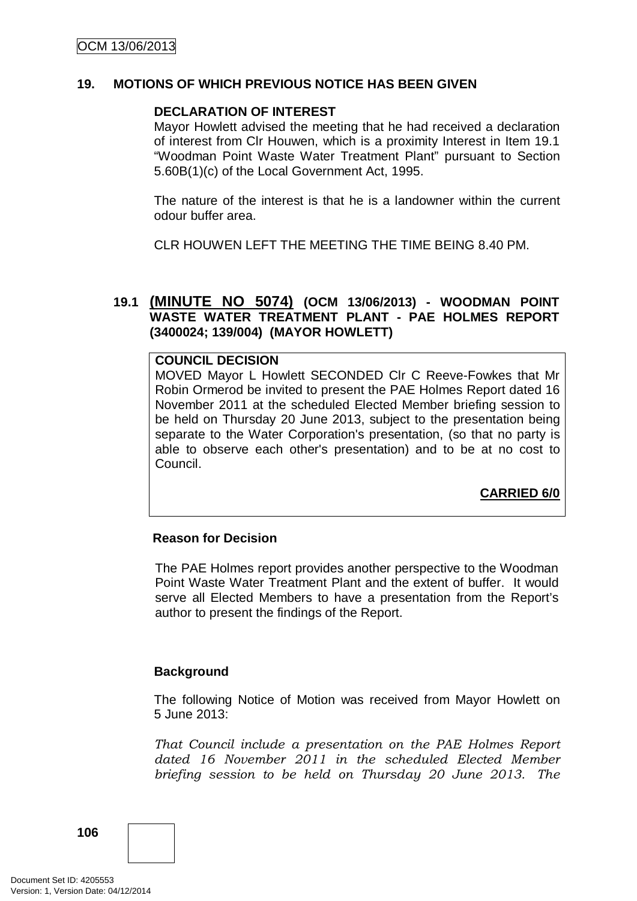### **19. MOTIONS OF WHICH PREVIOUS NOTICE HAS BEEN GIVEN**

#### **DECLARATION OF INTEREST**

Mayor Howlett advised the meeting that he had received a declaration of interest from Clr Houwen, which is a proximity Interest in Item 19.1 "Woodman Point Waste Water Treatment Plant" pursuant to Section 5.60B(1)(c) of the Local Government Act, 1995.

The nature of the interest is that he is a landowner within the current odour buffer area.

CLR HOUWEN LEFT THE MEETING THE TIME BEING 8.40 PM.

### **19.1 (MINUTE NO 5074) (OCM 13/06/2013) - WOODMAN POINT WASTE WATER TREATMENT PLANT - PAE HOLMES REPORT (3400024; 139/004) (MAYOR HOWLETT)**

#### **COUNCIL DECISION**

MOVED Mayor L Howlett SECONDED Clr C Reeve-Fowkes that Mr Robin Ormerod be invited to present the PAE Holmes Report dated 16 November 2011 at the scheduled Elected Member briefing session to be held on Thursday 20 June 2013, subject to the presentation being separate to the Water Corporation's presentation, (so that no party is able to observe each other's presentation) and to be at no cost to Council.

**CARRIED 6/0**

#### **Reason for Decision**

The PAE Holmes report provides another perspective to the Woodman Point Waste Water Treatment Plant and the extent of buffer. It would serve all Elected Members to have a presentation from the Report's author to present the findings of the Report.

#### **Background**

The following Notice of Motion was received from Mayor Howlett on 5 June 2013:

*That Council include a presentation on the PAE Holmes Report dated 16 November 2011 in the scheduled Elected Member briefing session to be held on Thursday 20 June 2013. The* 

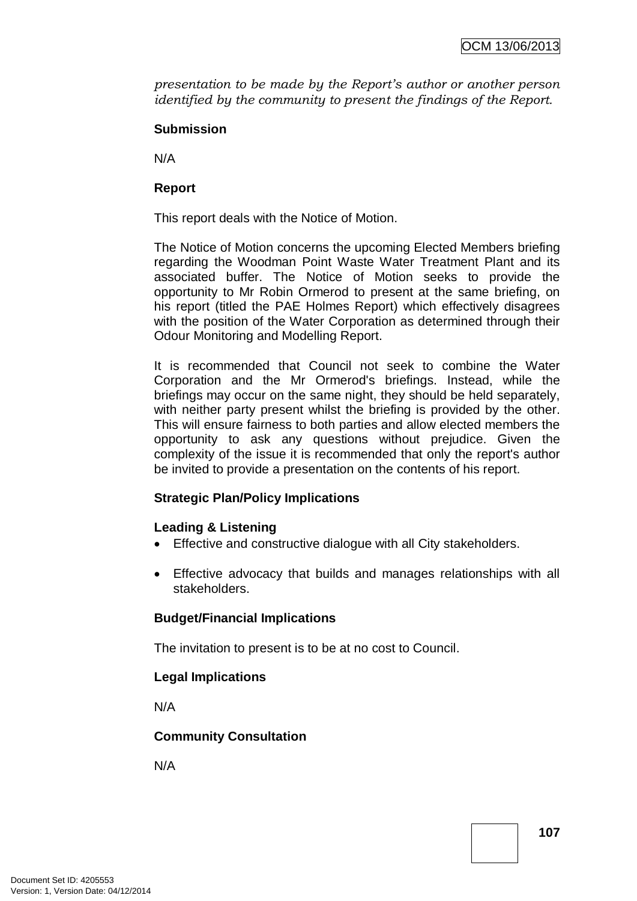*presentation to be made by the Report's author or another person identified by the community to present the findings of the Report.*

### **Submission**

N/A

## **Report**

This report deals with the Notice of Motion.

The Notice of Motion concerns the upcoming Elected Members briefing regarding the Woodman Point Waste Water Treatment Plant and its associated buffer. The Notice of Motion seeks to provide the opportunity to Mr Robin Ormerod to present at the same briefing, on his report (titled the PAE Holmes Report) which effectively disagrees with the position of the Water Corporation as determined through their Odour Monitoring and Modelling Report.

It is recommended that Council not seek to combine the Water Corporation and the Mr Ormerod's briefings. Instead, while the briefings may occur on the same night, they should be held separately, with neither party present whilst the briefing is provided by the other. This will ensure fairness to both parties and allow elected members the opportunity to ask any questions without prejudice. Given the complexity of the issue it is recommended that only the report's author be invited to provide a presentation on the contents of his report.

## **Strategic Plan/Policy Implications**

## **Leading & Listening**

- Effective and constructive dialogue with all City stakeholders.
- Effective advocacy that builds and manages relationships with all stakeholders.

## **Budget/Financial Implications**

The invitation to present is to be at no cost to Council.

## **Legal Implications**

N/A

## **Community Consultation**

N/A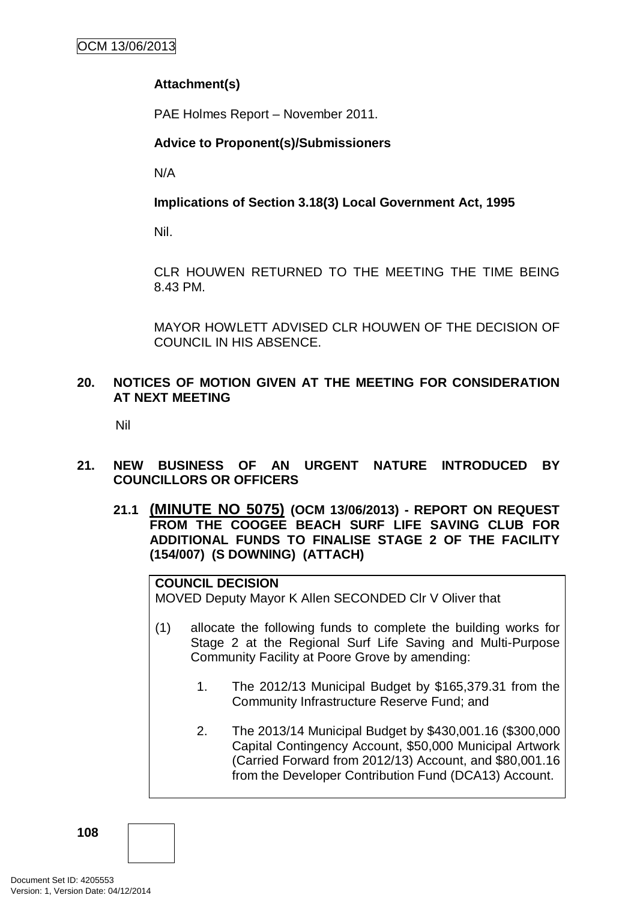# **Attachment(s)**

PAE Holmes Report – November 2011.

## **Advice to Proponent(s)/Submissioners**

N/A

## **Implications of Section 3.18(3) Local Government Act, 1995**

Nil.

CLR HOUWEN RETURNED TO THE MEETING THE TIME BEING 8.43 PM.

MAYOR HOWLETT ADVISED CLR HOUWEN OF THE DECISION OF COUNCIL IN HIS ABSENCE.

## **20. NOTICES OF MOTION GIVEN AT THE MEETING FOR CONSIDERATION AT NEXT MEETING**

Nil

## **21. NEW BUSINESS OF AN URGENT NATURE INTRODUCED BY COUNCILLORS OR OFFICERS**

**21.1 (MINUTE NO 5075) (OCM 13/06/2013) - REPORT ON REQUEST FROM THE COOGEE BEACH SURF LIFE SAVING CLUB FOR ADDITIONAL FUNDS TO FINALISE STAGE 2 OF THE FACILITY (154/007) (S DOWNING) (ATTACH)**

**COUNCIL DECISION** MOVED Deputy Mayor K Allen SECONDED Clr V Oliver that

- (1) allocate the following funds to complete the building works for Stage 2 at the Regional Surf Life Saving and Multi-Purpose Community Facility at Poore Grove by amending:
	- 1. The 2012/13 Municipal Budget by \$165,379.31 from the Community Infrastructure Reserve Fund; and
	- 2. The 2013/14 Municipal Budget by \$430,001.16 (\$300,000 Capital Contingency Account, \$50,000 Municipal Artwork (Carried Forward from 2012/13) Account, and \$80,001.16 from the Developer Contribution Fund (DCA13) Account.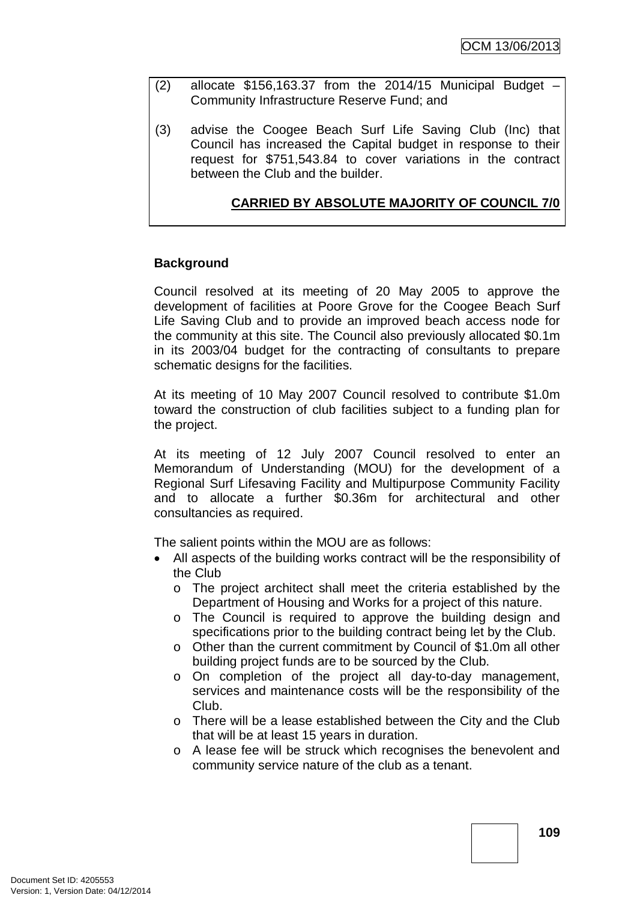- (2) allocate \$156,163.37 from the 2014/15 Municipal Budget Community Infrastructure Reserve Fund; and
- (3) advise the Coogee Beach Surf Life Saving Club (Inc) that Council has increased the Capital budget in response to their request for \$751,543.84 to cover variations in the contract between the Club and the builder.

## **CARRIED BY ABSOLUTE MAJORITY OF COUNCIL 7/0**

## **Background**

Council resolved at its meeting of 20 May 2005 to approve the development of facilities at Poore Grove for the Coogee Beach Surf Life Saving Club and to provide an improved beach access node for the community at this site. The Council also previously allocated \$0.1m in its 2003/04 budget for the contracting of consultants to prepare schematic designs for the facilities.

At its meeting of 10 May 2007 Council resolved to contribute \$1.0m toward the construction of club facilities subject to a funding plan for the project.

At its meeting of 12 July 2007 Council resolved to enter an Memorandum of Understanding (MOU) for the development of a Regional Surf Lifesaving Facility and Multipurpose Community Facility and to allocate a further \$0.36m for architectural and other consultancies as required.

The salient points within the MOU are as follows:

- All aspects of the building works contract will be the responsibility of the Club
	- o The project architect shall meet the criteria established by the Department of Housing and Works for a project of this nature.
	- o The Council is required to approve the building design and specifications prior to the building contract being let by the Club.
	- o Other than the current commitment by Council of \$1.0m all other building project funds are to be sourced by the Club.
	- o On completion of the project all day-to-day management, services and maintenance costs will be the responsibility of the Club.
	- o There will be a lease established between the City and the Club that will be at least 15 years in duration.
	- o A lease fee will be struck which recognises the benevolent and community service nature of the club as a tenant.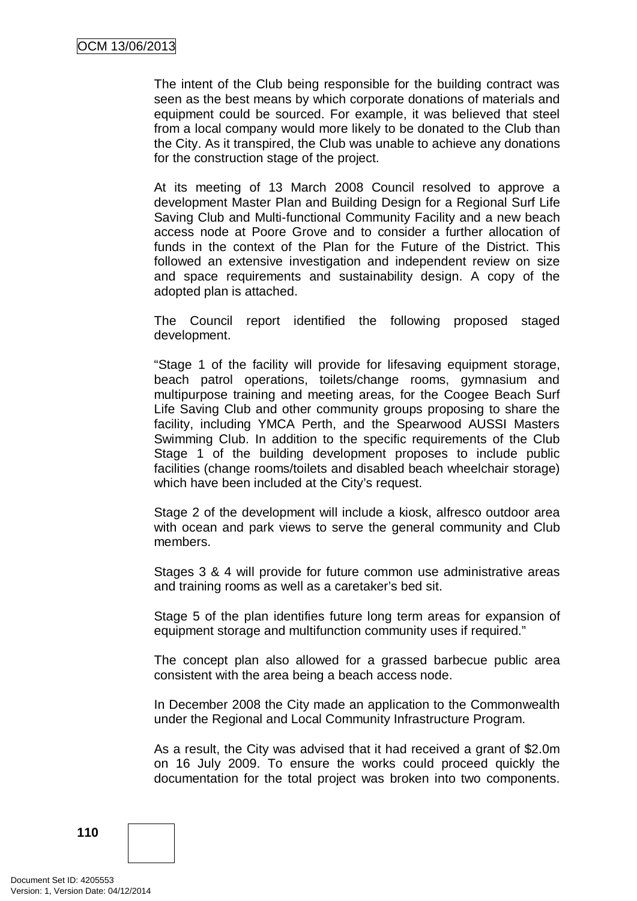The intent of the Club being responsible for the building contract was seen as the best means by which corporate donations of materials and equipment could be sourced. For example, it was believed that steel from a local company would more likely to be donated to the Club than the City. As it transpired, the Club was unable to achieve any donations for the construction stage of the project.

At its meeting of 13 March 2008 Council resolved to approve a development Master Plan and Building Design for a Regional Surf Life Saving Club and Multi-functional Community Facility and a new beach access node at Poore Grove and to consider a further allocation of funds in the context of the Plan for the Future of the District. This followed an extensive investigation and independent review on size and space requirements and sustainability design. A copy of the adopted plan is attached.

The Council report identified the following proposed staged development.

"Stage 1 of the facility will provide for lifesaving equipment storage, beach patrol operations, toilets/change rooms, gymnasium and multipurpose training and meeting areas, for the Coogee Beach Surf Life Saving Club and other community groups proposing to share the facility, including YMCA Perth, and the Spearwood AUSSI Masters Swimming Club. In addition to the specific requirements of the Club Stage 1 of the building development proposes to include public facilities (change rooms/toilets and disabled beach wheelchair storage) which have been included at the City's request.

Stage 2 of the development will include a kiosk, alfresco outdoor area with ocean and park views to serve the general community and Club members.

Stages 3 & 4 will provide for future common use administrative areas and training rooms as well as a caretaker's bed sit.

Stage 5 of the plan identifies future long term areas for expansion of equipment storage and multifunction community uses if required."

The concept plan also allowed for a grassed barbecue public area consistent with the area being a beach access node.

In December 2008 the City made an application to the Commonwealth under the Regional and Local Community Infrastructure Program.

As a result, the City was advised that it had received a grant of \$2.0m on 16 July 2009. To ensure the works could proceed quickly the documentation for the total project was broken into two components.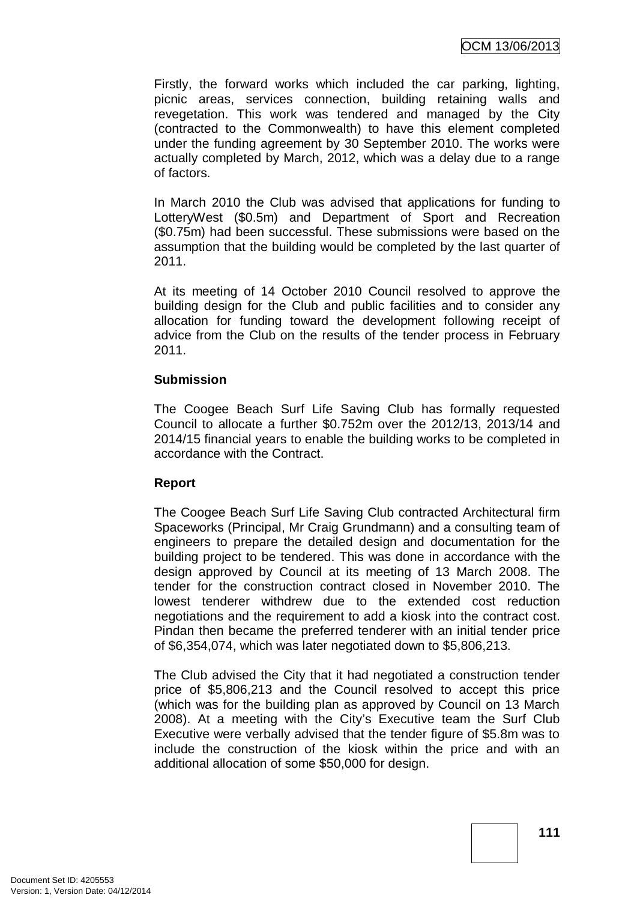Firstly, the forward works which included the car parking, lighting, picnic areas, services connection, building retaining walls and revegetation. This work was tendered and managed by the City (contracted to the Commonwealth) to have this element completed under the funding agreement by 30 September 2010. The works were actually completed by March, 2012, which was a delay due to a range of factors.

In March 2010 the Club was advised that applications for funding to LotteryWest (\$0.5m) and Department of Sport and Recreation (\$0.75m) had been successful. These submissions were based on the assumption that the building would be completed by the last quarter of 2011.

At its meeting of 14 October 2010 Council resolved to approve the building design for the Club and public facilities and to consider any allocation for funding toward the development following receipt of advice from the Club on the results of the tender process in February 2011.

## **Submission**

The Coogee Beach Surf Life Saving Club has formally requested Council to allocate a further \$0.752m over the 2012/13, 2013/14 and 2014/15 financial years to enable the building works to be completed in accordance with the Contract.

## **Report**

The Coogee Beach Surf Life Saving Club contracted Architectural firm Spaceworks (Principal, Mr Craig Grundmann) and a consulting team of engineers to prepare the detailed design and documentation for the building project to be tendered. This was done in accordance with the design approved by Council at its meeting of 13 March 2008. The tender for the construction contract closed in November 2010. The lowest tenderer withdrew due to the extended cost reduction negotiations and the requirement to add a kiosk into the contract cost. Pindan then became the preferred tenderer with an initial tender price of \$6,354,074, which was later negotiated down to \$5,806,213.

The Club advised the City that it had negotiated a construction tender price of \$5,806,213 and the Council resolved to accept this price (which was for the building plan as approved by Council on 13 March 2008). At a meeting with the City's Executive team the Surf Club Executive were verbally advised that the tender figure of \$5.8m was to include the construction of the kiosk within the price and with an additional allocation of some \$50,000 for design.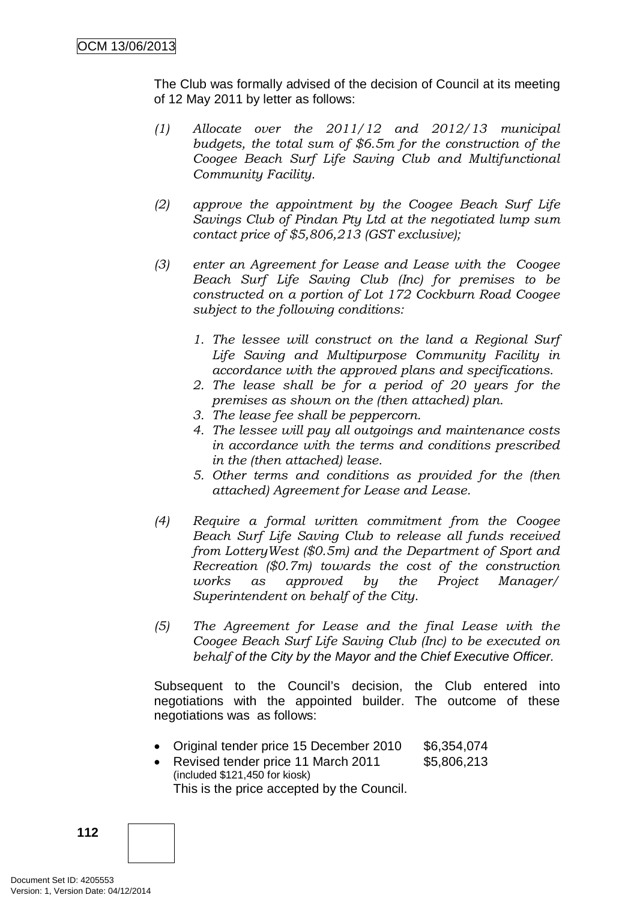The Club was formally advised of the decision of Council at its meeting of 12 May 2011 by letter as follows:

- *(1) Allocate over the 2011/12 and 2012/13 municipal budgets, the total sum of \$6.5m for the construction of the Coogee Beach Surf Life Saving Club and Multifunctional Community Facility.*
- *(2) approve the appointment by the Coogee Beach Surf Life Savings Club of Pindan Pty Ltd at the negotiated lump sum contact price of \$5,806,213 (GST exclusive);*
- *(3) enter an Agreement for Lease and Lease with the Coogee Beach Surf Life Saving Club (Inc) for premises to be constructed on a portion of Lot 172 Cockburn Road Coogee subject to the following conditions:*
	- *1. The lessee will construct on the land a Regional Surf Life Saving and Multipurpose Community Facility in accordance with the approved plans and specifications.*
	- *2. The lease shall be for a period of 20 years for the premises as shown on the (then attached) plan.*
	- *3. The lease fee shall be peppercorn.*
	- *4. The lessee will pay all outgoings and maintenance costs in accordance with the terms and conditions prescribed in the (then attached) lease.*
	- *5. Other terms and conditions as provided for the (then attached) Agreement for Lease and Lease.*
- *(4) Require a formal written commitment from the Coogee Beach Surf Life Saving Club to release all funds received from LotteryWest (\$0.5m) and the Department of Sport and Recreation (\$0.7m) towards the cost of the construction works as approved by the Project Manager/ Superintendent on behalf of the City.*
- *(5) The Agreement for Lease and the final Lease with the Coogee Beach Surf Life Saving Club (Inc) to be executed on behalf of the City by the Mayor and the Chief Executive Officer.*

Subsequent to the Council's decision, the Club entered into negotiations with the appointed builder. The outcome of these negotiations was as follows:

- Original tender price 15 December 2010 \$6,354,074
- Revised tender price 11 March 2011 \$5,806,213 (included \$121,450 for kiosk) This is the price accepted by the Council.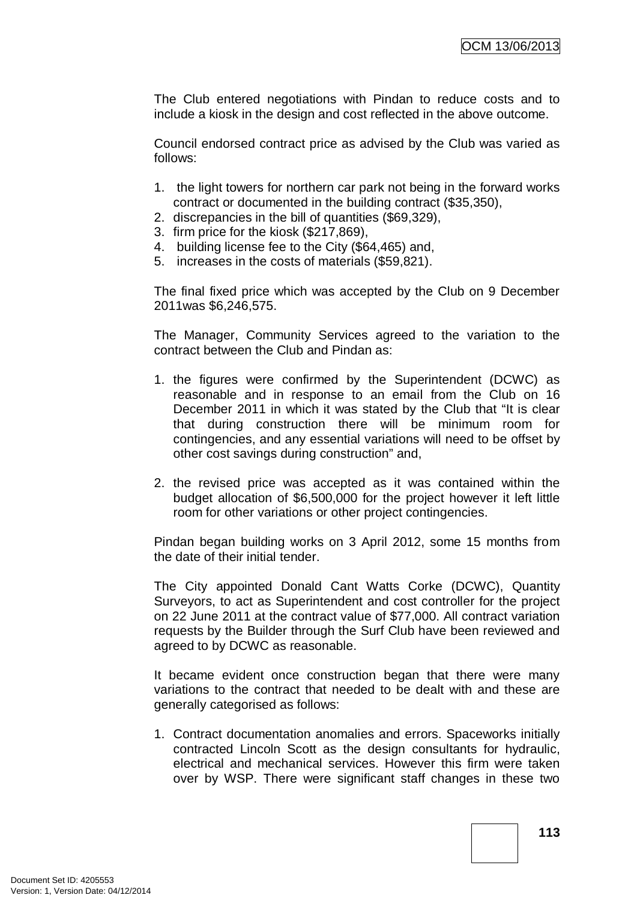The Club entered negotiations with Pindan to reduce costs and to include a kiosk in the design and cost reflected in the above outcome.

Council endorsed contract price as advised by the Club was varied as follows:

- 1. the light towers for northern car park not being in the forward works contract or documented in the building contract (\$35,350),
- 2. discrepancies in the bill of quantities (\$69,329),
- 3. firm price for the kiosk (\$217,869),
- 4. building license fee to the City (\$64,465) and,
- 5. increases in the costs of materials (\$59,821).

The final fixed price which was accepted by the Club on 9 December 2011was \$6,246,575.

The Manager, Community Services agreed to the variation to the contract between the Club and Pindan as:

- 1. the figures were confirmed by the Superintendent (DCWC) as reasonable and in response to an email from the Club on 16 December 2011 in which it was stated by the Club that "It is clear that during construction there will be minimum room for contingencies, and any essential variations will need to be offset by other cost savings during construction" and,
- 2. the revised price was accepted as it was contained within the budget allocation of \$6,500,000 for the project however it left little room for other variations or other project contingencies.

Pindan began building works on 3 April 2012, some 15 months from the date of their initial tender.

The City appointed Donald Cant Watts Corke (DCWC), Quantity Surveyors, to act as Superintendent and cost controller for the project on 22 June 2011 at the contract value of \$77,000. All contract variation requests by the Builder through the Surf Club have been reviewed and agreed to by DCWC as reasonable.

It became evident once construction began that there were many variations to the contract that needed to be dealt with and these are generally categorised as follows:

1. Contract documentation anomalies and errors. Spaceworks initially contracted Lincoln Scott as the design consultants for hydraulic, electrical and mechanical services. However this firm were taken over by WSP. There were significant staff changes in these two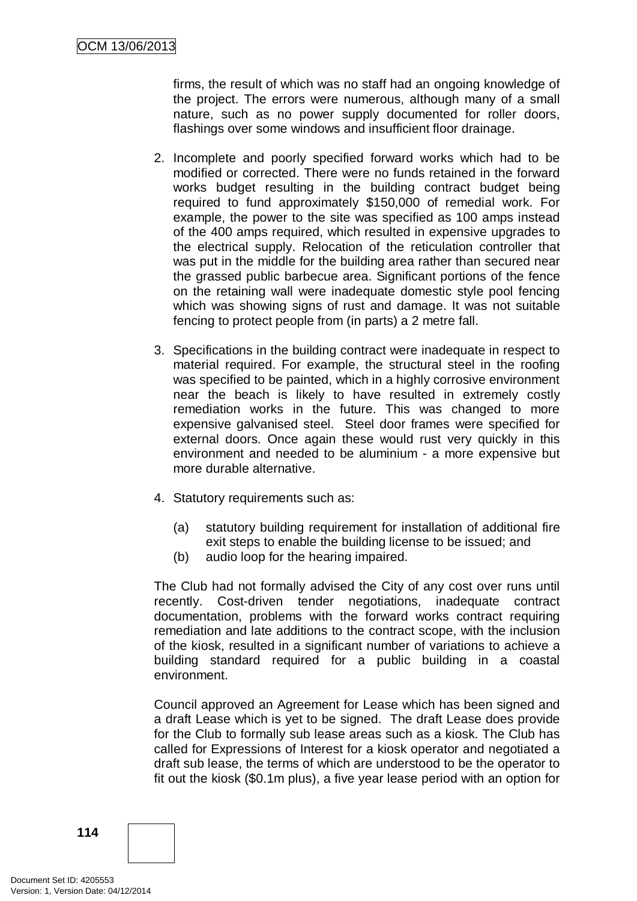firms, the result of which was no staff had an ongoing knowledge of the project. The errors were numerous, although many of a small nature, such as no power supply documented for roller doors, flashings over some windows and insufficient floor drainage.

- 2. Incomplete and poorly specified forward works which had to be modified or corrected. There were no funds retained in the forward works budget resulting in the building contract budget being required to fund approximately \$150,000 of remedial work. For example, the power to the site was specified as 100 amps instead of the 400 amps required, which resulted in expensive upgrades to the electrical supply. Relocation of the reticulation controller that was put in the middle for the building area rather than secured near the grassed public barbecue area. Significant portions of the fence on the retaining wall were inadequate domestic style pool fencing which was showing signs of rust and damage. It was not suitable fencing to protect people from (in parts) a 2 metre fall.
- 3. Specifications in the building contract were inadequate in respect to material required. For example, the structural steel in the roofing was specified to be painted, which in a highly corrosive environment near the beach is likely to have resulted in extremely costly remediation works in the future. This was changed to more expensive galvanised steel. Steel door frames were specified for external doors. Once again these would rust very quickly in this environment and needed to be aluminium - a more expensive but more durable alternative.
- 4. Statutory requirements such as:
	- (a) statutory building requirement for installation of additional fire exit steps to enable the building license to be issued; and
	- (b) audio loop for the hearing impaired.

The Club had not formally advised the City of any cost over runs until recently. Cost-driven tender negotiations, inadequate contract documentation, problems with the forward works contract requiring remediation and late additions to the contract scope, with the inclusion of the kiosk, resulted in a significant number of variations to achieve a building standard required for a public building in a coastal environment.

Council approved an Agreement for Lease which has been signed and a draft Lease which is yet to be signed. The draft Lease does provide for the Club to formally sub lease areas such as a kiosk. The Club has called for Expressions of Interest for a kiosk operator and negotiated a draft sub lease, the terms of which are understood to be the operator to fit out the kiosk (\$0.1m plus), a five year lease period with an option for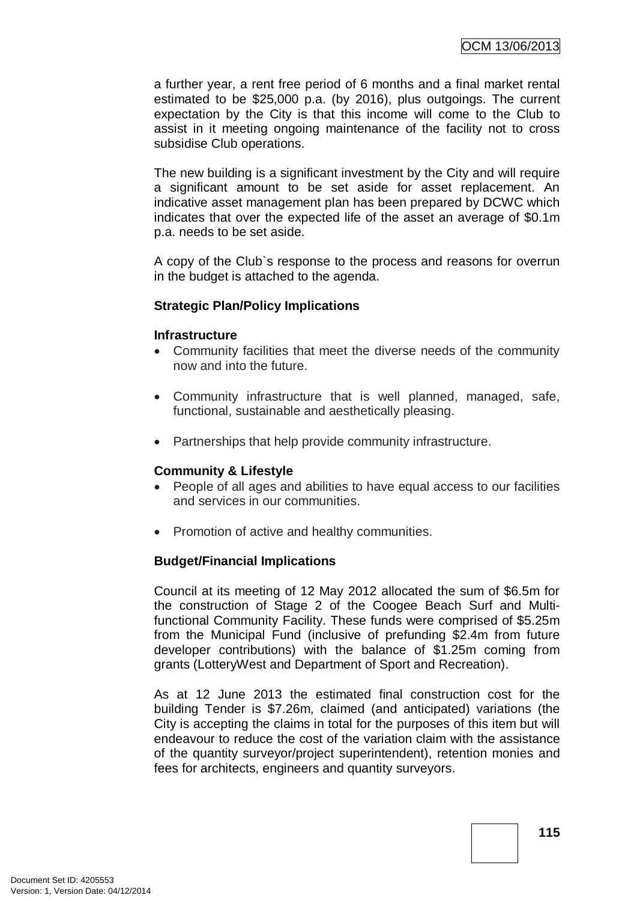a further year, a rent free period of 6 months and a final market rental estimated to be \$25,000 p.a. (by 2016), plus outgoings. The current expectation by the City is that this income will come to the Club to assist in it meeting ongoing maintenance of the facility not to cross subsidise Club operations.

The new building is a significant investment by the City and will require a significant amount to be set aside for asset replacement. An indicative asset management plan has been prepared by DCWC which indicates that over the expected life of the asset an average of \$0.1m p.a. needs to be set aside.

A copy of the Club`s response to the process and reasons for overrun in the budget is attached to the agenda.

## **Strategic Plan/Policy Implications**

### **Infrastructure**

- Community facilities that meet the diverse needs of the community now and into the future.
- Community infrastructure that is well planned, managed, safe, functional, sustainable and aesthetically pleasing.
- Partnerships that help provide community infrastructure.

## **Community & Lifestyle**

- People of all ages and abilities to have equal access to our facilities and services in our communities.
- Promotion of active and healthy communities.

#### **Budget/Financial Implications**

Council at its meeting of 12 May 2012 allocated the sum of \$6.5m for the construction of Stage 2 of the Coogee Beach Surf and Multifunctional Community Facility. These funds were comprised of \$5.25m from the Municipal Fund (inclusive of prefunding \$2.4m from future developer contributions) with the balance of \$1.25m coming from grants (LotteryWest and Department of Sport and Recreation).

As at 12 June 2013 the estimated final construction cost for the building Tender is \$7.26m, claimed (and anticipated) variations (the City is accepting the claims in total for the purposes of this item but will endeavour to reduce the cost of the variation claim with the assistance of the quantity surveyor/project superintendent), retention monies and fees for architects, engineers and quantity surveyors.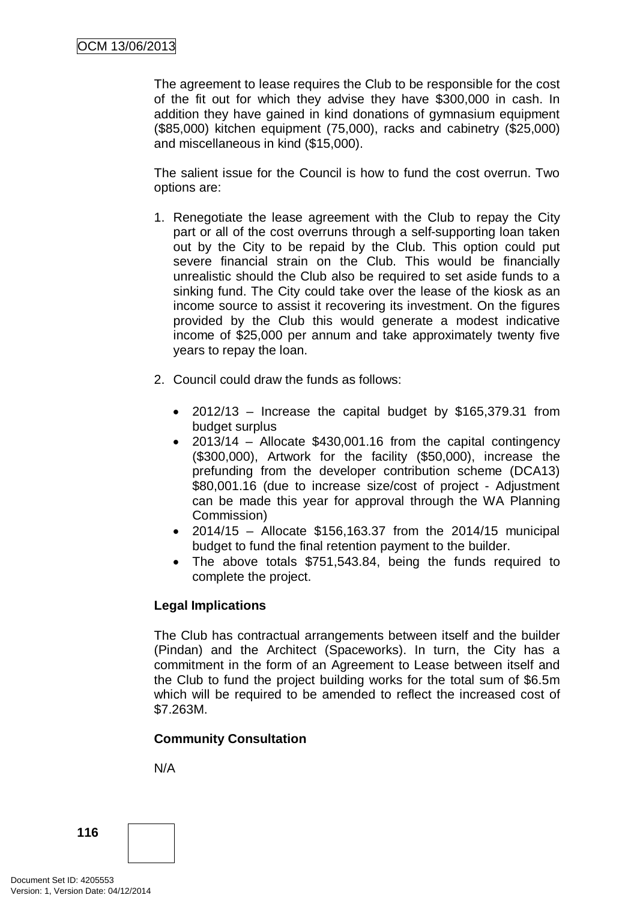The agreement to lease requires the Club to be responsible for the cost of the fit out for which they advise they have \$300,000 in cash. In addition they have gained in kind donations of gymnasium equipment (\$85,000) kitchen equipment (75,000), racks and cabinetry (\$25,000) and miscellaneous in kind (\$15,000).

The salient issue for the Council is how to fund the cost overrun. Two options are:

- 1. Renegotiate the lease agreement with the Club to repay the City part or all of the cost overruns through a self-supporting loan taken out by the City to be repaid by the Club. This option could put severe financial strain on the Club. This would be financially unrealistic should the Club also be required to set aside funds to a sinking fund. The City could take over the lease of the kiosk as an income source to assist it recovering its investment. On the figures provided by the Club this would generate a modest indicative income of \$25,000 per annum and take approximately twenty five years to repay the loan.
- 2. Council could draw the funds as follows:
	- 2012/13 Increase the capital budget by \$165,379.31 from budget surplus
	- 2013/14 Allocate \$430,001.16 from the capital contingency (\$300,000), Artwork for the facility (\$50,000), increase the prefunding from the developer contribution scheme (DCA13) \$80,001.16 (due to increase size/cost of project - Adjustment can be made this year for approval through the WA Planning Commission)
	- 2014/15 Allocate  $$156,163.37$  from the 2014/15 municipal budget to fund the final retention payment to the builder.
	- The above totals \$751,543.84, being the funds required to complete the project.

## **Legal Implications**

The Club has contractual arrangements between itself and the builder (Pindan) and the Architect (Spaceworks). In turn, the City has a commitment in the form of an Agreement to Lease between itself and the Club to fund the project building works for the total sum of \$6.5m which will be required to be amended to reflect the increased cost of \$7.263M.

## **Community Consultation**

N/A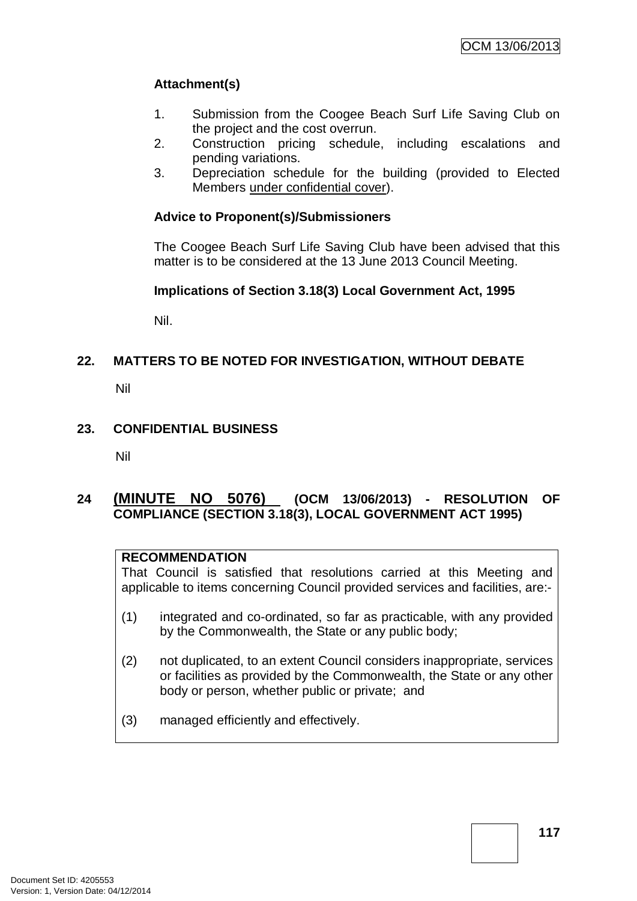# **Attachment(s)**

- 1. Submission from the Coogee Beach Surf Life Saving Club on the project and the cost overrun.
- 2. Construction pricing schedule, including escalations and pending variations.
- 3. Depreciation schedule for the building (provided to Elected Members under confidential cover).

# **Advice to Proponent(s)/Submissioners**

The Coogee Beach Surf Life Saving Club have been advised that this matter is to be considered at the 13 June 2013 Council Meeting.

## **Implications of Section 3.18(3) Local Government Act, 1995**

Nil.

# **22. MATTERS TO BE NOTED FOR INVESTIGATION, WITHOUT DEBATE**

Nil

# **23. CONFIDENTIAL BUSINESS**

Nil

# **24 (MINUTE NO 5076) (OCM 13/06/2013) - RESOLUTION OF COMPLIANCE (SECTION 3.18(3), LOCAL GOVERNMENT ACT 1995)**

## **RECOMMENDATION**

That Council is satisfied that resolutions carried at this Meeting and applicable to items concerning Council provided services and facilities, are:-

- (1) integrated and co-ordinated, so far as practicable, with any provided by the Commonwealth, the State or any public body;
- (2) not duplicated, to an extent Council considers inappropriate, services or facilities as provided by the Commonwealth, the State or any other body or person, whether public or private; and
- (3) managed efficiently and effectively.